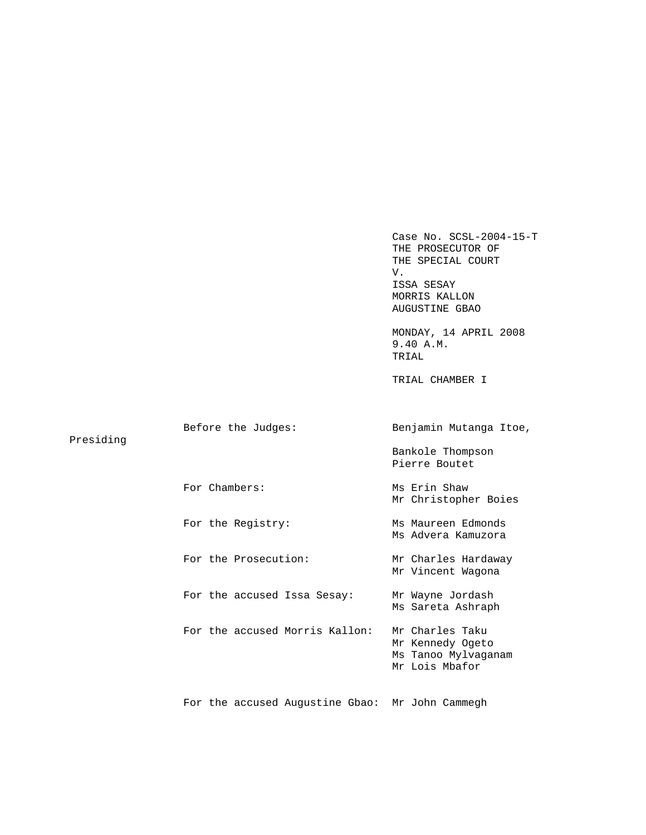Case No. SCSL-2004-15-T THE PROSECUTOR OF THE SPECIAL COURT V. ISSA SESAY MORRIS KALLON AUGUSTINE GBAO MONDAY, 14 APRIL 2008 9.40 A.M. TRIAL TRIAL CHAMBER I Before the Judges: Benjamin Mutanga Itoe, Presiding Bankole Thompson Pierre Boutet For Chambers: Ms Erin Shaw Mr Christopher Boies For the Registry: Ms Maureen Edmonds Ms Advera Kamuzora For the Prosecution: Mr Charles Hardaway Mr Vincent Wagona For the accused Issa Sesay: Mr Wayne Jordash Ms Sareta Ashraph For the accused Morris Kallon: Mr Charles Taku Mr Kennedy Ogeto Ms Tanoo Mylvaganam Mr Lois Mbafor For the accused Augustine Gbao: Mr John Cammegh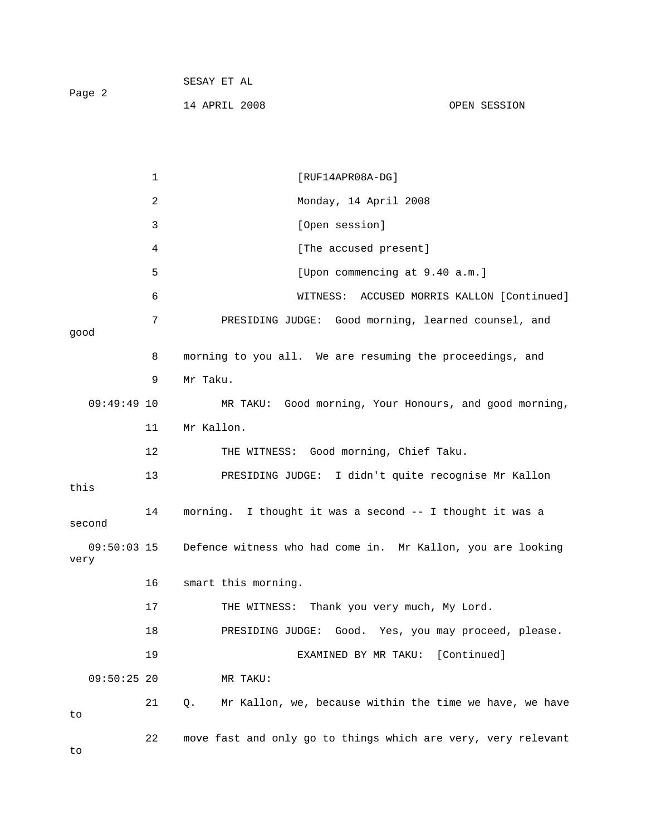| Page 2 | SESAY ET AL   |              |
|--------|---------------|--------------|
|        | 14 APRIL 2008 | OPEN SESSION |

1 [RUF14APR08A-DG] 2 Monday, 14 April 2008 3 [Open session] 4 [The accused present] 5 [Upon commencing at 9.40 a.m.] 6 WITNESS: ACCUSED MORRIS KALLON [Continued] 7 PRESIDING JUDGE: Good morning, learned counsel, and good 8 morning to you all. We are resuming the proceedings, and 9 Mr Taku. 09:49:49 10 MR TAKU: Good morning, Your Honours, and good morning, 11 Mr Kallon. 12 THE WITNESS: Good morning, Chief Taku. 13 PRESIDING JUDGE: I didn't quite recognise Mr Kallon this 14 morning. I thought it was a second -- I thought it was a second 09:50:03 15 Defence witness who had come in. Mr Kallon, you are looking very 16 smart this morning. 17 THE WITNESS: Thank you very much, My Lord. 18 PRESIDING JUDGE: Good. Yes, you may proceed, please. 19 EXAMINED BY MR TAKU: [Continued] 09:50:25 20 MR TAKU: 21 Q. Mr Kallon, we, because within the time we have, we have to 22 move fast and only go to things which are very, very relevant

to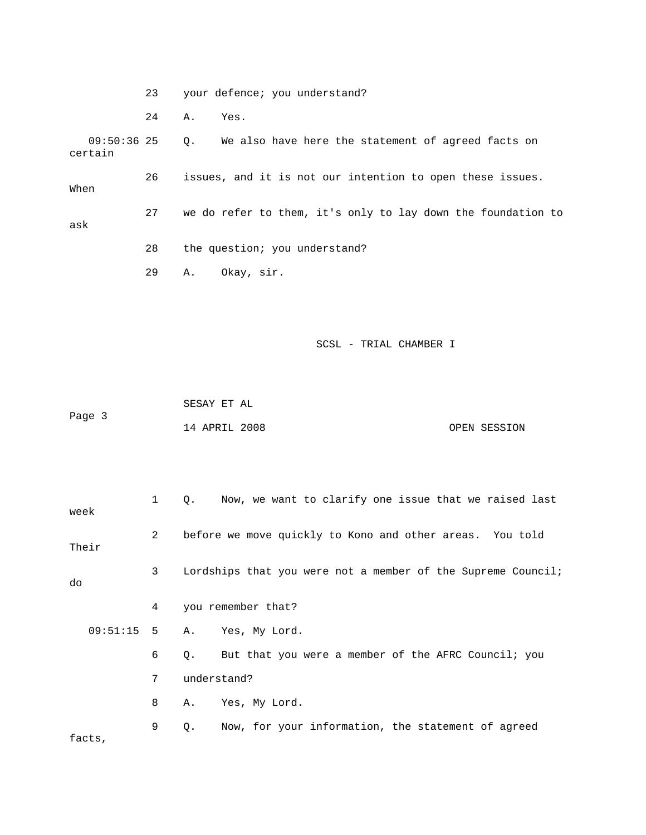23 your defence; you understand? 24 A. Yes. 09:50:36 25 Q. We also have here the statement of agreed facts on certain 26 issues, and it is not our intention to open these issues. When 27 we do refer to them, it's only to lay down the foundation to ask 28 the question; you understand? 29 A. Okay, sir.

SCSL - TRIAL CHAMBER I

 SESAY ET AL Page 3 14 APRIL 2008 OPEN SESSION

| week                                                                               | 1                | Now, we want to clarify one issue that we raised last<br>Q. |  |  |  |  |
|------------------------------------------------------------------------------------|------------------|-------------------------------------------------------------|--|--|--|--|
| Their                                                                              | 2                | before we move quickly to Kono and other areas. You told    |  |  |  |  |
| $\mathbf{3}$<br>Lordships that you were not a member of the Supreme Council;<br>do |                  |                                                             |  |  |  |  |
|                                                                                    | 4                | you remember that?                                          |  |  |  |  |
|                                                                                    |                  | 09:51:15 5 A. Yes, My Lord.                                 |  |  |  |  |
|                                                                                    | 6                | But that you were a member of the AFRC Council; you<br>Q.   |  |  |  |  |
|                                                                                    | 7<br>understand? |                                                             |  |  |  |  |
|                                                                                    | 8                | Yes, My Lord.<br>Α.                                         |  |  |  |  |
| facts,                                                                             | 9                | Now, for your information, the statement of agreed<br>Q.    |  |  |  |  |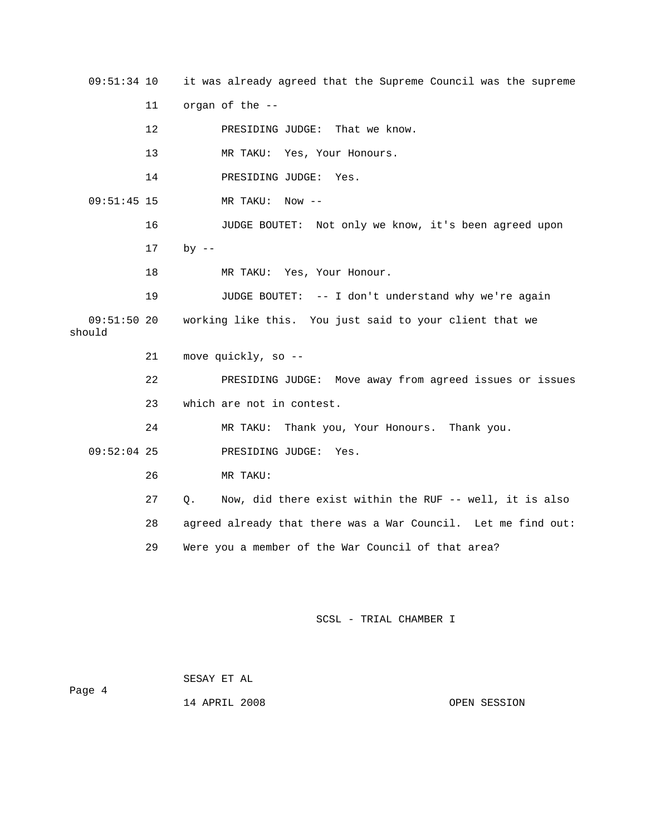09:51:34 10 it was already agreed that the Supreme Council was the supreme

11 organ of the --

12 PRESIDING JUDGE: That we know.

13 MR TAKU: Yes, Your Honours.

14 PRESIDING JUDGE: Yes.

09:51:45 15 MR TAKU: Now --

16 JUDGE BOUTET: Not only we know, it's been agreed upon

17 by --

18 MR TAKU: Yes, Your Honour.

 19 JUDGE BOUTET: -- I don't understand why we're again 09:51:50 20 working like this. You just said to your client that we should

21 move quickly, so --

 22 PRESIDING JUDGE: Move away from agreed issues or issues 23 which are not in contest.

24 MR TAKU: Thank you, Your Honours. Thank you.

09:52:04 25 PRESIDING JUDGE: Yes.

26 MR TAKU:

27 Q. Now, did there exist within the RUF -- well, it is also

28 agreed already that there was a War Council. Let me find out:

29 Were you a member of the War Council of that area?

SCSL - TRIAL CHAMBER I

 SESAY ET AL Page 4 14 APRIL 2008 OPEN SESSION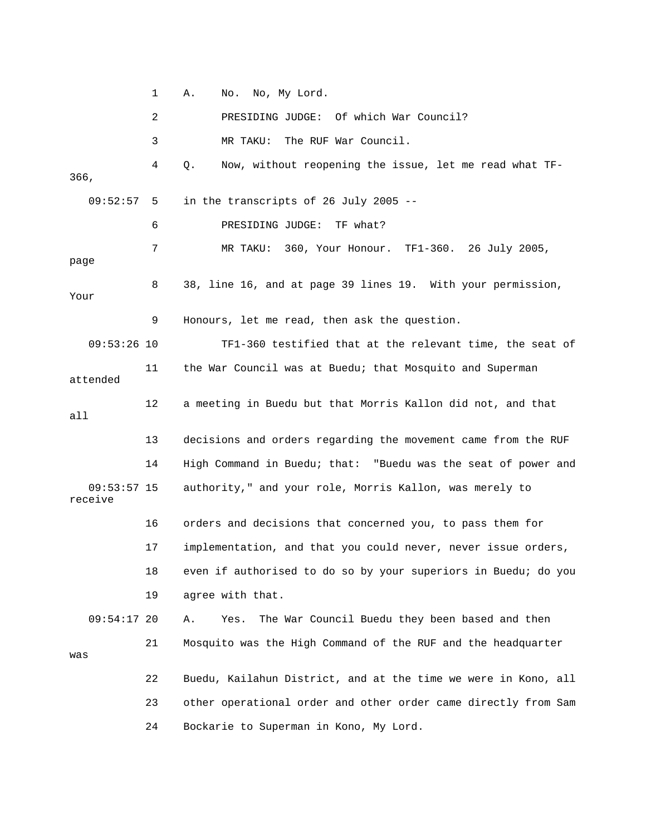1 A. No. No, My Lord.

2 PRESIDING JUDGE: Of which War Council?

3 MR TAKU: The RUF War Council.

 4 Q. Now, without reopening the issue, let me read what TF-366, 09:52:57 5 in the transcripts of 26 July 2005 -- 6 PRESIDING JUDGE: TF what? 7 MR TAKU: 360, Your Honour. TF1-360. 26 July 2005, page 8 38, line 16, and at page 39 lines 19. With your permission, Your 9 Honours, let me read, then ask the question. 09:53:26 10 TF1-360 testified that at the relevant time, the seat of 11 the War Council was at Buedu; that Mosquito and Superman attended 12 a meeting in Buedu but that Morris Kallon did not, and that all 13 decisions and orders regarding the movement came from the RUF 14 High Command in Buedu; that: "Buedu was the seat of power and 09:53:57 15 authority," and your role, Morris Kallon, was merely to receive 16 orders and decisions that concerned you, to pass them for 17 implementation, and that you could never, never issue orders, 18 even if authorised to do so by your superiors in Buedu; do you 19 agree with that. 09:54:17 20 A. Yes. The War Council Buedu they been based and then 21 Mosquito was the High Command of the RUF and the headquarter was 22 Buedu, Kailahun District, and at the time we were in Kono, all 23 other operational order and other order came directly from Sam

24 Bockarie to Superman in Kono, My Lord.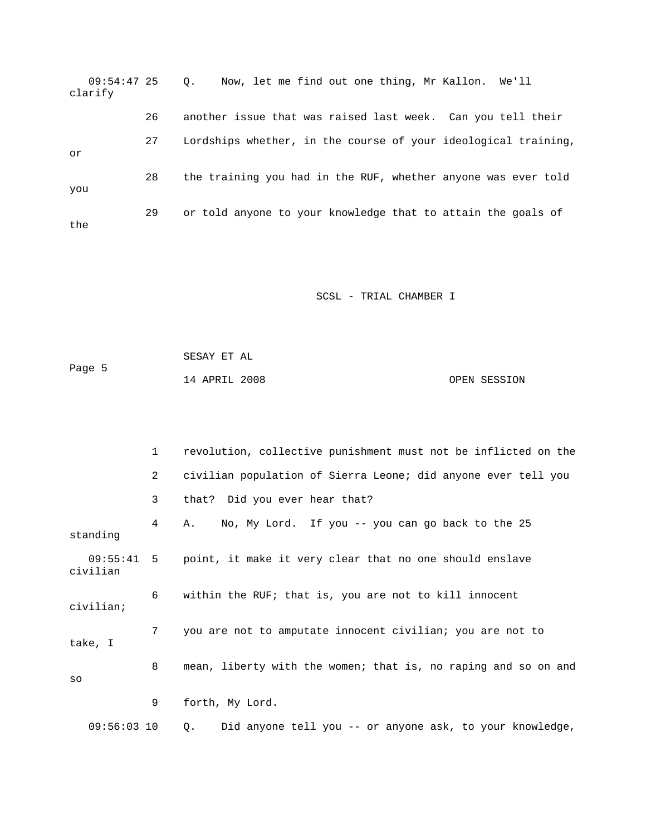| 09:54:47 25<br>clarify |    | Now, let me find out one thing, Mr Kallon. We'll<br>$\circ$ .  |
|------------------------|----|----------------------------------------------------------------|
|                        | 26 | another issue that was raised last week. Can you tell their    |
| or                     | 27 | Lordships whether, in the course of your ideological training, |
| you                    | 28 | the training you had in the RUF, whether anyone was ever told  |
| the                    | 29 | or told anyone to your knowledge that to attain the goals of   |

|        | SESAY ET AL   |  |              |
|--------|---------------|--|--------------|
| Page 5 |               |  |              |
|        | 14 APRIL 2008 |  | OPEN SESSION |

|           | 1             | revolution, collective punishment must not be inflicted on the     |
|-----------|---------------|--------------------------------------------------------------------|
|           | $\mathbf{2}$  | civilian population of Sierra Leone; did anyone ever tell you      |
|           | $\mathbf{3}$  | that? Did you ever hear that?                                      |
| standing  | $4 \quad$     | No, My Lord. If you -- you can go back to the 25<br>A.             |
| civilian  |               | 09:55:41 5 point, it make it very clear that no one should enslave |
| civilian; | 6             | within the RUF; that is, you are not to kill innocent              |
| take, I   | 7             | you are not to amputate innocent civilian; you are not to          |
| SO        | 8             | mean, liberty with the women; that is, no raping and so on and     |
|           | 9             | forth, My Lord.                                                    |
|           | $09:56:03$ 10 | Did anyone tell you -- or anyone ask, to your knowledge,<br>Q.     |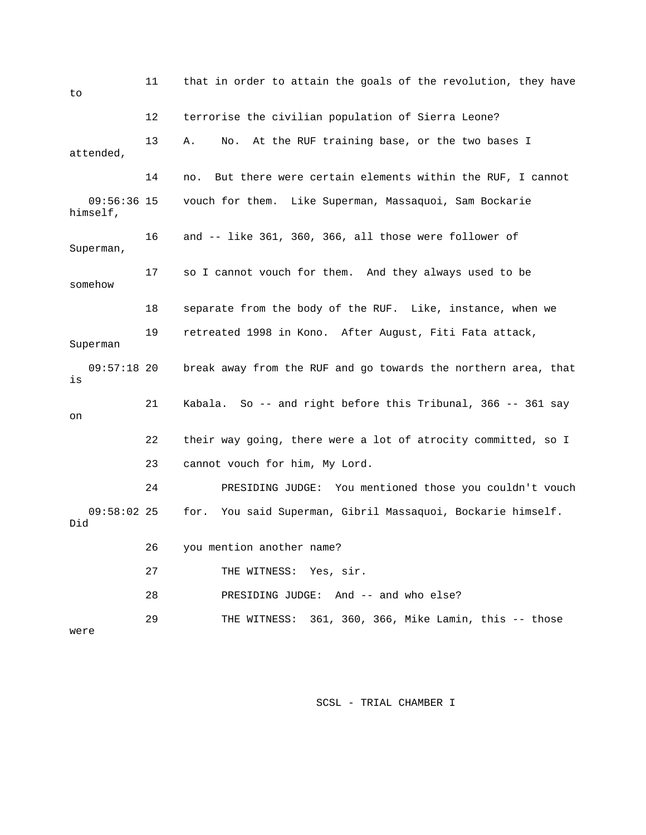| 11<br>to                  |    | that in order to attain the goals of the revolution, they have  |
|---------------------------|----|-----------------------------------------------------------------|
|                           | 12 | terrorise the civilian population of Sierra Leone?              |
| attended,                 | 13 | At the RUF training base, or the two bases I<br>Α.<br>No.       |
|                           | 14 | But there were certain elements within the RUF, I cannot<br>no. |
| $09:56:36$ 15<br>himself, |    | vouch for them. Like Superman, Massaquoi, Sam Bockarie          |
| Superman,                 | 16 | and -- like 361, 360, 366, all those were follower of           |
| somehow                   | 17 | so I cannot vouch for them. And they always used to be          |
|                           | 18 | separate from the body of the RUF. Like, instance, when we      |
| Superman                  | 19 | retreated 1998 in Kono. After August, Fiti Fata attack,         |
| $09:57:18$ 20<br>is       |    | break away from the RUF and go towards the northern area, that  |
| on                        | 21 | Kabala. So -- and right before this Tribunal, 366 -- 361 say    |
|                           | 22 | their way going, there were a lot of atrocity committed, so I   |
|                           | 23 | cannot vouch for him, My Lord.                                  |
|                           | 24 | PRESIDING JUDGE: You mentioned those you couldn't vouch         |
| $09:58:02$ 25<br>Did      |    | You said Superman, Gibril Massaquoi, Bockarie himself.<br>for.  |
|                           | 26 | you mention another name?                                       |
|                           | 27 | THE WITNESS: Yes, sir.                                          |
|                           | 28 | PRESIDING JUDGE: And -- and who else?                           |
| were                      | 29 | THE WITNESS: 361, 360, 366, Mike Lamin, this -- those           |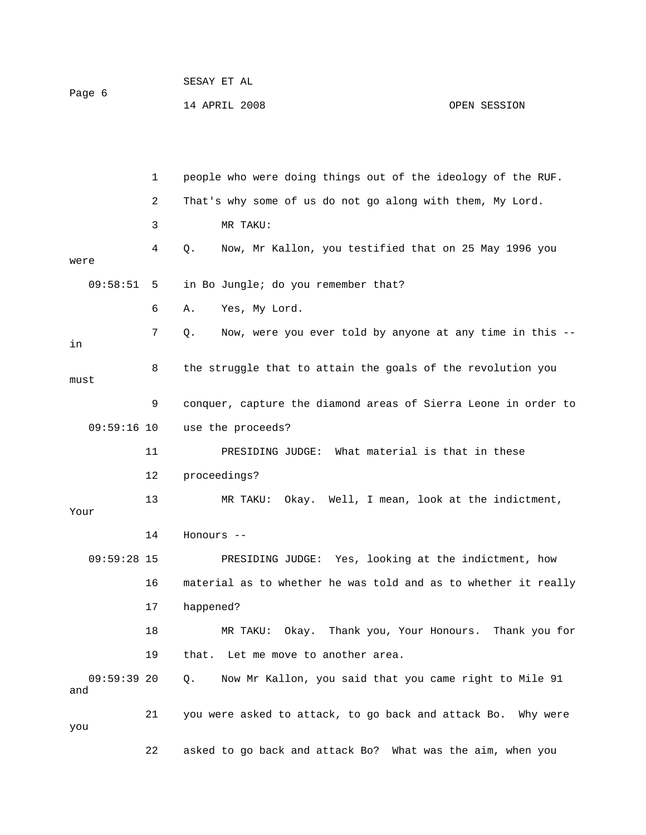| Page 6 |              | SESAY ET AL                                                  |
|--------|--------------|--------------------------------------------------------------|
|        |              | 14 APRIL 2008<br>OPEN SESSION                                |
|        |              |                                                              |
|        |              |                                                              |
|        | $\mathbf{1}$ | people who were doing things out of the ideology of the RUF. |
|        | 2            | That's why some of us do not go along with them, My Lord.    |
|        | 3            | MR TAKU:                                                     |

 4 Q. Now, Mr Kallon, you testified that on 25 May 1996 you were 09:58:51 5 in Bo Jungle; do you remember that?

6 A. Yes, My Lord.

 7 Q. Now, were you ever told by anyone at any time in this - in 8 the struggle that to attain the goals of the revolution you must

 9 conquer, capture the diamond areas of Sierra Leone in order to 09:59:16 10 use the proceeds?

 11 PRESIDING JUDGE: What material is that in these 12 proceedings? 13 MR TAKU: Okay. Well, I mean, look at the indictment,

Your

14 Honours --

 09:59:28 15 PRESIDING JUDGE: Yes, looking at the indictment, how 16 material as to whether he was told and as to whether it really 17 happened?

 18 MR TAKU: Okay. Thank you, Your Honours. Thank you for 19 that. Let me move to another area.

 09:59:39 20 Q. Now Mr Kallon, you said that you came right to Mile 91 and

 21 you were asked to attack, to go back and attack Bo. Why were you 22 asked to go back and attack Bo? What was the aim, when you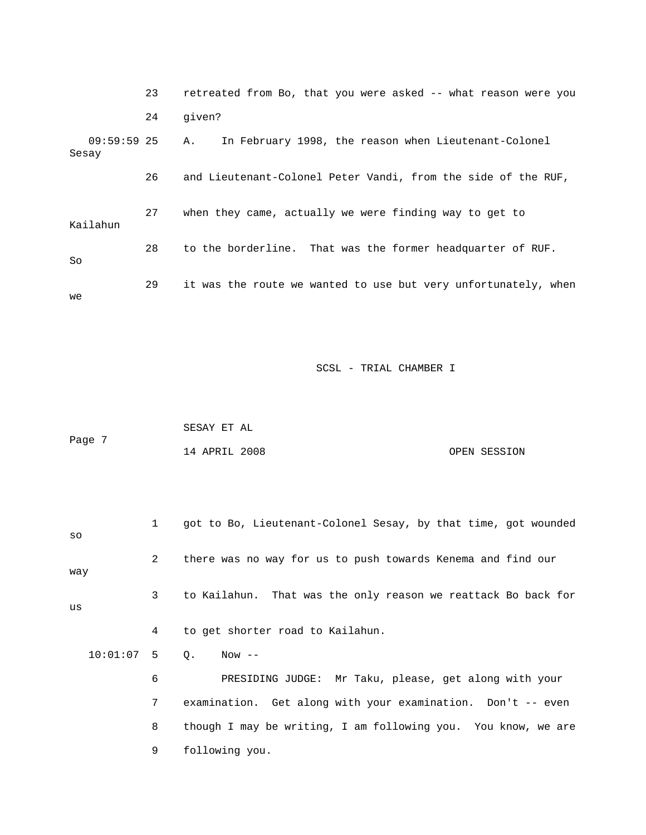|       |               | 23 | retreated from Bo, that you were asked -- what reason were you |
|-------|---------------|----|----------------------------------------------------------------|
|       |               | 24 | qiven?                                                         |
| Sesay | $09:59:59$ 25 |    | In February 1998, the reason when Lieutenant-Colonel<br>Α.     |
|       |               | 26 | and Lieutenant-Colonel Peter Vandi, from the side of the RUF,  |
|       | Kailahun      | 27 | when they came, actually we were finding way to get to         |
| So    |               | 28 | to the borderline. That was the former headquarter of RUF.     |
| we    |               | 29 | it was the route we wanted to use but very unfortunately, when |

|        | SESAY ET AL   |  |              |
|--------|---------------|--|--------------|
| Page 7 |               |  |              |
|        | 14 APRIL 2008 |  | OPEN SESSION |

| SO           | $\mathbf{1}$   | got to Bo, Lieutenant-Colonel Sesay, by that time, got wounded |
|--------------|----------------|----------------------------------------------------------------|
| way          | $2^{\circ}$    | there was no way for us to push towards Kenema and find our    |
| us           | 3              | to Kailahun. That was the only reason we reattack Bo back for  |
|              | $4\phantom{0}$ | to get shorter road to Kailahun.                               |
| $10:01:07$ 5 |                | $\circ$ .<br>Now --                                            |
|              | 6              | PRESIDING JUDGE: Mr Taku, please, get along with your          |
|              | 7              | examination. Get along with your examination. Don't -- even    |
|              | 8              | though I may be writing, I am following you. You know, we are  |
|              | 9              | following you.                                                 |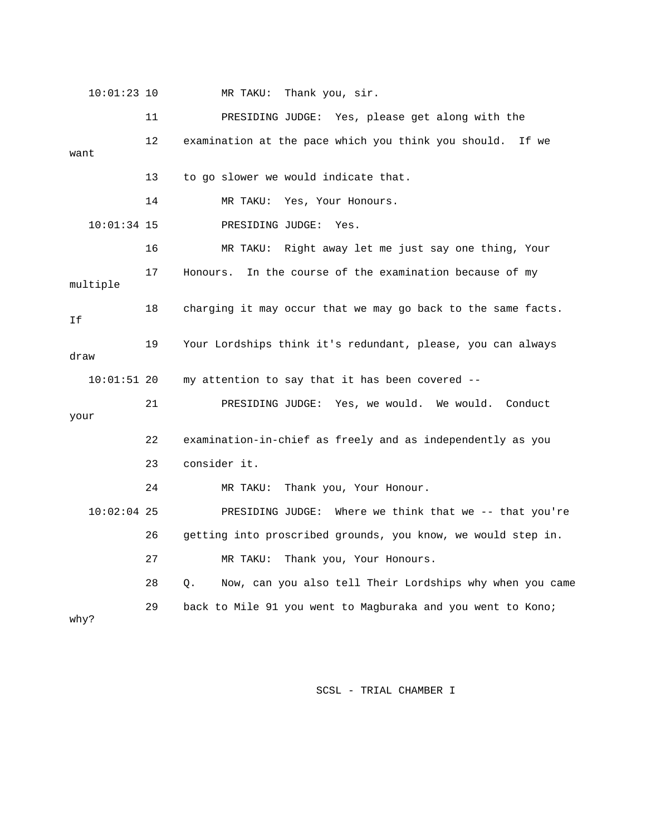10:01:23 10 MR TAKU: Thank you, sir.

 11 PRESIDING JUDGE: Yes, please get along with the 12 examination at the pace which you think you should. If we want 13 to go slower we would indicate that. 14 MR TAKU: Yes, Your Honours. 10:01:34 15 PRESIDING JUDGE: Yes. 16 MR TAKU: Right away let me just say one thing, Your 17 Honours. In the course of the examination because of my multiple 18 charging it may occur that we may go back to the same facts. If 19 Your Lordships think it's redundant, please, you can always draw 10:01:51 20 my attention to say that it has been covered -- 21 PRESIDING JUDGE: Yes, we would. We would. Conduct your 22 examination-in-chief as freely and as independently as you 23 consider it. 24 MR TAKU: Thank you, Your Honour. 10:02:04 25 PRESIDING JUDGE: Where we think that we -- that you're 26 getting into proscribed grounds, you know, we would step in. 27 MR TAKU: Thank you, Your Honours. 28 Q. Now, can you also tell Their Lordships why when you came 29 back to Mile 91 you went to Magburaka and you went to Kono; why?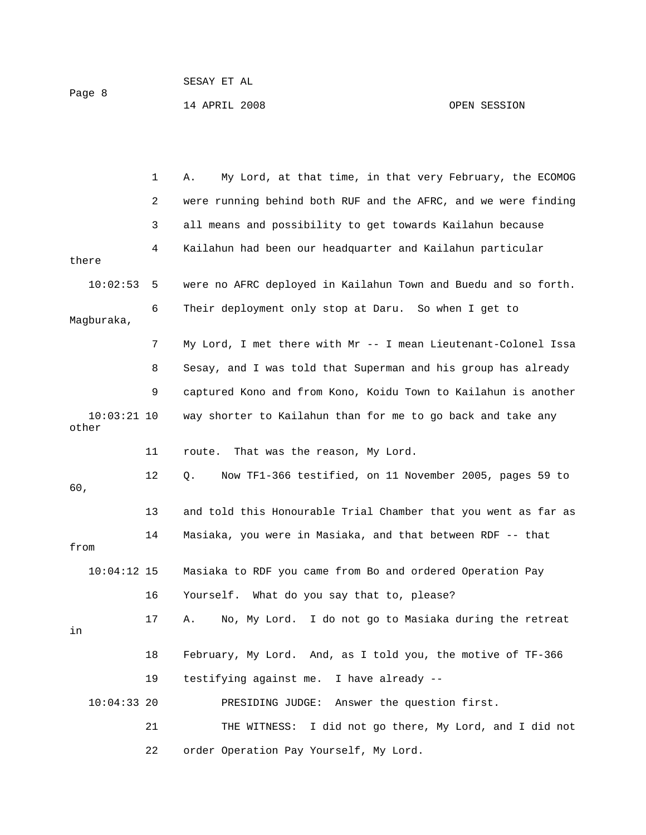Page 8

SESAY ET AL

 1 A. My Lord, at that time, in that very February, the ECOMOG 2 were running behind both RUF and the AFRC, and we were finding 3 all means and possibility to get towards Kailahun because 4 Kailahun had been our headquarter and Kailahun particular there 10:02:53 5 were no AFRC deployed in Kailahun Town and Buedu and so forth. 6 Their deployment only stop at Daru. So when I get to Magburaka, 7 My Lord, I met there with Mr -- I mean Lieutenant-Colonel Issa 8 Sesay, and I was told that Superman and his group has already 9 captured Kono and from Kono, Koidu Town to Kailahun is another 10:03:21 10 way shorter to Kailahun than for me to go back and take any other 11 route. That was the reason, My Lord. 12 Q. Now TF1-366 testified, on 11 November 2005, pages 59 to 60, 13 and told this Honourable Trial Chamber that you went as far as 14 Masiaka, you were in Masiaka, and that between RDF -- that from 10:04:12 15 Masiaka to RDF you came from Bo and ordered Operation Pay 16 Yourself. What do you say that to, please? 17 A. No, My Lord. I do not go to Masiaka during the retreat in 18 February, My Lord. And, as I told you, the motive of TF-366 19 testifying against me. I have already -- 10:04:33 20 PRESIDING JUDGE: Answer the question first. 21 THE WITNESS: I did not go there, My Lord, and I did not

22 order Operation Pay Yourself, My Lord.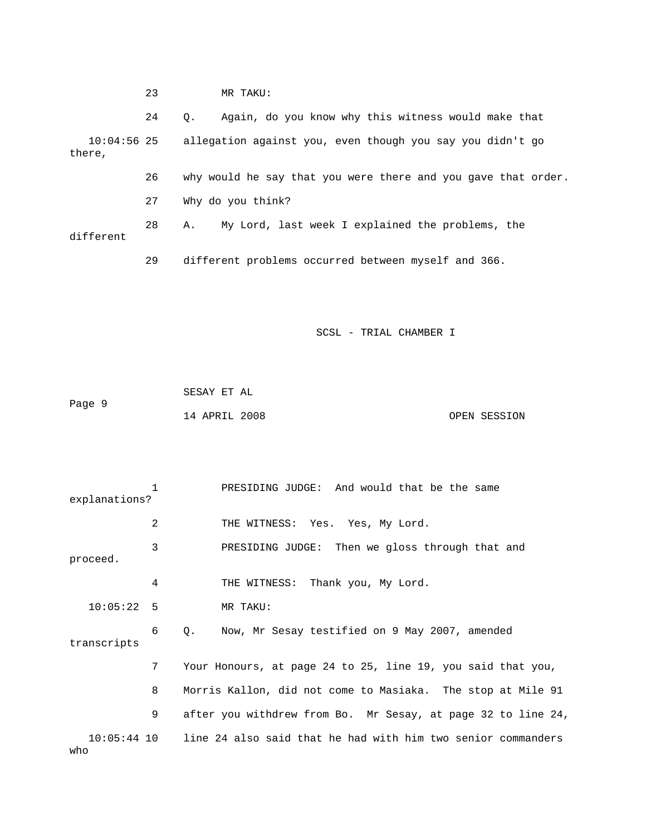|        |               | 23 | MR TAKU:                                                         |
|--------|---------------|----|------------------------------------------------------------------|
|        |               | 24 | Again, do you know why this witness would make that<br>$\circ$ . |
| there, | $10:04:56$ 25 |    | allegation against you, even though you say you didn't go        |
|        |               | 26 | why would he say that you were there and you gave that order.    |
|        |               | 27 | Why do you think?                                                |
|        | different     | 28 | My Lord, last week I explained the problems, the<br>А.           |
|        |               | 29 | different problems occurred between myself and 366.              |

|        | SESAY ET AL   |  |              |
|--------|---------------|--|--------------|
| Page 9 |               |  |              |
|        | 14 APRIL 2008 |  | OPEN SESSION |

|                      | 1 | PRESIDING JUDGE: And would that be the same                  |
|----------------------|---|--------------------------------------------------------------|
| explanations?        |   |                                                              |
|                      | 2 | THE WITNESS: Yes. Yes, My Lord.                              |
| proceed.             | 3 | PRESIDING JUDGE: Then we gloss through that and              |
|                      |   |                                                              |
|                      | 4 | THE WITNESS: Thank you, My Lord.                             |
| 10:05:22 5           |   | MR TAKU:                                                     |
| transcripts          | 6 | Now, Mr Sesay testified on 9 May 2007, amended<br>Q.         |
|                      | 7 | Your Honours, at page 24 to 25, line 19, you said that you,  |
|                      | 8 | Morris Kallon, did not come to Masiaka. The stop at Mile 91  |
|                      | 9 | after you withdrew from Bo. Mr Sesay, at page 32 to line 24, |
| $10:05:44$ 10<br>who |   | line 24 also said that he had with him two senior commanders |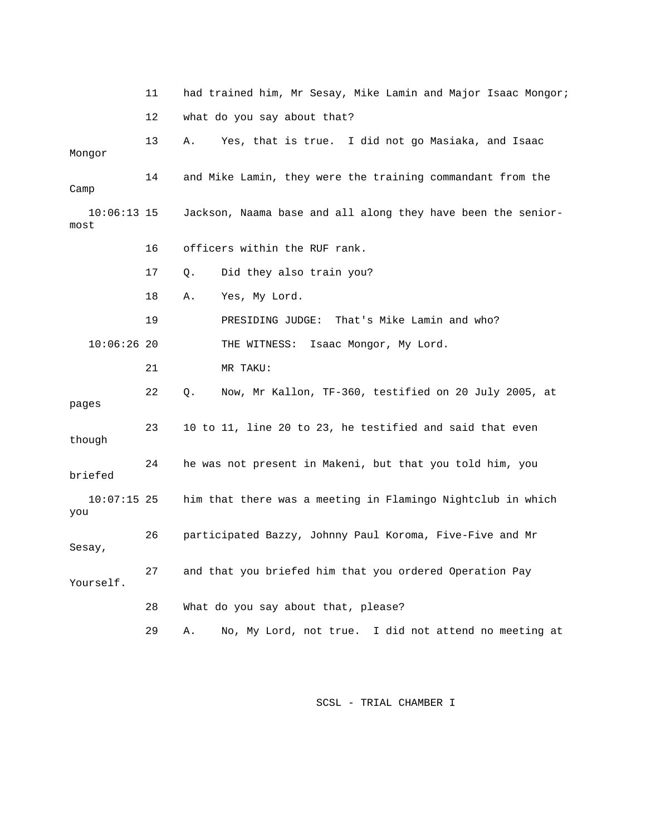|                       | 11 | had trained him, Mr Sesay, Mike Lamin and Major Isaac Mongor; |
|-----------------------|----|---------------------------------------------------------------|
|                       | 12 | what do you say about that?                                   |
| Mongor                | 13 | Yes, that is true. I did not go Masiaka, and Isaac<br>Α.      |
| Camp                  | 14 | and Mike Lamin, they were the training commandant from the    |
| $10:06:13$ 15<br>most |    | Jackson, Naama base and all along they have been the senior-  |
|                       | 16 | officers within the RUF rank.                                 |
|                       | 17 | Did they also train you?<br>Q.                                |
|                       | 18 | Yes, My Lord.<br>Α.                                           |
|                       | 19 | That's Mike Lamin and who?<br>PRESIDING JUDGE:                |
| $10:06:26$ 20         |    | Isaac Mongor, My Lord.<br>THE WITNESS:                        |
|                       | 21 | MR TAKU:                                                      |
| pages                 | 22 | Now, Mr Kallon, TF-360, testified on 20 July 2005, at<br>Q.   |
| though                | 23 | 10 to 11, line 20 to 23, he testified and said that even      |
| briefed               | 24 | he was not present in Makeni, but that you told him, you      |
| $10:07:15$ 25<br>you  |    | him that there was a meeting in Flamingo Nightclub in which   |
| Sesay,                | 26 | participated Bazzy, Johnny Paul Koroma, Five-Five and Mr      |
| Yourself.             | 27 | and that you briefed him that you ordered Operation Pay       |
|                       | 28 | What do you say about that, please?                           |
|                       | 29 | No, My Lord, not true. I did not attend no meeting at<br>Α.   |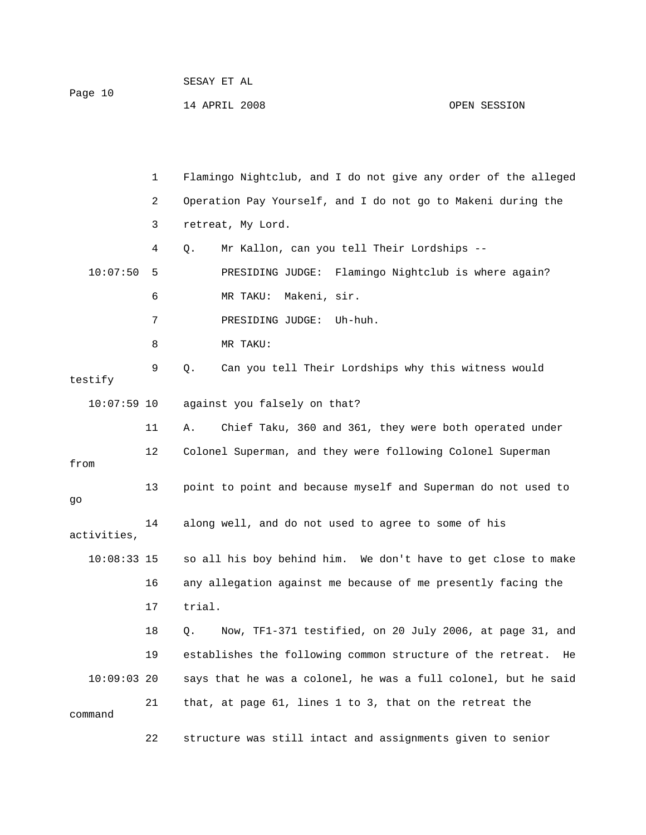| Page 10 | SESAY ET AL   |  |              |
|---------|---------------|--|--------------|
|         | 14 APRIL 2008 |  | OPEN SESSION |

|               | 1  | Flamingo Nightclub, and I do not give any order of the alleged   |
|---------------|----|------------------------------------------------------------------|
|               | 2  | Operation Pay Yourself, and I do not go to Makeni during the     |
|               | 3  | retreat, My Lord.                                                |
|               | 4  | Mr Kallon, can you tell Their Lordships --<br>Q.                 |
| 10:07:50      | 5  | PRESIDING JUDGE: Flamingo Nightclub is where again?              |
|               | 6  | MR TAKU: Makeni, sir.                                            |
|               | 7  | PRESIDING JUDGE:<br>Uh-huh.                                      |
|               | 8  | MR TAKU:                                                         |
| testify       | 9  | Can you tell Their Lordships why this witness would<br>Q.        |
| $10:07:59$ 10 |    | against you falsely on that?                                     |
|               | 11 | Chief Taku, 360 and 361, they were both operated under<br>Α.     |
| from          | 12 | Colonel Superman, and they were following Colonel Superman       |
| go            | 13 | point to point and because myself and Superman do not used to    |
| activities,   | 14 | along well, and do not used to agree to some of his              |
| $10:08:33$ 15 |    | so all his boy behind him. We don't have to get close to make    |
|               | 16 | any allegation against me because of me presently facing the     |
|               | 17 | trial.                                                           |
|               | 18 | Now, TF1-371 testified, on 20 July 2006, at page 31, and<br>Q.   |
|               | 19 | establishes the following common structure of the retreat.<br>He |
| $10:09:03$ 20 |    | says that he was a colonel, he was a full colonel, but he said   |
| command       | 21 | that, at page 61, lines 1 to 3, that on the retreat the          |
|               | 22 | structure was still intact and assignments given to senior       |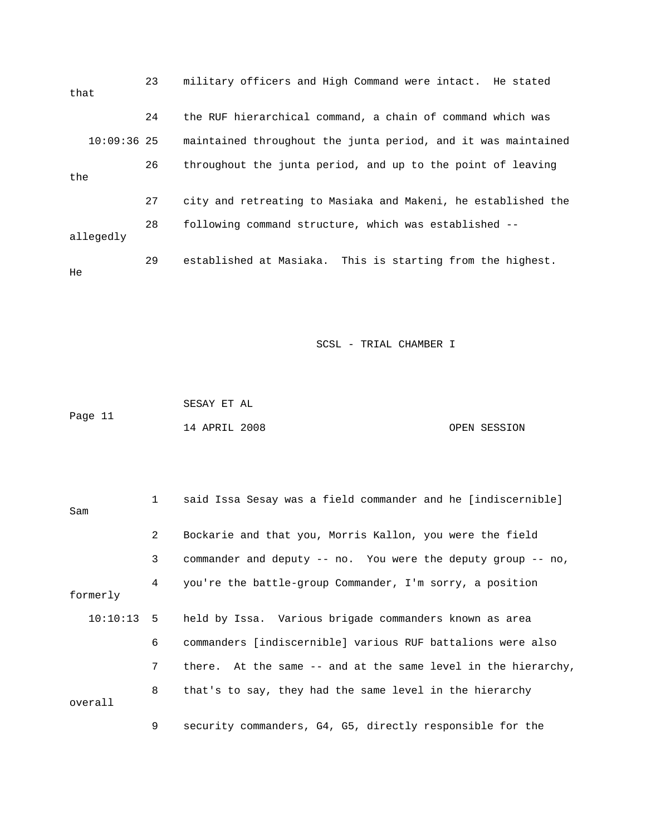| that |               | 23 | military officers and High Command were intact. He stated     |
|------|---------------|----|---------------------------------------------------------------|
|      |               | 24 | the RUF hierarchical command, a chain of command which was    |
|      | $10:09:36$ 25 |    | maintained throughout the junta period, and it was maintained |
| the  |               | 26 | throughout the junta period, and up to the point of leaving   |
|      |               | 27 | city and retreating to Masiaka and Makeni, he established the |
|      | allegedly     | 28 | following command structure, which was established --         |
| He   |               | 29 | established at Masiaka. This is starting from the highest.    |

|         | SESAY ET AL   |              |
|---------|---------------|--------------|
| Page 11 |               |              |
|         | 14 APRIL 2008 | OPEN SESSION |

| Sam      | $1 \quad$    | said Issa Sesay was a field commander and he [indiscernible]       |
|----------|--------------|--------------------------------------------------------------------|
|          | $\mathbf{2}$ | Bockarie and that you, Morris Kallon, you were the field           |
|          | 3            | commander and deputy $-$ - no. You were the deputy group $-$ - no, |
| formerly | 4            | you're the battle-group Commander, I'm sorry, a position           |
|          |              | 10:10:13 5 held by Issa. Various brigade commanders known as area  |
|          | 6            | commanders [indiscernible] various RUF battalions were also        |
|          | 7            | there. At the same -- and at the same level in the hierarchy,      |
| overall  | 8            | that's to say, they had the same level in the hierarchy            |
|          | 9            | security commanders, G4, G5, directly responsible for the          |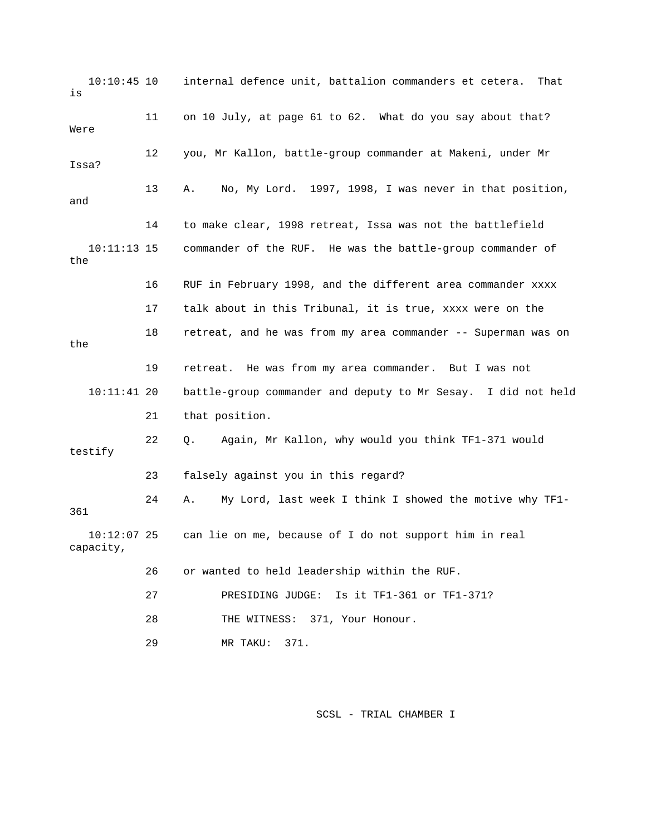10:10:45 10 internal defence unit, battalion commanders et cetera. That is 11 on 10 July, at page 61 to 62. What do you say about that? Were 12 you, Mr Kallon, battle-group commander at Makeni, under Mr Issa? 13 A. No, My Lord. 1997, 1998, I was never in that position, and 14 to make clear, 1998 retreat, Issa was not the battlefield 10:11:13 15 commander of the RUF. He was the battle-group commander of the 16 RUF in February 1998, and the different area commander xxxx 17 talk about in this Tribunal, it is true, xxxx were on the 18 retreat, and he was from my area commander -- Superman was on the 19 retreat. He was from my area commander. But I was not 10:11:41 20 battle-group commander and deputy to Mr Sesay. I did not held 21 that position. 22 Q. Again, Mr Kallon, why would you think TF1-371 would testify 23 falsely against you in this regard? 24 A. My Lord, last week I think I showed the motive why TF1- 361 10:12:07 25 can lie on me, because of I do not support him in real capacity, 26 or wanted to held leadership within the RUF. 27 PRESIDING JUDGE: Is it TF1-361 or TF1-371? 28 THE WITNESS: 371, Your Honour. 29 MR TAKU: 371.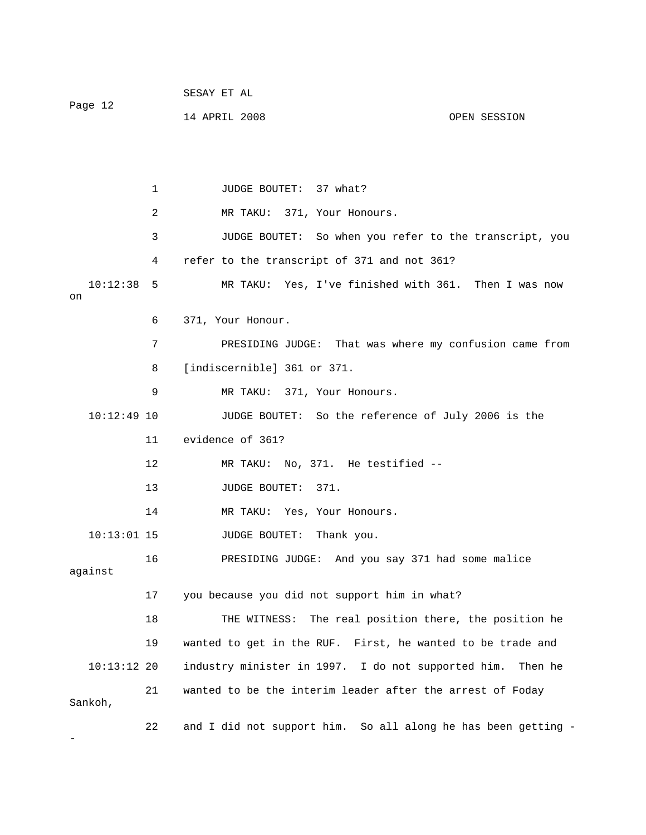|         | SESAY ET AL   |              |
|---------|---------------|--------------|
| Page 12 |               |              |
|         | 14 APRIL 2008 | OPEN SESSION |

1 JUDGE BOUTET: 37 what? 2 MR TAKU: 371, Your Honours. 3 JUDGE BOUTET: So when you refer to the transcript, you 4 refer to the transcript of 371 and not 361? 10:12:38 5 MR TAKU: Yes, I've finished with 361. Then I was now on 6 371, Your Honour. 7 PRESIDING JUDGE: That was where my confusion came from 8 [indiscernible] 361 or 371. 9 MR TAKU: 371, Your Honours. 10:12:49 10 JUDGE BOUTET: So the reference of July 2006 is the 11 evidence of 361? 12 MR TAKU: No, 371. He testified -- 13 JUDGE BOUTET: 371. 14 MR TAKU: Yes, Your Honours. 10:13:01 15 JUDGE BOUTET: Thank you. 16 PRESIDING JUDGE: And you say 371 had some malice against 17 you because you did not support him in what? 18 THE WITNESS: The real position there, the position he 19 wanted to get in the RUF. First, he wanted to be trade and 10:13:12 20 industry minister in 1997. I do not supported him. Then he 21 wanted to be the interim leader after the arrest of Foday Sankoh, 22 and I did not support him. So all along he has been getting - -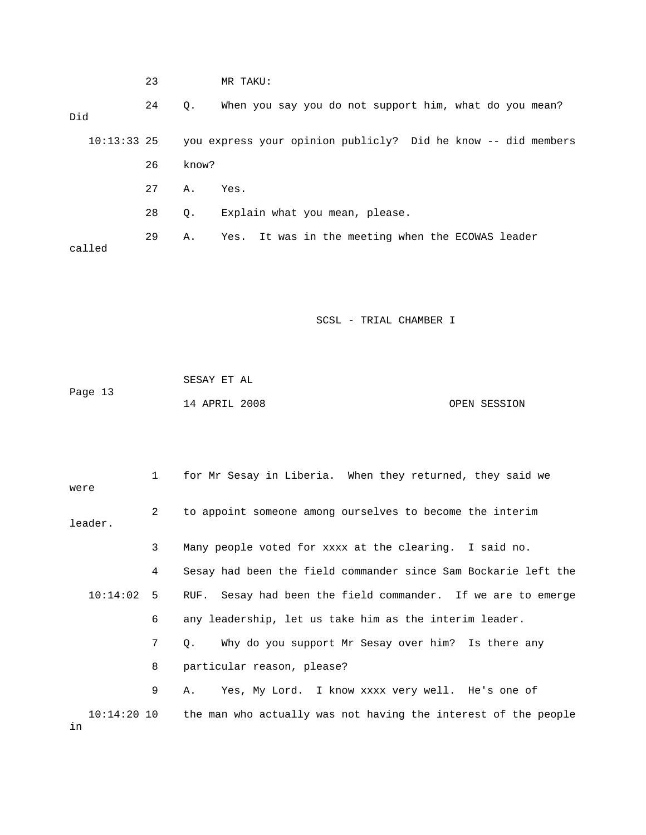|        | 23 |             | MR TAKU:                                                                  |
|--------|----|-------------|---------------------------------------------------------------------------|
| Did    | 24 | $Q_{\star}$ | When you say you do not support him, what do you mean?                    |
|        |    |             | 10:13:33 25 you express your opinion publicly? Did he know -- did members |
|        | 26 | know?       |                                                                           |
|        | 27 | Α.          | Yes.                                                                      |
|        | 28 | Q.          | Explain what you mean, please.                                            |
| called | 29 | Α.          | Yes. It was in the meeting when the ECOWAS leader                         |
|        |    |             |                                                                           |

|         | SESAY ET AL   |  |              |
|---------|---------------|--|--------------|
| Page 13 |               |  |              |
|         | 14 APRIL 2008 |  | OPEN SESSION |

| were |              | $\mathbf{1}$ | for Mr Sesay in Liberia. When they returned, they said we                  |
|------|--------------|--------------|----------------------------------------------------------------------------|
|      | leader.      | 2            | to appoint someone among ourselves to become the interim                   |
|      |              | 3            | Many people voted for xxxx at the clearing. I said no.                     |
|      |              | 4            | Sesay had been the field commander since Sam Bockarie left the             |
|      | $10:14:02$ 5 |              | RUF. Sesay had been the field commander. If we are to emerge               |
|      |              | 6            | any leadership, let us take him as the interim leader.                     |
|      |              | 7            | Why do you support Mr Sesay over him? Is there any<br>Q.                   |
|      |              | 8            | particular reason, please?                                                 |
|      |              | 9            | Yes, My Lord. I know xxxx very well. He's one of<br>Α.                     |
| in   |              |              | 10:14:20 10 the man who actually was not having the interest of the people |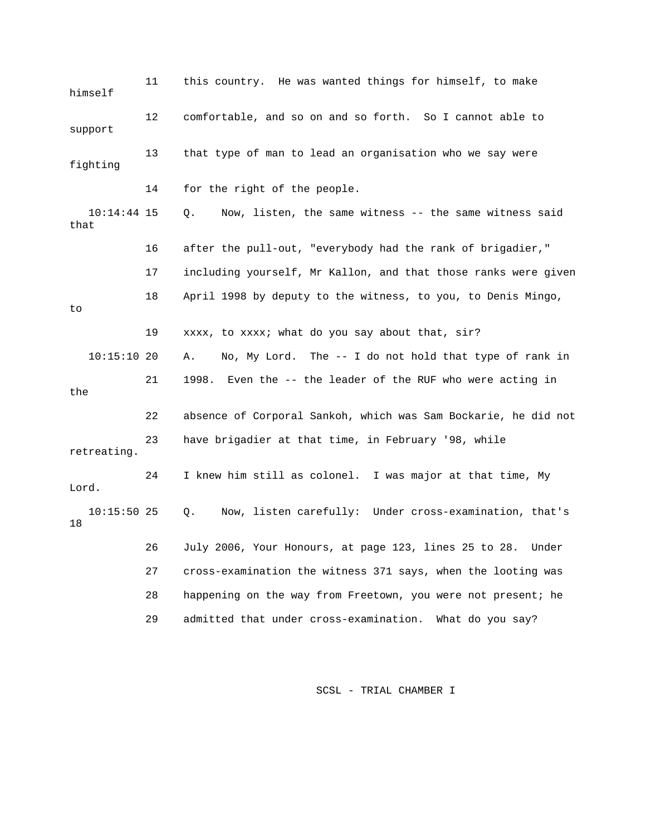11 this country. He was wanted things for himself, to make himself 12 comfortable, and so on and so forth. So I cannot able to support 13 that type of man to lead an organisation who we say were fighting 14 for the right of the people. 10:14:44 15 Q. Now, listen, the same witness -- the same witness said that 16 after the pull-out, "everybody had the rank of brigadier," 17 including yourself, Mr Kallon, and that those ranks were given 18 April 1998 by deputy to the witness, to you, to Denis Mingo, to 19 xxxx, to xxxx; what do you say about that, sir? 10:15:10 20 A. No, My Lord. The -- I do not hold that type of rank in 21 1998. Even the -- the leader of the RUF who were acting in the 22 absence of Corporal Sankoh, which was Sam Bockarie, he did not 23 have brigadier at that time, in February '98, while retreating. 24 I knew him still as colonel. I was major at that time, My Lord. 10:15:50 25 Q. Now, listen carefully: Under cross-examination, that's 18 26 July 2006, Your Honours, at page 123, lines 25 to 28. Under 27 cross-examination the witness 371 says, when the looting was 28 happening on the way from Freetown, you were not present; he 29 admitted that under cross-examination. What do you say?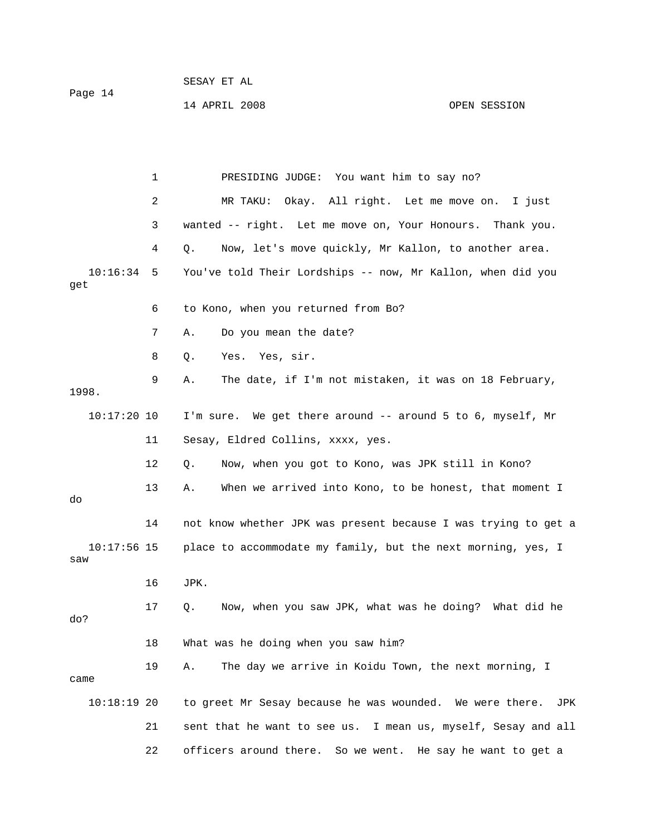do

14 APRIL 2008 OPEN SESSION

 1 PRESIDING JUDGE: You want him to say no? 2 MR TAKU: Okay. All right. Let me move on. I just 3 wanted -- right. Let me move on, Your Honours. Thank you. 4 Q. Now, let's move quickly, Mr Kallon, to another area. 10:16:34 5 You've told Their Lordships -- now, Mr Kallon, when did you get 6 to Kono, when you returned from Bo? 7 A. Do you mean the date? 8 Q. Yes. Yes, sir. 9 A. The date, if I'm not mistaken, it was on 18 February, 1998.  $10:17:20$  10 I'm sure. We get there around  $-$  around 5 to 6, myself, Mr 11 Sesay, Eldred Collins, xxxx, yes. 12 Q. Now, when you got to Kono, was JPK still in Kono? 13 A. When we arrived into Kono, to be honest, that moment I 14 not know whether JPK was present because I was trying to get a 10:17:56 15 place to accommodate my family, but the next morning, yes, I saw 16 JPK. 17 Q. Now, when you saw JPK, what was he doing? What did he do? 18 What was he doing when you saw him? 19 A. The day we arrive in Koidu Town, the next morning, I came 10:18:19 20 to greet Mr Sesay because he was wounded. We were there. JPK

 21 sent that he want to see us. I mean us, myself, Sesay and all 22 officers around there. So we went. He say he want to get a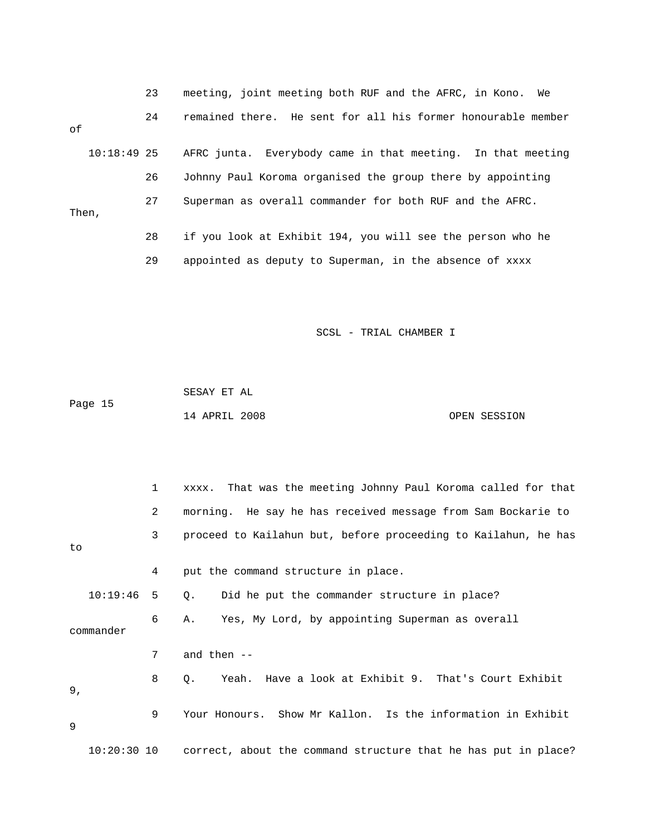|       |               | 23 | meeting, joint meeting both RUF and the AFRC, in Kono. We    |
|-------|---------------|----|--------------------------------------------------------------|
| оf    |               | 24 | remained there. He sent for all his former honourable member |
|       | $10:18:49$ 25 |    | AFRC junta. Everybody came in that meeting. In that meeting  |
|       |               | 26 | Johnny Paul Koroma organised the group there by appointing   |
| Then, |               | 27 | Superman as overall commander for both RUF and the AFRC.     |
|       |               | 28 | if you look at Exhibit 194, you will see the person who he   |
|       |               | 29 | appointed as deputy to Superman, in the absence of xxxx      |

 SESAY ET AL Page 15 14 APRIL 2008 OPEN SESSION

|           | 1             | xxxx. That was the meeting Johnny Paul Koroma called for that     |
|-----------|---------------|-------------------------------------------------------------------|
|           | 2             | morning. He say he has received message from Sam Bockarie to      |
| to        | 3             | proceed to Kailahun but, before proceeding to Kailahun, he has    |
|           | 4             | put the command structure in place.                               |
|           | $10:19:46$ 5  | Did he put the commander structure in place?<br>$\circ$ .         |
| commander | 6             | A. Yes, My Lord, by appointing Superman as overall                |
|           | 7             | and then $--$                                                     |
| 9,        | 8             | Yeah. Have a look at Exhibit 9. That's Court Exhibit<br>$\circ$ . |
| 9         | 9             | Your Honours. Show Mr Kallon. Is the information in Exhibit       |
|           | $10:20:30$ 10 | correct, about the command structure that he has put in place?    |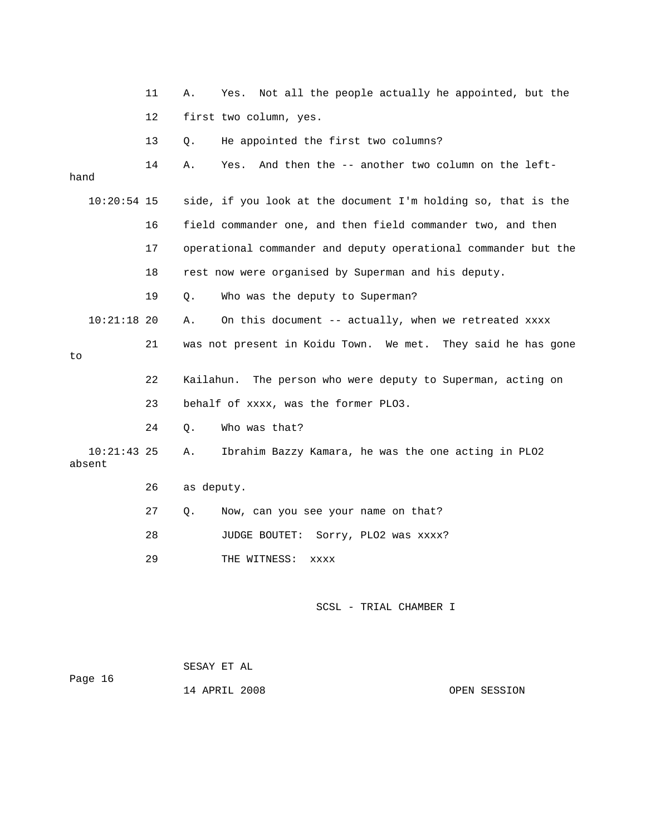|                         | 11 | Α.         | Not all the people actually he appointed, but the<br>Yes.      |
|-------------------------|----|------------|----------------------------------------------------------------|
|                         | 12 |            | first two column, yes.                                         |
|                         | 13 | Q.         | He appointed the first two columns?                            |
| hand                    | 14 | Α.         | And then the -- another two column on the left-<br>Yes.        |
| $10:20:54$ 15           |    |            | side, if you look at the document I'm holding so, that is the  |
|                         | 16 |            | field commander one, and then field commander two, and then    |
|                         | 17 |            | operational commander and deputy operational commander but the |
|                         | 18 |            | rest now were organised by Superman and his deputy.            |
|                         | 19 | Q.         | Who was the deputy to Superman?                                |
| $10:21:18$ 20           |    | Α.         | On this document -- actually, when we retreated xxxx           |
| to                      | 21 |            | was not present in Koidu Town. We met. They said he has gone   |
|                         | 22 | Kailahun.  | The person who were deputy to Superman, acting on              |
|                         | 23 |            | behalf of xxxx, was the former PLO3.                           |
|                         | 24 | О.         | Who was that?                                                  |
| $10:21:43$ 25<br>absent |    | Α.         | Ibrahim Bazzy Kamara, he was the one acting in PLO2            |
|                         | 26 | as deputy. |                                                                |
|                         | 27 | Q.         | Now, can you see your name on that?                            |
|                         | 28 |            | Sorry, PLO2 was xxxx?<br>JUDGE BOUTET:                         |
|                         | 29 |            | THE WITNESS:<br>XXXX                                           |
|                         |    |            | SCSL - TRIAL CHAMBER I                                         |

| Page 16 | SESAY ET AL   |  |              |
|---------|---------------|--|--------------|
|         | 14 APRIL 2008 |  | OPEN SESSION |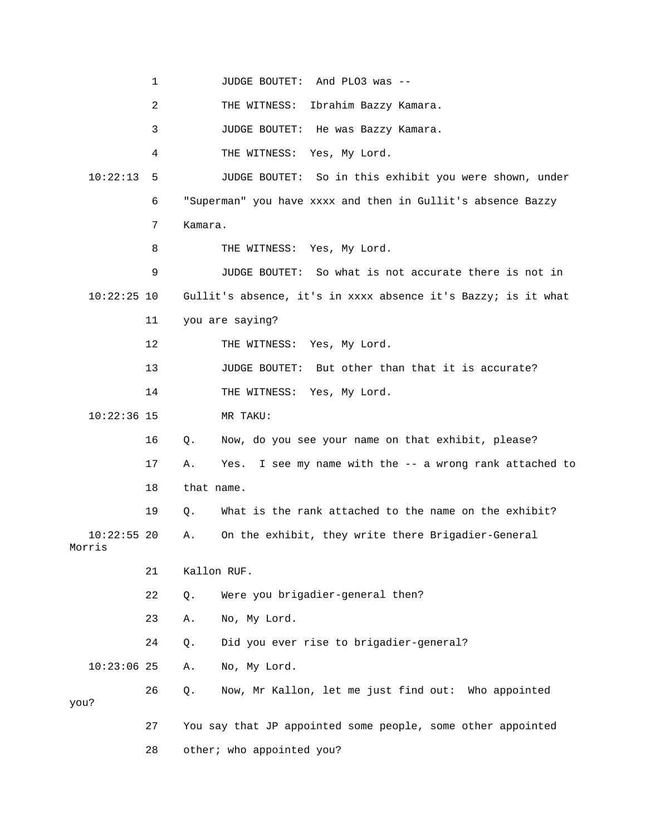1 JUDGE BOUTET: And PLO3 was -- 2 THE WITNESS: Ibrahim Bazzy Kamara. 4 THE WITNESS: Yes, My Lord. 10:22:13 5 JUDGE BOUTET: So in this exhibit you were shown, under 7 Kamara. 8 THE WITNESS: Yes, My Lord. 10:22:25 10 Gullit's absence, it's in xxxx absence it's Bazzy; is it what 11 you are saying? 13 JUDGE BOUTET: But other than that it is accurate? 14 THE WITNESS: Yes, My Lord. 16 Q. Now, do you see your name on that exhibit, please? 17 A. Yes. I see my name with the -- a wrong rank attached to 19 Q. What is the rank attached to the name on the exhibit? 10:22:55 20 A. On the exhibit, they write there Brigadier-General 21 Kallon RUF. 22 Q. Were you brigadier-general then? 23 A. No, My Lord. 24 Q. Did you ever rise to brigadier-general? 26 Q. Now, Mr Kallon, let me just find out: Who appointed 27 You say that JP appointed some people, some other appointed 28 other; who appointed you? 3 JUDGE BOUTET: He was Bazzy Kamara. 6 "Superman" you have xxxx and then in Gullit's absence Bazzy 9 JUDGE BOUTET: So what is not accurate there is not in 12 THE WITNESS: Yes, My Lord. 10:22:36 15 MR TAKU: 18 that name. Morris 10:23:06 25 A. No, My Lord. you?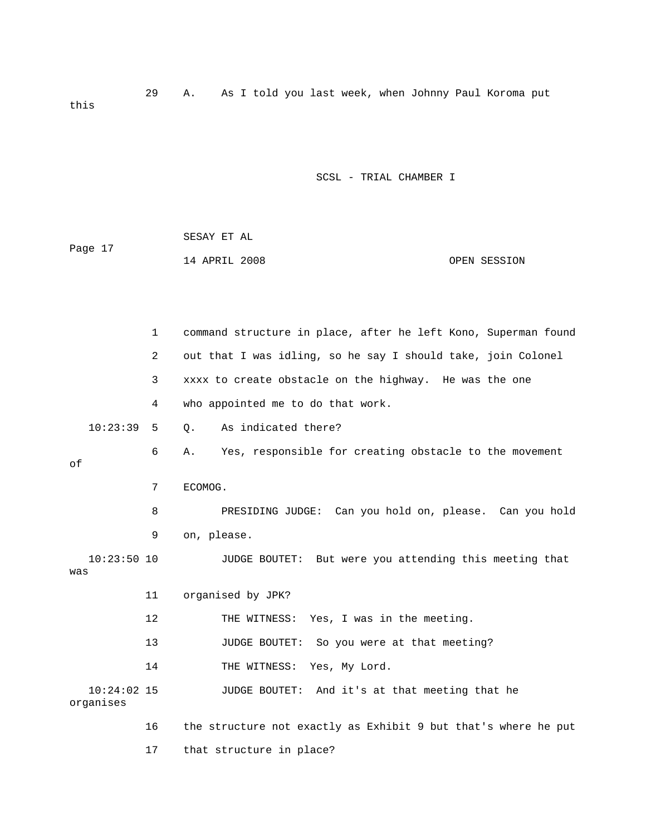29 A. As I told you last week, when Johnny Paul Koroma put this

|         | SESAY ET AL   |  |              |
|---------|---------------|--|--------------|
| Page 17 |               |  |              |
|         | 14 APRIL 2008 |  | OPEN SESSION |

|           | 1             | command structure in place, after he left Kono, Superman found |
|-----------|---------------|----------------------------------------------------------------|
|           | 2             | out that I was idling, so he say I should take, join Colonel   |
|           | 3             | xxxx to create obstacle on the highway. He was the one         |
|           | 4             | who appointed me to do that work.                              |
|           | 10:23:39<br>5 | As indicated there?<br>О.                                      |
| оf        | 6             | Α.<br>Yes, responsible for creating obstacle to the movement   |
|           | 7             | ECOMOG.                                                        |
|           | 8             | PRESIDING JUDGE: Can you hold on, please. Can you hold         |
|           | 9             | on, please.                                                    |
| was       | $10:23:50$ 10 | JUDGE BOUTET: But were you attending this meeting that         |
|           | 11            | organised by JPK?                                              |
|           | 12            | THE WITNESS: Yes, I was in the meeting.                        |
|           | 13            | JUDGE BOUTET:<br>So you were at that meeting?                  |
|           | 14            | THE WITNESS: Yes, My Lord.                                     |
| organises | $10:24:02$ 15 | JUDGE BOUTET: And it's at that meeting that he                 |
|           | 16            | the structure not exactly as Exhibit 9 but that's where he put |
|           | 17            | that structure in place?                                       |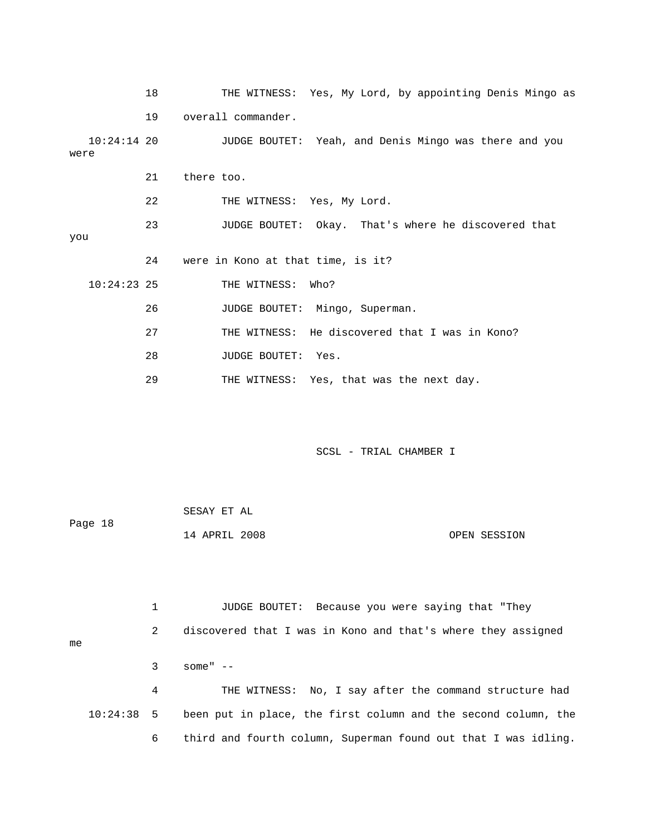|                       | 18 | THE WITNESS: Yes, My Lord, by appointing Denis Mingo as |
|-----------------------|----|---------------------------------------------------------|
|                       | 19 | overall commander.                                      |
| $10:24:14$ 20<br>were |    | JUDGE BOUTET: Yeah, and Denis Mingo was there and you   |
|                       | 21 | there too.                                              |
|                       | 22 | THE WITNESS: Yes, My Lord.                              |
| you                   | 23 | JUDGE BOUTET: Okay. That's where he discovered that     |
|                       | 24 | were in Kono at that time, is it?                       |
| $10:24:23$ 25         |    | THE WITNESS: Who?                                       |
|                       | 26 | JUDGE BOUTET: Mingo, Superman.                          |
|                       | 27 | THE WITNESS: He discovered that I was in Kono?          |
|                       | 28 | JUDGE BOUTET: Yes.                                      |
|                       | 29 | THE WITNESS: Yes, that was the next day.                |

|         | SESAY ET AL   |  |              |
|---------|---------------|--|--------------|
| Page 18 |               |  |              |
|         | 14 APRIL 2008 |  | OPEN SESSION |

 1 JUDGE BOUTET: Because you were saying that "They 2 discovered that I was in Kono and that's where they assigned 3 some" -- 4 THE WITNESS: No, I say after the command structure had me 10:24:38 5 been put in place, the first column and the second column, the 6 third and fourth column, Superman found out that I was idling.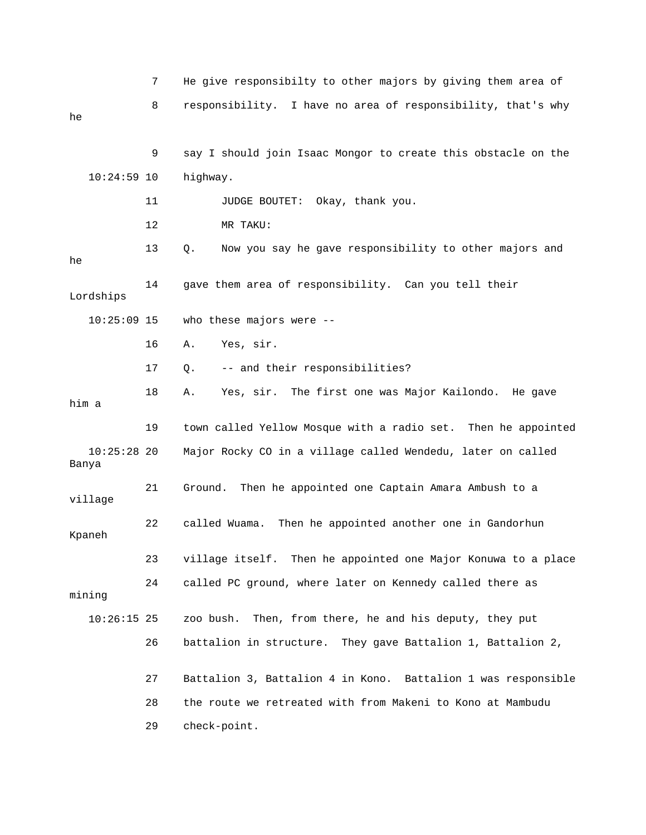|                        | 7  | He give responsibilty to other majors by giving them area of   |
|------------------------|----|----------------------------------------------------------------|
| he                     | 8  | responsibility. I have no area of responsibility, that's why   |
|                        |    |                                                                |
|                        | 9  | say I should join Isaac Mongor to create this obstacle on the  |
| $10:24:59$ 10          |    | highway.                                                       |
|                        | 11 | JUDGE BOUTET: Okay, thank you.                                 |
|                        | 12 | MR TAKU:                                                       |
| he                     | 13 | Now you say he gave responsibility to other majors and<br>Q.   |
| Lordships              | 14 | gave them area of responsibility. Can you tell their           |
| $10:25:09$ 15          |    | who these majors were --                                       |
|                        | 16 | Yes, sir.<br>Α.                                                |
|                        | 17 | -- and their responsibilities?<br>Q.                           |
| him a                  | 18 | Yes, sir. The first one was Major Kailondo. He gave<br>Α.      |
|                        | 19 | town called Yellow Mosque with a radio set. Then he appointed  |
| $10:25:28$ 20<br>Banya |    | Major Rocky CO in a village called Wendedu, later on called    |
| village                | 21 | Ground. Then he appointed one Captain Amara Ambush to a        |
| Kpaneh                 | 22 | Then he appointed another one in Gandorhun<br>called Wuama.    |
|                        | 23 | village itself. Then he appointed one Major Konuwa to a place  |
| mining                 | 24 | called PC ground, where later on Kennedy called there as       |
| $10:26:15$ 25          |    | Then, from there, he and his deputy, they put<br>zoo bush.     |
|                        | 26 | battalion in structure.<br>They gave Battalion 1, Battalion 2, |
|                        | 27 | Battalion 3, Battalion 4 in Kono. Battalion 1 was responsible  |
|                        | 28 | the route we retreated with from Makeni to Kono at Mambudu     |
|                        | 29 | check-point.                                                   |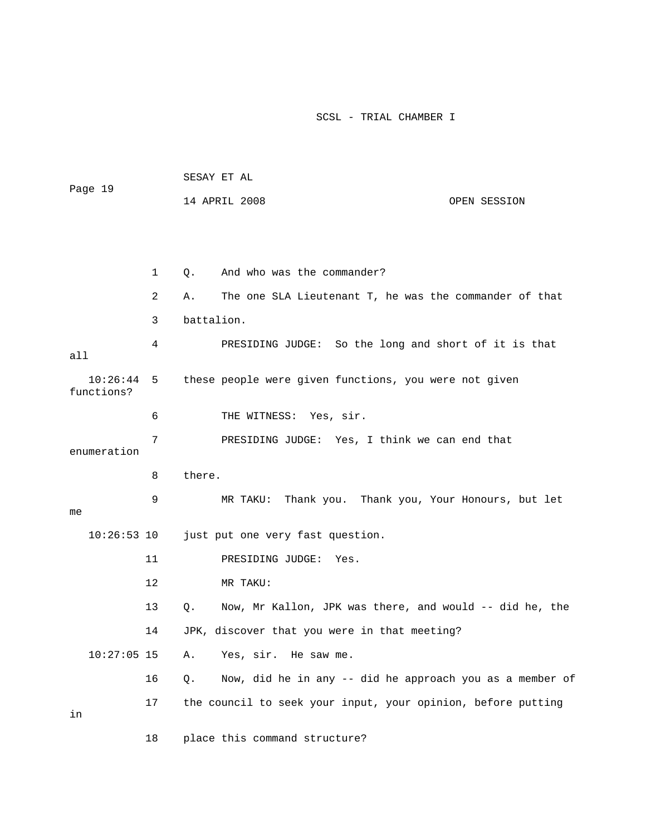| Page 19                |    | SESAY ET AL                                                    |              |
|------------------------|----|----------------------------------------------------------------|--------------|
|                        |    | 14 APRIL 2008                                                  | OPEN SESSION |
|                        |    |                                                                |              |
|                        |    |                                                                |              |
|                        | 1  | And who was the commander?<br>Q.                               |              |
|                        | 2  | The one SLA Lieutenant T, he was the commander of that<br>Α.   |              |
|                        | 3  | battalion.                                                     |              |
| all                    | 4  | PRESIDING JUDGE: So the long and short of it is that           |              |
| 10:26:44<br>functions? | 5  | these people were given functions, you were not given          |              |
|                        | 6  | THE WITNESS: Yes, sir.                                         |              |
| enumeration            | 7  | PRESIDING JUDGE: Yes, I think we can end that                  |              |
|                        |    |                                                                |              |
|                        | 8  | there.                                                         |              |
| me                     | 9  | Thank you. Thank you, Your Honours, but let<br>MR TAKU:        |              |
| $10:26:53$ 10          |    | just put one very fast question.                               |              |
|                        | 11 | PRESIDING JUDGE:<br>Yes.                                       |              |
|                        | 12 | MR TAKU:                                                       |              |
|                        | 13 | Now, Mr Kallon, JPK was there, and would -- did he, the<br>Q.  |              |
|                        | 14 | JPK, discover that you were in that meeting?                   |              |
| $10:27:05$ 15          |    | Yes, sir. He saw me.<br>Α.                                     |              |
|                        | 16 | Now, did he in any -- did he approach you as a member of<br>Q. |              |
| in                     | 17 | the council to seek your input, your opinion, before putting   |              |
|                        | 18 | place this command structure?                                  |              |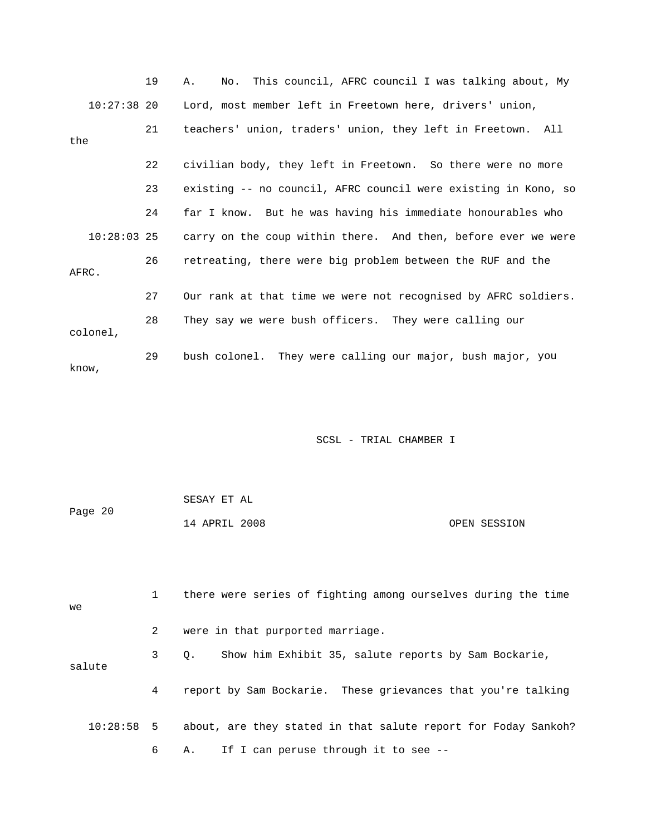|               | 19 | No. This council, AFRC council I was talking about, My<br>Α.   |
|---------------|----|----------------------------------------------------------------|
| 10:27:38 20   |    | Lord, most member left in Freetown here, drivers' union,       |
| the           | 21 | teachers' union, traders' union, they left in Freetown. All    |
|               | 22 | civilian body, they left in Freetown. So there were no more    |
|               | 23 | existing -- no council, AFRC council were existing in Kono, so |
|               | 24 | far I know. But he was having his immediate honourables who    |
| $10:28:03$ 25 |    | carry on the coup within there. And then, before ever we were  |
| AFRC.         | 26 | retreating, there were big problem between the RUF and the     |
|               | 27 | Our rank at that time we were not recognised by AFRC soldiers. |
| colonel,      | 28 | They say we were bush officers. They were calling our          |
| know,         | 29 | bush colonel. They were calling our major, bush major, you     |

|         | SESAY ET AL   |              |
|---------|---------------|--------------|
| Page 20 |               |              |
|         | 14 APRIL 2008 | OPEN SESSION |

| we       |              | there were series of fighting among ourselves during the time     |
|----------|--------------|-------------------------------------------------------------------|
|          | $\mathbf{2}$ | were in that purported marriage.                                  |
| salute   | $3 \sim$     | Show him Exhibit 35, salute reports by Sam Bockarie,<br>$\circ$ . |
|          | 4            | report by Sam Bockarie. These grievances that you're talking      |
| 10:28:58 | 5            | about, are they stated in that salute report for Foday Sankoh?    |
|          | 6            | A. If I can peruse through it to see --                           |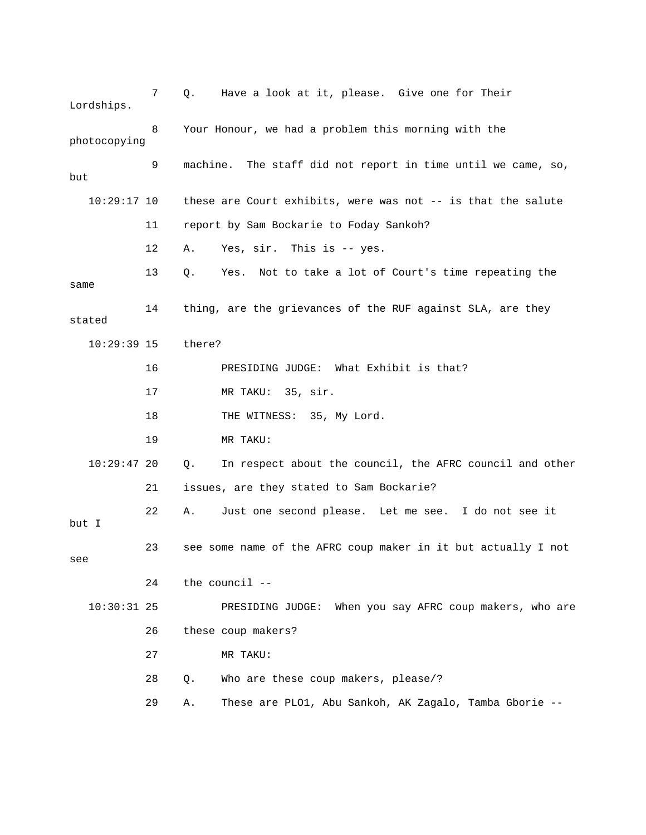7 Q. Have a look at it, please. Give one for Their Lordships. 9 machine. The staff did not report in time until we came, so, 11 report by Sam Bockarie to Foday Sankoh? 12 A. Yes, sir. This is -- yes. 13 Q. Yes. Not to take a lot of Court's time repeating the 16 PRESIDING JUDGE: What Exhibit is that? 17 MR TAKU: 35, sir. 19 MR TAKU: 10:29:47 20 Q. In respect about the council, the AFRC council and other 21 issues, are they stated to Sam Bockarie? 22 A. Just one second please. Let me see. I do not see it 10:30:31 25 PRESIDING JUDGE: When you say AFRC coup makers, who are 26 these coup makers? 27 MR TAKU: 28 Q. Who are these coup makers, please/? 29 A. These are PLO1, Abu Sankoh, AK Zagalo, Tamba Gborie -- 8 Your Honour, we had a problem this morning with the photocopying but 10:29:17 10 these are Court exhibits, were was not -- is that the salute same 14 thing, are the grievances of the RUF against SLA, are they stated 10:29:39 15 there? 18 THE WITNESS: 35, My Lord. but I 23 see some name of the AFRC coup maker in it but actually I not see 24 the council --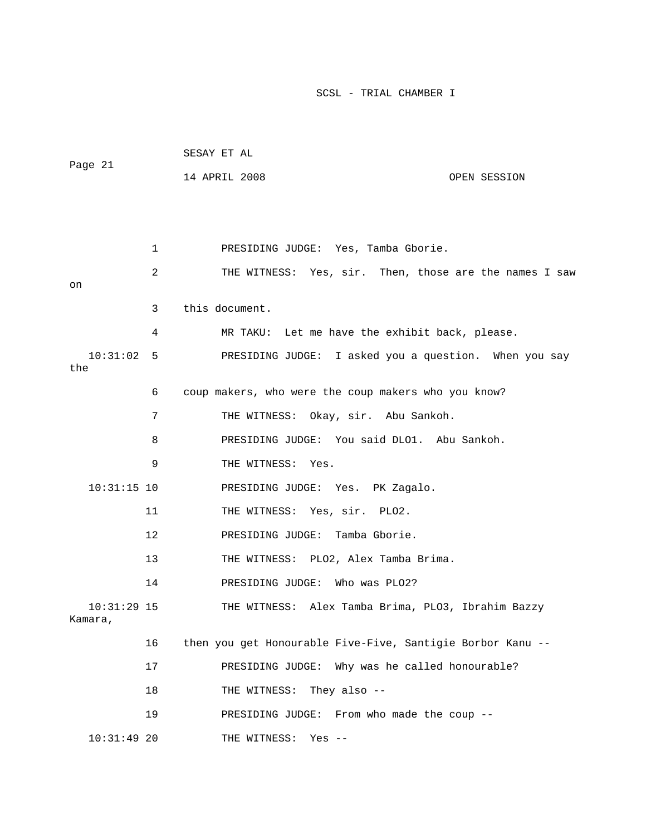| Page 21                  |    | SESAY ET AL                      |                                                            |
|--------------------------|----|----------------------------------|------------------------------------------------------------|
|                          |    | 14 APRIL 2008                    | OPEN SESSION                                               |
|                          |    |                                  |                                                            |
|                          |    |                                  |                                                            |
|                          | 1  |                                  |                                                            |
|                          |    |                                  | PRESIDING JUDGE: Yes, Tamba Gborie.                        |
| on                       | 2  |                                  | THE WITNESS: Yes, sir. Then, those are the names I saw     |
|                          | 3  | this document.                   |                                                            |
|                          | 4  |                                  | MR TAKU: Let me have the exhibit back, please.             |
| 10:31:02<br>the          | 5  |                                  | PRESIDING JUDGE: I asked you a question. When you say      |
|                          | 6  |                                  | coup makers, who were the coup makers who you know?        |
|                          | 7  |                                  | THE WITNESS: Okay, sir. Abu Sankoh.                        |
|                          | 8  |                                  | PRESIDING JUDGE: You said DLO1. Abu Sankoh.                |
|                          | 9  | THE WITNESS: Yes.                |                                                            |
| $10:31:15$ 10            |    | PRESIDING JUDGE: Yes. PK Zagalo. |                                                            |
|                          | 11 | THE WITNESS: Yes, sir. PLO2.     |                                                            |
|                          | 12 | PRESIDING JUDGE: Tamba Gborie.   |                                                            |
|                          | 13 |                                  | THE WITNESS: PLO2, Alex Tamba Brima.                       |
|                          | 14 | PRESIDING JUDGE: Who was PLO2?   |                                                            |
| $10:31:29$ 15<br>Kamara, |    |                                  | THE WITNESS: Alex Tamba Brima, PLO3, Ibrahim Bazzy         |
|                          | 16 |                                  | then you get Honourable Five-Five, Santigie Borbor Kanu -- |
|                          | 17 | PRESIDING JUDGE:                 | Why was he called honourable?                              |
|                          | 18 | THE WITNESS:                     | They also $-$ -                                            |
|                          | 19 |                                  | PRESIDING JUDGE: From who made the coup --                 |
| $10:31:49$ 20            |    | THE WITNESS:                     | Yes $--$                                                   |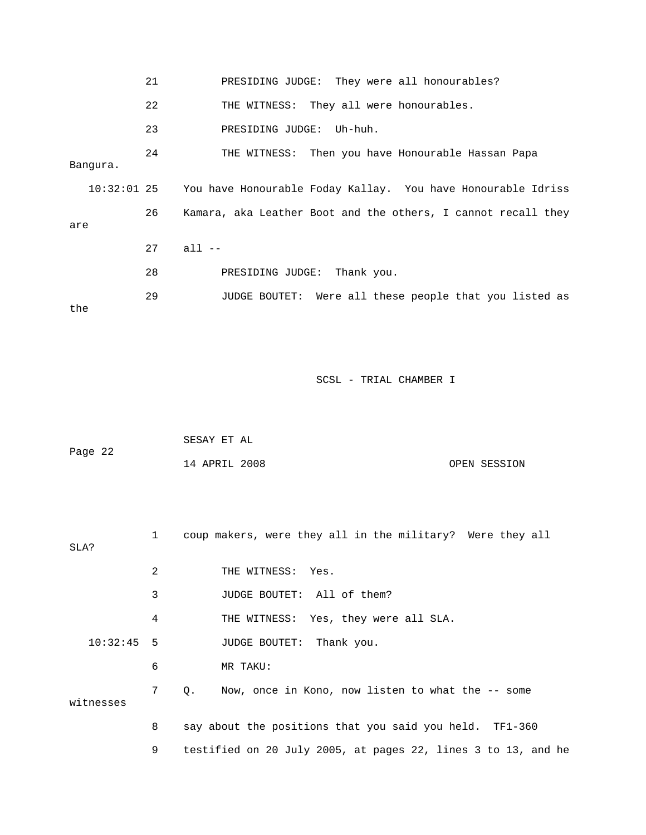|          | 21 | PRESIDING JUDGE: They were all honourables?                              |
|----------|----|--------------------------------------------------------------------------|
|          | 22 | THE WITNESS: They all were honourables.                                  |
|          | 23 | PRESIDING JUDGE: Uh-huh.                                                 |
| Banqura. | 24 | THE WITNESS: Then you have Honourable Hassan Papa                        |
|          |    | 10:32:01 25 You have Honourable Foday Kallay. You have Honourable Idriss |
| are      | 26 | Kamara, aka Leather Boot and the others, I cannot recall they            |
|          | 27 | $all --$                                                                 |
|          | 28 | PRESIDING JUDGE: Thank you.                                              |
| the      | 29 | JUDGE BOUTET: Were all these people that you listed as                   |

| Page 22 | SESAY ET AL   |  |              |
|---------|---------------|--|--------------|
|         | 14 APRIL 2008 |  | OPEN SESSION |

| SLA?         | $\mathbf{1}$   | coup makers, were they all in the military? Were they all      |
|--------------|----------------|----------------------------------------------------------------|
|              | 2              | THE WITNESS: Yes.                                              |
|              | 3              | JUDGE BOUTET: All of them?                                     |
|              | 4              | THE WITNESS: Yes, they were all SLA.                           |
| $10:32:45$ 5 |                | JUDGE BOUTET: Thank you.                                       |
|              | 6              | MR TAKU:                                                       |
| witnesses    | 7 <sup>7</sup> | Now, once in Kono, now listen to what the -- some<br>$\circ$ . |
|              | 8              | say about the positions that you said you held. TF1-360        |
|              | 9              | testified on 20 July 2005, at pages 22, lines 3 to 13, and he  |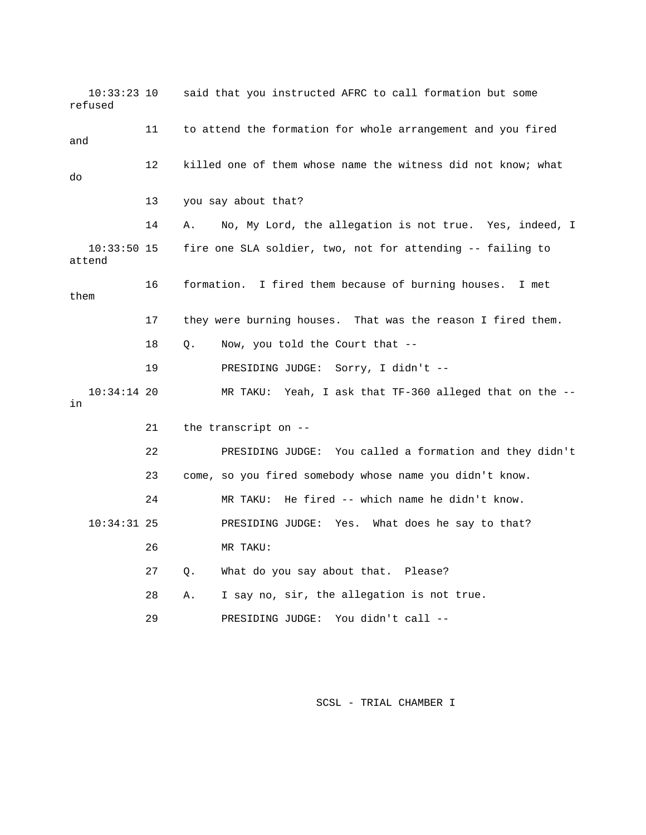10:33:23 10 said that you instructed AFRC to call formation but some refused 11 to attend the formation for whole arrangement and you fire d and 14 A. No, My Lord, the allegation is not true. Yes, indeed, I 10:33:50 15 fire one SLA soldier, two, not for attending -- failing to 19 PRESIDING JUDGE: Sorry, I didn't -- 10:34:14 20 MR TAKU: Yeah, I ask that TF-360 alleged that on the -- 22 PRESIDING JUDGE: You called a formation and they didn't 23 come, so you fired somebody whose name you didn't know. 24 MR TAKU: He fired -- which name he didn't know. 26 MR TAKU: 27 Q. What do you say about that. Please? 28 A. I say no, sir, the allegation is not true. 29 PRESIDING JUDGE: You didn't call -- 12 killed one of them whose name the witness did not know; what do 13 you say about that? attend 16 formation. I fired them because of burning houses. I met them 17 they were burning houses. That was the reason I fired them. 18 Q. Now, you told the Court that - in 21 the transcript on -- 10:34:31 25 PRESIDING JUDGE: Yes. What does he say to that?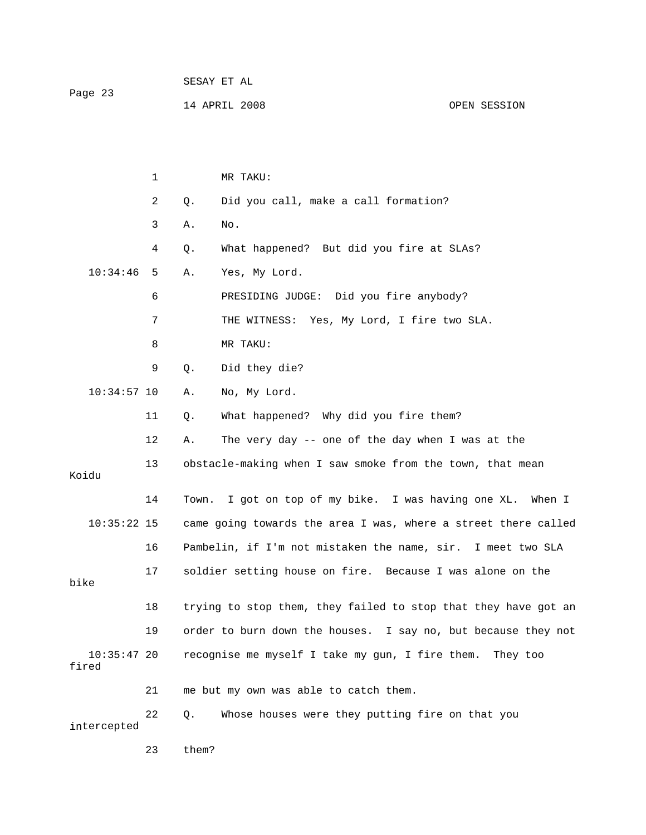| Page 23 | SESAY ET AL   |  |              |
|---------|---------------|--|--------------|
|         | 14 APRIL 2008 |  | OPEN SESSION |

|                        | $\mathbf{1}$ |       | MR TAKU:                                                       |
|------------------------|--------------|-------|----------------------------------------------------------------|
|                        | 2            | Q.    | Did you call, make a call formation?                           |
|                        | 3            | Α.    | No.                                                            |
|                        | 4            | Q.    | What happened? But did you fire at SLAs?                       |
| 10:34:46               | 5            | Α.    | Yes, My Lord.                                                  |
|                        | 6            |       | PRESIDING JUDGE: Did you fire anybody?                         |
|                        | 7            |       | THE WITNESS: Yes, My Lord, I fire two SLA.                     |
|                        | 8            |       | MR TAKU:                                                       |
|                        | 9            | Q.    | Did they die?                                                  |
| $10:34:57$ 10          |              | Α.    | No, My Lord.                                                   |
|                        | 11           | Q.    | What happened? Why did you fire them?                          |
|                        | 12           | Α.    | The very day -- one of the day when I was at the               |
| Koidu                  | 13           |       | obstacle-making when I saw smoke from the town, that mean      |
|                        | 14           | Town. | I got on top of my bike. I was having one XL.<br>When I        |
| $10:35:22$ 15          |              |       | came going towards the area I was, where a street there called |
|                        | 16           |       | Pambelin, if I'm not mistaken the name, sir. I meet two SLA    |
| bike                   | 17           |       | soldier setting house on fire. Because I was alone on the      |
|                        | 18           |       | trying to stop them, they failed to stop that they have got an |
|                        | 19           |       | order to burn down the houses. I say no, but because they not  |
| $10:35:47$ 20<br>fired |              |       | recognise me myself I take my gun, I fire them. They too       |
|                        | 21           |       | me but my own was able to catch them.                          |
| intercepted            | 22           | Q.    | Whose houses were they putting fire on that you                |

23 them?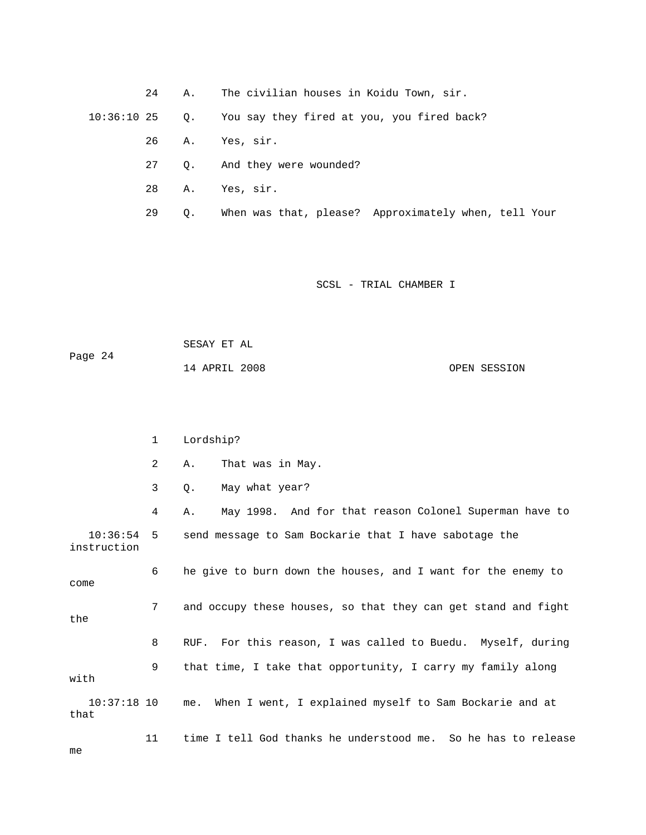24 A. The civilian houses in Koidu Town, sir.

You say they fired at you, you fired back?  $10:36:10$  25 Q.

- 26 A. Yes, sir.
- 27 Q. And they were wounded?
- 28 A. Yes, sir.
- 29 Q. When was that, please? Approximately when, tell Your

| Page 24 | SESAY ET AL   |              |
|---------|---------------|--------------|
|         | 14 APRIL 2008 | OPEN SESSION |

|                         | 1              | Lordship?                                                     |
|-------------------------|----------------|---------------------------------------------------------------|
|                         | $\overline{2}$ | That was in May.<br>Α.                                        |
|                         | 3              | May what year?<br>Ο.                                          |
|                         | 4              | May 1998. And for that reason Colonel Superman have to<br>Α.  |
| 10:36:54<br>instruction | 5              | send message to Sam Bockarie that I have sabotage the         |
| come                    | 6              | he give to burn down the houses, and I want for the enemy to  |
| the                     | 7              | and occupy these houses, so that they can get stand and fight |
|                         | 8              | RUF. For this reason, I was called to Buedu. Myself, during   |
| with                    | 9              | that time, I take that opportunity, I carry my family along   |
| $10:37:18$ 10<br>that   |                | When I went, I explained myself to Sam Bockarie and at<br>me. |
| me                      | 11             | time I tell God thanks he understood me. So he has to release |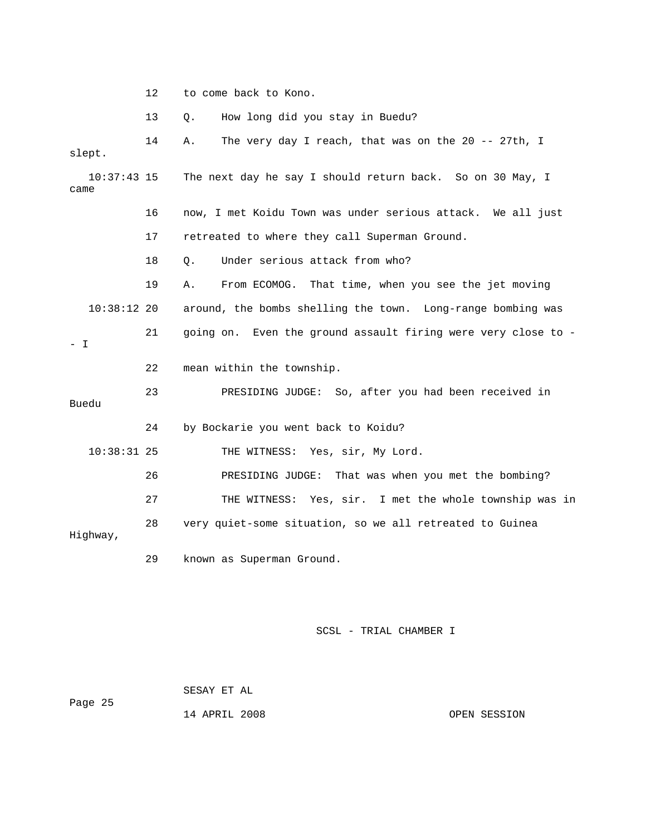12 to come back to Kono.

13 Q. How long did you stay in Buedu?

| slept.   | 14            | The very day I reach, that was on the 20 -- 27th, I<br>Α.     |
|----------|---------------|---------------------------------------------------------------|
| came     | $10:37:43$ 15 | The next day he say I should return back. So on 30 May, I     |
|          | 16            | now, I met Koidu Town was under serious attack. We all just   |
|          | 17            | retreated to where they call Superman Ground.                 |
|          | 18            | Under serious attack from who?<br>$Q$ .                       |
|          | 19            | From ECOMOG. That time, when you see the jet moving<br>Α.     |
|          | $10:38:12$ 20 | around, the bombs shelling the town. Long-range bombing was   |
| $-1$     | 21            | going on. Even the ground assault firing were very close to - |
|          | 22            | mean within the township.                                     |
| Buedu    | 23            | PRESIDING JUDGE: So, after you had been received in           |
|          | 24            | by Bockarie you went back to Koidu?                           |
|          | $10:38:31$ 25 | THE WITNESS: Yes, sir, My Lord.                               |
|          | 26            | PRESIDING JUDGE: That was when you met the bombing?           |
|          | 27            | THE WITNESS: Yes, sir. I met the whole township was in        |
| Highway, | 28            | very quiet-some situation, so we all retreated to Guinea      |
|          | 29            | known as Superman Ground.                                     |

## SCSL - TRIAL CHAMBER I

 SESAY ET AL Page 25

14 APRIL 2008 OPEN SESSION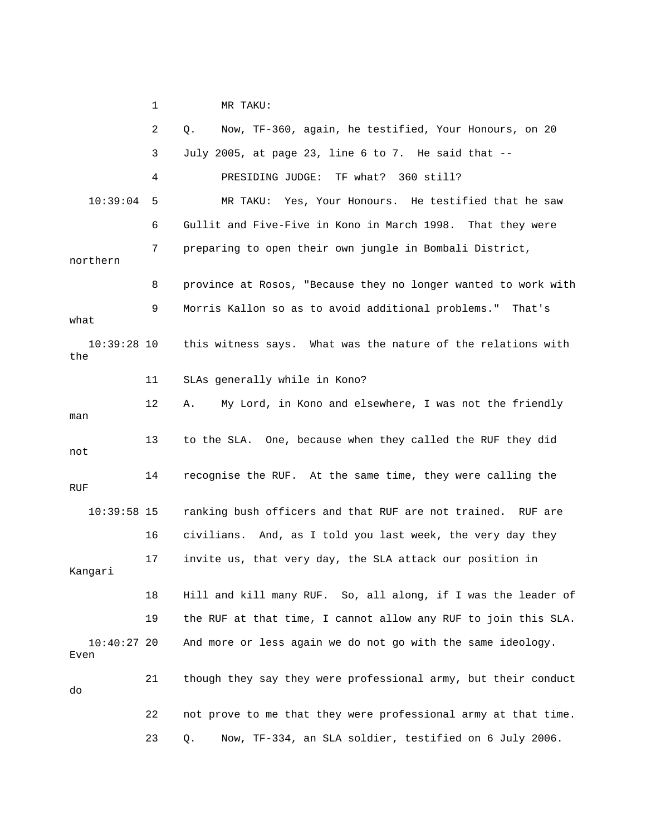1 MR TAKU: 2 Q. Now, TF-360, again, he testified, Your Honours, on 20 3 July 2005, at page 23, line 6 to 7. He said that -- 4 PRESIDING JUDGE: TF what? 360 still? 6 Gullit and Five-Five in Kono in March 1998. That they were 7 preparing to open their own jungle in Bombali District, northern 8 province at Rosos, "Because they no longer wanted to work with 9 Morris Kallon so as to avoid additional problems." That's 12 A. My Lord, in Kono and elsewhere, I was not the friendly 13 to the SLA. One, because when they called the RUF they did 16 civilians. And, as I told you last week, the very day they Kangari 18 Hill and kill many RUF. So, all along, if I was the leader of 19 the RUF at that time, I cannot allow any RUF to join this SLA. And more or less again we do not go with the same ideology. Even 21 though they say they were professional army, but their conduct 23 Q. Now, TF-334, an SLA soldier, testified on 6 July 2006. 10:39:04 5 MR TAKU: Yes, Your Honours. He testified that he saw what 10:39:28 10 this witness says. What was the nature of the relations with the 11 SLAs generally while in Kono? man not 14 recognise the RUF. At the same time, they were calling the RUF 10:39:58 15 ranking bush officers and that RUF are not trained. RUF are 17 invite us, that very day, the SLA attack our position in 10:40:27 20 do 22 not prove to me that they were professional army at that time.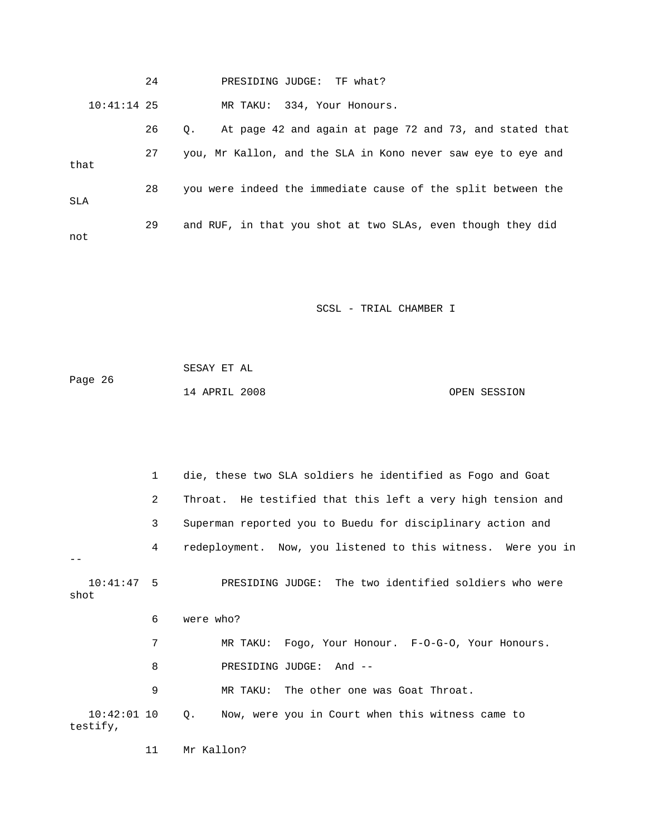24 PRESIDING JUDGE: TF what? 10:41:14 25 MR TAKU: 334, Your Honours. 27 you, Mr Kallon, and the SLA in Kono never saw eye to eye and 28 you were indeed the immediate cause of the split between the 29 and RUF, in that you shot at two SLAs, even though they did 26 Q. At page 42 and again at page 72 and 73, and stated that that SLA not

SCSL - TRIAL CHAMBER I

| Page 26 | SESAY ET AL   |              |
|---------|---------------|--------------|
|         | 14 APRIL 2008 | OPEN SESSION |

|                           | $\mathbf{1}$ | die, these two SLA soldiers he identified as Fogo and Goat   |
|---------------------------|--------------|--------------------------------------------------------------|
|                           | 2            | Throat. He testified that this left a very high tension and  |
|                           | 3            | Superman reported you to Buedu for disciplinary action and   |
|                           | 4            | redeployment. Now, you listened to this witness. Were you in |
| $10:41:47$ 5<br>shot      |              | PRESIDING JUDGE: The two identified soldiers who were        |
|                           | 6            | were who?                                                    |
|                           | 7            | MR TAKU: Fogo, Your Honour. F-0-G-0, Your Honours.           |
|                           | 8            | PRESIDING JUDGE: And --                                      |
|                           | 9            | MR TAKU: The other one was Goat Throat.                      |
| $10:42:01$ 10<br>testify, |              | Now, were you in Court when this witness came to<br>$Q$ .    |

11 Mr Kallon?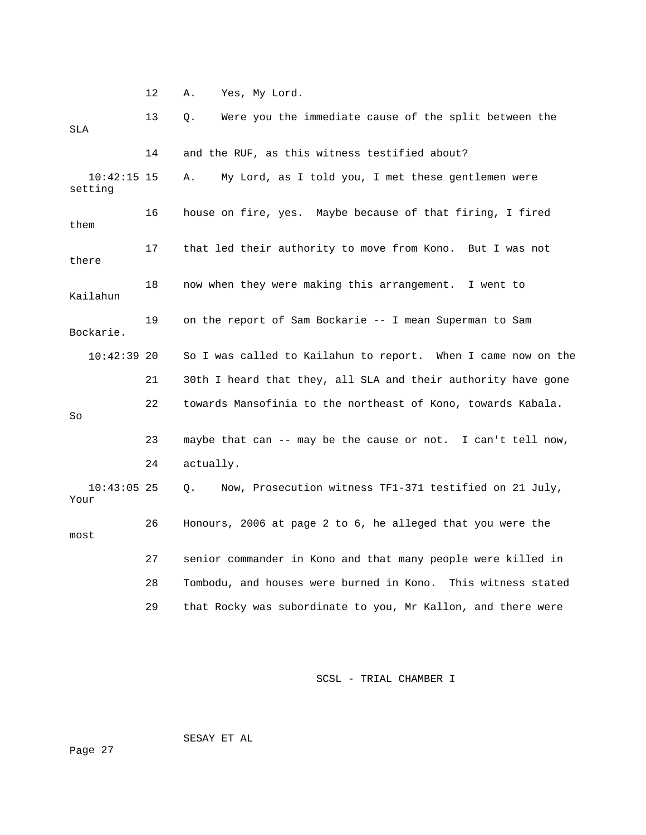12 A. Yes, My Lord.

| SLA                      | 13 | Were you the immediate cause of the split between the<br>Q.   |
|--------------------------|----|---------------------------------------------------------------|
|                          | 14 | and the RUF, as this witness testified about?                 |
| $10:42:15$ 15<br>setting |    | My Lord, as I told you, I met these gentlemen were<br>Α.      |
| them                     | 16 | house on fire, yes. Maybe because of that firing, I fired     |
| there                    | 17 | that led their authority to move from Kono. But I was not     |
| Kailahun                 | 18 | now when they were making this arrangement. I went to         |
| Bockarie.                | 19 | on the report of Sam Bockarie -- I mean Superman to Sam       |
| $10:42:39$ 20            |    | So I was called to Kailahun to report. When I came now on the |
|                          | 21 | 30th I heard that they, all SLA and their authority have gone |
| So                       | 22 | towards Mansofinia to the northeast of Kono, towards Kabala.  |
|                          | 23 | maybe that can -- may be the cause or not. I can't tell now,  |
|                          | 24 | actually.                                                     |
| $10:43:05$ 25<br>Your    |    | Now, Prosecution witness TF1-371 testified on 21 July,<br>Q.  |
| most                     | 26 | Honours, 2006 at page 2 to 6, he alleged that you were the    |
|                          | 27 | senior commander in Kono and that many people were killed in  |
|                          | 28 | Tombodu, and houses were burned in Kono. This witness stated  |
|                          | 29 | that Rocky was subordinate to you, Mr Kallon, and there were  |

SCSL - TRIAL CHAMBER I

SESAY ET AL

ge 27 Pa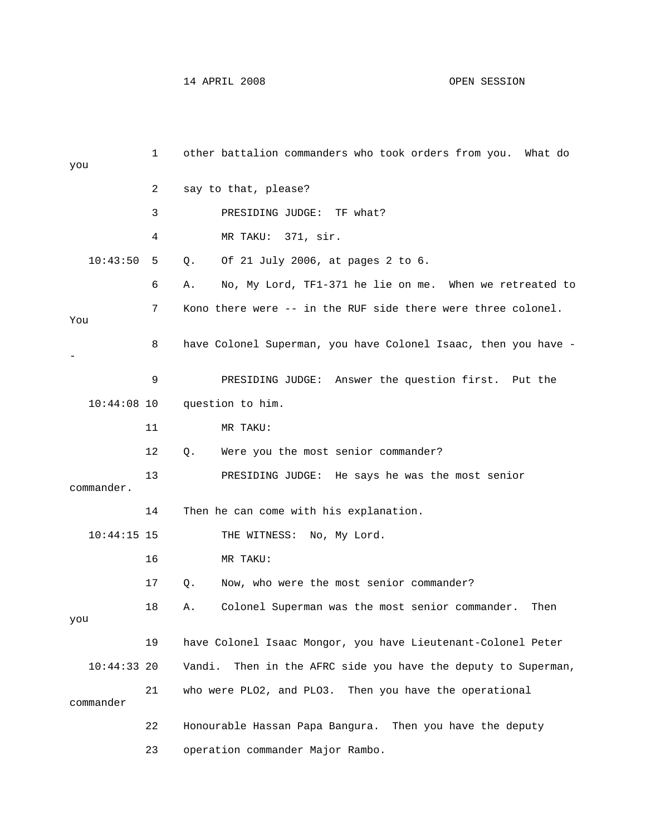14 APRIL 2008 OPEN SESSION

| you           | 1  | other battalion commanders who took orders from you. What do     |
|---------------|----|------------------------------------------------------------------|
|               | 2  | say to that, please?                                             |
|               | 3  | PRESIDING JUDGE:<br>TF what?                                     |
|               | 4  | MR TAKU: 371, sir.                                               |
| 10:43:50      | 5  | Of 21 July 2006, at pages 2 to 6.<br>Q.                          |
|               | 6  | No, My Lord, TF1-371 he lie on me. When we retreated to<br>Α.    |
| You           | 7  | Kono there were -- in the RUF side there were three colonel.     |
|               | 8  | have Colonel Superman, you have Colonel Isaac, then you have -   |
|               | 9  | PRESIDING JUDGE: Answer the question first. Put the              |
| $10:44:08$ 10 |    | question to him.                                                 |
|               | 11 | MR TAKU:                                                         |
|               | 12 | Q.<br>Were you the most senior commander?                        |
| commander.    | 13 | PRESIDING JUDGE: He says he was the most senior                  |
|               | 14 | Then he can come with his explanation.                           |
| $10:44:15$ 15 |    | THE WITNESS: No, My Lord.                                        |
|               | 16 | MR TAKU:                                                         |
|               | 17 | Now, who were the most senior commander?<br>Q.                   |
| you           | 18 | Colonel Superman was the most senior commander.<br>Α.<br>Then    |
|               | 19 | have Colonel Isaac Mongor, you have Lieutenant-Colonel Peter     |
| $10:44:33$ 20 |    | Then in the AFRC side you have the deputy to Superman,<br>Vandi. |
| commander     | 21 | who were PLO2, and PLO3. Then you have the operational           |
|               | 22 | Honourable Hassan Papa Bangura. Then you have the deputy         |
|               | 23 | operation commander Major Rambo.                                 |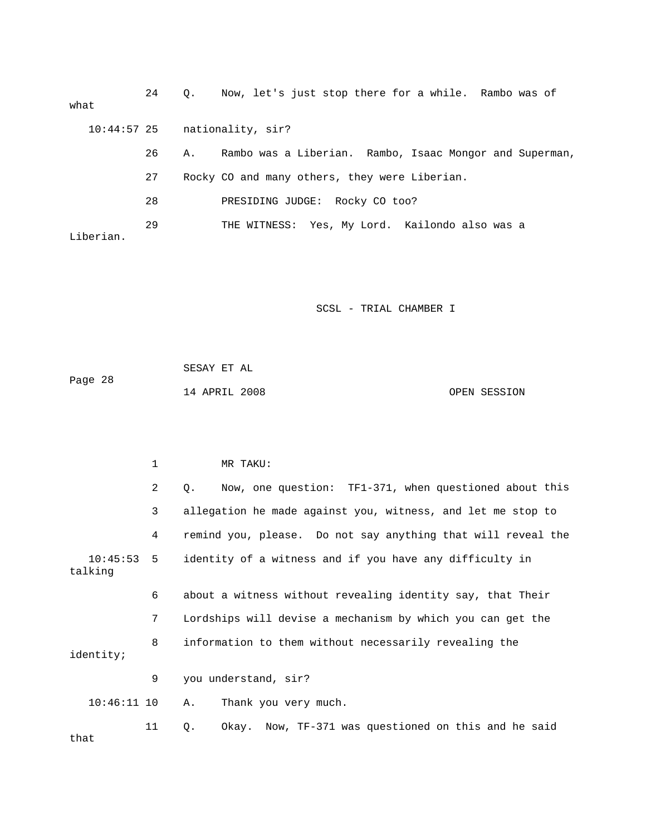| what      | 24 | $\circ$ . | Now, let's just stop there for a while. Rambo was of    |
|-----------|----|-----------|---------------------------------------------------------|
|           |    |           | $10:44:57$ 25 nationality, sir?                         |
|           | 26 | Α.        | Rambo was a Liberian. Rambo, Isaac Mongor and Superman, |
|           | 27 |           | Rocky CO and many others, they were Liberian.           |
|           | 28 |           | PRESIDING JUDGE: Rocky CO too?                          |
| Liberian. | 29 |           | THE WITNESS: Yes, My Lord. Kailondo also was a          |

| Page 28 | SESAY ET AL   |  |              |
|---------|---------------|--|--------------|
|         | 14 APRIL 2008 |  | OPEN SESSION |

|                         | 1              | MR TAKU:                                                        |
|-------------------------|----------------|-----------------------------------------------------------------|
|                         | $\overline{2}$ | Now, one question: TF1-371, when questioned about this<br>$Q$ . |
|                         | 3              | allegation he made against you, witness, and let me stop to     |
|                         | 4              | remind you, please. Do not say anything that will reveal the    |
| $10:45:53$ 5<br>talking |                | identity of a witness and if you have any difficulty in         |
|                         | 6              | about a witness without revealing identity say, that Their      |
|                         | 7              | Lordships will devise a mechanism by which you can get the      |
| identity;               | 8              | information to them without necessarily revealing the           |
|                         | 9              | you understand, sir?                                            |
| $10:46:11$ 10           |                | Thank you very much.<br>Α.                                      |
| that                    | 11             | Okay. Now, TF-371 was questioned on this and he said<br>Q.      |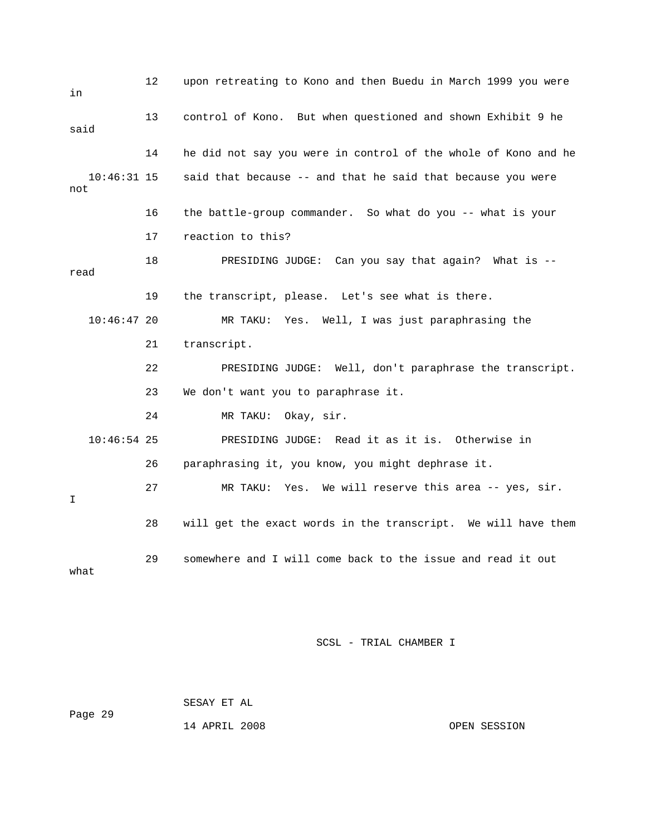12 upon retreating to Kono and then Buedu in March 1999 you were 13 control of Kono. But when questioned and shown Exhibit 9 he 14 he did not say you were in control of the whole of Kono and he 18 PRESIDING JUDGE: Can you say that again? What is -- 19 the transcript, please. Let's see what is there. 10:46:47 20 MR TAKU: Yes. Well, I was just paraphrasing the 22 PRESIDING JUDGE: Well, don't paraphrase the transcript. PRESIDING JUDGE: Read it as it is. Otherwise in this area -- yes, sir. 27 MR TAKU: Yes. We will reserve 28 will get the exact words in the transcript. We will have them 29 somewhere and I will come back to the issue and read it out what in said 10:46:31 15 said that because -- and that he said that because you were not 16 the battle-group commander. So what do you -- what is your 17 reaction to this? read 21 transcript. 23 We don't want you to paraphrase it. 24 MR TAKU: Okay, sir.  $10:46:54$  25 26 paraphrasing it, you know, you might dephrase it. I

SCSL - TRIAL CHAMBER I

 SESAY ET AL Page 29

14 APRIL 2008 OPEN SESSION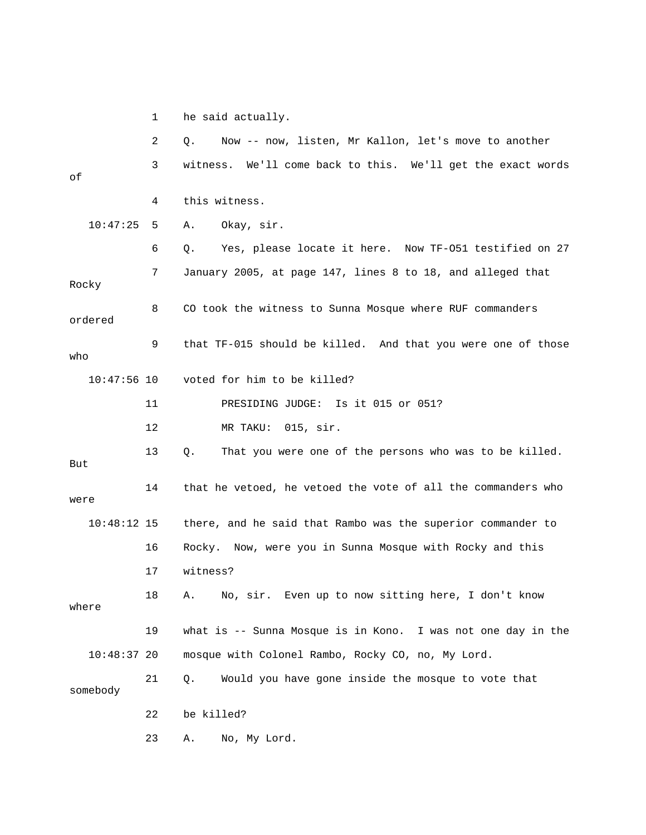1 he said actually.

|               | 2  | Now -- now, listen, Mr Kallon, let's move to another<br>Q.      |
|---------------|----|-----------------------------------------------------------------|
| оf            | 3  | witness.<br>We'll come back to this. We'll get the exact words  |
|               | 4  | this witness.                                                   |
| 10:47:25      | 5  | Okay, sir.<br>Α.                                                |
|               | 6  | Yes, please locate it here. Now TF-051 testified on 27<br>Q.    |
| Rocky         | 7  | January 2005, at page 147, lines 8 to 18, and alleged that      |
| ordered       | 8  | CO took the witness to Sunna Mosque where RUF commanders        |
| who           | 9  | that TF-015 should be killed. And that you were one of those    |
| $10:47:56$ 10 |    | voted for him to be killed?                                     |
|               | 11 | Is it 015 or 051?<br>PRESIDING JUDGE:                           |
|               | 12 | MR TAKU: 015, sir.                                              |
| But           | 13 | That you were one of the persons who was to be killed.<br>Q.    |
| were          | 14 | that he vetoed, he vetoed the vote of all the commanders who    |
| $10:48:12$ 15 |    | there, and he said that Rambo was the superior commander to     |
|               | 16 | Rocky. Now, were you in Sunna Mosque with Rocky and this        |
|               | 17 | witness?                                                        |
| where         | 18 | No, sir. Even up to now sitting here, I don't know<br>Α.        |
|               | 19 | what is $-$ - Sunna Mosque is in Kono. I was not one day in the |
| $10:48:37$ 20 |    | mosque with Colonel Rambo, Rocky CO, no, My Lord.               |
| somebody      | 21 | Would you have gone inside the mosque to vote that<br>Q.        |
|               | 22 | be killed?                                                      |
|               | 23 | No, My Lord.<br>Α.                                              |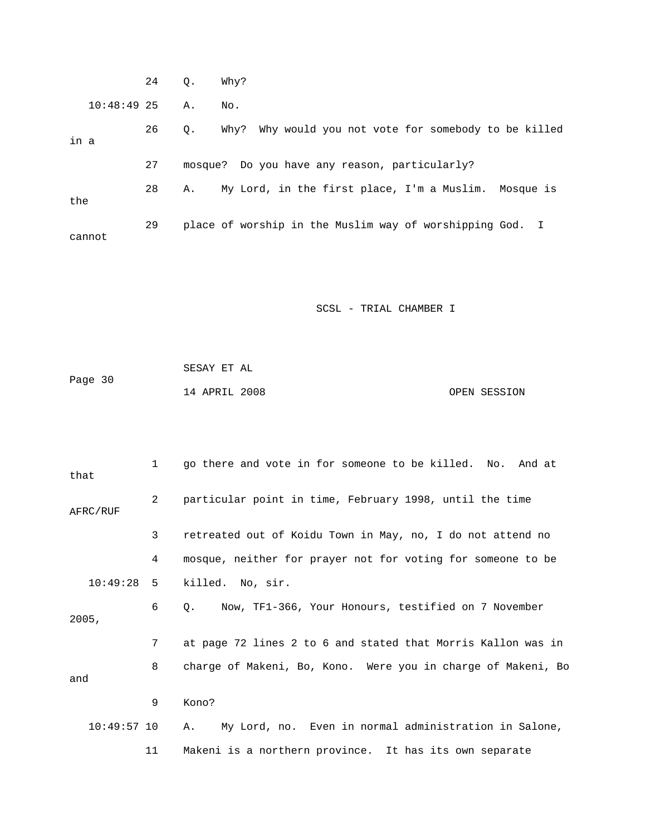|      |               | 24 | $\circ$ . | Why?                                                     |
|------|---------------|----|-----------|----------------------------------------------------------|
|      | $10:48:49$ 25 |    | Α.        | No.                                                      |
| in a |               | 26 | Q.        | Why? Why would you not vote for somebody to be killed    |
|      |               | 27 |           | mosque? Do you have any reason, particularly?            |
| the  |               | 28 | Α.        | My Lord, in the first place, I'm a Muslim. Mosque is     |
|      | cannot        | 29 |           | place of worship in the Muslim way of worshipping God. I |

| Page 30 | SESAY ET AL   |  |              |
|---------|---------------|--|--------------|
|         | 14 APRIL 2008 |  | OPEN SESSION |

| that          | 1              | go there and vote in for someone to be killed. No. And at        |
|---------------|----------------|------------------------------------------------------------------|
| AFRC/RUF      | $\overline{2}$ | particular point in time, February 1998, until the time          |
|               | 3              | retreated out of Koidu Town in May, no, I do not attend no       |
|               | 4              | mosque, neither for prayer not for voting for someone to be      |
| 10:49:28      | 5              | killed. No, sir.                                                 |
| 2005,         | 6              | Now, TF1-366, Your Honours, testified on 7 November<br>$\circ$ . |
|               | 7              | at page 72 lines 2 to 6 and stated that Morris Kallon was in     |
| and           | 8              | charge of Makeni, Bo, Kono. Were you in charge of Makeni, Bo     |
|               | 9              | Kono?                                                            |
| $10:49:57$ 10 |                | My Lord, no. Even in normal administration in Salone,<br>Α.      |
|               | 11             | Makeni is a northern province. It has its own separate           |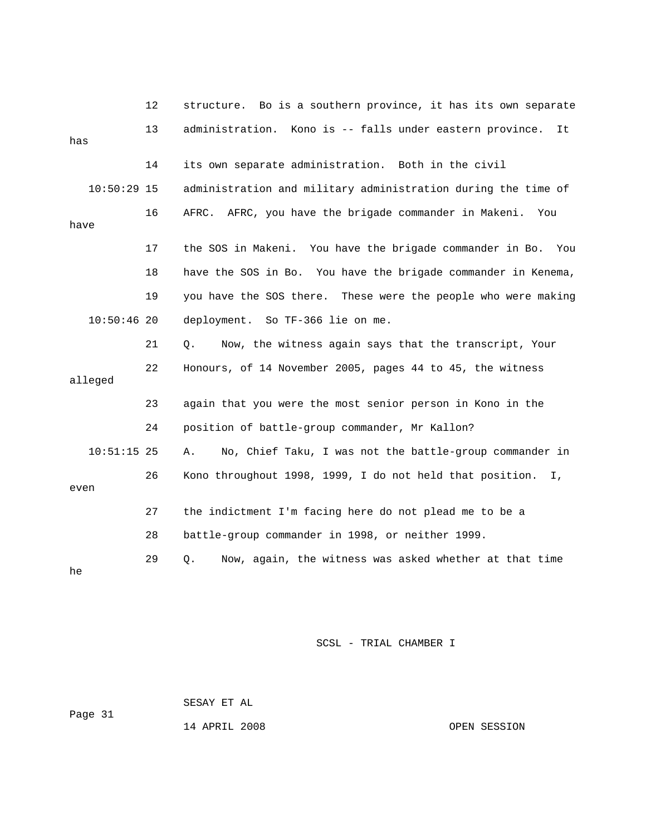|               | 12 | Bo is a southern province, it has its own separate<br>structure.        |
|---------------|----|-------------------------------------------------------------------------|
| has           | 13 | administration. Kono is -- falls under eastern province.<br>It          |
|               | 14 | its own separate administration. Both in the civil                      |
| $10:50:29$ 15 |    | administration and military administration during the time of           |
| have          | 16 | AFRC. AFRC, you have the brigade commander in Makeni. You               |
|               | 17 | the SOS in Makeni. You have the brigade commander in Bo.<br>You         |
|               | 18 | have the SOS in Bo. You have the brigade commander in Kenema,           |
|               | 19 | you have the SOS there. These were the people who were making           |
| $10:50:46$ 20 |    | deployment. So TF-366 lie on me.                                        |
|               | 21 | Now, the witness again says that the transcript, Your<br>Q.             |
| alleged       | 22 | Honours, of 14 November 2005, pages 44 to 45, the witness               |
|               | 23 | again that you were the most senior person in Kono in the               |
|               | 24 | position of battle-group commander, Mr Kallon?                          |
| $10:51:15$ 25 |    | No, Chief Taku, I was not the battle-group commander in<br>Α.           |
| even          | 26 | Kono throughout 1998, 1999, I do not held that position.<br>$I_{\iota}$ |
|               | 27 | the indictment I'm facing here do not plead me to be a                  |
|               | 28 | battle-group commander in 1998, or neither 1999.                        |
| he            | 29 | Now, again, the witness was asked whether at that time<br>$Q$ .         |

 SESAY ET AL ge 31 Pa

14 APRIL 2008 OPEN SESSION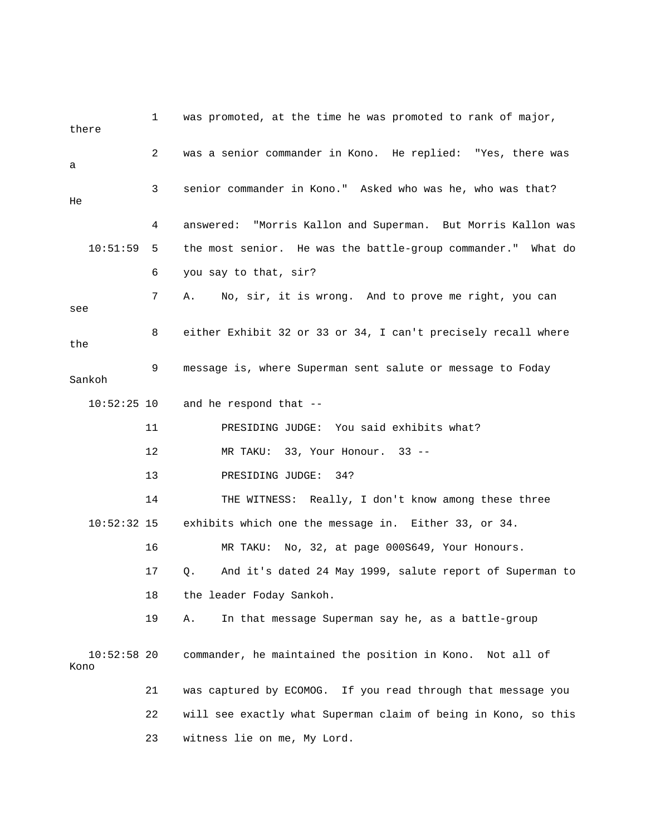1 was promoted, at the time he was promoted to rank of major, 2 was a senior commander in Kono. He replied: "Yes, there was 3 senior commander in Kono." Asked who was he, who was that? s 4 answered: "Morris Kallon and Superman. But Morris Kallon wa 10:51:59 5 the most senior. He was the battle-group commander." What do 6 you say to that, sir? 9 message is, where Superman sent salute or message to Foday 11 PRESIDING JUDGE: You said exhibits what? 14 THE WITNESS: Really, I don't know among these three 10:52:32 15 exhibits which one the message in. Either 33, or 34. 16 MR TAKU: No, 32, at page 000S649, Your Honours. 17 Q. And it's dated 24 May 1999, salute report of Superman to 19 A. In that message Superman say he, as a battle-group 10:52:58 20 commander, he maintained the position in Kono. Not all of 21 was captured by ECOMOG. If you read through that message you 22 will see exactly what Superman claim of being in Kono, so this there a He 7 A. No, sir, it is wrong. And to prove me right, you can see 8 either Exhibit 32 or 33 or 34, I can't precisely recall where the Sankoh  $10:52:25$  10 and he respond that  $-$  12 MR TAKU: 33, Your Honour. 33 -- 13 PRESIDING JUDGE: 34? 18 the leader Foday Sankoh. Kono 23 witness lie on me, My Lord.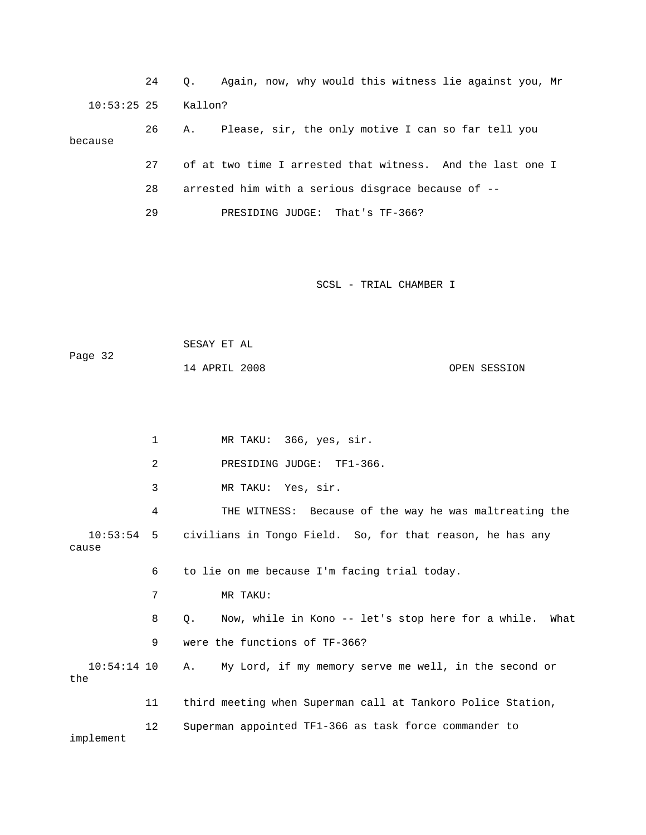24 Q. Again, now, why would this witness lie against you, Mr 10:53:25 25 Kallon? 27 of at two time I arrested that witness. And the last one I 26 A. Please, sir, the only motive I can so far tell you because 28 arrested him with a serious disgrace because of --

29 PRESIDING JUDGE: That's TF-366?

SCSL - TRIAL CHAMBER I

| Page 32 | SESAY ET AL   |              |
|---------|---------------|--------------|
|         | 14 APRIL 2008 | OPEN SESSION |

 1 MR TAKU: 366, yes, sir. 4 THE WITNESS: Because of the way he was maltreating the 10:53:54 5 civilians in Tongo Field. So, for that reason, he has any cause 6 to lie on me because I'm facing trial today. 8 Q. Now, while in Kono -- let's stop here for a while. What 9 were the functions of TF-366? the 11 third meeting when Superman call at Tankoro Police Station, 12 Superman appointed TF1-366 as task force commander to 2 PRESIDING JUDGE: TF1-366. 3 MR TAKU: Yes, sir. 7 MR TAKU: 10:54:14 10 A. My Lord, if my memory serve me well, in the second or

implement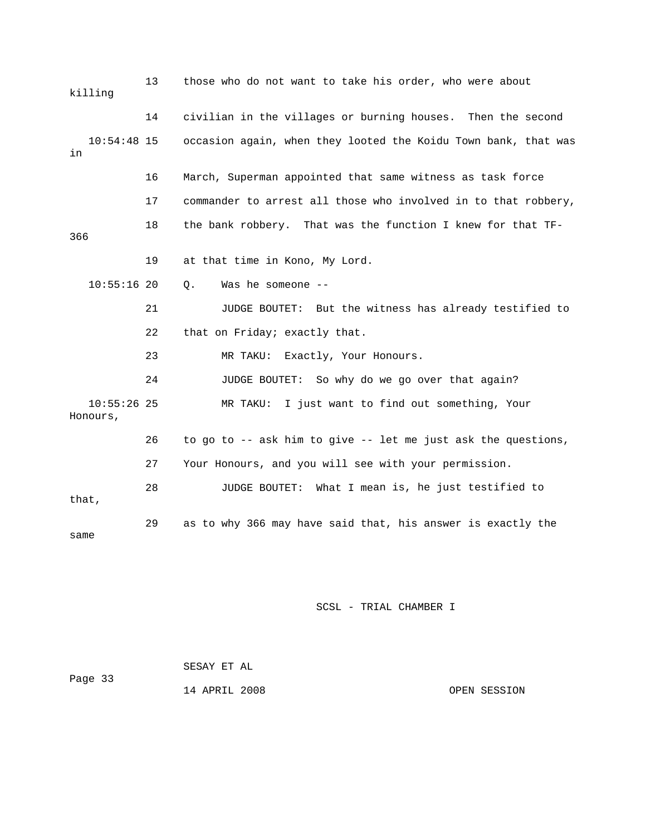| killing                   | 13 | those who do not want to take his order, who were about        |
|---------------------------|----|----------------------------------------------------------------|
|                           | 14 | civilian in the villages or burning houses. Then the second    |
| $10:54:48$ 15<br>in       |    | occasion again, when they looted the Koidu Town bank, that was |
|                           | 16 | March, Superman appointed that same witness as task force      |
|                           | 17 | commander to arrest all those who involved in to that robbery, |
| 366                       | 18 | the bank robbery. That was the function I knew for that TF-    |
|                           | 19 | at that time in Kono, My Lord.                                 |
| $10:55:16$ 20             |    | Was he someone --<br>Q.                                        |
|                           | 21 | JUDGE BOUTET: But the witness has already testified to         |
|                           | 22 | that on Friday; exactly that.                                  |
|                           | 23 | Exactly, Your Honours.<br>MR TAKU:                             |
|                           | 24 | JUDGE BOUTET: So why do we go over that again?                 |
| $10:55:26$ 25<br>Honours, |    | I just want to find out something, Your<br>MR TAKU:            |
|                           | 26 | to go to -- ask him to give -- let me just ask the questions,  |
|                           | 27 | Your Honours, and you will see with your permission.           |
| that,                     | 28 | JUDGE BOUTET: What I mean is, he just testified to             |
| same                      | 29 | as to why 366 may have said that, his answer is exactly the    |

| Page 33 | SESAY ET AL   |              |
|---------|---------------|--------------|
|         | 14 APRIL 2008 | OPEN SESSION |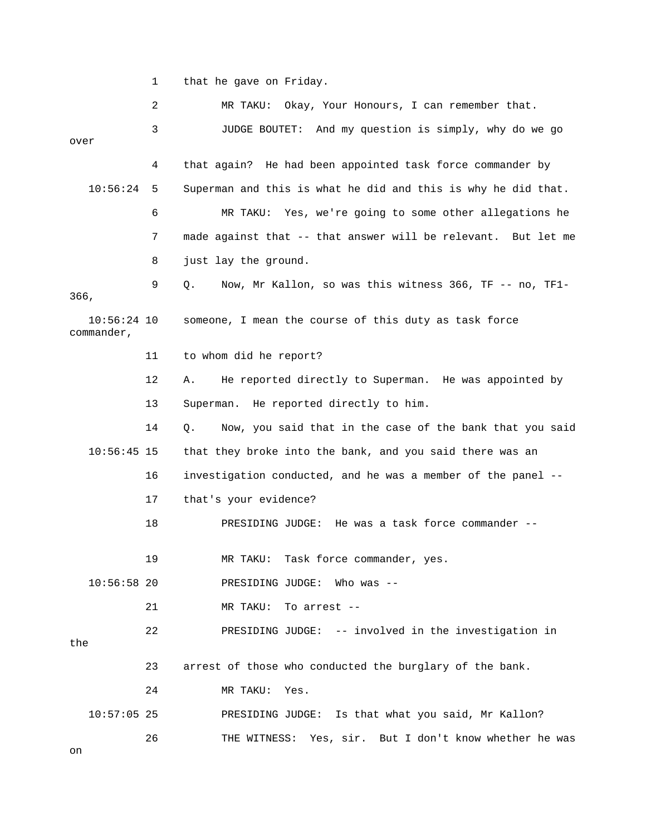1 that he gave on Friday.

|                             | 2  | Okay, Your Honours, I can remember that.<br>MR TAKU:           |
|-----------------------------|----|----------------------------------------------------------------|
|                             | 3  | JUDGE BOUTET: And my question is simply, why do we go          |
| over                        |    |                                                                |
|                             | 4  | that again? He had been appointed task force commander by      |
| 10:56:24                    | 5  | Superman and this is what he did and this is why he did that.  |
|                             | 6  | MR TAKU: Yes, we're going to some other allegations he         |
|                             | 7  | made against that -- that answer will be relevant. But let me  |
|                             | 8  | just lay the ground.                                           |
| 366,                        | 9  | Now, Mr Kallon, so was this witness 366, TF -- no, TF1-<br>Q.  |
| $10:56:24$ 10<br>commander, |    | someone, I mean the course of this duty as task force          |
|                             | 11 | to whom did he report?                                         |
|                             | 12 | He reported directly to Superman. He was appointed by<br>Α.    |
|                             | 13 | Superman. He reported directly to him.                         |
|                             | 14 | Now, you said that in the case of the bank that you said<br>Q. |
| $10:56:45$ 15               |    | that they broke into the bank, and you said there was an       |
|                             | 16 | investigation conducted, and he was a member of the panel --   |
|                             | 17 | that's your evidence?                                          |
|                             | 18 | PRESIDING JUDGE: He was a task force commander --              |
|                             | 19 | MR TAKU: Task force commander, yes.                            |
| $10:56:58$ 20               |    | PRESIDING JUDGE: Who was --                                    |
|                             | 21 | MR TAKU:<br>To arrest --                                       |
| the                         | 22 | PRESIDING JUDGE: -- involved in the investigation in           |
|                             | 23 | arrest of those who conducted the burglary of the bank.        |
|                             | 24 | MR TAKU:<br>Yes.                                               |
| $10:57:05$ 25               |    | PRESIDING JUDGE: Is that what you said, Mr Kallon?             |
|                             | 26 | THE WITNESS: Yes, sir. But I don't know whether he was         |
| on                          |    |                                                                |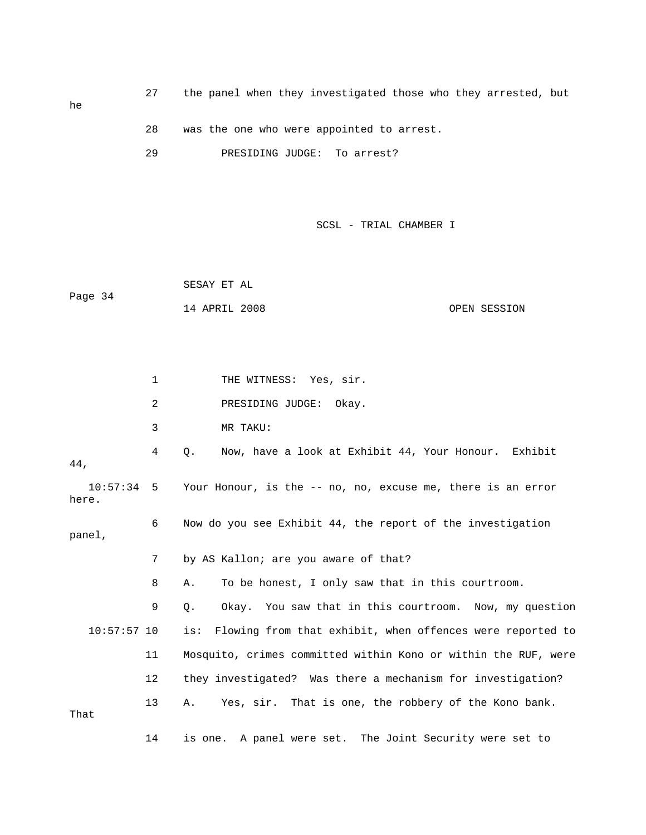27 the panel when they investigated those who they arrested, but

28 was the one who were appointed to arrest.

29 PRESIDING JUDGE: To arrest?

SCSL - TRIAL CHAMBER I

 SESAY ET AL 14 APRIL 2008 OPEN SESSION Page 34

1 THE WITNESS: Yes, sir. 2 PRESIDING JUDGE: Okay. 4 Q. Now, have a look at Exhibit 44, Your Honour. Exhibit , 44 10:57:34 5 Your Honour, is the -- no, no, excuse me, there is an error here. 6 Now do you see Exhibit 44, the report of the investigation panel, 7 by AS Kallon; are you aware of that? 8 A. To be honest, I only saw that in this courtroom. 9 Q. Okay. You saw that in this courtroom. Now, my question 10:57:57 10 is: Flowing from that exhibit, when offences were reported to 11 Mosquito, crimes committed within Kono or within the RUF, were 12 they investigated? Was there a mechanism for investigation? 13 A. Yes, sir. That is one, the robbery of the Kono bank. 14 is one. A panel were set. The Joint Security were set to 3 MR TAKU: That

he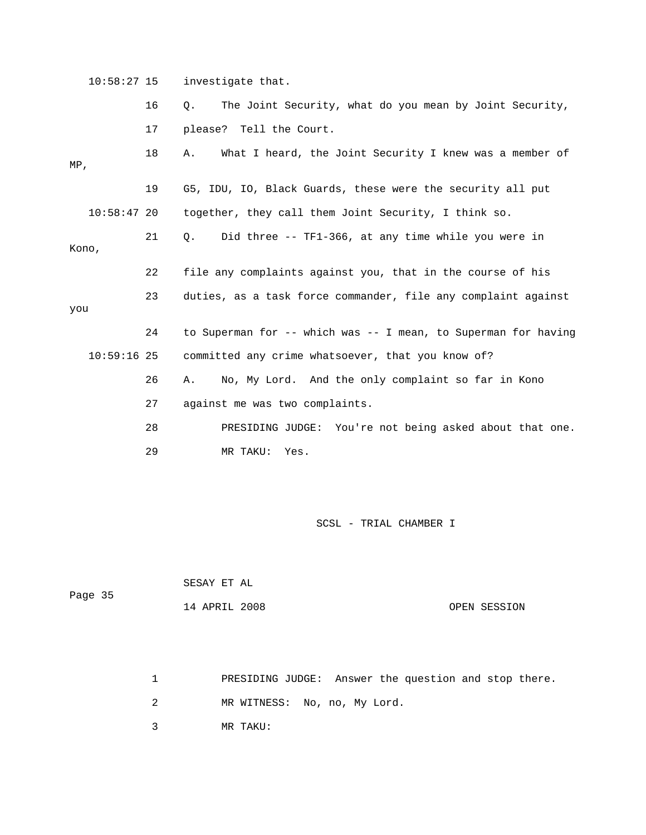10:58:27 15 investigate that.

|               | 16 | The Joint Security, what do you mean by Joint Security,<br>Q.  |
|---------------|----|----------------------------------------------------------------|
|               | 17 | please? Tell the Court.                                        |
| $MP$ ,        | 18 | What I heard, the Joint Security I knew was a member of<br>Α.  |
|               | 19 | G5, IDU, IO, Black Guards, these were the security all put     |
| $10:58:47$ 20 |    | together, they call them Joint Security, I think so.           |
| Kono,         | 21 | Did three -- TF1-366, at any time while you were in<br>О.      |
|               | 22 | file any complaints against you, that in the course of his     |
| you           | 23 | duties, as a task force commander, file any complaint against  |
|               | 24 | to Superman for -- which was -- I mean, to Superman for having |
| $10:59:16$ 25 |    | committed any crime whatsoever, that you know of?              |
|               | 26 | No, My Lord. And the only complaint so far in Kono<br>Α.       |
|               | 27 | against me was two complaints.                                 |
|               | 28 | PRESIDING JUDGE: You're not being asked about that one.        |
|               | 29 | MR TAKU:<br>Yes.                                               |

SCSL - TRIAL CHAMBER I

 SESAY ET AL 14 APRIL 2008 OPEN SESSION Page 35

1 PRESIDING JUDGE: Answer the question and stop there.

2 MR WITNESS: No, no, My Lord.

3 MR TAKU: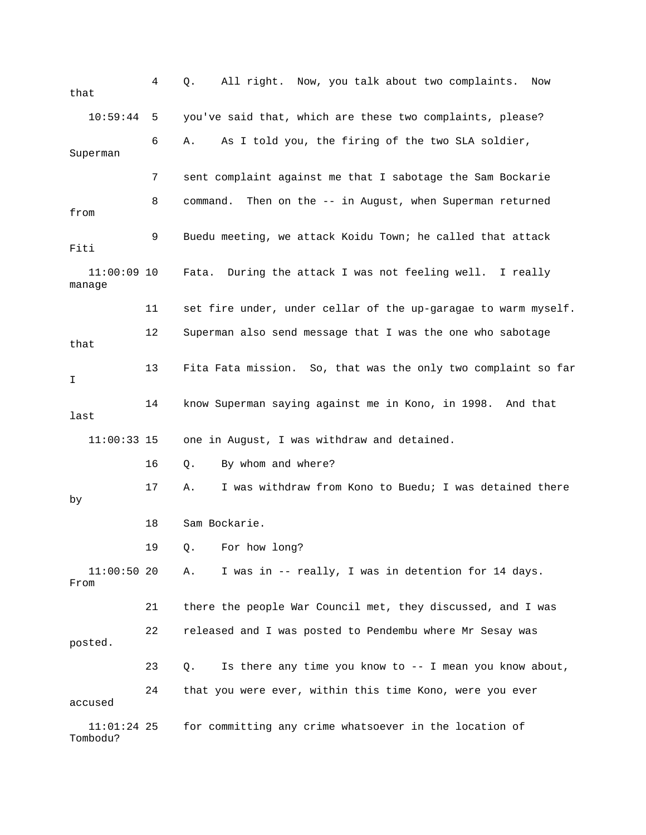| that                      | 4  | All right. Now, you talk about two complaints.<br>Q.<br>Now      |
|---------------------------|----|------------------------------------------------------------------|
| 10:59:44                  | 5  | you've said that, which are these two complaints, please?        |
| Superman                  | 6  | As I told you, the firing of the two SLA soldier,<br>Α.          |
|                           | 7  | sent complaint against me that I sabotage the Sam Bockarie       |
| from                      | 8  | Then on the -- in August, when Superman returned<br>command.     |
| Fiti                      | 9  | Buedu meeting, we attack Koidu Town; he called that attack       |
| $11:00:09$ 10<br>manage   |    | During the attack I was not feeling well. I really<br>Fata.      |
|                           | 11 | set fire under, under cellar of the up-garagae to warm myself.   |
| that                      | 12 | Superman also send message that I was the one who sabotage       |
| I                         | 13 | Fita Fata mission. So, that was the only two complaint so far    |
| last                      | 14 | know Superman saying against me in Kono, in 1998. And that       |
| $11:00:33$ 15             |    | one in August, I was withdraw and detained.                      |
|                           | 16 | By whom and where?<br>Q.                                         |
| by                        | 17 | I was withdraw from Kono to Buedu; I was detained there<br>Α.    |
|                           | 18 | Sam Bockarie.                                                    |
|                           | 19 | Q. For how long?                                                 |
| $11:00:50$ 20<br>From     |    | I was in -- really, I was in detention for 14 days.<br>Α.        |
|                           | 21 | there the people War Council met, they discussed, and I was      |
| posted.                   | 22 | released and I was posted to Pendembu where Mr Sesay was         |
|                           | 23 | Is there any time you know to $-$ - I mean you know about,<br>Q. |
| accused                   | 24 | that you were ever, within this time Kono, were you ever         |
| $11:01:24$ 25<br>Tombodu? |    | for committing any crime whatsoever in the location of           |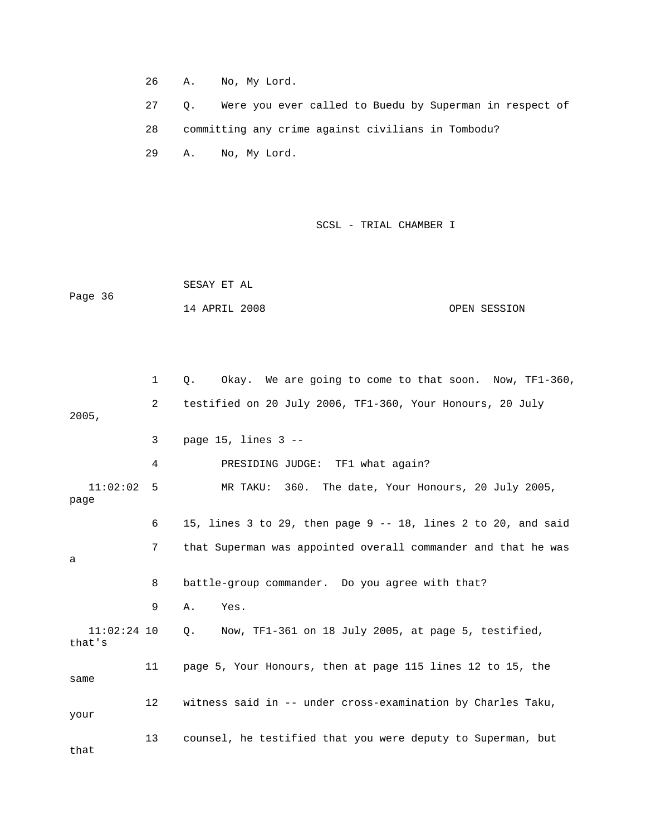26 A. No, My Lord.

 27 Q. Were you ever called to Buedu by Superman in respect of 29 A. No, My Lord. 28 committing any crime against civilians in Tombodu?

SCSL - TRIAL CHAMBER I

Page 36 14 APRIL 2008 OPEN SESSION SESAY ET AL

 1 Q. Okay. We are going to come to that soon. Now, TF1-360, 2 testified on 20 July 2006, TF1-360, Your Honours, 20 July 4 PRESIDING JUDGE: TF1 what again? 11:02:02 5 MR TAKU: 360. The date, Your Honours, 20 July 2005, page 7 that Superman was appointed overall commander and that he was 8 battle-group commander. Do you agree with that? 9 A. Yes. that's 12 witness said in -- under cross-examination by Charles Taku, 13 counsel, he testified that you were deputy to Superman, but that 2005, 3 page 15, lines 3 -- 6 15, lines 3 to 29, then page 9 -- 18, lines 2 to 20, and said a 11:02:24 10 Q. Now, TF1-361 on 18 July 2005, at page 5, testified, 11 page 5, Your Honours, then at page 115 lines 12 to 15, the same your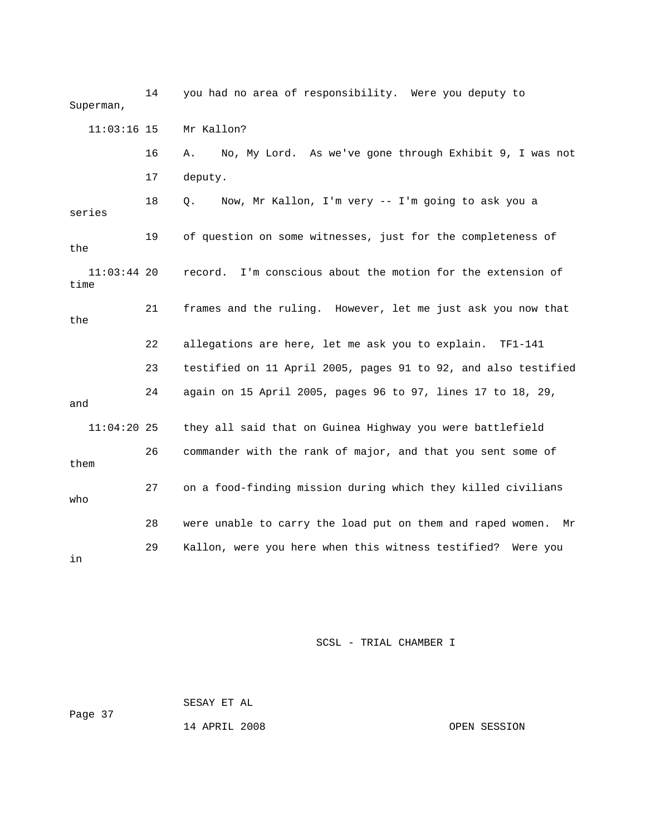14 you had no area of responsibility. Were you deputy to Superman, Mr Kallon? 16 A. No, My Lord. As we've gone through Exhibit 9, I was not 17 deputy. 18 Q. Now, Mr Kallon, I'm very -- I'm going to ask you a series 19 of question on some witnesses, just for the completeness of the 21 frames and the ruling. However, let me just ask you now that the 22 allegations are here, let me ask you to explain. TF1-141 23 testified on 11 April 2005, pages 91 to 92, and also testified 24 again on 15 April 2005, pages 96 to 97, lines 17 to 18, 29, 11:04:20 25 they all said that on Guinea Highway you were battlefield them 27 on a food-finding mission during which they killed civilians 28 were unable to carry the load put on them and raped women. Mr 29 Kallon, were you here when this witness testified? Were you  $11:03:16$  15 11:03:44 20 record. I'm conscious about the motion for the extension of time and 26 commander with the rank of major, and that you sent some of who in

SCSL - TRIAL CHAMBER I

 SESAY ET AL Page 37 14 APRIL 2008 OPEN SESSION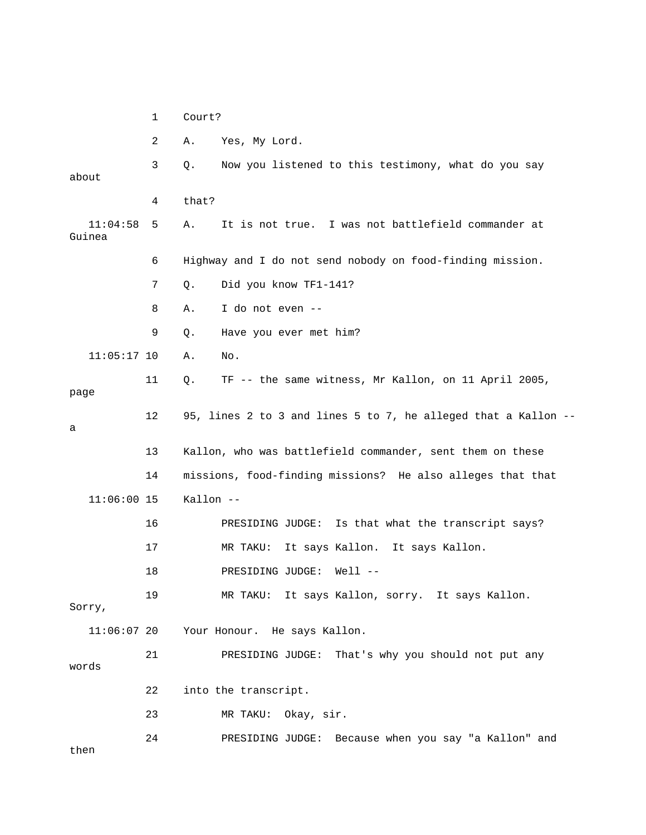|                    | 1  | Court?    |                                                                |
|--------------------|----|-----------|----------------------------------------------------------------|
|                    | 2  | Α.        | Yes, My Lord.                                                  |
| about              | 3  | Q.        | Now you listened to this testimony, what do you say            |
|                    | 4  | that?     |                                                                |
| 11:04:58<br>Guinea | 5  | Α.        | It is not true. I was not battlefield commander at             |
|                    | 6  |           | Highway and I do not send nobody on food-finding mission.      |
|                    | 7  | $Q$ .     | Did you know TF1-141?                                          |
|                    | 8  | Α.        | I do not even --                                               |
|                    | 9  | Q.        | Have you ever met him?                                         |
| $11:05:17$ 10      |    | Α.        | No.                                                            |
| page               | 11 | Q.        | TF -- the same witness, Mr Kallon, on 11 April 2005,           |
| а                  | 12 |           | 95, lines 2 to 3 and lines 5 to 7, he alleged that a Kallon -- |
|                    | 13 |           | Kallon, who was battlefield commander, sent them on these      |
|                    | 14 |           | missions, food-finding missions? He also alleges that that     |
| $11:06:00$ 15      |    | Kallon -- |                                                                |
|                    | 16 |           | Is that what the transcript says?<br>PRESIDING JUDGE:          |
|                    | 17 |           | MR TAKU:<br>It says Kallon. It says Kallon.                    |
|                    | 18 |           | $Well1$ --<br>PRESIDING JUDGE:                                 |
| Sorry,             | 19 |           | MR TAKU: It says Kallon, sorry. It says Kallon.                |
| $11:06:07$ 20      |    |           | Your Honour. He says Kallon.                                   |
| words              | 21 |           | That's why you should not put any<br>PRESIDING JUDGE:          |
|                    | 22 |           | into the transcript.                                           |
|                    | 23 |           | MR TAKU: Okay, sir.                                            |
| then               | 24 |           | PRESIDING JUDGE: Because when you say "a Kallon" and           |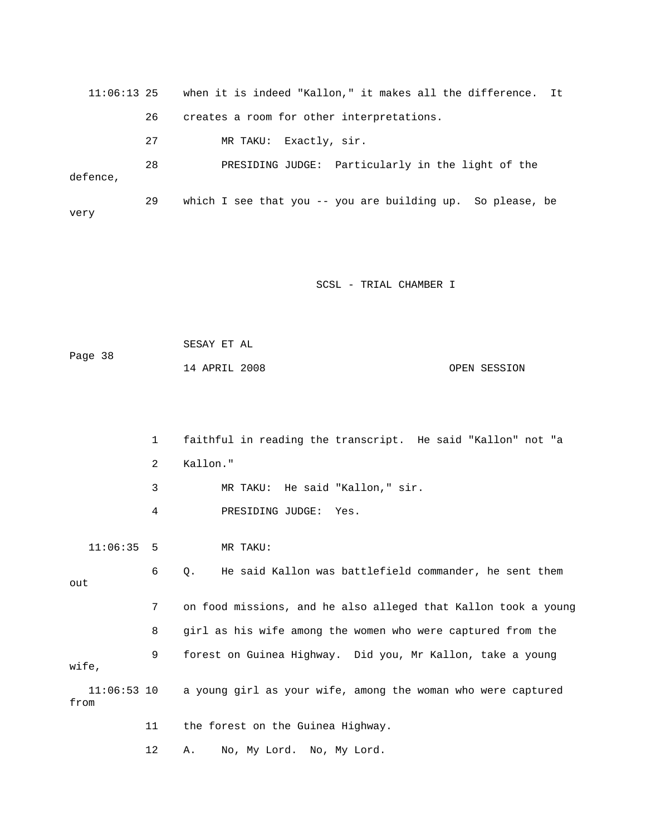11:06:13 25 when it is indeed "Kallon," it makes all the difference. It 26 creates a room for other interpretations. 27 MR TAKU: Exactly, sir. 28 PRESIDING JUDGE: Particularly in the light of the defence, 29 which I see that you -- you are building up. So please, be very

SCSL - TRIAL CHAMBER I

```
 SESAY ET AL 
Page 38
            14 APRIL 2008 OPEN SESSION
```
 1 faithful in reading the transcript. He said "Kallon" not "a 2 Kallon." 4 PRESIDING JUDGE: Yes. 11:06:35 5 MR TAKU: out 7 on food missions, and he also alleged that Kallon took a young 8 girl as his wife among the women who were captured from the 9 forest on Guinea Highway. Did you, Mr Kallon, take a young wife, 11:06:53 10 a young girl as your wife, among the woman who were captured 11 the forest on the Guinea Highway. 12 A. No, My Lord. No, My Lord. 3 MR TAKU: He said "Kallon," sir. 6 Q. He said Kallon was battlefield commander, he sent them from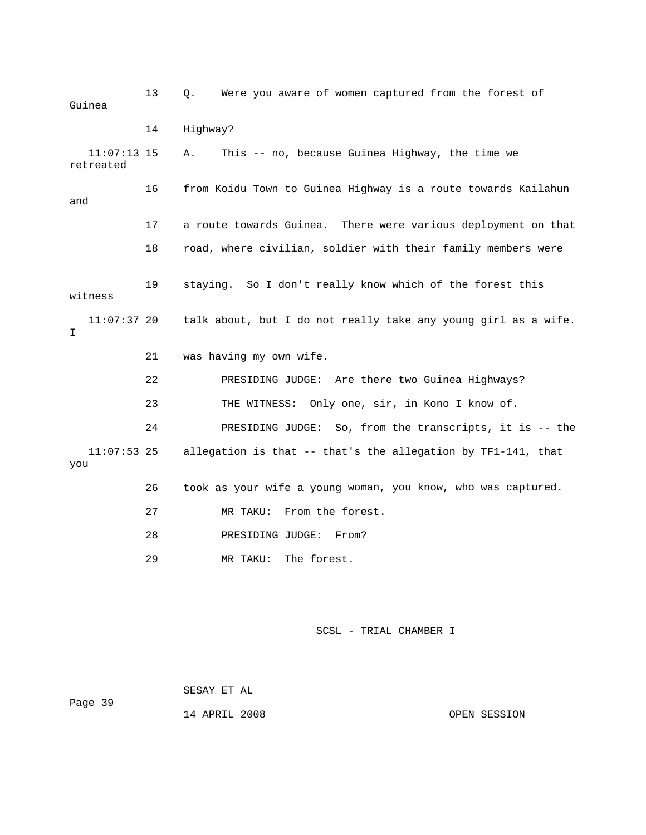| Guinea                     | 13 | Were you aware of women captured from the forest of<br>Q.      |
|----------------------------|----|----------------------------------------------------------------|
|                            | 14 | Highway?                                                       |
| $11:07:13$ 15<br>retreated |    | This -- no, because Guinea Highway, the time we<br>Α.          |
| and                        | 16 | from Koidu Town to Guinea Highway is a route towards Kailahun  |
|                            | 17 | a route towards Guinea. There were various deployment on that  |
|                            | 18 | road, where civilian, soldier with their family members were   |
| witness                    | 19 | staying. So I don't really know which of the forest this       |
| $11:07:37$ 20<br>I         |    | talk about, but I do not really take any young girl as a wife. |
|                            | 21 | was having my own wife.                                        |
|                            | 22 | PRESIDING JUDGE: Are there two Guinea Highways?                |
|                            | 23 | THE WITNESS: Only one, sir, in Kono I know of.                 |
|                            | 24 | PRESIDING JUDGE: So, from the transcripts, it is -- the        |
| $11:07:53$ 25<br>you       |    | allegation is that -- that's the allegation by TF1-141, that   |
|                            | 26 | took as your wife a young woman, you know, who was captured.   |
|                            | 27 | MR TAKU:<br>From the forest.                                   |
|                            | 28 | From?<br>PRESIDING JUDGE:                                      |
|                            | 29 | The forest.<br>MR TAKU:                                        |

 SESAY ET AL Page 39

14 APRIL 2008 OPEN SESSION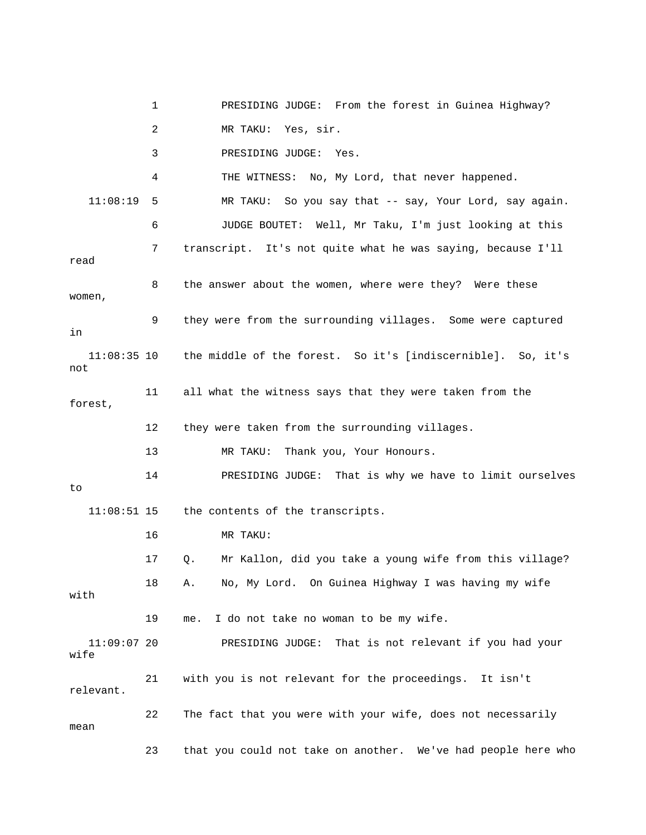1 PRESIDING JUDGE: From the forest in Guinea Highway? 3 PRESIDING JUDGE: Yes. 4 THE WITNESS: No, My Lord, that never happened. 11:08:19 5 MR TAKU: So you say that -- say, Your Lord, say again. 6 JUDGE BOUTET: Well, Mr Taku, I'm just looking at this 7 transcript. It's not quite what he was saying, because I'll 8 the answer about the women, where were they? Were these women, 9 they were from the surrounding villages. Some were captured not 11 all what the witness says that they were taken from the forest, 12 they were taken from the surrounding villages. 14 PRESIDING JUDGE: That is why we have to limit ourselves 11:08:51 15 the contents of the transcripts. 16 MR TAKU: 17 Q. Mr Kallon, did you take a young wife from this village? 18 A. No, My Lord. On Guinea Highway I was having my wife 19 me. I do not take no woman to be my wife. 11:09:07 20 PRESIDING JUDGE: That is not relevant if you had your wife 21 with you is not relevant for the proceedings. It isn't 23 that you could not take on another. We've had people here who 2 MR TAKU: Yes, sir. read in 11:08:35 10 the middle of the forest. So it's [indiscernible]. So, it's 13 MR TAKU: Thank you, Your Honours. to with relevant. 22 The fact that you were with your wife, does not necessarily mean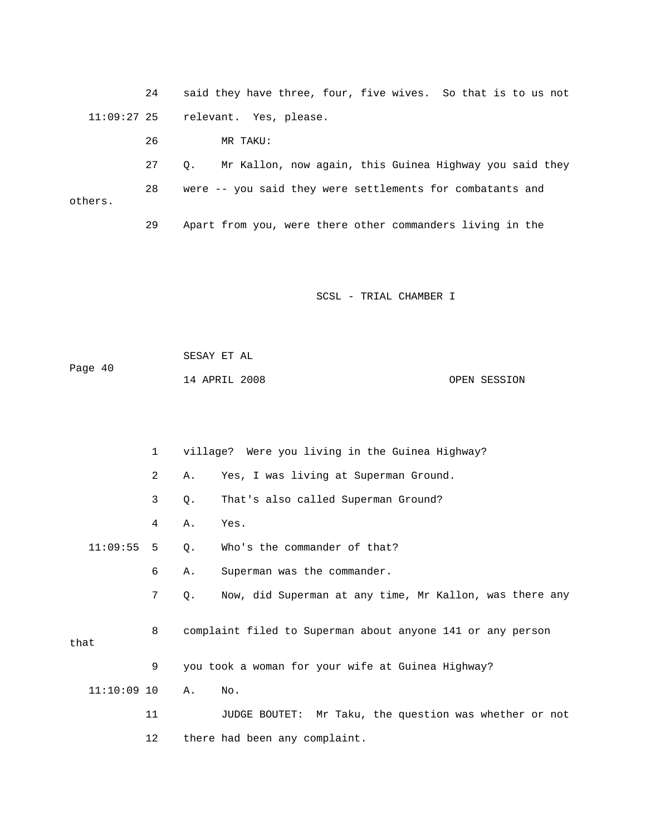24 said they have three, four, five wives. So that is to us not 11:09:27 25 relevant. Yes, please.

 26 MR TAKU: 28 were -- you said they were settlements for combatants and 27 Q. Mr Kallon, now again, this Guinea Highway you said they others.

29 Apart from you, were there other commanders living in the

SCSL - TRIAL CHAMBER I

|         | SESAY ET AL   |              |
|---------|---------------|--------------|
| Page 40 |               |              |
|         | 14 APRIL 2008 | OPEN SESSION |

|               | 1              |       | village? Were you living in the Guinea Highway?            |
|---------------|----------------|-------|------------------------------------------------------------|
|               | $\overline{2}$ | Α.    | Yes, I was living at Superman Ground.                      |
|               | 3              | $Q$ . | That's also called Superman Ground?                        |
|               | 4              | Α.    | Yes.                                                       |
| 11:09:55      | 5 <sup>1</sup> | Q.    | Who's the commander of that?                               |
|               | 6              | Α.    | Superman was the commander.                                |
|               | 7              | 0.    | Now, did Superman at any time, Mr Kallon, was there any    |
| that          | 8              |       | complaint filed to Superman about anyone 141 or any person |
|               | 9              |       | you took a woman for your wife at Guinea Highway?          |
| $11:10:09$ 10 |                | Α.    | No.                                                        |
|               | 11             |       | JUDGE BOUTET: Mr Taku, the question was whether or not     |
|               | 12             |       | there had been any complaint.                              |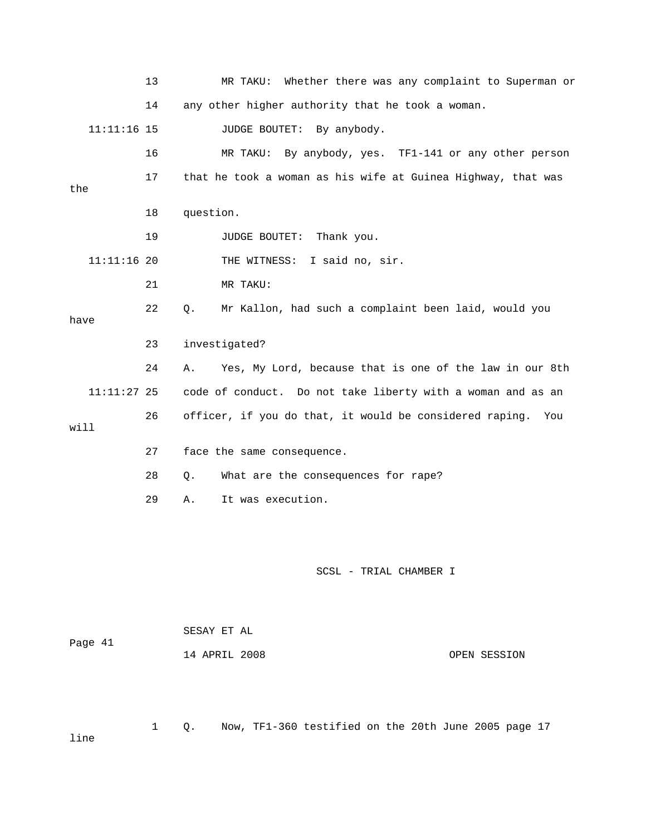|         |               | 13 |           | MR TAKU:                     | Whether there was any complaint to Superman or               |              |
|---------|---------------|----|-----------|------------------------------|--------------------------------------------------------------|--------------|
|         |               | 14 |           |                              | any other higher authority that he took a woman.             |              |
|         | $11:11:16$ 15 |    |           | <b>JUDGE BOUTET:</b>         | By anybody.                                                  |              |
|         |               | 16 |           | MR TAKU:                     | By anybody, yes. TF1-141 or any other person                 |              |
| the     |               | 17 |           |                              | that he took a woman as his wife at Guinea Highway, that was |              |
|         |               | 18 | question. |                              |                                                              |              |
|         |               | 19 |           | JUDGE BOUTET:                | Thank you.                                                   |              |
|         | $11:11:16$ 20 |    |           | THE WITNESS: I said no, sir. |                                                              |              |
|         |               | 21 |           | MR TAKU:                     |                                                              |              |
| have    |               | 22 | Q.        |                              | Mr Kallon, had such a complaint been laid, would you         |              |
|         |               | 23 |           | investigated?                |                                                              |              |
|         |               | 24 | Α.        |                              | Yes, My Lord, because that is one of the law in our 8th      |              |
|         | $11:11:27$ 25 |    |           |                              | code of conduct. Do not take liberty with a woman and as an  |              |
| will    |               | 26 |           |                              | officer, if you do that, it would be considered raping.      | You          |
|         |               | 27 |           | face the same consequence.   |                                                              |              |
|         |               | 28 | Q.        |                              | What are the consequences for rape?                          |              |
|         |               | 29 | Α.        | It was execution.            |                                                              |              |
|         |               |    |           |                              |                                                              |              |
|         |               |    |           |                              | SCSL - TRIAL CHAMBER I                                       |              |
|         |               |    |           | SESAY ET AL                  |                                                              |              |
| Page 41 |               |    |           | 14 APRIL 2008                |                                                              | OPEN SESSION |

ne li

1 Q. Now, TF1-360 testified on the 20th June 2005 page 17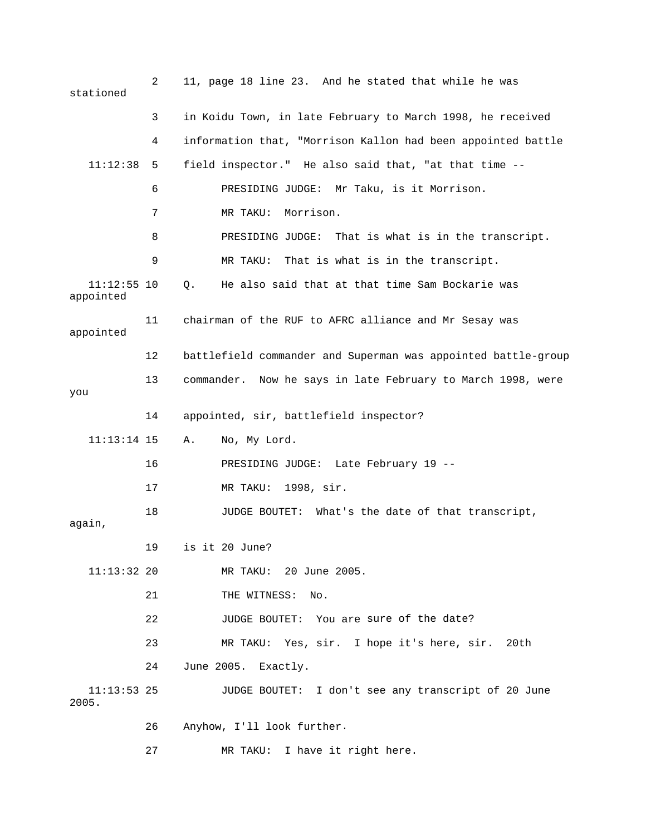| stationed                  | $\overline{2}$ | 11, page 18 line 23. And he stated that while he was          |
|----------------------------|----------------|---------------------------------------------------------------|
|                            | 3              | in Koidu Town, in late February to March 1998, he received    |
|                            | 4              | information that, "Morrison Kallon had been appointed battle  |
| 11:12:38                   | 5              | field inspector." He also said that, "at that time --         |
|                            | 6              | PRESIDING JUDGE: Mr Taku, is it Morrison.                     |
|                            | 7              | Morrison.<br>MR TAKU:                                         |
|                            | 8              | PRESIDING JUDGE: That is what is in the transcript.           |
|                            | 9              | MR TAKU: That is what is in the transcript.                   |
| $11:12:55$ 10<br>appointed |                | He also said that at that time Sam Bockarie was<br>Q.         |
| appointed                  | 11             | chairman of the RUF to AFRC alliance and Mr Sesay was         |
|                            | 12             | battlefield commander and Superman was appointed battle-group |
| you                        | 13             | commander. Now he says in late February to March 1998, were   |
|                            | 14             | appointed, sir, battlefield inspector?                        |
| $11:13:14$ 15              |                | No, My Lord.<br>Α.                                            |
|                            | 16             | PRESIDING JUDGE: Late February 19 --                          |
|                            | 17             | MR TAKU: 1998, sir.                                           |
| again,                     | 18             | JUDGE BOUTET: What's the date of that transcript,             |
|                            | 19             | is it 20 June?                                                |
| $11:13:32$ 20              |                | MR TAKU: 20 June 2005.                                        |
|                            | 21             | THE WITNESS:<br>No.                                           |
|                            | 22             | JUDGE BOUTET: You are sure of the date?                       |
|                            | 23             | MR TAKU: Yes, sir. I hope it's here, sir. 20th                |
|                            | 24             | June 2005. Exactly.                                           |
| $11:13:53$ 25<br>2005.     |                | JUDGE BOUTET: I don't see any transcript of 20 June           |
|                            | 26             | Anyhow, I'll look further.                                    |
|                            | 27             | MR TAKU: I have it right here.                                |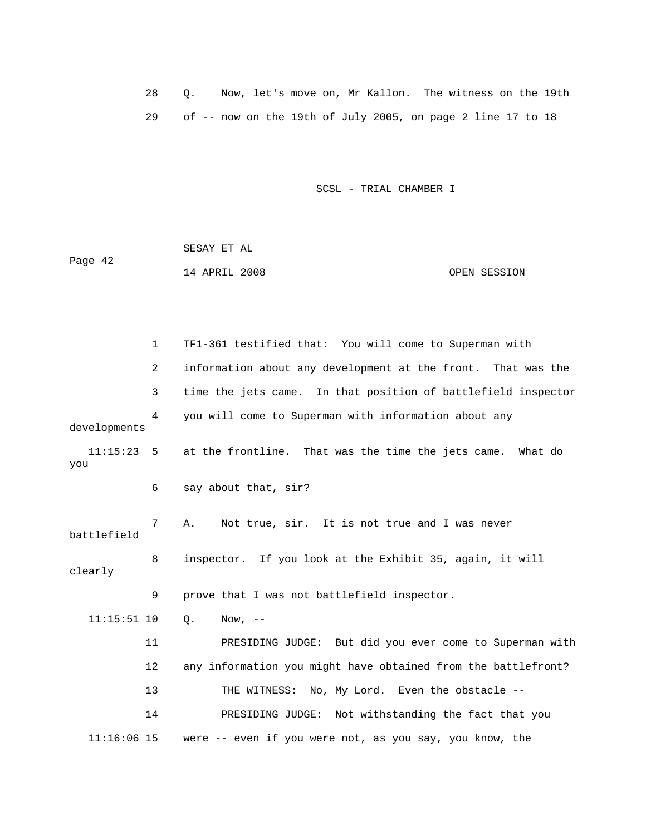28 Q. Now, let's move on, Mr Kallon. The witness on the 19th 29 of -- now on the 19th of July 2005, on page 2 line 17 to 18

SCSL - TRIAL CHAMBER I

Page 42 14 APRIL 2008 OPEN SESSION SESAY ET AL

 1 TF1-361 testified that: You will come to Superman with 2 information about any development at the front. That was the 3 time the jets came. In that position of battlefield inspector developments 11:15:23 5 at the frontline. That was the time the jets came. What do you battlefield 8 inspector. If you look at the Exhibit 35, again, it will clearly 11 PRESIDING JUDGE: But did you ever come to Superman with 12 any information you might have obtained from the battlefront? 14 PRESIDING JUDGE: Not withstanding the fact that you  $11:16:06$  15 were -- even if you were not, as you say, you know, the 4 you will come to Superman with information about any 6 say about that, sir? 7 A. Not true, sir. It is not true and I was never 9 prove that I was not battlefield inspector. 11:15:51 10 Q. Now, -- 13 THE WITNESS: No, My Lord. Even the obstacle --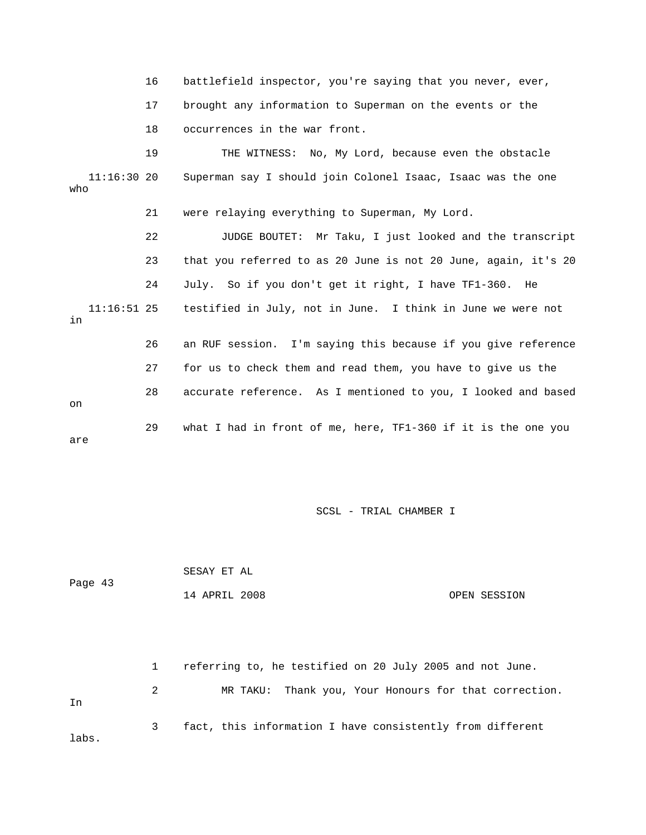|                      | 16 | battlefield inspector, you're saying that you never, ever,     |
|----------------------|----|----------------------------------------------------------------|
|                      | 17 | brought any information to Superman on the events or the       |
|                      |    |                                                                |
|                      | 18 | occurrences in the war front.                                  |
|                      | 19 | THE WITNESS: No, My Lord, because even the obstacle            |
| $11:16:30$ 20<br>who |    | Superman say I should join Colonel Isaac, Isaac was the one    |
|                      | 21 | were relaying everything to Superman, My Lord.                 |
|                      | 22 | JUDGE BOUTET: Mr Taku, I just looked and the transcript        |
|                      | 23 | that you referred to as 20 June is not 20 June, again, it's 20 |
|                      | 24 | July. So if you don't get it right, I have TF1-360. He         |
| $11:16:51$ 25<br>in  |    | testified in July, not in June. I think in June we were not    |
|                      | 26 | an RUF session. I'm saying this because if you give reference  |
|                      | 27 | for us to check them and read them, you have to give us the    |
| on                   | 28 | accurate reference. As I mentioned to you, I looked and based  |
| are                  | 29 | what I had in front of me, here, TF1-360 if it is the one you  |

| Page 43 | SESAY ET AL   |              |
|---------|---------------|--------------|
|         | 14 APRIL 2008 | OPEN SESSION |

 1 referring to, he testified on 20 July 2005 and not June. 2 MR TAKU: Thank you, Your Honours for that correction. 3 fact, this information I have consistently from different In labs.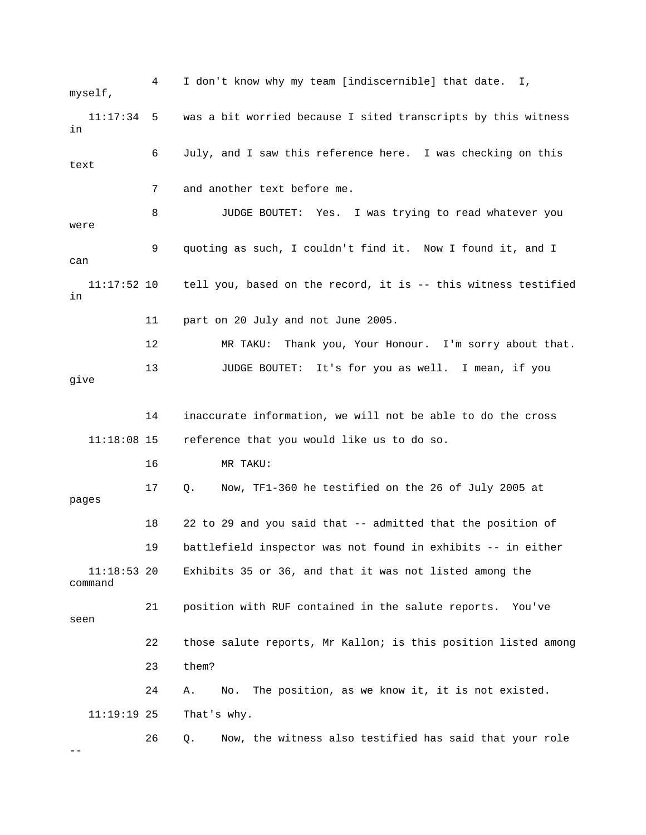4 I don't know why my team [indiscernible] that date. I, myself,  $11:17:34$  5 was a bit worried because I sited transcripts by this witness 6 July, and I saw this reference here. I was checking on this 7 and another text before me. 8 JUDGE BOUTET: Yes. I was trying to read whatever you 11 part on 20 July and not June 2005. 13 JUDGE BOUTET: It's for you as well. I mean, if you 11:18:08 15 reference that you would like us to do so. 16 MR TAKU: 18 22 to 29 and you said that -- admitted that the position of  $11:18:53$  20 Exhibits 35 or 36, and that it was not listed among the command 21 position with RUF contained in the salute reports. You've 22 those salute reports, Mr Kallon; is this position listed among 24 A. No. The position, as we know it, it is not existed. That's why. e 26 Q. Now, the witness also testified has said that your rol in text were 9 quoting as such, I couldn't find it. Now I found it, and I can 11:17:52 10 tell you, based on the record, it is -- this witness testified in 12 MR TAKU: Thank you, Your Honour. I'm sorry about that. give 14 inaccurate information, we will not be able to do the cross 17 Q. Now, TF1-360 he testified on the 26 of July 2005 at pages 19 battlefield inspector was not found in exhibits -- in either seen 23 them? 11:19:  $-$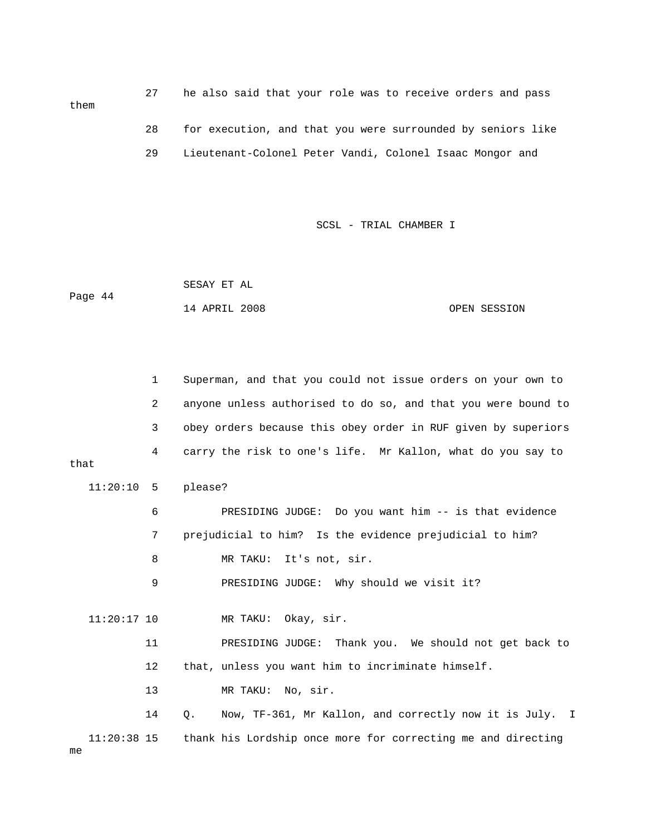27 he also said that your role was to receive orders and pass 29 Lieutenant-Colonel Peter Vandi, Colonel Isaac Mongor and 28 for execution, and that you were surrounded by seniors like

SCSL - TRIAL CHAMBER I

Page 44 14 APRIL 2008 OPEN SESSION SESAY ET AL

 1 Superman, and that you could not issue orders on your own to 2 anyone unless authorised to do so, and that you were bound to 3 obey orders because this obey order in RUF given by superiors 4 carry the risk to one's life. Mr Kallon, what do you say to that 11:20:10 5 please? MR TAKU: Okay, sir. 14 Q. Now, TF-361, Mr Kallon, and correctly now it is July. I 11:20:38 15 thank his Lordship once more for correcting me and directing 6 PRESIDING JUDGE: Do you want him -- is that evidence 7 prejudicial to him? Is the evidence prejudicial to him? 8 MR TAKU: It's not, sir. 9 PRESIDING JUDGE: Why should we visit it?  $11:20:17$  10 11 PRESIDING JUDGE: Thank you. We should not get back to 12 that, unless you want him to incriminate himself. 13 MR TAKU: No, sir.

them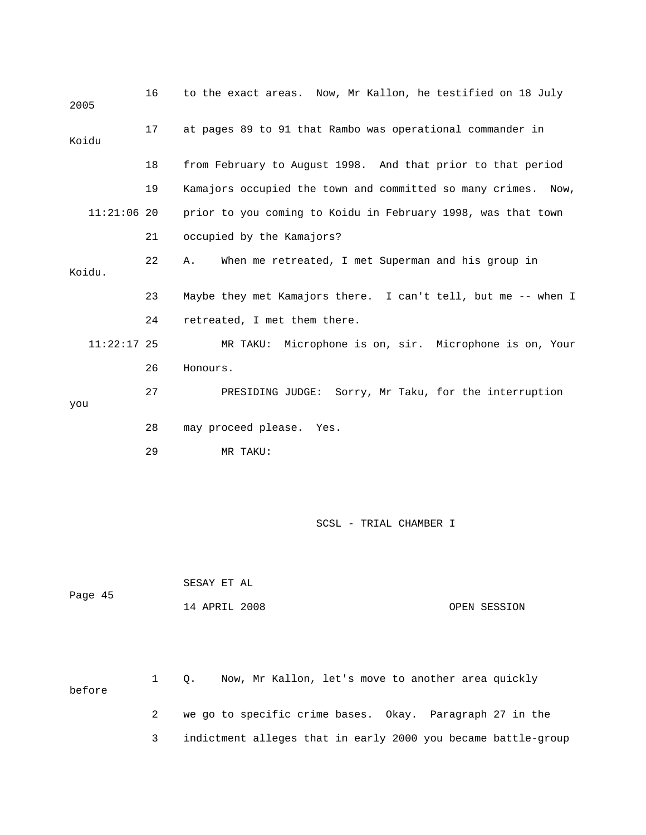| 2005  |               | 16 | to the exact areas. Now, Mr Kallon, he testified on 18 July   |
|-------|---------------|----|---------------------------------------------------------------|
| Koidu |               | 17 | at pages 89 to 91 that Rambo was operational commander in     |
|       |               | 18 | from February to August 1998. And that prior to that period   |
|       |               | 19 | Kamajors occupied the town and committed so many crimes. Now, |
|       | $11:21:06$ 20 |    | prior to you coming to Koidu in February 1998, was that town  |
|       |               | 21 | occupied by the Kamajors?                                     |
|       | Koidu.        | 22 | When me retreated, I met Superman and his group in<br>Α.      |
|       |               | 23 | Maybe they met Kamajors there. I can't tell, but me -- when I |
|       |               | 24 | retreated, I met them there.                                  |
|       | $11:22:17$ 25 |    | MR TAKU: Microphone is on, sir. Microphone is on, Your        |
|       |               | 26 | Honours.                                                      |
|       |               | 27 | PRESIDING JUDGE: Sorry, Mr Taku, for the interruption         |
| you   |               |    |                                                               |
|       |               | 28 | may proceed please. Yes.                                      |
|       |               | 29 | MR TAKU:                                                      |
|       |               |    |                                                               |

| Page 45 | SESAY ET AL   |              |
|---------|---------------|--------------|
|         | 14 APRIL 2008 | OPEN SESSION |

 1 Q. Now, Mr Kallon, let's move to another area quickly before 2 we go to specific crime bases. Okay. Paragraph 27 in the

3 indictment alleges that in early 2000 you became battle-group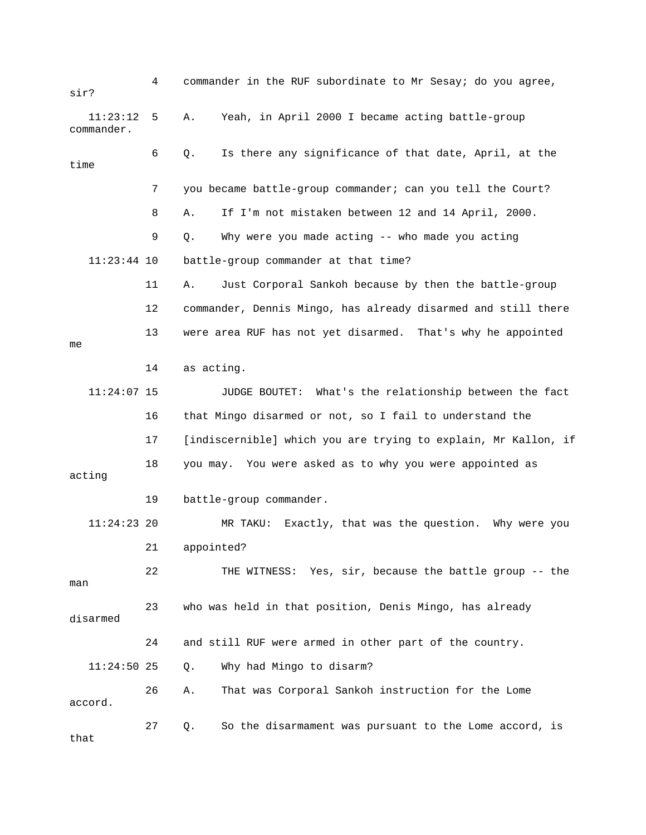4 commander in the RUF subordinate to Mr Sesay; do you agree, sir? 11:23:12 5 A. Yeah, in April 2000 I became acting battle-group 6 Q. Is there any significance of that date, April, at the battle-group commander at that time? 12 commander, Dennis Mingo, has already disarmed and still there 13 were area RUF has not yet disarmed. That's why he appointed 11:24:07 15 JUDGE BOUTET: What's the relationship between the fact acting 19 battle-group commander. man 23 who was held in that position, Denis Mingo, has already disarmed 24 and still RUF were armed in other part of the country. 26 A. That was Corporal Sankoh instruction for the Lome 27 Q. So the disarmament was pursuant to the Lome accord, is commander. time 7 you became battle-group commander; can you tell the Court? 8 A. If I'm not mistaken between 12 and 14 April, 2000. 9 Q. Why were you made acting -- who made you acting 11:23:44 11 A. Just Corporal Sankoh because by then the battle-group me 14 as acting. 16 that Mingo disarmed or not, so I fail to understand the 17 [indiscernible] which you are trying to explain, Mr Kallon, if 18 you may. You were asked as to why you were appointed as 11:24:23 20 MR TAKU: Exactly, that was the question. Why were you 21 appointed? 22 THE WITNESS: Yes, sir, because the battle group -- the 11:24:50 25 Q. Why had Mingo to disarm? accord. that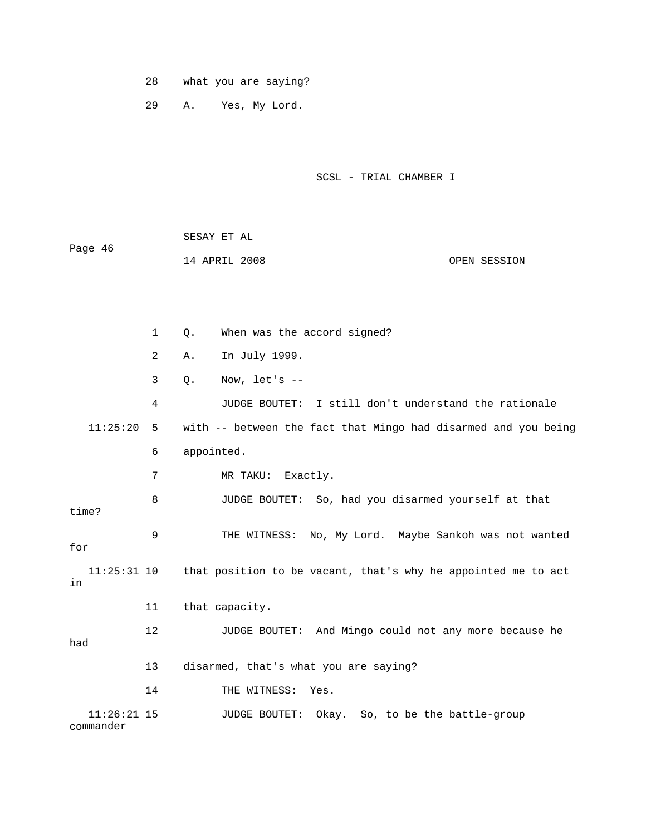28 what you are saying?

29 A. Yes, My Lord.

SCSL - TRIAL CHAMBER I

|         | SESAY ET AL   |  |              |
|---------|---------------|--|--------------|
| Page 46 |               |  |              |
|         | 14 APRIL 2008 |  | OPEN SESSION |

 1 Q. When was the accord signed? 2 A. In July 1999. 4 JUDGE BOUTET: I still don't understand the rationale 11:25:20 5 with -- between the fact that Mingo had disarmed and you being 6 appointed. 7 MR TAKU: Exactly. 8 JUDGE BOUTET: So, had you disarmed yourself at that for 11:25:31 10 that position to be vacant, that's why he appointed me to act 14 THE WITNESS: Yes. JUDGE BOUTET: Okay. So, to be the battle-group commander 3 Q. Now, let's - time? 9 THE WITNESS: No, My Lord. Maybe Sankoh was not wanted in 11 that capacity. 12 JUDGE BOUTET: And Mingo could not any more because he had 13 disarmed, that's what you are saying?  $11:26:21$  15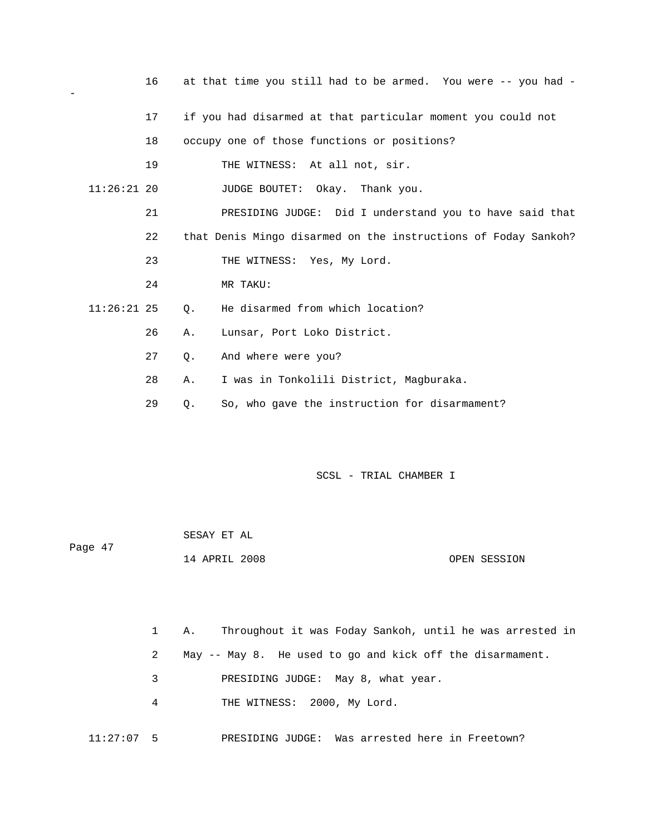|               | 16 |    | at that time you still had to be armed. You were -- you had -  |
|---------------|----|----|----------------------------------------------------------------|
|               | 17 |    | if you had disarmed at that particular moment you could not    |
|               | 18 |    | occupy one of those functions or positions?                    |
|               | 19 |    | THE WITNESS: At all not, sir.                                  |
| $11:26:21$ 20 |    |    | JUDGE BOUTET: Okay. Thank you.                                 |
|               | 21 |    | PRESIDING JUDGE: Did I understand you to have said that        |
|               | 22 |    | that Denis Mingo disarmed on the instructions of Foday Sankoh? |
|               | 23 |    | THE WITNESS: Yes, My Lord.                                     |
|               | 24 |    | MR TAKU:                                                       |
| $11:26:21$ 25 |    | Q. | He disarmed from which location?                               |
|               | 26 | Α. | Lunsar, Port Loko District.                                    |
|               | 27 | Q. | And where were you?                                            |
|               | 28 | Α. | I was in Tonkolili District, Magburaka.                        |
|               | 29 | О. | So, who gave the instruction for disarmament?                  |

 $\equiv$ 

SCSL - TRIAL CHAMBER I

| Page 47 | SESAY ET AL   |  |              |
|---------|---------------|--|--------------|
|         | 14 APRIL 2008 |  | OPEN SESSION |

|             | Throughout it was Foday Sankoh, until he was arrested in<br>1 A. |
|-------------|------------------------------------------------------------------|
| 2           | May -- May 8. He used to go and kick off the disarmament.        |
| $3^{\circ}$ | PRESIDING JUDGE: May 8, what year.                               |
| 4           | THE WITNESS: 2000, My Lord.                                      |
|             |                                                                  |

11:27:07 5 PRESIDING JUDGE: Was arrested here in Freetown?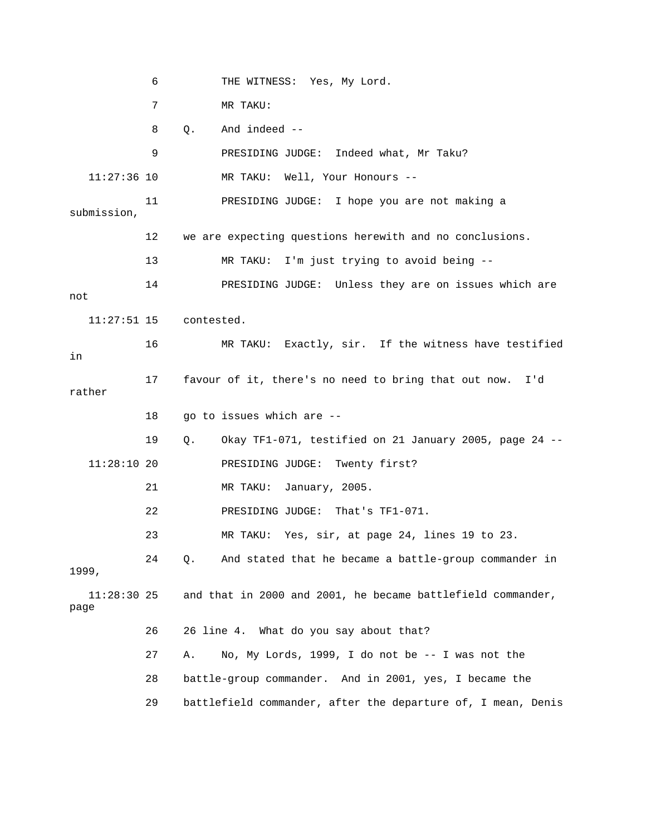6 THE WITNESS: Yes, My Lord. 7 MR TAKU: 9 PRESIDING JUDGE: Indeed what, Mr Taku? 11 PRESIDING JUDGE: I hope you are not making a submission, 12 we are expecting questions herewith and no conclusions. 13 MR TAKU: I'm just trying to avoid being -- 14 PRESIDING JUDGE: Unless they are on issues which are 16 MR TAKU: Exactly, sir. If the witness have testified 17 favour of it, there's no need to bring that out now. I'd rather F1-071, testified on 21 January 2005, page 24 -- 19 Q. Okay T 21 MR TAKU: January, 2005. 22 PRESIDING JUDGE: That's TF1-071. 23 MR TAKU: Yes, sir, at page 24, lines 19 to 23. 99, 19  $11:28:30$  25 and that in 2000 and 2001, he became battlefield commander, 29 battlefield commander, after the departure of, I mean, Denis 8 Q. And indeed -- 11:27:36 10 MR TAKU: Well, Your Honours - not 11:27:51 15 contested. in 18 go to issues which are -- 11:28:10 20 PRESIDING JUDGE: Twenty first? 24 Q. And stated that he became a battle-group commander in page 26 26 line 4. What do you say about that? 27 A. No, My Lords, 1999, I do not be -- I was not the 28 battle-group commander. And in 2001, yes, I became the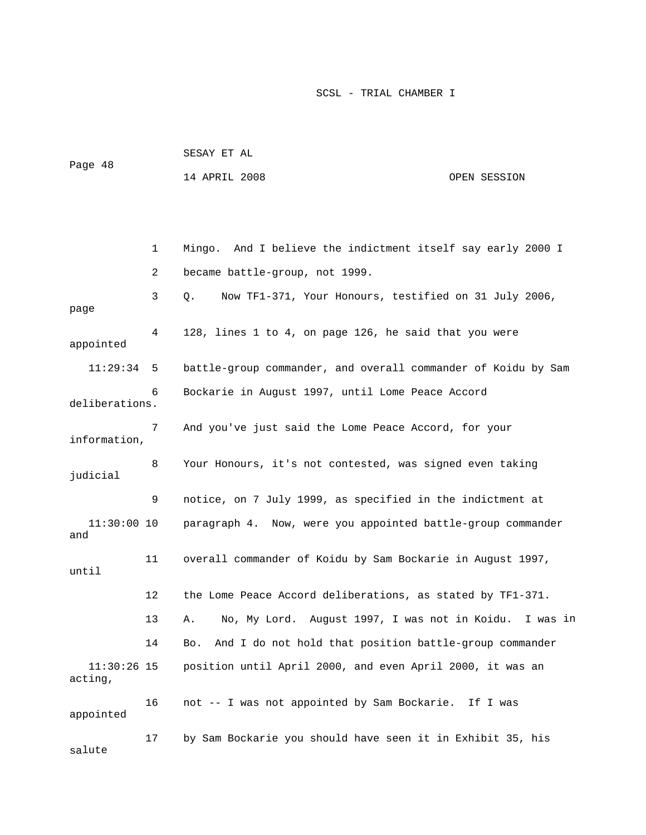| Page 48 | SESAY ET AL   |  |              |
|---------|---------------|--|--------------|
|         | 14 APRIL 2008 |  | OPEN SESSION |

 1 Mingo. And I believe the indictment itself say early 2000 I 3 Q. Now TF1-371, Your Honours, testified on 31 July 2006, page 4 128, lines 1 to 4, on page 126, he said that you were appointed 6 Bockarie in August 1997, until Lome Peace Accord deliberations. 7 And you've just said the Lome Peace Accord, for your information, 8 Your Honours, it's not contested, was signed even taking judicial 9 notice, on 7 July 1999, as specified in the indictment at 11:30:00 10 paragraph 4. Now, were you appointed battle-group commander and 1997, 11 overall commander of Koidu by Sam Bockarie in August until . 12 the Lome Peace Accord deliberations, as stated by TF1-371 13 A. No, My Lord. August 1997, I was not in Koidu. I was in position until April 2000, and even April 2000, it was an 16 not -- I was not appointed by Sam Bockarie. If I was salute 2 became battle-group, not 1999. 11:29:34 5 battle-group commander, and overall commander of Koidu by Sam 14 Bo. And I do not hold that position battle-group commander  $11:30:26$  15 acting, appointed 17 by Sam Bockarie you should have seen it in Exhibit 35, his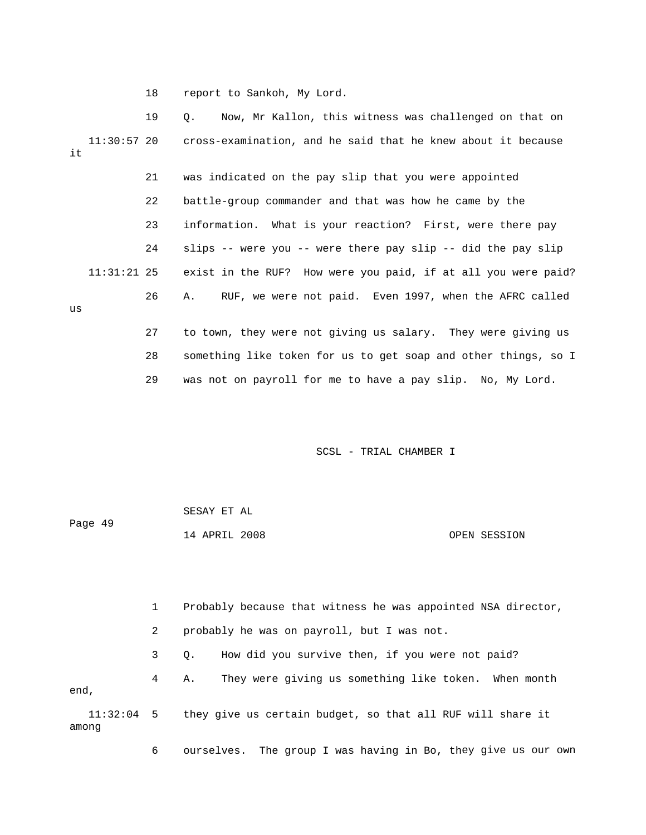18 report to Sankoh, My Lord.

 19 Q. Now, Mr Kallon, this witness was challenged on that on 11:30:57 20 cross-examination, and he said that he knew about it because 22 battle-group commander and that was how he came by the 23 information. What is your reaction? First, were there pay 24 slips -- were you -- were there pay slip -- did the pay slip exist in the RUF? How were you paid, if at all you were paid? 26 A. RUF, we were not paid. Even 1997, when the AFRC called 27 to town, they were not giving us salary. They were giving us 28 something like token for us to get soap and other things, so I it 21 was indicated on the pay slip that you were appointed  $11:31:21$  25 us

29 was not on payroll for me to have a pay slip. No, My Lord.

SCSL - TRIAL CHAMBER I

|         | SESAY ET AL   |              |
|---------|---------------|--------------|
| Page 49 |               |              |
|         | 14 APRIL 2008 | OPEN SESSION |

 1 Probably because that witness he was appointed NSA director, 2 probably he was on payroll, but I was not.

3 Q. How did you survive then, if you were not paid?

 4 A. They were giving us something like token. When month end,

 11:32:04 5 they give us certain budget, so that all RUF will share it among

6 ourselves. The group I was having in Bo, they give us our own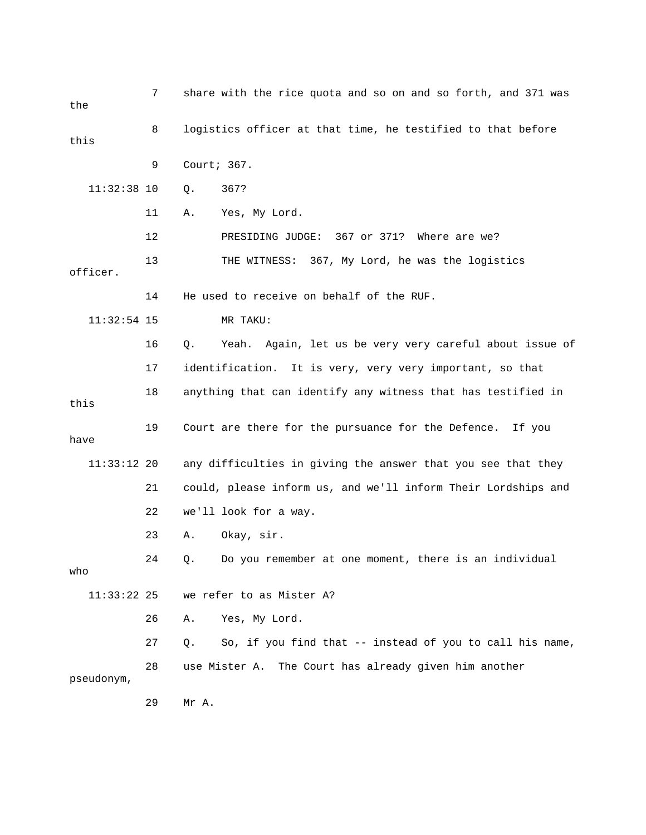| the           | 7  | share with the rice quota and so on and so forth, and 371 was  |  |  |
|---------------|----|----------------------------------------------------------------|--|--|
| this          | 8  | logistics officer at that time, he testified to that before    |  |  |
|               | 9  | Court; 367.                                                    |  |  |
| $11:32:38$ 10 |    | 367?<br>Q.                                                     |  |  |
|               | 11 | Yes, My Lord.<br>Α.                                            |  |  |
|               | 12 | PRESIDING JUDGE: 367 or 371? Where are we?                     |  |  |
| officer.      | 13 | THE WITNESS: 367, My Lord, he was the logistics                |  |  |
|               | 14 | He used to receive on behalf of the RUF.                       |  |  |
| $11:32:54$ 15 |    | MR TAKU:                                                       |  |  |
|               | 16 | Yeah. Again, let us be very very careful about issue of<br>Q.  |  |  |
|               | 17 | identification. It is very, very very important, so that       |  |  |
| this          | 18 | anything that can identify any witness that has testified in   |  |  |
| have          | 19 | Court are there for the pursuance for the Defence. If you      |  |  |
| 11:33:12 20   |    | any difficulties in giving the answer that you see that they   |  |  |
|               | 21 | could, please inform us, and we'll inform Their Lordships and  |  |  |
|               | 22 | we'll look for a way.                                          |  |  |
|               | 23 | Okay, sir.<br>Α.                                               |  |  |
| who           | 24 | Do you remember at one moment, there is an individual<br>Q.    |  |  |
| $11:33:22$ 25 |    | we refer to as Mister A?                                       |  |  |
|               | 26 | Yes, My Lord.<br>Α.                                            |  |  |
|               | 27 | So, if you find that -- instead of you to call his name,<br>Q. |  |  |
| pseudonym,    | 28 | use Mister A. The Court has already given him another          |  |  |
|               | 29 | Mr A.                                                          |  |  |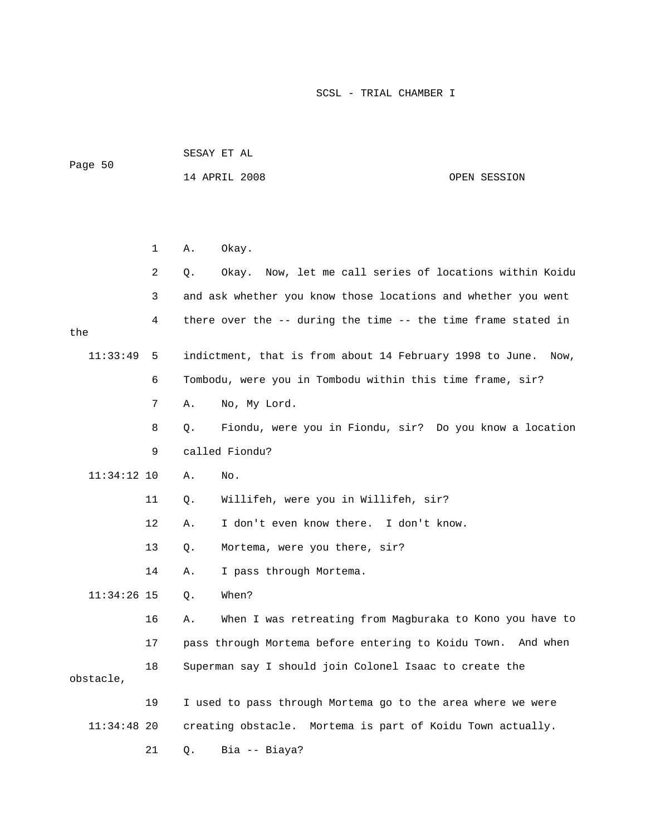| Page 50       |              |    | 14 APRIL 2008<br>OPEN SESSION                                    |
|---------------|--------------|----|------------------------------------------------------------------|
|               |              |    |                                                                  |
|               | $\mathbf{1}$ | Α. | Okay.                                                            |
|               | 2            | Q. | Now, let me call series of locations within Koidu<br>Okay.       |
|               | 3            |    | and ask whether you know those locations and whether you went    |
| the           | 4            |    | there over the -- during the time -- the time frame stated in    |
| 11:33:49      | 5            |    | indictment, that is from about 14 February 1998 to June.<br>Now, |
|               | 6            |    | Tombodu, were you in Tombodu within this time frame, sir?        |
|               | 7            | Α. | No, My Lord.                                                     |
|               | 8            | Q. | Fiondu, were you in Fiondu, sir? Do you know a location          |
|               | 9            |    | called Fiondu?                                                   |
| $11:34:12$ 10 |              | Α. | No.                                                              |
|               | 11           | Q. | Willifeh, were you in Willifeh, sir?                             |
|               | 12           | Α. | I don't even know there. I don't know.                           |
|               | 13           | Q. | Mortema, were you there, sir?                                    |
|               | 14           | Α. | I pass through Mortema.                                          |
| $11:34:26$ 15 |              | Q. | When?                                                            |

SESAY ET AL

16 A. When I was retreating from Magburaka to Kono you have to 17 pass through Mortema before entering to Koidu Town. And when 18 Superman say I should join Colonel Isaac to create the obstacle, 19 I used to pass through Mortema go to the area where we were

 11:34:48 20 creating obstacle. Mortema is part of Koidu Town actually. 21 Q. Bia -- Biaya?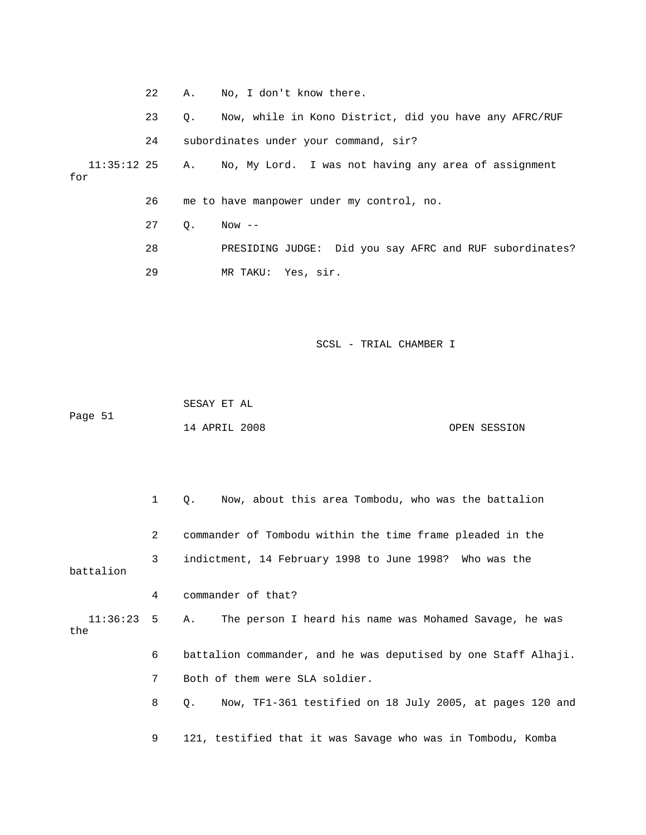|                                                                            | 22 | A.,         | No, I don't know there.                                 |  |
|----------------------------------------------------------------------------|----|-------------|---------------------------------------------------------|--|
|                                                                            | 23 | $Q_{\star}$ | Now, while in Kono District, did you have any AFRC/RUF  |  |
|                                                                            | 24 |             | subordinates under your command, sir?                   |  |
| 11:35:12 25 A. No, My Lord. I was not having any area of assignment<br>for |    |             |                                                         |  |
|                                                                            | 26 |             | me to have manpower under my control, no.               |  |
|                                                                            | 27 | Q.          | $Now --$                                                |  |
|                                                                            | 28 |             | PRESIDING JUDGE: Did you say AFRC and RUF subordinates? |  |
|                                                                            | 29 |             | MR TAKU: Yes, sir.                                      |  |
|                                                                            |    |             |                                                         |  |

 SESAY ET AL Page 51

14 APRIL 2008 OPEN SESSION

 1 Q. Now, about this area Tombodu, who was the battalion 2 commander of Tombodu within the time frame pleaded in the battalion 4 commander of that? s 11:36:23 5 A. The person I heard his name was Mohamed Savage, he wa 6 battalion commander, and he was deputised by one Staff Alhaji. 8 Q. Now, TF1-361 testified on 18 July 2005, at pages 120 and 3 indictment, 14 February 1998 to June 1998? Who was the the 7 Both of them were SLA soldier. 9 121, testified that it was Savage who was in Tombodu, Komba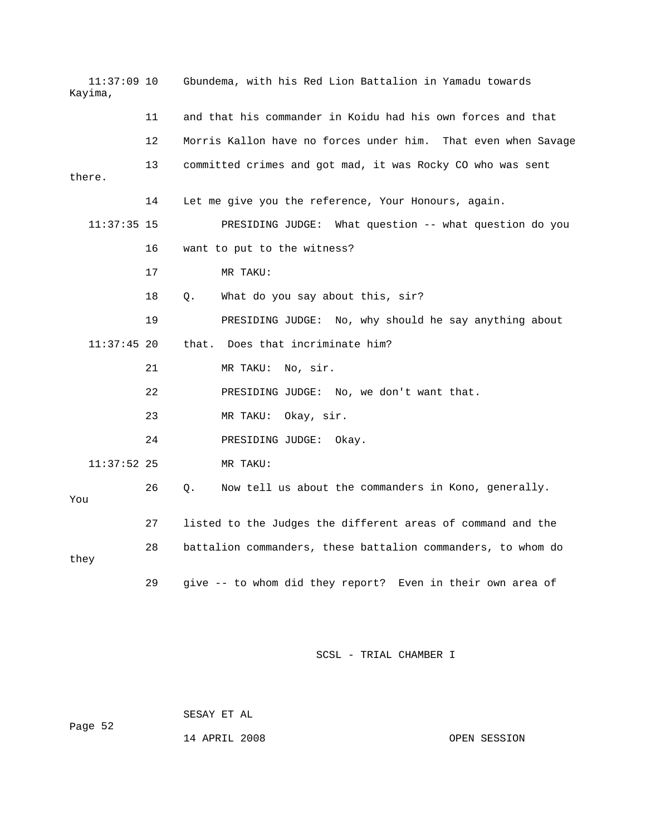| 11:37:09 10<br>Kayima, |    | Gbundema, with his Red Lion Battalion in Yamadu towards       |  |  |
|------------------------|----|---------------------------------------------------------------|--|--|
|                        | 11 | and that his commander in Koidu had his own forces and that   |  |  |
|                        | 12 | Morris Kallon have no forces under him. That even when Savage |  |  |
| there.                 | 13 | committed crimes and got mad, it was Rocky CO who was sent    |  |  |
|                        | 14 | Let me give you the reference, Your Honours, again.           |  |  |
| $11:37:35$ 15          |    | PRESIDING JUDGE: What question -- what question do you        |  |  |
|                        | 16 | want to put to the witness?                                   |  |  |
|                        | 17 | MR TAKU:                                                      |  |  |
|                        | 18 | What do you say about this, sir?<br>Q.                        |  |  |
|                        | 19 | PRESIDING JUDGE: No, why should he say anything about         |  |  |
| $11:37:45$ 20          |    | that. Does that incriminate him?                              |  |  |
|                        | 21 | MR TAKU:<br>No, sir.                                          |  |  |
|                        | 22 | PRESIDING JUDGE: No, we don't want that.                      |  |  |
|                        | 23 | MR TAKU: Okay, sir.                                           |  |  |
|                        | 24 | PRESIDING JUDGE:<br>Okay.                                     |  |  |
| $11:37:52$ 25          |    | MR TAKU:                                                      |  |  |
| You                    | 26 | Now tell us about the commanders in Kono, generally.<br>Q.    |  |  |
|                        | 27 | listed to the Judges the different areas of command and the   |  |  |
| they                   | 28 | battalion commanders, these battalion commanders, to whom do  |  |  |
|                        | 29 | give -- to whom did they report? Even in their own area of    |  |  |

 SESAY ET AL ge 52 Pa

14 APRIL 2008 OPEN SESSION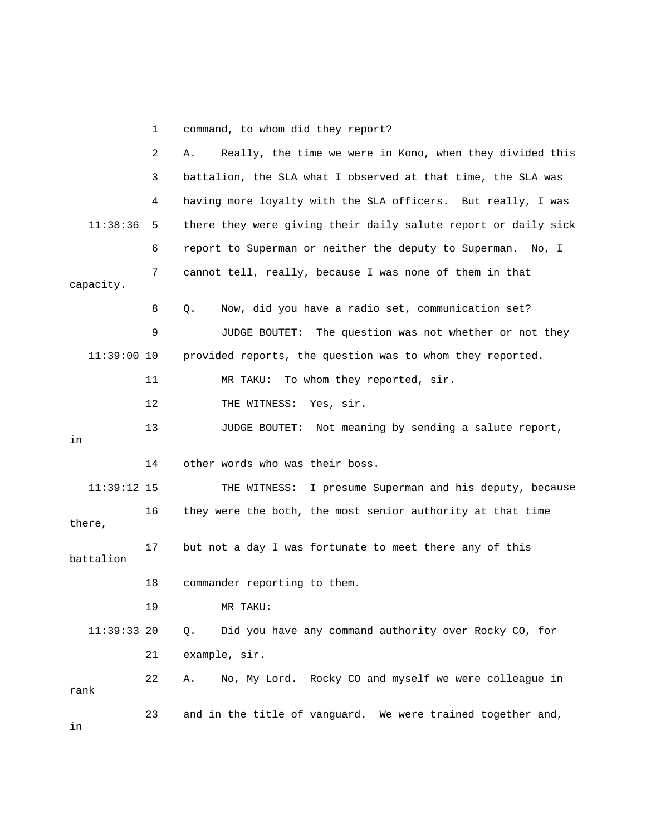1 command, to whom did they report?

|               | 2  | Really, the time we were in Kono, when they divided this<br>Α.  |
|---------------|----|-----------------------------------------------------------------|
|               | 3  | battalion, the SLA what I observed at that time, the SLA was    |
|               | 4  | having more loyalty with the SLA officers. But really, I was    |
| 11:38:36      | 5  | there they were giving their daily salute report or daily sick  |
|               | 6  | report to Superman or neither the deputy to Superman. No, I     |
| capacity.     | 7  | cannot tell, really, because I was none of them in that         |
|               | 8  | Now, did you have a radio set, communication set?<br>Q.         |
|               | 9  | JUDGE BOUTET:<br>The question was not whether or not they       |
| $11:39:00$ 10 |    | provided reports, the question was to whom they reported.       |
|               | 11 | To whom they reported, sir.<br>MR TAKU:                         |
|               | 12 | THE WITNESS: Yes, sir.                                          |
| in            | 13 | Not meaning by sending a salute report,<br><b>JUDGE BOUTET:</b> |
|               | 14 | other words who was their boss.                                 |
| $11:39:12$ 15 |    | THE WITNESS: I presume Superman and his deputy, because         |
| there,        | 16 | they were the both, the most senior authority at that time      |
| battalion     | 17 | but not a day I was fortunate to meet there any of this         |
|               | 18 | commander reporting to them.                                    |
|               | 19 | MR TAKU:                                                        |
| $11:39:33$ 20 |    | Did you have any command authority over Rocky CO, for<br>Q.     |
|               | 21 | example, sir.                                                   |
| rank          | 22 | No, My Lord. Rocky CO and myself we were colleague in<br>Α.     |
| in            | 23 | and in the title of vanguard. We were trained together and,     |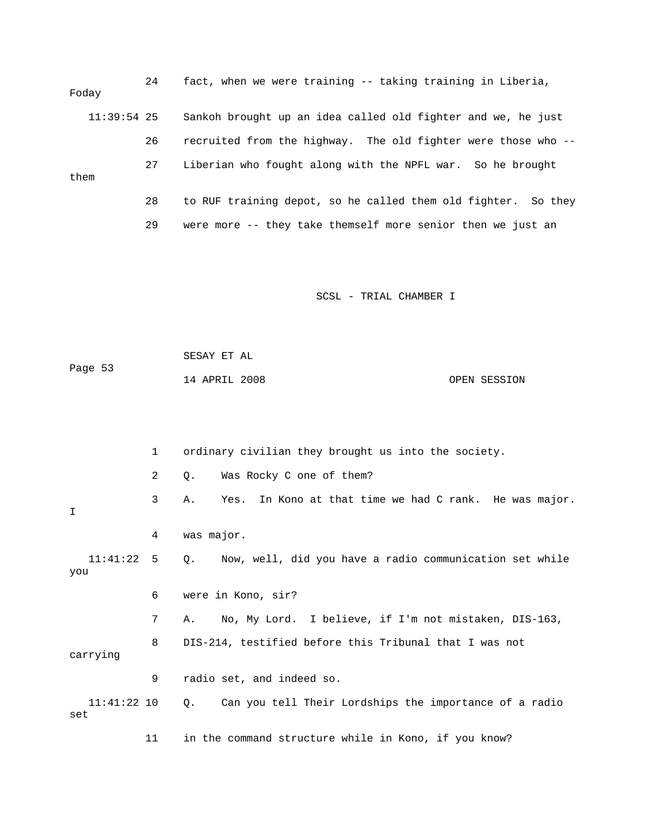| Foday         | 24 | fact, when we were training -- taking training in Liberia,       |
|---------------|----|------------------------------------------------------------------|
| $11:39:54$ 25 |    | Sankoh brought up an idea called old fighter and we, he just     |
|               | 26 | recruited from the highway. The old fighter were those who --    |
| them          | 27 | Liberian who fought along with the NPFL war. So he brought       |
|               | 28 | to RUF training depot, so he called them old fighter.<br>So they |
|               | 29 | were more -- they take themself more senior then we just an      |

|         | SESAY ET AL   |  |              |
|---------|---------------|--|--------------|
| Page 53 |               |  |              |
|         | 14 APRIL 2008 |  | OPEN SESSION |

|                      | 1  | ordinary civilian they brought us into the society.                       |
|----------------------|----|---------------------------------------------------------------------------|
|                      | 2  | Was Rocky C one of them?<br>Q.                                            |
| I                    | 3  | In Kono at that time we had C rank. He was major.<br>Yes.<br>Α.           |
|                      | 4  | was major.                                                                |
| $11:41:22$ 5<br>you  |    | Now, well, did you have a radio communication set while<br>Q <sub>z</sub> |
|                      | 6  | were in Kono, sir?                                                        |
|                      | 7  | No, My Lord. I believe, if I'm not mistaken, DIS-163,<br>А.               |
| carrying             | 8  | DIS-214, testified before this Tribunal that I was not                    |
|                      | 9  | radio set, and indeed so.                                                 |
| $11:41:22$ 10<br>set |    | Can you tell Their Lordships the importance of a radio<br>Q.              |
|                      | 11 | in the command structure while in Kono, if you know?                      |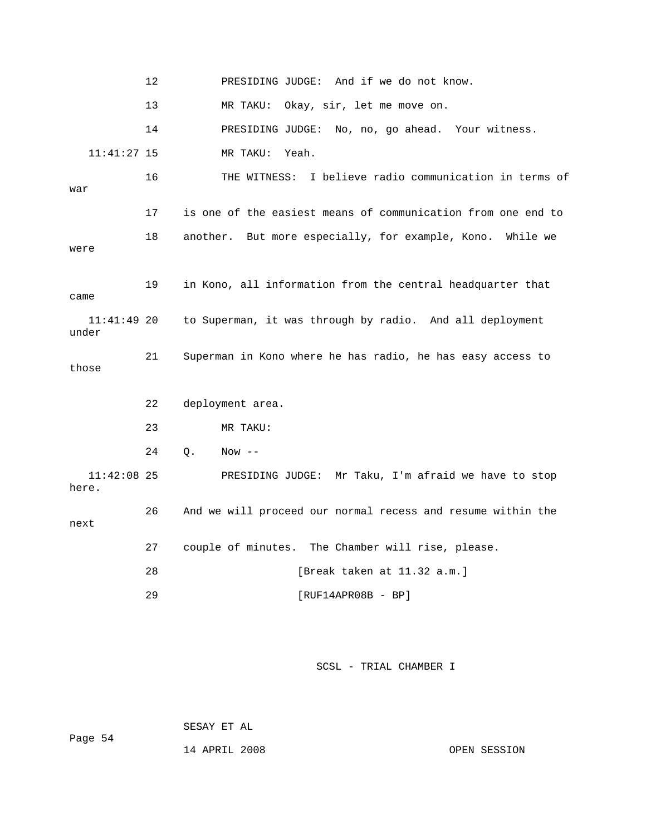12 PRESIDING JUDGE: And if we do not know. 13 MR TAKU: Okay, sir, let me move on. MR TAKU: Yeah. 16 THE WITNESS: I believe radio communication in terms of war 17 is one of the easiest means of communication from one end to 18 another. But more especially, for example, Kono. While we 19 in Kono, all information from the central headquarter that 11:41:49 20 to Superman, it was through by radio. And all deployment 23 MR TAKU: 26 And we will proceed our normal recess and resume within the 27 couple of minutes. The Chamber will rise, please. [Break taken at 11.32 a.m.] 14 PRESIDING JUDGE: No, no, go ahead. Your witness.  $11:41:27$  15 were came under 21 Superman in Kono where he has radio, he has easy access to those 22 deployment area. 24 Q. Now -- 11:42:08 25 PRESIDING JUDGE: Mr Taku, I'm afraid we have to stop here. next 28 29 [RUF14APR08B - BP]

SCSL - TRIAL CHAMBER I

SESAY ET AL

Page 54

14 APRIL 2008 OPEN SESSION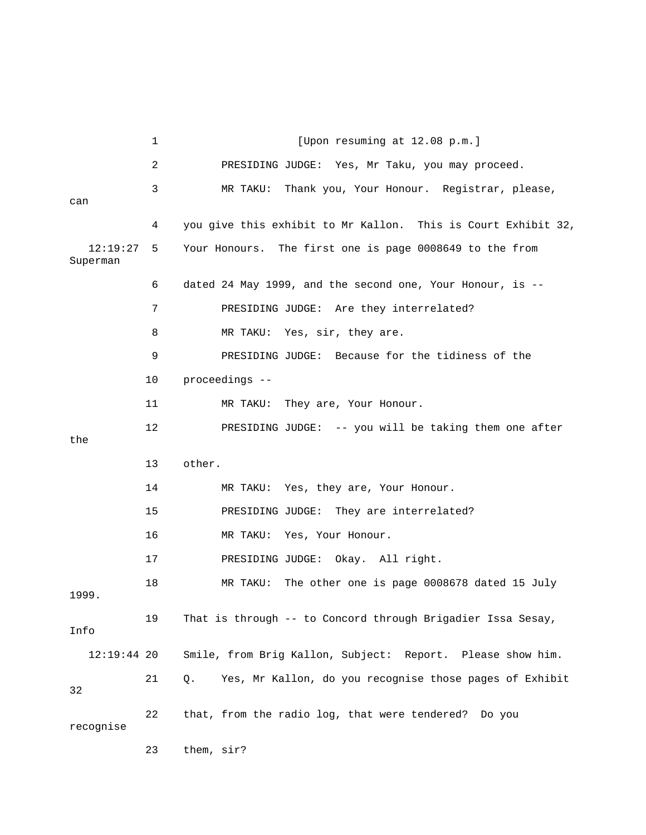|                      | 1  | [Upon resuming at 12.08 p.m.]                                 |
|----------------------|----|---------------------------------------------------------------|
|                      | 2  | PRESIDING JUDGE: Yes, Mr Taku, you may proceed.               |
| can                  | 3  | Thank you, Your Honour. Registrar, please,<br>MR TAKU:        |
|                      | 4  | you give this exhibit to Mr Kallon. This is Court Exhibit 32, |
| 12:19:27<br>Superman | 5  | Your Honours. The first one is page 0008649 to the from       |
|                      | 6  | dated 24 May 1999, and the second one, Your Honour, is --     |
|                      | 7  | PRESIDING JUDGE: Are they interrelated?                       |
|                      | 8  | MR TAKU: Yes, sir, they are.                                  |
|                      | 9  | PRESIDING JUDGE: Because for the tidiness of the              |
|                      | 10 | proceedings --                                                |
|                      | 11 | They are, Your Honour.<br>MR TAKU:                            |
| the                  | 12 | PRESIDING JUDGE: -- you will be taking them one after         |
|                      | 13 | other.                                                        |
|                      | 14 | MR TAKU: Yes, they are, Your Honour.                          |
|                      | 15 | PRESIDING JUDGE: They are interrelated?                       |
|                      | 16 | Yes, Your Honour.<br>MR TAKU:                                 |
|                      | 17 | Okay. All right.<br>PRESIDING JUDGE:                          |
| 1999.                | 18 | The other one is page 0008678 dated 15 July<br>MR TAKU:       |
| Info                 | 19 | That is through -- to Concord through Brigadier Issa Sesay,   |
| $12:19:44$ 20        |    | Smile, from Brig Kallon, Subject: Report. Please show him.    |
| 32                   | 21 | Yes, Mr Kallon, do you recognise those pages of Exhibit<br>Q. |
| recognise            | 22 | that, from the radio log, that were tendered? Do you          |

23 them, sir?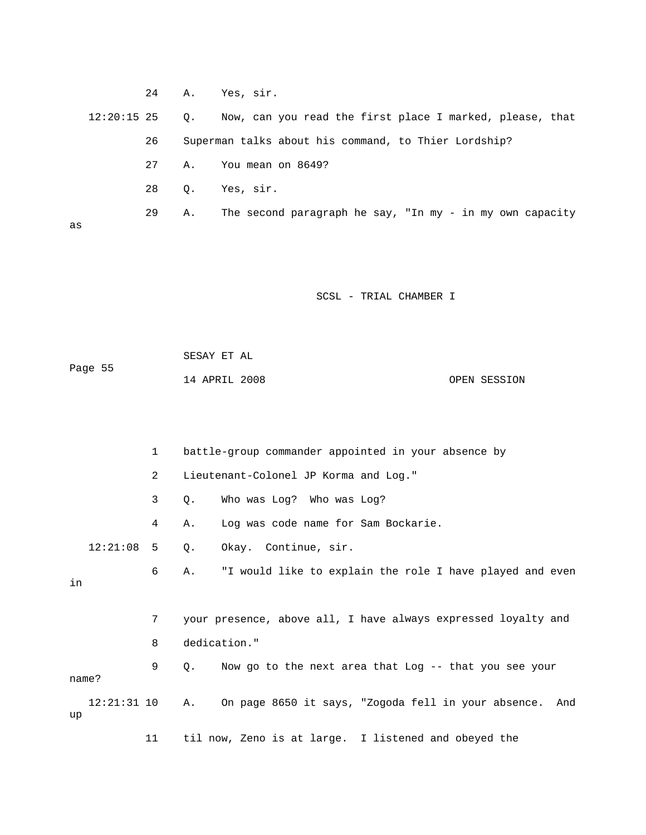|               | 24 |           | A. Yes, sir.                                             |
|---------------|----|-----------|----------------------------------------------------------|
| $12:20:15$ 25 |    | $\circ$ . | Now, can you read the first place I marked, please, that |
|               | 26 |           | Superman talks about his command, to Thier Lordship?     |
|               | 27 | Α.        | You mean on 8649?                                        |
|               | 28 | О.        | Yes, sir.                                                |
| as            | 29 | Α.        | The second paragraph he say, "In my - in my own capacity |

 SESAY ET AL ge 55 14 APRIL 2008 OPEN SESSION Pa

|    |               | $\mathbf{1}$   | battle-group commander appointed in your absence by                  |
|----|---------------|----------------|----------------------------------------------------------------------|
|    |               | $\overline{2}$ | Lieutenant-Colonel JP Korma and Log."                                |
|    |               | 3              | Who was Log? Who was Log?<br>Q.                                      |
|    |               | 4              | Log was code name for Sam Bockarie.<br>Α.                            |
|    | $12:21:08$ 5  |                | Okay. Continue, sir.<br>Q.                                           |
| in |               | 6              | "I would like to explain the role I have played and even<br>Α.       |
|    |               | 7              | your presence, above all, I have always expressed loyalty and        |
|    |               | 8              | dedication."                                                         |
|    | name?         | 9              | Now go to the next area that Log -- that you see your<br>$Q_{\star}$ |
| up | $12:21:31$ 10 |                | On page 8650 it says, "Zogoda fell in your absence.<br>Α.<br>And     |
|    |               | 11             | til now, Zeno is at large. I listened and obeyed the                 |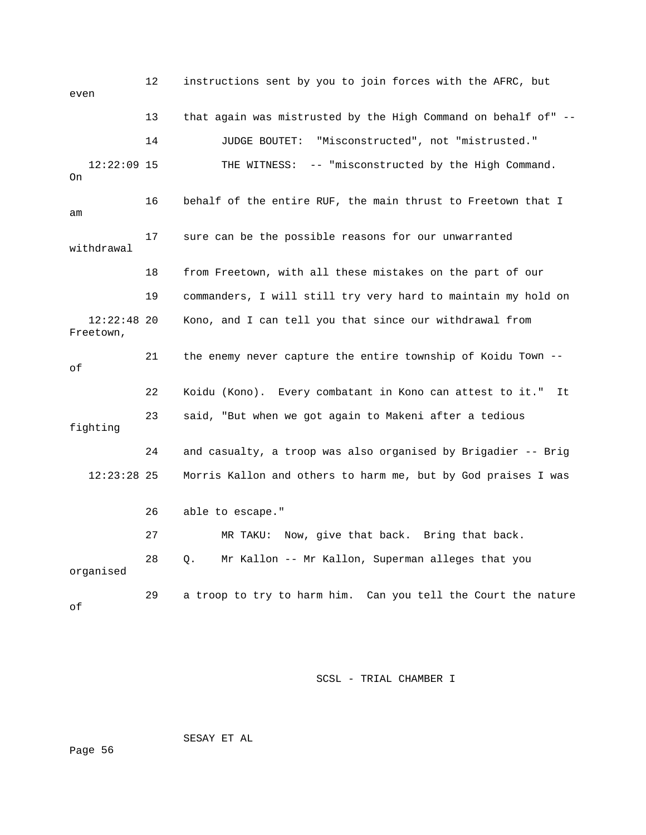12 instructions sent by you to join forces with the AFRC, but 13 that again was mistrusted by the High Command on behalf of" --12:22:09 15 THE WITNESS: -- "misconstructed by the High Command. withdrawal 19 commanders, I will still try very hard to maintain my hold on Freetown, 21 the enemy never capture the entire township of Koidu Town --22 Koidu (Kono). Every combatant in Kono can attest to it." It fighting 24 and casualty, a troop was also organised by Brigadier -- Brig 28 Q. Mr Kallon -- Mr Kallon, Superman alleges that you even 14 JUDGE BOUTET: "Misconstructed", not "mistrusted." On 16 behalf of the entire RUF, the main thrust to Freetown that I am 17 sure can be the possible reasons for our unwarranted 18 from Freetown, with all these mistakes on the part of our 12:22:48 20 Kono, and I can tell you that since our withdrawal from of 23 said, "But when we got again to Makeni after a tedious 12:23:28 25 Morris Kallon and others to harm me, but by God praises I was 26 able to escape." 27 MR TAKU: Now, give that back. Bring that back. organised 29 a troop to try to harm him. Can you tell the Court the nature of

SCSL - TRIAL CHAMBER I

SESAY ET AL

Page 56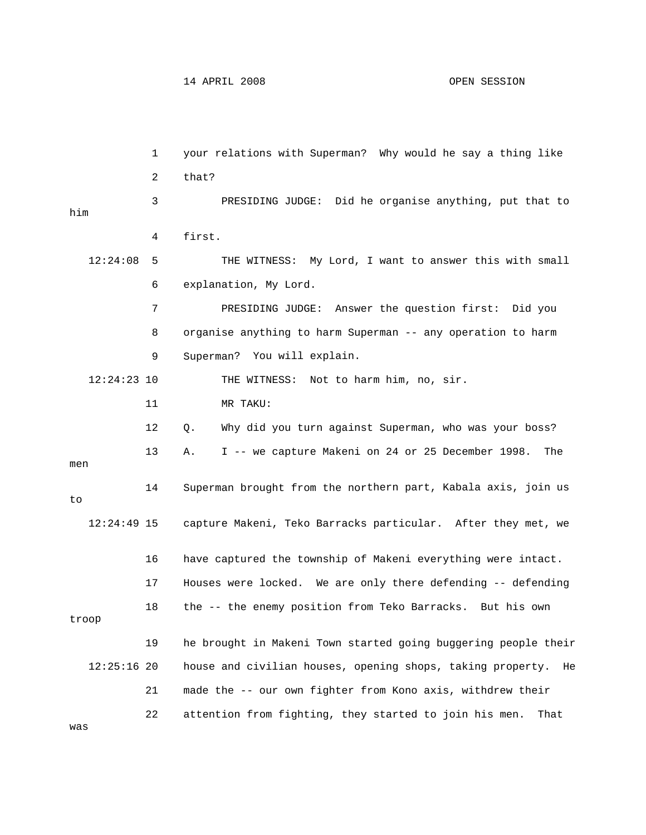1 your relations with Superman? Why would he say a thing like at to 3 PRESIDING JUDGE: Did he organise anything, put th him 4 first. 12:24:08 5 THE WITNESS: My Lord, I want to answer this with small 6 explanation, My Lord. 8 organise anything to harm Superman -- any operation to harm 9 Superman? You will explain. men 14 Superman brought from the northern part, Kabala axis, join us 12:24:49 15 capture Makeni, Teko Barracks particular. After they met, we 17 Houses were locked. We are only there defending -- defending troop 12:25:16 20 house and civilian houses, opening shops, taking property. He 21 made the -- our own fighter from Kono axis, withdrew their 22 attention from fighting, they started to join his men. That 2 that? 7 PRESIDING JUDGE: Answer the question first: Did you 12:24:23 10 THE WITNESS: Not to harm him, no, sir. 11 MR TAKU: 12 Q. Why did you turn against Superman, who was your boss? 13 A. I -- we capture Makeni on 24 or 25 December 1998. The to 16 have captured the township of Makeni everything were intact. 18 the -- the enemy position from Teko Barracks. But his own 19 he brought in Makeni Town started going buggering people their was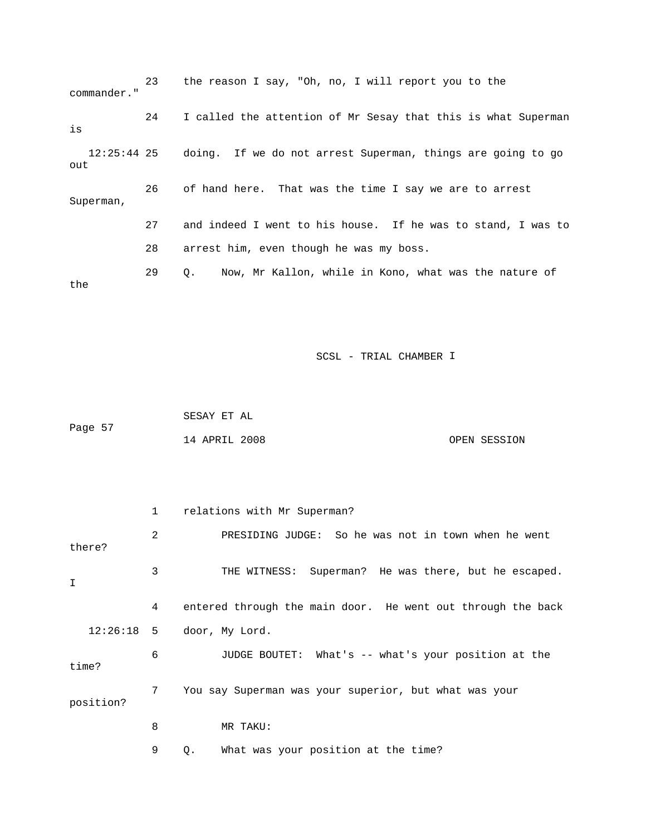23 the reason I say, "Oh, no, I will report you to the commander." 24 I called the attention of Mr Sesay that this is what Superman is 12:25:44 25 doing. If we do not arrest Superman, things are going to go out 26 of hand here. That was the time I say we are to arre st Superman, 28 arrest him, even though he was my boss. 29 Q. Now, Mr Kallon, while in Kono, what was the nature of the 27 and indeed I went to his house. If he was to stand, I was to

SCSL - TRIAL CHAMBER I

 SESAY ET AL Page 57 14 APRIL 2008 OPEN SESSION

|           | $\mathbf{1}$ | relations with Mr Superman?                                 |
|-----------|--------------|-------------------------------------------------------------|
| there?    | 2            | PRESIDING JUDGE: So he was not in town when he went         |
| I         | 3            | THE WITNESS: Superman? He was there, but he escaped.        |
|           | 4            | entered through the main door. He went out through the back |
|           |              | $12:26:18$ 5 door, My Lord.                                 |
| time?     | 6            | JUDGE BOUTET: What's -- what's your position at the         |
| position? | $7^{\circ}$  | You say Superman was your superior, but what was your       |
|           | 8            | MR TAKU:                                                    |
|           | 9            | What was your position at the time?<br>Q.                   |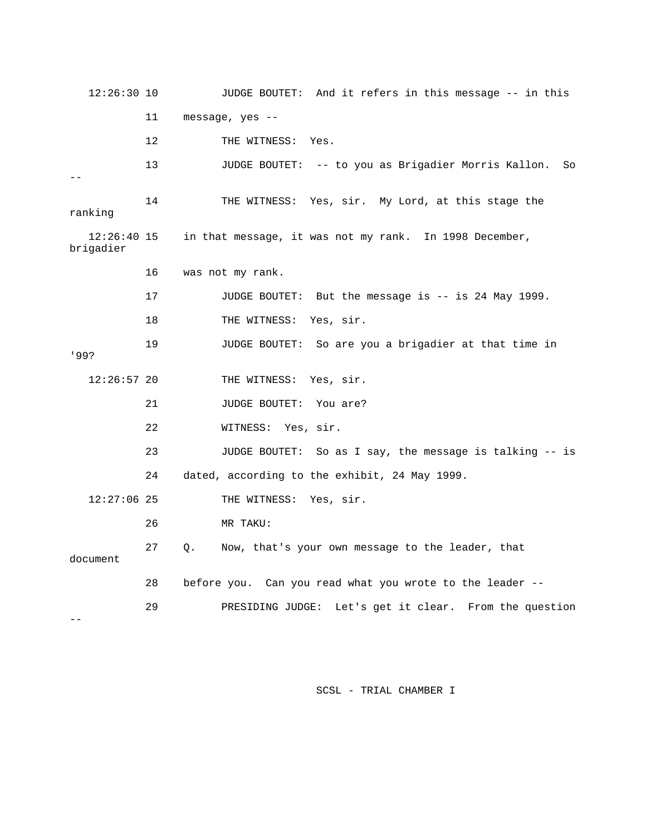12:26:30 10 JUDGE BOUTET: And it refers in this message -- in this 12 THE WITNESS: Yes. 13 JUDGE BOUTET: -- to you as Brigadier Morris Kallon. So ranking  $12:26:40$  15 in that message, it was not my rank. In 1998 December, 17 JUDGE BOUTET: But the message is -- is 24 May 1999. 18 THE WITNESS: Yes, sir. 19 JUDGE BOUTET: So are you a brigadier at that time in 12:26:57 20 THE WITNESS: Yes, sir. 23 JUDGE BOUTET: So as I say, the message is talking -- is 24 dated, according to the exhibit, 24 May 1999. 12:27:06 25 THE WITNESS: Yes, sir. 27 Q. Now, that's your own message to the leader, that 28 before you. Can you read what you wrote to the leader -et it clear. From the question 29 PRESIDING JUDGE: Let's g 11 message, yes -- -- 14 THE WITNESS: Yes, sir. My Lord, at this stage the brigadier 16 was not my rank. '99? 21 JUDGE BOUTET: You are? 22 WITNESS: Yes, sir. 26 MR TAKU: document --

SCSL - TRIAL CHAMBER I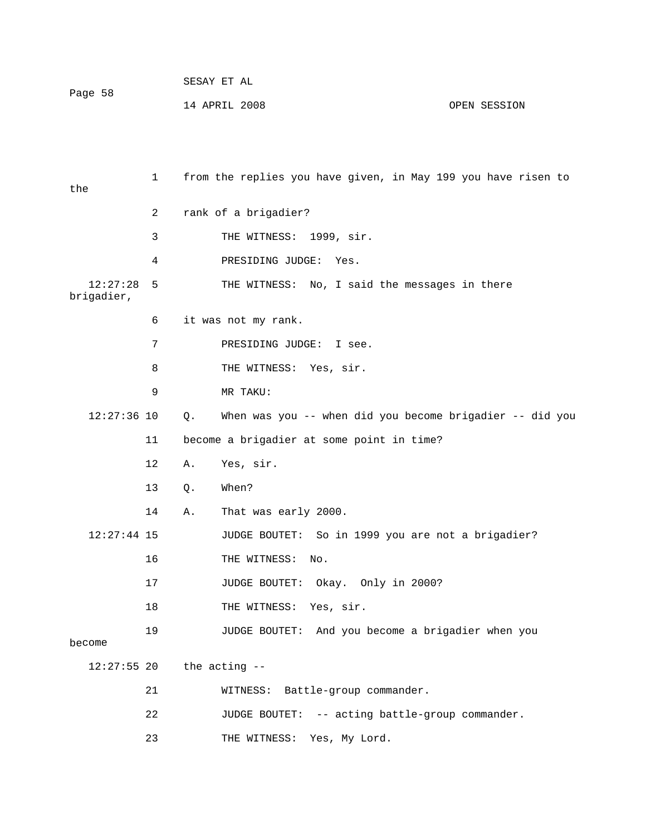| Page 58 | SESAY ET AL   |              |
|---------|---------------|--------------|
|         | 14 APRIL 2008 | OPEN SESSION |

| the                    | 1  |    | from the replies you have given, in May 199 you have risen to |
|------------------------|----|----|---------------------------------------------------------------|
|                        | 2  |    | rank of a brigadier?                                          |
|                        | 3  |    | THE WITNESS: 1999, sir.                                       |
|                        | 4  |    | PRESIDING JUDGE:<br>Yes.                                      |
| 12:27:28<br>brigadier, | 5  |    | THE WITNESS: No, I said the messages in there                 |
|                        | 6  |    | it was not my rank.                                           |
|                        | 7  |    | PRESIDING JUDGE: I see.                                       |
|                        | 8  |    | THE WITNESS: Yes, sir.                                        |
|                        | 9  |    | MR TAKU:                                                      |
| $12:27:36$ 10          |    | Q. | When was you -- when did you become brigadier -- did you      |
|                        | 11 |    | become a brigadier at some point in time?                     |
|                        | 12 | Α. | Yes, sir.                                                     |
|                        | 13 | Q. | When?                                                         |
|                        | 14 | Α. | That was early 2000.                                          |
| $12:27:44$ 15          |    |    | JUDGE BOUTET: So in 1999 you are not a brigadier?             |
|                        | 16 |    | THE WITNESS:<br>No.                                           |
|                        | 17 |    | JUDGE BOUTET: Okay. Only in 2000?                             |
|                        | 18 |    | THE WITNESS:<br>Yes, sir.                                     |
| become                 | 19 |    | JUDGE BOUTET: And you become a brigadier when you             |
| $12:27:55$ 20          |    |    | the acting --                                                 |
|                        | 21 |    | WITNESS: Battle-group commander.                              |
|                        | 22 |    | JUDGE BOUTET: -- acting battle-group commander.               |
|                        | 23 |    | THE WITNESS: Yes, My Lord.                                    |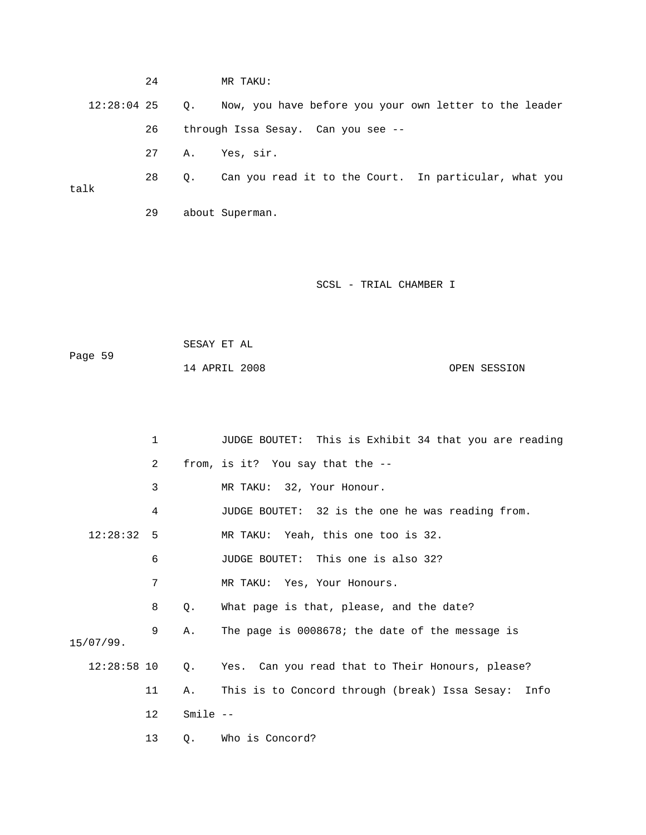24 MR TAKU: 12:28:04 25 Q. Now, you have before you your own letter to the leader 28 Q. Can you read it to the Court. In particular, what you talk 29 about Superman. 26 through Issa Sesay. Can you see -- 27 A. Yes, sir.

SCSL - TRIAL CHAMBER I

 SESAY ET AL Page 59 14 APRIL 2008 OPEN SESSION

|               | $\mathbf{1}$ |           | JUDGE BOUTET: This is Exhibit 34 that you are reading |
|---------------|--------------|-----------|-------------------------------------------------------|
|               | 2            |           | from, is it? You say that the --                      |
|               | 3            |           | MR TAKU: 32, Your Honour.                             |
|               | 4            |           | JUDGE BOUTET: 32 is the one he was reading from.      |
| $12:28:32$ 5  |              |           | MR TAKU: Yeah, this one too is 32.                    |
|               | 6            |           | JUDGE BOUTET: This one is also 32?                    |
|               | 7            |           | MR TAKU: Yes, Your Honours.                           |
|               | 8            | Q.        | What page is that, please, and the date?              |
|               | 9            | Α.        | The page is 0008678; the date of the message is       |
| 15/07/99.     |              |           |                                                       |
| $12:28:58$ 10 |              | Q.        | Yes. Can you read that to Their Honours, please?      |
|               | 11           | Α.        | This is to Concord through (break) Issa Sesay: Info   |
|               | 12           | $Smile -$ |                                                       |
|               | 13           | Q.        | Who is Concord?                                       |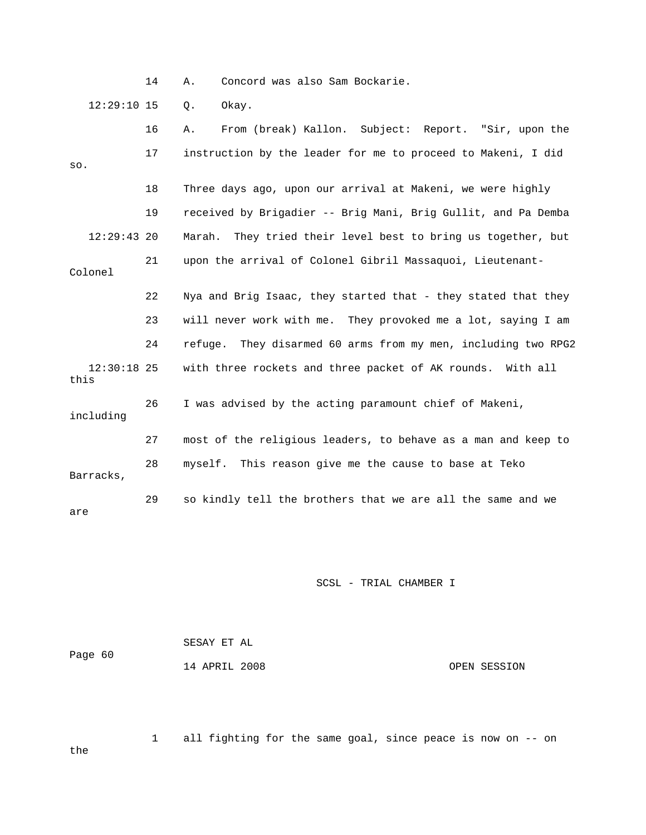14 A. Concord was also Sam Bockarie.

12:29:10 15 Q. Okay.

|                       | 16 | From (break) Kallon. Subject: Report. "Sir, upon the<br>Α.      |
|-----------------------|----|-----------------------------------------------------------------|
| SO.                   | 17 | instruction by the leader for me to proceed to Makeni, I did    |
|                       | 18 | Three days ago, upon our arrival at Makeni, we were highly      |
|                       | 19 | received by Brigadier -- Brig Mani, Brig Gullit, and Pa Demba   |
| $12:29:43$ 20         |    | They tried their level best to bring us together, but<br>Marah. |
| Colonel               | 21 | upon the arrival of Colonel Gibril Massaquoi, Lieutenant-       |
|                       | 22 | Nya and Brig Isaac, they started that - they stated that they   |
|                       | 23 | will never work with me. They provoked me a lot, saying I am    |
|                       | 24 | refuge. They disarmed 60 arms from my men, including two RPG2   |
| $12:30:18$ 25<br>this |    | with three rockets and three packet of AK rounds. With all      |
| including             | 26 | I was advised by the acting paramount chief of Makeni,          |
|                       | 27 | most of the religious leaders, to behave as a man and keep to   |
| Barracks,             | 28 | myself. This reason give me the cause to base at Teko           |
| are                   | 29 | so kindly tell the brothers that we are all the same and we     |

SCSL - TRIAL CHAMBER I

| Page 60 | SESAY ET AL   |  |              |
|---------|---------------|--|--------------|
|         | 14 APRIL 2008 |  | OPEN SESSION |

 1 all fighting for the same goal, since peace is now on -- on the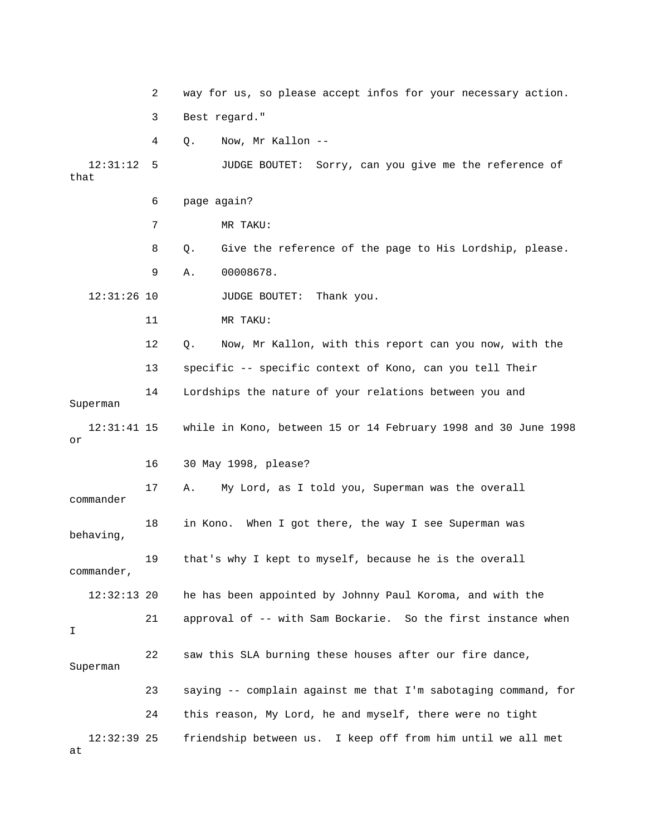|                     | 2  | way for us, so please accept infos for your necessary action.   |
|---------------------|----|-----------------------------------------------------------------|
|                     | 3  | Best regard."                                                   |
|                     | 4  | Now, Mr Kallon --<br>Q.                                         |
| 12:31:12<br>that    | 5  | JUDGE BOUTET: Sorry, can you give me the reference of           |
|                     | 6  | page again?                                                     |
|                     | 7  | MR TAKU:                                                        |
|                     | 8  | Give the reference of the page to His Lordship, please.<br>Q.   |
|                     | 9  | 00008678.<br>Α.                                                 |
| $12:31:26$ 10       |    | JUDGE BOUTET:<br>Thank you.                                     |
|                     | 11 | MR TAKU:                                                        |
|                     | 12 | Now, Mr Kallon, with this report can you now, with the<br>$Q$ . |
|                     | 13 | specific -- specific context of Kono, can you tell Their        |
| Superman            | 14 | Lordships the nature of your relations between you and          |
| $12:31:41$ 15<br>or |    | while in Kono, between 15 or 14 February 1998 and 30 June 1998  |
|                     | 16 | 30 May 1998, please?                                            |
| commander           | 17 | My Lord, as I told you, Superman was the overall<br>Α.          |
| behaving,           | 18 | in Kono.<br>When I got there, the way I see Superman was        |
| commander,          | 19 | that's why I kept to myself, because he is the overall          |
| $12:32:13$ 20       |    | he has been appointed by Johnny Paul Koroma, and with the       |
| I                   | 21 | approval of -- with Sam Bockarie. So the first instance when    |
| Superman            | 22 | saw this SLA burning these houses after our fire dance,         |
|                     | 23 | saying -- complain against me that I'm sabotaging command, for  |
|                     | 24 | this reason, My Lord, he and myself, there were no tight        |
| $12:32:39$ 25<br>at |    | friendship between us. I keep off from him until we all met     |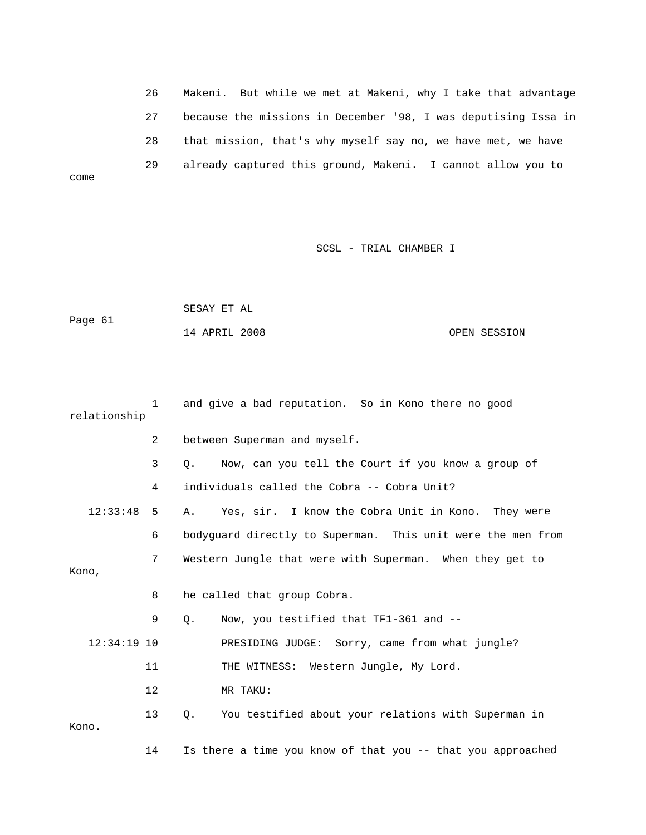26 Makeni. But while we met at Makeni, why I take that advantage 28 that mission, that's why myself say no, we have met, we have 27 because the missions in December '98, I was deputising Issa in 29 already captured this ground, Makeni. I cannot allow you to

SCSL - TRIAL CHAMBER I

|         | SESAY ET AL   |              |
|---------|---------------|--------------|
| Page 61 |               |              |
|         | 14 APRIL 2008 | OPEN SESSION |

come

| relationship  | $\mathbf{1}$   | and give a bad reputation. So in Kono there no good         |
|---------------|----------------|-------------------------------------------------------------|
|               | $\overline{2}$ | between Superman and myself.                                |
|               | 3              | Now, can you tell the Court if you know a group of<br>Q.    |
|               | 4              | individuals called the Cobra -- Cobra Unit?                 |
| 12:33:48      | 5              | Yes, sir. I know the Cobra Unit in Kono.<br>They were<br>Α. |
|               | 6              | bodyguard directly to Superman. This unit were the men from |
| Kono,         | 7              | Western Jungle that were with Superman. When they get to    |
|               |                |                                                             |
|               | 8              | he called that group Cobra.                                 |
|               | 9              | Now, you testified that TF1-361 and --<br>Q.                |
| $12:34:19$ 10 |                | PRESIDING JUDGE: Sorry, came from what jungle?              |
|               | 11             | THE WITNESS: Western Jungle, My Lord.                       |
|               | 12             | MR TAKU:                                                    |
| Kono.         | 13             | You testified about your relations with Superman in<br>Q.   |
|               | 14             | Is there a time you know of that you -- that you approached |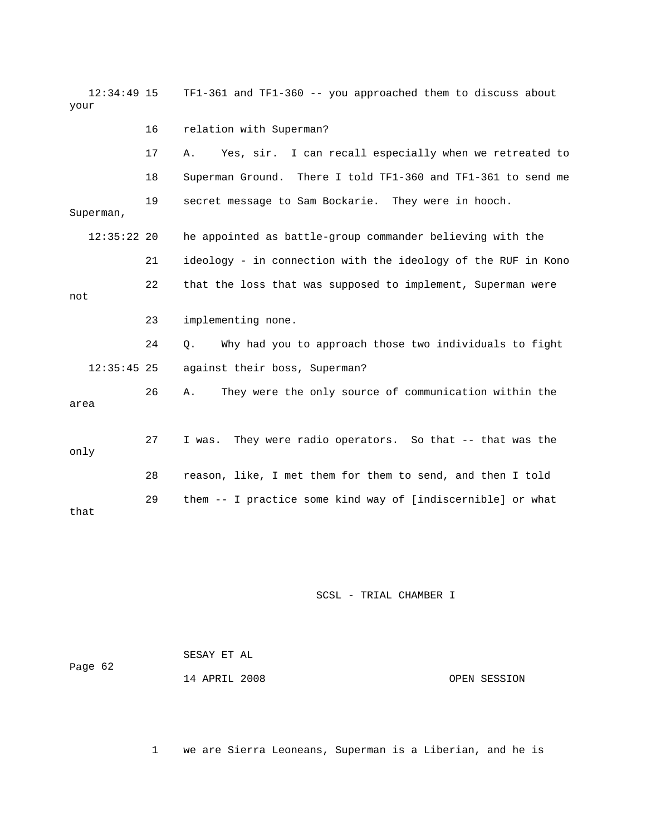| $12:34:49$ 15<br>your |    | TF1-361 and TF1-360 -- you approached them to discuss about   |
|-----------------------|----|---------------------------------------------------------------|
|                       | 16 | relation with Superman?                                       |
|                       | 17 | Yes, sir. I can recall especially when we retreated to<br>Α.  |
|                       | 18 | Superman Ground. There I told TF1-360 and TF1-361 to send me  |
| Superman,             | 19 | secret message to Sam Bockarie. They were in hooch.           |
| $12:35:22$ 20         |    | he appointed as battle-group commander believing with the     |
|                       | 21 | ideology - in connection with the ideology of the RUF in Kono |
| not                   | 22 | that the loss that was supposed to implement, Superman were   |
|                       | 23 | implementing none.                                            |
|                       | 24 | Why had you to approach those two individuals to fight<br>О.  |
| $12:35:45$ 25         |    | against their boss, Superman?                                 |
| area                  | 26 | They were the only source of communication within the<br>Α.   |
| only                  | 27 | They were radio operators. So that -- that was the<br>I was.  |
|                       | 28 | reason, like, I met them for them to send, and then I told    |
| that                  | 29 | them -- I practice some kind way of [indiscernible] or what   |

| Page 62 | SESAY ET AL   |  |              |
|---------|---------------|--|--------------|
|         | 14 APRIL 2008 |  | OPEN SESSION |

1 we are Sierra Leoneans, Superman is a Liberian, and he is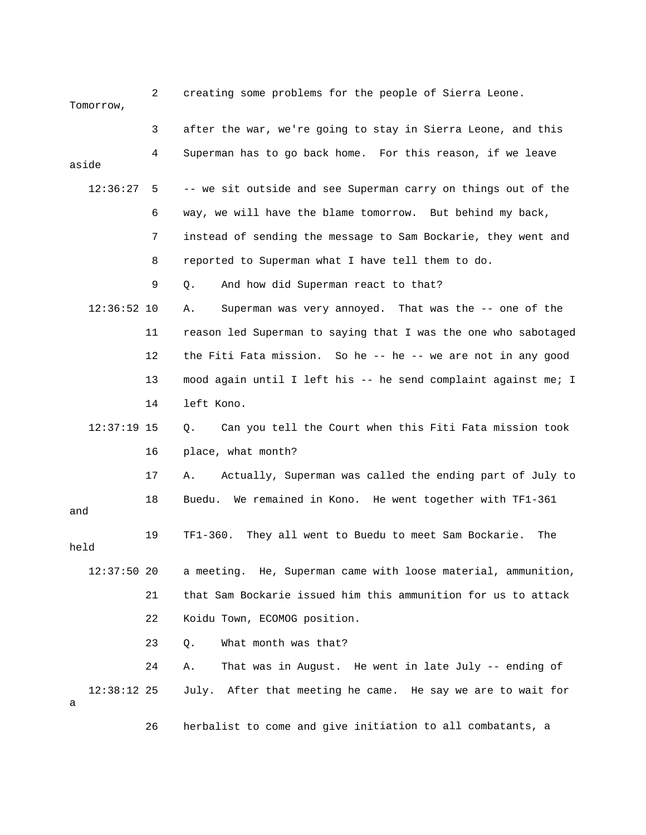2 creating some problems for the people of Sierra Leone. Tomorrow, 3 after the war, we're going to stay in Sierra Leone, and this 4 Superman has to go back home. For this reason, if we leave 12:36:27 5 -- we sit outside and see Superman carry on things out of the 6 way, we will have the blame tomorrow. But behind my back, 9 Q. And how did Superman react to that? e 12:36:52 10 A. Superman was very annoyed. That was the -- one of th 11 reason led Superman to saying that I was the one who sabotaged 12 the Fiti Fata mission. So he -- he -- we are not in any good 13 mood again until I left his -- he send complaint against me; I 14 left Kono. 12:37:19 15 Q. Can you tell the Court when this Fiti Fata mission took 17 A. Actually, Superman was called the ending part of July to 18 Buedu. We remained in Kono. He went together with TF1-361 held 12:37:50 20 a meeting. He, Superman came with loose material, ammunition, 22 Koidu Town, ECOMOG position. 24 A. That was in August. He went in late July -- ending of 12:38:12 25 July. After that meeting he came. He say we are to wait for 26 herbalist to come and give initiation to all combatants, a aside 7 instead of sending the message to Sam Bockarie, they went and 8 reported to Superman what I have tell them to do. 16 place, what month? and 19 TF1-360. They all went to Buedu to meet Sam Bockarie. The 21 that Sam Bockarie issued him this ammunition for us to attack 23 Q. What month was that? a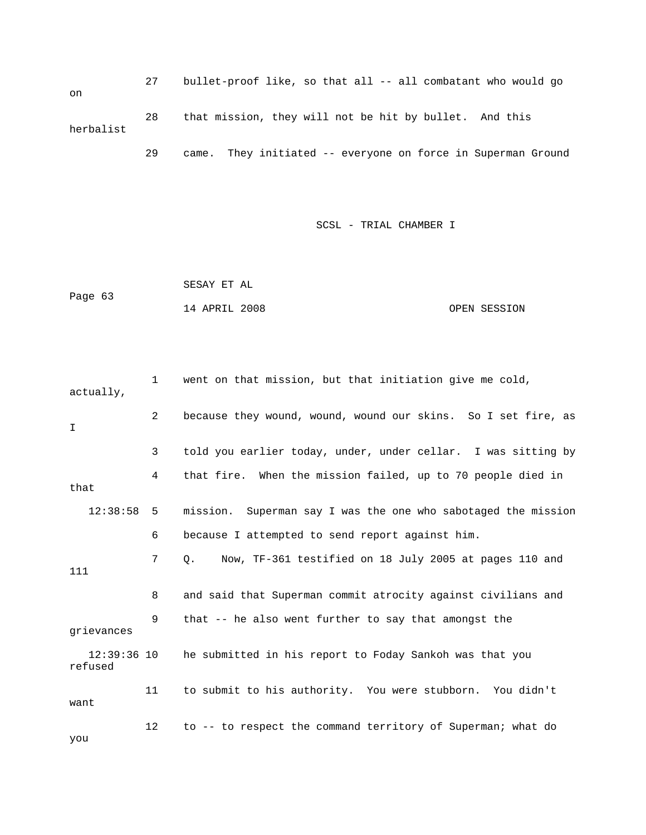27 bullet-proof like, so that all -- all combatant who would go 28 that mission, they will not be hit by bullet. And this 29 came. They initiated -- everyone on force in Superman Ground on herbalist

SCSL - TRIAL CHAMBER I

 SESAY ET AL Page 63 14 APRIL 2008 OPEN SESSION

2 because they wound, wound, wound our skins. So I set fire, as 3 told you earlier today, under, under cellar. I was sitting by 4 that fire. When the mission failed, up to 70 people died in 12:38:58 5 mission. Superman say I was the one who sabotaged the mission 6 because I attempted to send report against him. 1 11 12:39:36 10 he submitted in his report to Foday Sankoh was that you 11 to submit to his authority. You were stubborn. You didn't 12 to -- to respect the command territory of Superman; what do 1 went on that mission, but that initiation give me cold, actually, I that 7 Q. Now, TF-361 testified on 18 July 2005 at pages 110 and 8 and said that Superman commit atrocity against civilians and 9 that -- he also went further to say that amongst the grievances refused want you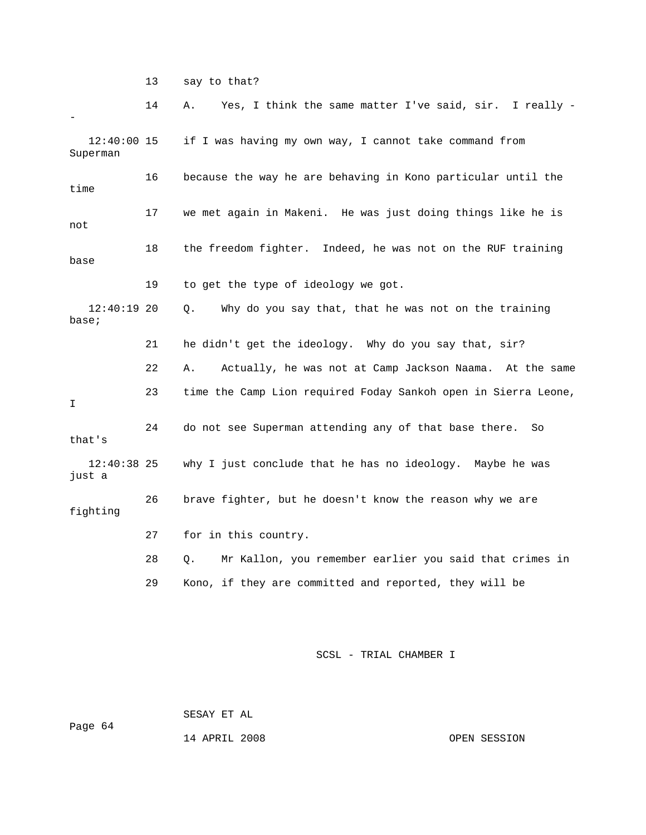13 say to that?

 14 A. Yes, I think the same matter I've said, sir. I really - 12:40:00 15 if I was having my own way, I cannot take command from 16 because the way he are behaving in Kono particular until the 18 the freedom fighter. Indeed, he was not on the RUF training 22 A. Actually, he was not at Camp Jackson Naama. At the same 23 time the Camp Lion required Foday Sankoh open in Sierra Leone, 24 do not see Superman attending any of that base there. So that's 12:40:38 25 why I just conclude that he has no ideology. Maybe he was fighting 28 Q. Mr Kallon, you remember earlier you said that crimes in 29 Kono, if they are committed and reported, they will be - Superman time 17 we met again in Makeni. He was just doing things like he is not base 19 to get the type of ideology we got. 12:40:19 20 Q. Why do you say that, that he was not on the training base; 21 he didn't get the ideology. Why do you say that, sir? I just a 26 brave fighter, but he doesn't know the reason why we are 27 for in this country.

SCSL - TRIAL CHAMBER I

 SESAY ET AL Page 64

14 APRIL 2008 OPEN SESSION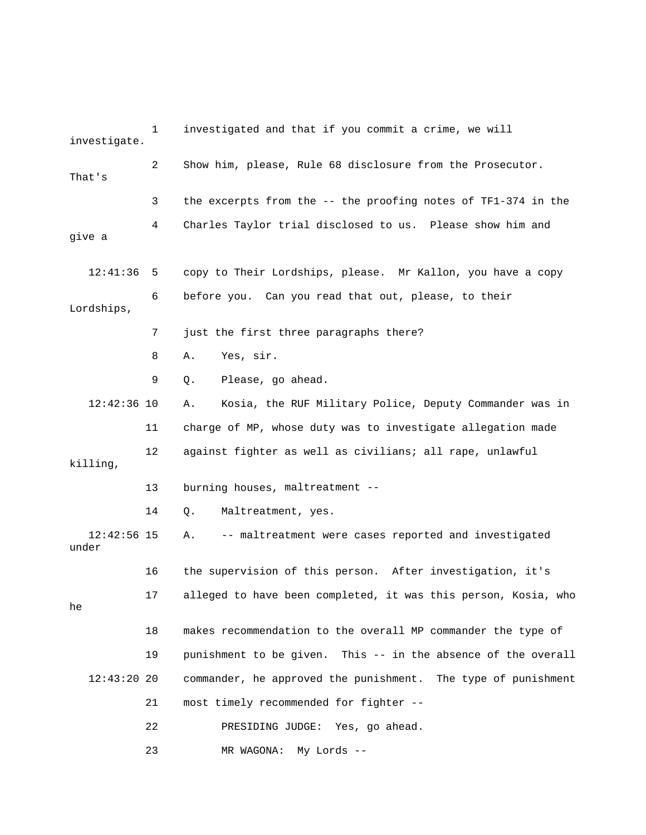1 investigated and that if you commit a crime, we will investigate. 2 Show him, please, Rule 68 disclosure from the Prosecutor. That's 3 the excerpts from the -- the proofing notes of TF1-374 in the 4 Charles Taylor trial disclosed to us. Please show him and 6 before you. Can you read that out, please, to their 8 A. Yes, sir. 12:42:36 10 A. Kosia, the RUF Military Police, Deputy Commander was in 11 charge of MP, whose duty was to investigate allegation made 12 against fighter as well as civilians; all rape, unlawful killing, 13 burning houses, maltreatment -- 14 Q. Maltreatment, yes. 12:42:56 15 A. -- maltreatment were cases reported and investigated 17 alleged to have been completed, it was this person, Kosia, who 18 makes recommendation to the overall MP commander the type of 19 punishment to be given. This -- in the absence of the overall 12:43:20 20 commander, he approved the punishment. The type of punishment 22 PRESIDING JUDGE: Yes, go ahead. give a 12:41:36 5 copy to Their Lordships, please. Mr Kallon, you have a copy Lordships, 7 just the first three paragraphs there? 9 Q. Please, go ahead. under 16 the supervision of this person. After investigation, it's he 21 most timely recommended for fighter -- 23 MR WAGONA: My Lords --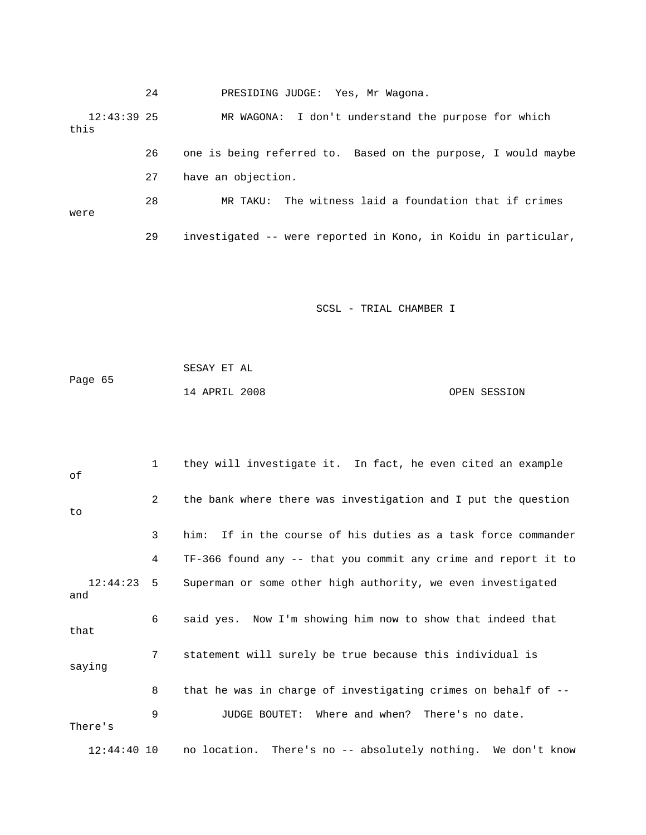|                       | 24 | PRESIDING JUDGE: Yes, Mr Wagona.                               |
|-----------------------|----|----------------------------------------------------------------|
| $12:43:39$ 25<br>this |    | MR WAGONA: I don't understand the purpose for which            |
|                       | 26 | one is being referred to. Based on the purpose, I would maybe  |
|                       | 27 | have an objection.                                             |
| were                  | 28 | MR TAKU: The witness laid a foundation that if crimes          |
|                       | 29 | investigated -- were reported in Kono, in Koidu in particular, |

| Page 65 | SESAY ET AL   |              |
|---------|---------------|--------------|
|         | 14 APRIL 2008 | OPEN SESSION |

| оf                  | $\mathbf{1}$   | they will investigate it. In fact, he even cited an example      |
|---------------------|----------------|------------------------------------------------------------------|
| to                  | $\overline{2}$ | the bank where there was investigation and I put the question    |
|                     | 3              | If in the course of his duties as a task force commander<br>him: |
|                     | 4              | TF-366 found any -- that you commit any crime and report it to   |
| $12:44:23$ 5<br>and |                | Superman or some other high authority, we even investigated      |
| that                | 6              | said yes. Now I'm showing him now to show that indeed that       |
| saying              | 7              | statement will surely be true because this individual is         |
|                     | 8              | that he was in charge of investigating crimes on behalf of --    |
| There's             | 9              | Where and when? There's no date.<br>JUDGE BOUTET:                |
| $12:44:40$ 10       |                | no location. There's no -- absolutely nothing. We don't know     |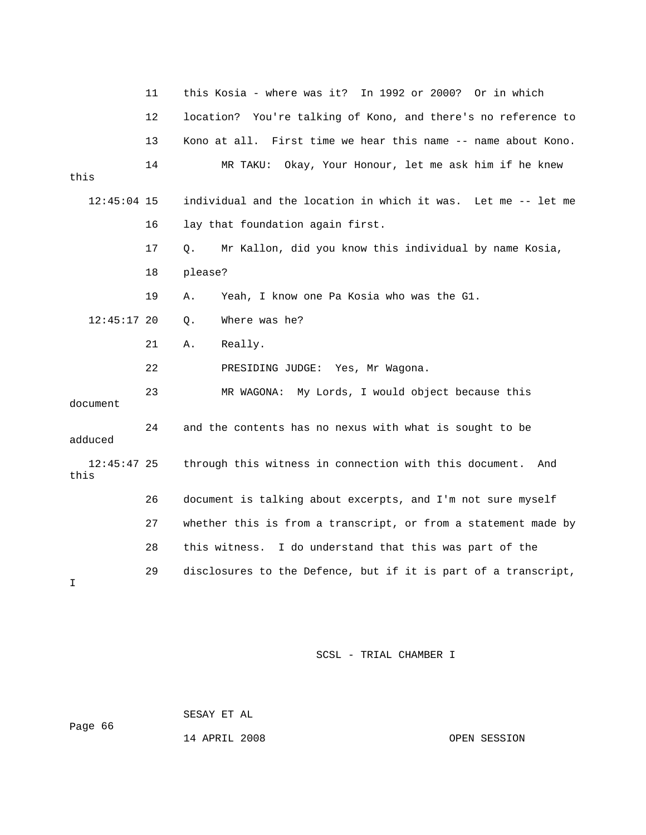|                       | 11 | this Kosia - where was it? In 1992 or 2000? Or in which        |
|-----------------------|----|----------------------------------------------------------------|
|                       | 12 | location? You're talking of Kono, and there's no reference to  |
|                       | 13 | Kono at all. First time we hear this name -- name about Kono.  |
| this                  | 14 | Okay, Your Honour, let me ask him if he knew<br>MR TAKU:       |
| $12:45:04$ 15         |    | individual and the location in which it was. Let me -- let me  |
|                       | 16 | lay that foundation again first.                               |
|                       | 17 | Mr Kallon, did you know this individual by name Kosia,<br>Q.   |
|                       | 18 | please?                                                        |
|                       | 19 | Yeah, I know one Pa Kosia who was the G1.<br>Α.                |
| $12:45:17$ 20         |    | Where was he?<br>Q.                                            |
|                       | 21 | Really.<br>Α.                                                  |
|                       | 22 | PRESIDING JUDGE: Yes, Mr Wagona.                               |
| document              | 23 | MR WAGONA: My Lords, I would object because this               |
| adduced               | 24 | and the contents has no nexus with what is sought to be        |
| $12:45:47$ 25<br>this |    | through this witness in connection with this document.<br>And  |
|                       | 26 | document is talking about excerpts, and I'm not sure myself    |
|                       | 27 | whether this is from a transcript, or from a statement made by |
|                       | 28 | this witness. I do understand that this was part of the        |
| I                     | 29 | disclosures to the Defence, but if it is part of a transcript, |

 SESAY ET AL ge 66 Pa

14 APRIL 2008 OPEN SESSION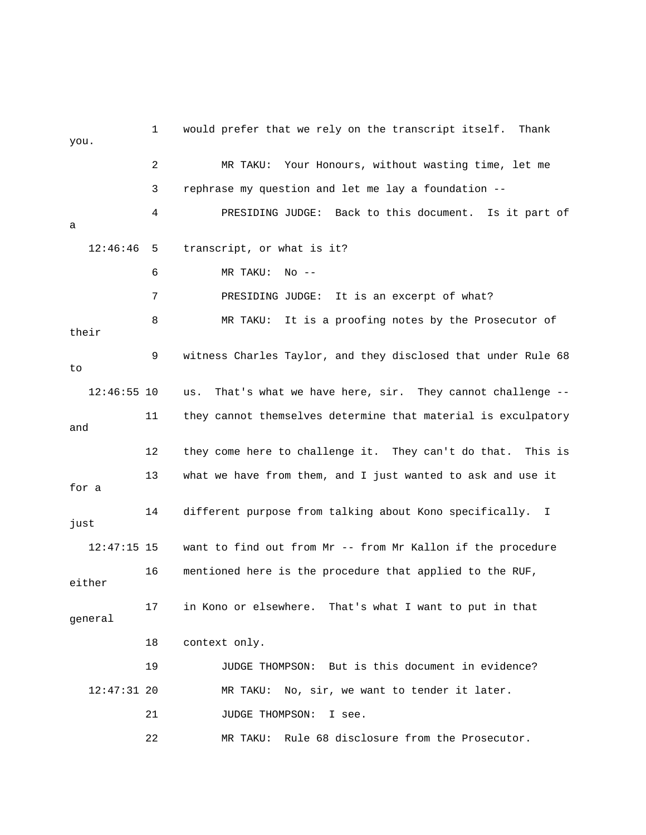1 would prefer that we rely on the transcript itself. Thank you. 2 MR TAKU: Your Honours, without wasting time, let me 3 rephrase my question and let me lay a foundation -- 4 PRESIDING JUDGE: Back to this document. Is it part of 7 PRESIDING JUDGE: It is an excerpt of what? 8 MR TAKU: It is a proofing notes by the Prosecutor of 9 witness Charles Taylor, and they disclosed that under Rule 68  $12:46:55$  10 us. That's what we have here, sir. They cannot challenge --11 they cannot themselves determine that material is exculpatory and 12 they come here to challenge it. They can't do that. This is want to find out from Mr -- from Mr Kallon if the procedure either 17 in Kono or elsewhere. That's what I want to put in that general 18 context only. a 12:46:46 5 transcript, or what is it? 6 MR TAKU: No - their to 13 what we have from them, and I just wanted to ask and use it for a 14 different purpose from talking about Kono specifically. I just  $12:47:15$  15 16 mentioned here is the procedure that applied to the RUF, 19 JUDGE THOMPSON: But is this document in evidence? 12:47:31 20 MR TAKU: No, sir, we want to tender it later. 21 JUDGE THOMPSON: I see. 22 MR TAKU: Rule 68 disclosure from the Prosecutor.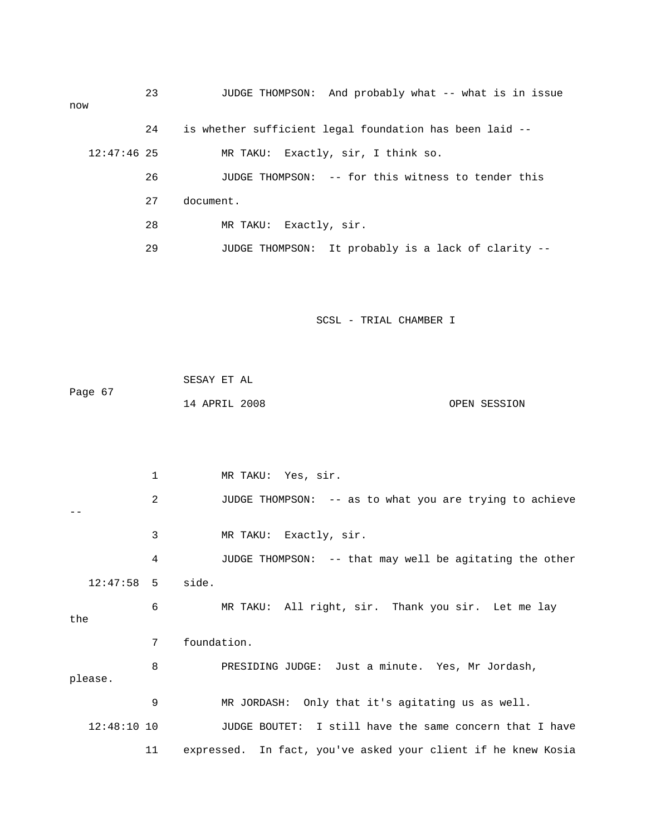| now           | 23 | JUDGE THOMPSON: And probably what -- what is in issue   |
|---------------|----|---------------------------------------------------------|
|               | 24 | is whether sufficient legal foundation has been laid -- |
| $12:47:46$ 25 |    | MR TAKU: Exactly, sir, I think so.                      |
|               | 26 | JUDGE THOMPSON: -- for this witness to tender this      |
|               | 27 | document.                                               |
|               | 28 | MR TAKU: Exactly, sir.                                  |
|               | 29 | JUDGE THOMPSON: It probably is a lack of clarity --     |
|               |    |                                                         |

 SESAY ET AL Page 67 14 APRIL 2008 OPEN SESSION

1 MR TAKU: Yes, sir. 2 JUDGE THOMPSON: -- as to what you are trying to achieve 3 MR TAKU: Exactly, sir. 4 JUDGE THOMPSON: -- that may well be agitating the other 12:47:58 5 side. 6 MR TAKU: All right, sir. Thank you sir. Let me lay 7 foundation. minute. Yes, Mr Jordash, 8 PRESIDING JUDGE: Just a MR JORDASH: Only that it's agitating us as well. 12:48:10 10 JUDGE BOUTET: I still have the same concern that I have 11 expressed. In fact, you've asked your client if he knew Kosia - the please. 9 M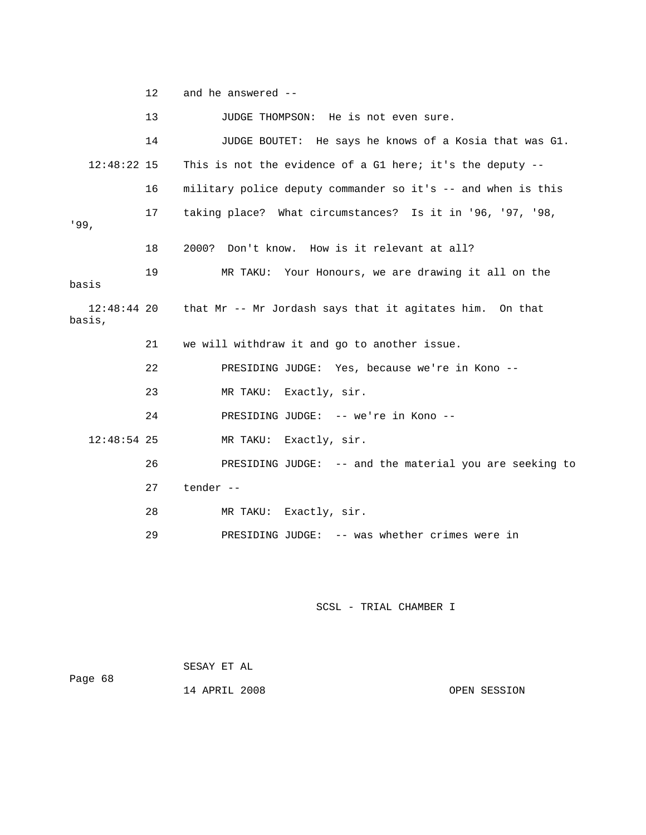12 and he answered --

13 JUDGE THOMPSON: He is not even sure. 14 JUDGE BOUTET: He says he knows of a Kosia that was G1. 17 taking place? What circumstances? Is it in '96, '97, '98, 9, '9 18 2000? Don't know. How is it relevant at all? basis, 21 we will withdraw it and go to another issue. no -- 22 PRESIDING JUDGE: Yes, because we're in Ko 24 PRESIDING JUDGE: -- we're in Kono -- MR TAKU: Exactly, sir. u are seeking to 26 PRESIDING JUDGE: -- and the material yo 29 PRESIDING JUDGE: -- was whether crimes were in 12:48:22 15 This is not the evidence of a G1 here; it's the deputy -- 16 military police deputy commander so it's -- and when is this 19 MR TAKU: Your Honours, we are drawing it all on the basis 12:48:44 20 that Mr -- Mr Jordash says that it agitates him. On that 23 MR TAKU: Exactly, sir.  $12:48:54$  25 27 tender -- 28 MR TAKU: Exactly, sir.

SCSL - TRIAL CHAMBER I

Page 68 14 APRIL 2008 OPEN SESSION SESAY ET AL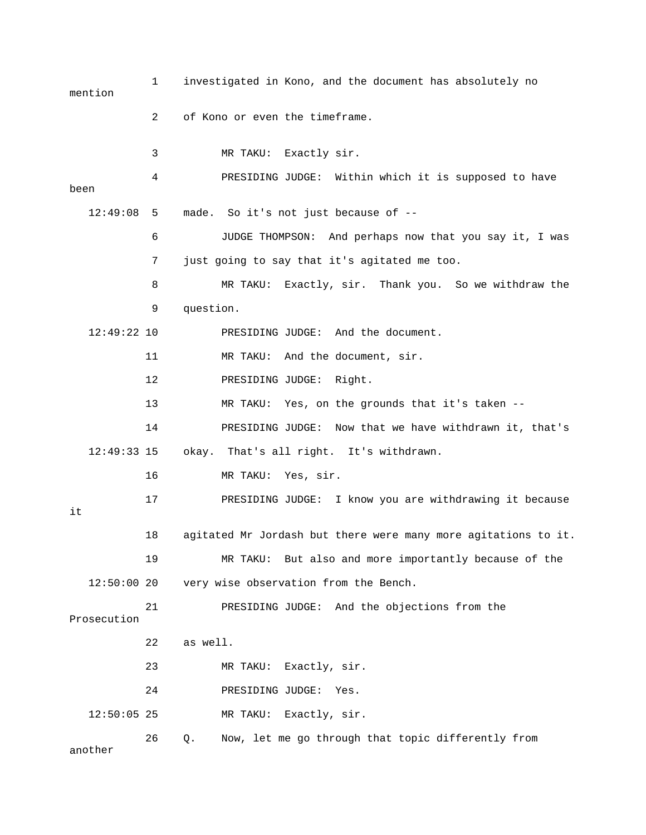1 investigated in Kono, and the document has absolutely no 3 MR TAKU: Exactly sir. 4 PRESIDING JUDGE: Within which it is supposed to have been made. So it's not just because of --6 JUDGE THOMPSON: And perhaps now that you say it, I was 7 just going to say that it's agitated me too. 8 MR TAKU: Exactly, sir. Thank you. So we withdraw the 9 question. 12:49:22 10 PRESIDING JUDGE: And the document. 14 PRESIDING JUDGE: Now that we have withdrawn it, that's ou are withdrawing it because 17 PRESIDING JUDGE: I know y 18 agitated Mr Jordash but there were many more agitations to it. 12:50:00 20 very wise observation from the Bench. 21 PRESIDING JUDGE: And the objections from the 22 as well. 24 PRESIDING JUDGE: Yes. 26 Q. Now, let me go through that topic differently from another mention 2 of Kono or even the timeframe. 12:49:08 5 11 MR TAKU: And the document, sir. 12 PRESIDING JUDGE: Right. 13 MR TAKU: Yes, on the grounds that it's taken -- 12:49:33 15 okay. That's all right. It's withdrawn. 16 MR TAKU: Yes, sir. it 19 MR TAKU: But also and more importantly because of the Prosecution 23 MR TAKU: Exactly, sir. 12:50:05 25 MR TAKU: Exactly, sir.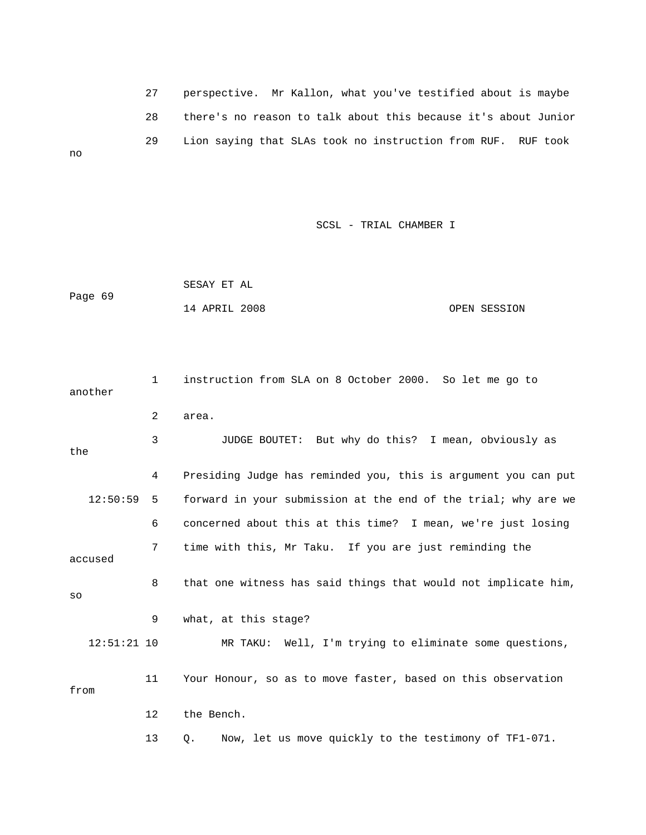27 perspective. Mr Kallon, what you've testified about is maybe 28 there's no reason to talk abou t this because it's about Junior 29 Lion saying that SLAs took no instruction from RUF. RUF took no

SCSL - TRIAL CHAMBER I

 SESAY ET AL Page 69 14 APRIL 2008 OPEN SESSION

 1 instruction from SLA on 8 October 2000. So let me go to another 3 JUDGE BOUTET: But why do this? I mean, obviously as the 4 Presiding Judge has reminded you, this is argument you can put 12:50:59 5 forward in your submission at the end of the trial; why are we 6 concerned about this at this time? I mean, we're just losing 7 time with this, Mr Taku. If you are just reminding the 8 that one witness has said things that would not implicate him, 11 Your Honour, so as to move faster, based on this observation from 12 the Bench. 13 Q. Now, let us move quickly to the testimony of TF1-071. 2 area. accused so 9 what, at this stage? 12:51:21 10 MR TAKU: Well, I'm trying to eliminate some questions,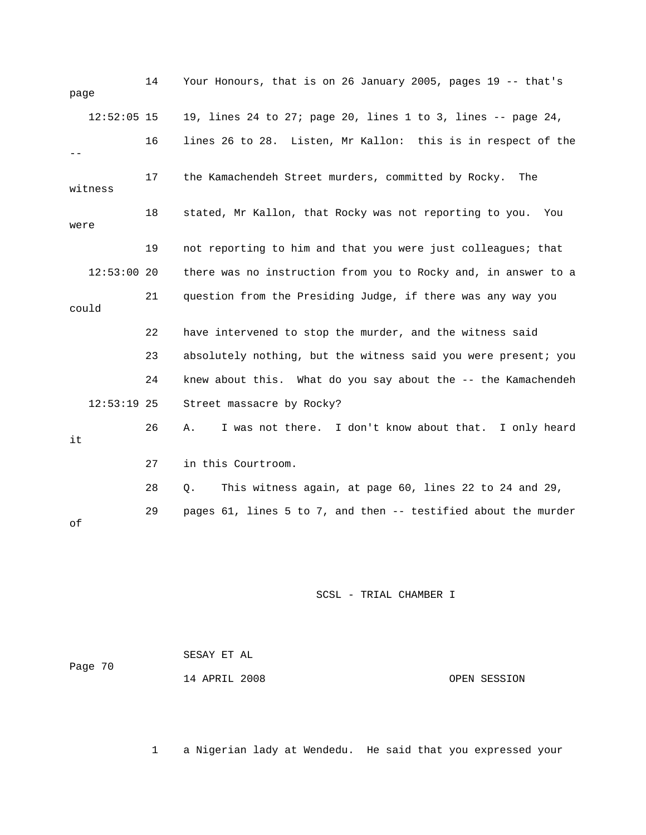| page |               | 14 | Your Honours, that is on 26 January 2005, pages 19 -- that's   |
|------|---------------|----|----------------------------------------------------------------|
|      | $12:52:05$ 15 |    | 19, lines 24 to 27; page 20, lines 1 to 3, lines -- page 24,   |
|      |               | 16 | lines 26 to 28. Listen, Mr Kallon: this is in respect of the   |
|      | witness       | 17 | the Kamachendeh Street murders, committed by Rocky.<br>The     |
| were |               | 18 | stated, Mr Kallon, that Rocky was not reporting to you.<br>You |
|      |               | 19 | not reporting to him and that you were just colleagues; that   |
|      | $12:53:00$ 20 |    | there was no instruction from you to Rocky and, in answer to a |
|      | could         | 21 | question from the Presiding Judge, if there was any way you    |
|      |               | 22 | have intervened to stop the murder, and the witness said       |
|      |               | 23 | absolutely nothing, but the witness said you were present; you |
|      |               | 24 | knew about this. What do you say about the -- the Kamachendeh  |
|      | $12:53:19$ 25 |    | Street massacre by Rocky?                                      |
| it   |               | 26 | I was not there. I don't know about that. I only heard<br>Α.   |
|      |               | 27 | in this Courtroom.                                             |
|      |               | 28 | This witness again, at page 60, lines 22 to 24 and 29,<br>Q.   |
| оf   |               | 29 | pages 61, lines 5 to 7, and then -- testified about the murder |

| Page 70 | SESAY ET AL   |  |              |
|---------|---------------|--|--------------|
|         | 14 APRIL 2008 |  | OPEN SESSION |

1 a Nigerian lady at Wendedu. He said that you expressed your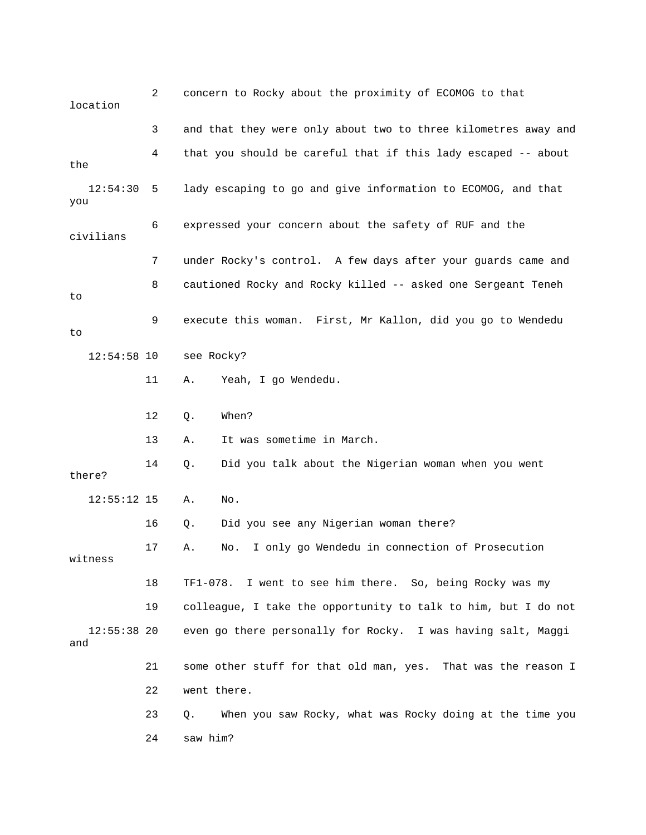2 concern to Rocky about the proximity of ECOMOG to that location 3 and that they were only about two to three kilometres away and 4 that you should be careful that if this lady escaped -- about the 6 expressed your concern about the safety of RUF and the 7 under Rocky's control. A few days after your guards came and 8 cautioned Rocky and Rocky killed -- asked one Sergeant Teneh 9 execute this woman. First, Mr Kallon, did you go to Wendedu see Rocky? 14 Q. Did you talk about the Nigerian woman when you went 16 Q. Did you see any Nigerian woman there? 17 A. No. I only go Wendedu in connection of Prosecution 19 colleague, I take the opportunity to talk to him, but I do not even go there personally for Rocky. I was having salt, Maggi 21 some other stuff for that old man, yes. That was the reason I 22 went there. 12:54:30 5 lady escaping to go and give information to ECOMOG, and that you civilians to to 12:54:58 11 A. Yeah, I go Wendedu. 12 Q. When? 13 A. It was sometime in March. there? 12:55:12 15 A. No. witness 18 TF1-078. I went to see him there. So, being Rocky was my  $12:55:38$  20 and 23 Q. When you saw Rocky, what was Rocky doing at the time you 24 saw him?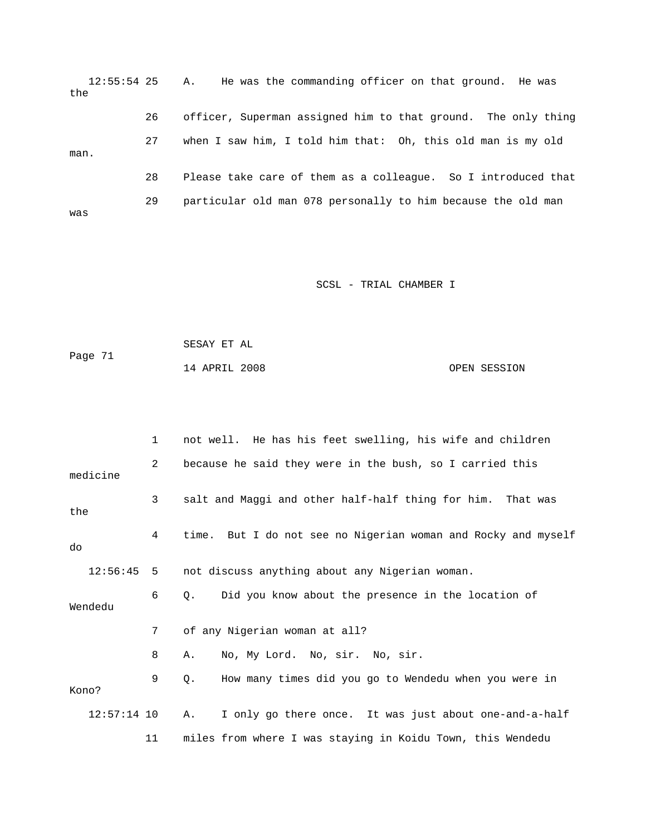12:55:54 25 A. He was the commanding officer on that ground. He was the 26 officer, Superman assigned him to that ground. The only thing 27 when I saw him, I told him that: Oh, this old man is my old man. 28 Please take care of them as a colleague. So I introduced that 29 particular old man 078 personally to him because the old man was

SCSL - TRIAL CHAMBER I

| Page 71 | SESAY ET AL   |  |              |
|---------|---------------|--|--------------|
|         | 14 APRIL 2008 |  | OPEN SESSION |

|       |               | 1               | not well. He has his feet swelling, his wife and children     |
|-------|---------------|-----------------|---------------------------------------------------------------|
|       | medicine      | 2               | because he said they were in the bush, so I carried this      |
| the   |               | 3               | salt and Maggi and other half-half thing for him.<br>That was |
| do    |               | 4               | time. But I do not see no Nigerian woman and Rocky and myself |
|       | 12:56:45      | $5\overline{)}$ | not discuss anything about any Nigerian woman.                |
|       | Wendedu       | 6               | Did you know about the presence in the location of<br>0.      |
|       |               | 7               | of any Nigerian woman at all?                                 |
|       |               | 8               | No, My Lord. No, sir. No, sir.<br>Α.                          |
| Kono? |               | 9               | How many times did you go to Wendedu when you were in<br>О.   |
|       | $12:57:14$ 10 |                 | I only go there once. It was just about one-and-a-half<br>Α.  |
|       |               | 11              | miles from where I was staying in Koidu Town, this Wendedu    |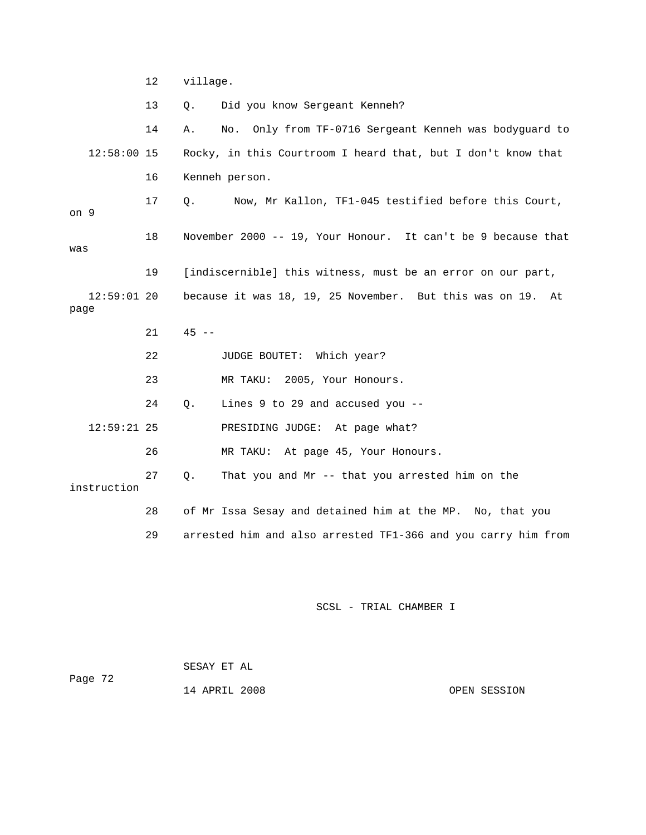12 village.

13 Q. Did you know Sergeant Kenneh?

14 A. No. Only from TF-0716 Sergeant Kenneh was bodyguard to Rocky, in this Courtroom I heard that, but I don't know that 9 on 18 November 2000 -- 19, Your Honour. It can't be 9 because that 21 45 -- 22 JUDGE BOUTET: Which year? 24 Q. Lines 9 to 29 and accused you -- 12:59:21 25 PRESIDING JUDGE: At page what?  $12:58:00$  15 16 Kenneh person. 17 Q. Now, Mr Kallon, TF1-045 testified before this Court, was 19 [indiscernible] this witness, must be an error on our part, 12:59:01 20 because it was 18, 19, 25 November. But this was on 19. At page 23 MR TAKU: 2005, Your Honours.

26 MR TAKU: At page 45, Your Honours.

hat you and Mr -- that you arrested him on the 27 Q. T instruction

28 of Mr Issa Sesay and detained him at the MP. No, that you

29 arrested him and also arrested TF1-366 and you carry him from

SCSL - TRIAL CHAMBER I

 14 APRIL 2008 OPEN SESSION SESAY ET AL Page 72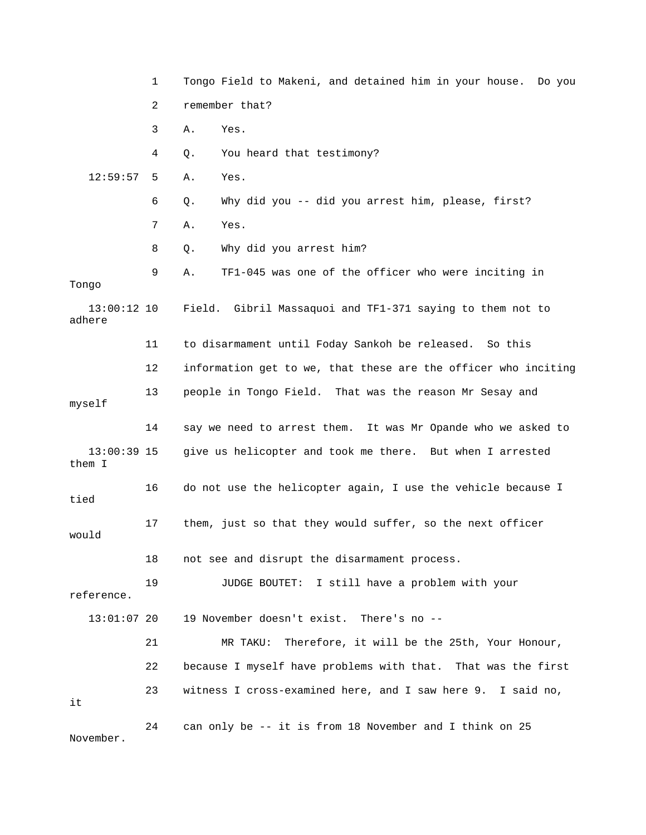|                         | $\mathbf 1$ | Tongo Field to Makeni, and detained him in your house. Do you  |  |  |
|-------------------------|-------------|----------------------------------------------------------------|--|--|
|                         | 2           | remember that?                                                 |  |  |
|                         | 3           | Yes.<br>Α.                                                     |  |  |
|                         | 4           | You heard that testimony?<br>Q.                                |  |  |
| 12:59:57                | 5           | Yes.<br>Α.                                                     |  |  |
|                         | 6           | Why did you -- did you arrest him, please, first?<br>Q.        |  |  |
|                         | 7           | Yes.<br>Α.                                                     |  |  |
|                         | 8           | Why did you arrest him?<br>Q.                                  |  |  |
| Tongo                   | 9           | TF1-045 was one of the officer who were inciting in<br>Α.      |  |  |
| $13:00:12$ 10<br>adhere |             | Field. Gibril Massaquoi and TF1-371 saying to them not to      |  |  |
|                         | 11          | to disarmament until Foday Sankoh be released. So this         |  |  |
|                         | 12          | information get to we, that these are the officer who inciting |  |  |
| myself                  | 13          | people in Tongo Field. That was the reason Mr Sesay and        |  |  |
|                         | 14          | say we need to arrest them. It was Mr Opande who we asked to   |  |  |
| $13:00:39$ 15<br>them I |             | give us helicopter and took me there. But when I arrested      |  |  |
| tied                    | 16          | do not use the helicopter again, I use the vehicle because I   |  |  |
| would                   | 17          | them, just so that they would suffer, so the next officer      |  |  |
|                         | 18          | not see and disrupt the disarmament process.                   |  |  |
| reference.              | 19          | I still have a problem with your<br>JUDGE BOUTET:              |  |  |
| $13:01:07$ 20           |             | 19 November doesn't exist. There's no --                       |  |  |
|                         | 21          | Therefore, it will be the 25th, Your Honour,<br>MR TAKU:       |  |  |
|                         | 22          | because I myself have problems with that. That was the first   |  |  |
| it                      | 23          | witness I cross-examined here, and I saw here 9. I said no,    |  |  |
| November.               | 24          | can only be -- it is from 18 November and I think on 25        |  |  |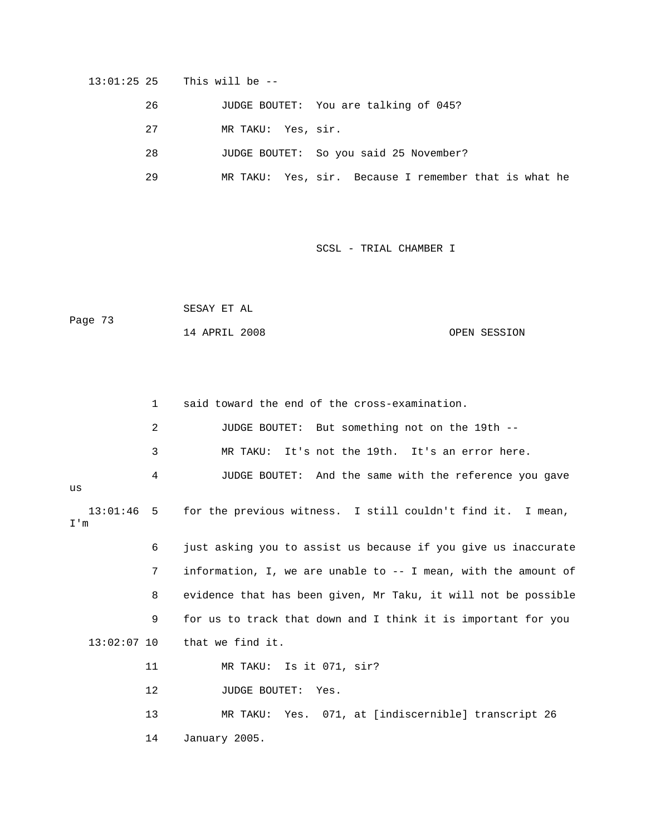13:01:25 25 This will be --

26 JUDGE BOUTET: You are talking of 045?

- 27 MR TAKU: Yes, sir.
- 28 JUDGE BOUTET: So you said 25 November?
- 29 MR TAKU: Yes, sir. Because I remember that is what he

SCSL - TRIAL CHAMBER I

|         | SESAY ET AL   |  |              |
|---------|---------------|--|--------------|
| Page 73 |               |  |              |
|         | 14 APRIL 2008 |  | OPEN SESSION |

|                     | 1              | said toward the end of the cross-examination.                   |
|---------------------|----------------|-----------------------------------------------------------------|
|                     | $\overline{a}$ | JUDGE BOUTET: But something not on the 19th --                  |
|                     | 3              | It's not the 19th. It's an error here.<br>MR TAKU:              |
| us                  | 4              | JUDGE BOUTET: And the same with the reference you gave          |
| $13:01:46$ 5<br>I'm |                | for the previous witness. I still couldn't find it. I mean,     |
|                     | 6              | just asking you to assist us because if you give us inaccurate  |
|                     | 7              | information, I, we are unable to $-$ I mean, with the amount of |
|                     | 8              | evidence that has been given, Mr Taku, it will not be possible  |
|                     | 9              | for us to track that down and I think it is important for you   |
| $13:02:07$ 10       |                | that we find it.                                                |
|                     | 11             | MR TAKU: Is it 071, sir?                                        |
|                     | $12 \,$        | JUDGE BOUTET: Yes.                                              |
|                     | 13             | MR TAKU: Yes. 071, at [indiscernible] transcript 26             |
|                     | 14             | January 2005.                                                   |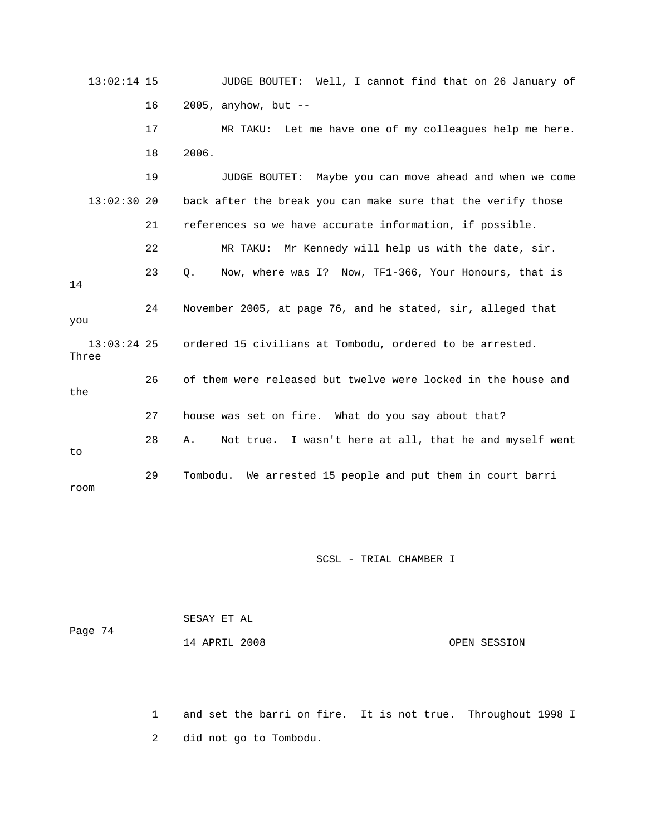13:02:14 15 JUDGE BOUTET: Well, I cannot find that on 26 January of 16 2005, anyhow, but -- 17 MR TAKU: Let me have one of my colleagues help me here. 18 2006. 19 JUDGE BOUTET: Maybe you can move ahead and when we come  $13:02:30$  20 back after the break you can make sure that the verify those 21 references so we have accurate information, if possible. 22 MR TAKU: Mr Kennedy will help us with the date, sir. 24 November 2005, at page 76, and he stated, sir, alleged that you 26 of them were released but twelve were locked in the house and the 28 A. Not true. I wasn't here at all, that he and myself went 29 Tombodu. We arrested 15 people and put them in court barri 23 Q. Now, where was I? Now, TF1-366, Your Honours, that is 14 13:03:24 25 ordered 15 civilians at Tombodu, ordered to be arrested. Three 27 house was set on fire. What do you say about that? to room

SCSL - TRIAL CHAMBER I

| Page 74 | SESAY ET AL   |              |
|---------|---------------|--------------|
|         | 14 APRIL 2008 | OPEN SESSION |

1 and set the barri on fire. It is not true. Throughout 1998 I 2 did not go to Tombodu.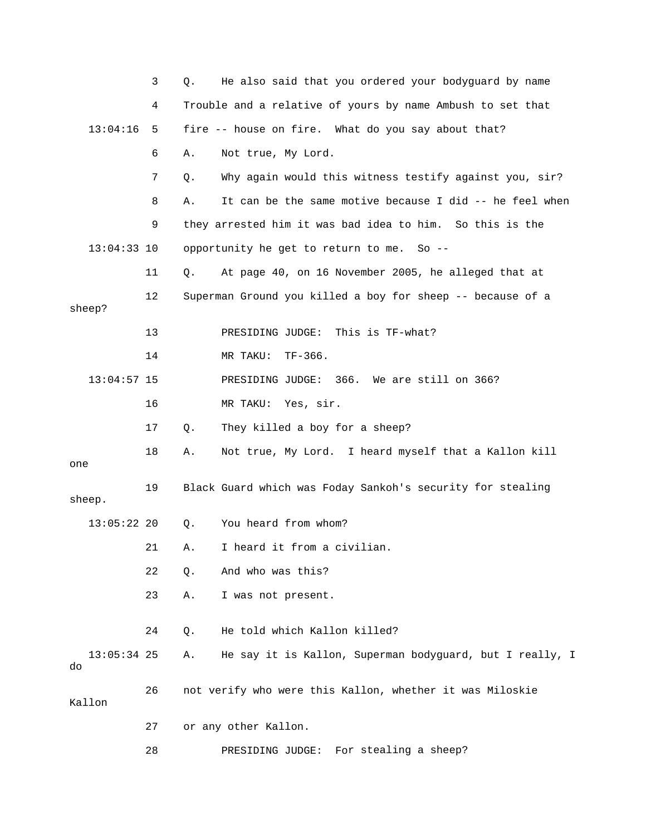|                     | 3  | He also said that you ordered your bodyguard by name<br>Q.     |
|---------------------|----|----------------------------------------------------------------|
|                     | 4  | Trouble and a relative of yours by name Ambush to set that     |
| 13:04:16            | 5  | fire -- house on fire. What do you say about that?             |
|                     | 6  | Not true, My Lord.<br>Α.                                       |
|                     | 7  | Why again would this witness testify against you, sir?<br>Q.   |
|                     | 8  | It can be the same motive because I did -- he feel when<br>Α.  |
|                     | 9  | they arrested him it was bad idea to him. So this is the       |
| $13:04:33$ 10       |    | opportunity he get to return to me. So --                      |
|                     | 11 | At page 40, on 16 November 2005, he alleged that at<br>Q.      |
| sheep?              | 12 | Superman Ground you killed a boy for sheep -- because of a     |
|                     | 13 | PRESIDING JUDGE:<br>This is TF-what?                           |
|                     | 14 | $TF-366$ .<br>MR TAKU:                                         |
| $13:04:57$ 15       |    | 366. We are still on 366?<br>PRESIDING JUDGE:                  |
|                     | 16 | MR TAKU: Yes, sir.                                             |
|                     | 17 | They killed a boy for a sheep?<br>Q.                           |
| one                 | 18 | Not true, My Lord. I heard myself that a Kallon kill<br>Α.     |
| sheep.              | 19 | Black Guard which was Foday Sankoh's security for stealing     |
| $13:05:22$ 20       |    | You heard from whom?<br>Q.                                     |
|                     | 21 | I heard it from a civilian.<br>Α.                              |
|                     | 22 | And who was this?<br>Q.                                        |
|                     | 23 | I was not present.<br>Α.                                       |
|                     | 24 | He told which Kallon killed?<br>Q.                             |
| $13:05:34$ 25<br>do |    | He say it is Kallon, Superman bodyguard, but I really, I<br>Α. |
| Kallon              | 26 | not verify who were this Kallon, whether it was Miloskie       |
|                     | 27 | or any other Kallon.                                           |
|                     | 28 | For stealing a sheep?<br>PRESIDING JUDGE:                      |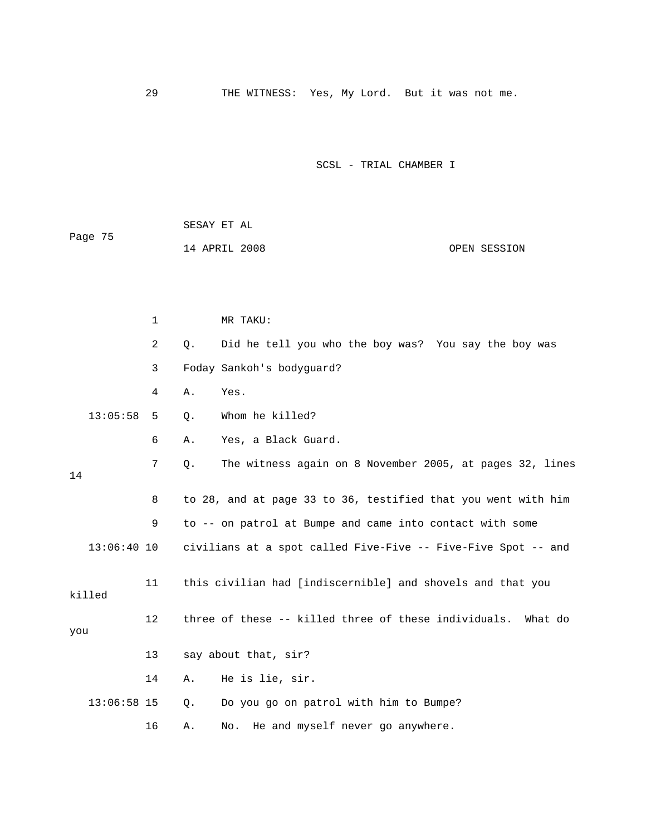29 THE WITNESS: Yes, My Lord. But it was not me.

|         | SESAY ET AL   |              |
|---------|---------------|--------------|
| Page 75 |               |              |
|         | 14 APRIL 2008 | OPEN SESSION |

|               | $\mathbf{1}$      | MR TAKU:                                                       |  |  |  |  |
|---------------|-------------------|----------------------------------------------------------------|--|--|--|--|
|               | $\overline{a}$    | Did he tell you who the boy was? You say the boy was<br>Q.     |  |  |  |  |
|               | 3                 | Foday Sankoh's bodyguard?                                      |  |  |  |  |
|               | 4                 | Yes.<br>Α.                                                     |  |  |  |  |
| 13:05:58      | 5                 | Whom he killed?<br>$Q$ .                                       |  |  |  |  |
|               | 6                 | Yes, a Black Guard.<br>Α.                                      |  |  |  |  |
| 14            | 7                 | The witness again on 8 November 2005, at pages 32, lines<br>Q. |  |  |  |  |
|               | 8                 | to 28, and at page 33 to 36, testified that you went with him  |  |  |  |  |
|               | 9                 | to -- on patrol at Bumpe and came into contact with some       |  |  |  |  |
| 13:06:40 10   |                   | civilians at a spot called Five-Five -- Five-Five Spot -- and  |  |  |  |  |
| killed        | 11                | this civilian had [indiscernible] and shovels and that you     |  |  |  |  |
| you           | $12 \overline{ }$ | three of these -- killed three of these individuals. What do   |  |  |  |  |
|               | 13                | say about that, sir?                                           |  |  |  |  |
|               | 14                | He is lie, sir.<br>Α.                                          |  |  |  |  |
| $13:06:58$ 15 |                   | Do you go on patrol with him to Bumpe?<br>Q.                   |  |  |  |  |
|               | 16                | He and myself never go anywhere.<br>Α.<br>No.                  |  |  |  |  |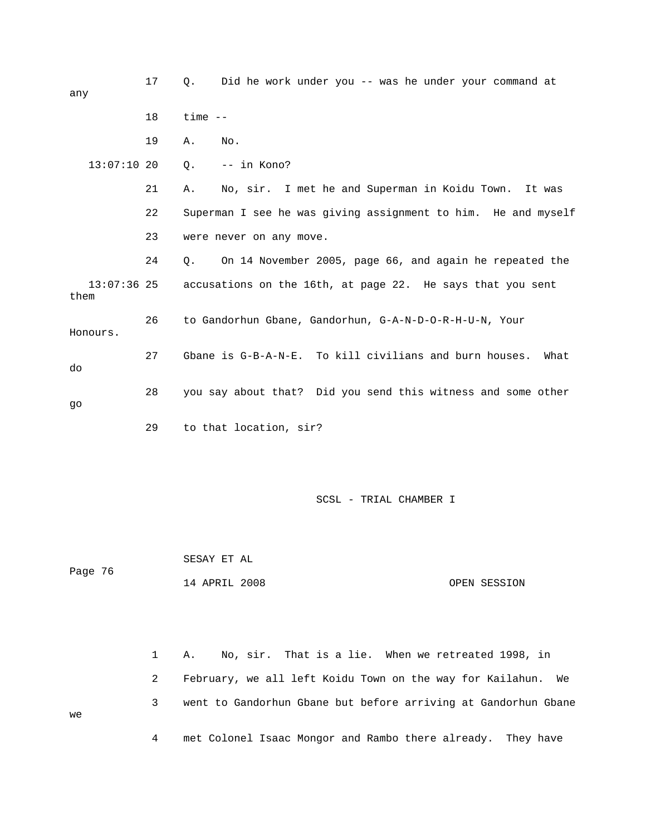| any                   | 17 | Did he work under you -- was he under your command at<br>О.    |
|-----------------------|----|----------------------------------------------------------------|
|                       | 18 | $time$ $--$                                                    |
|                       | 19 | No.<br>Α.                                                      |
| $13:07:10$ 20         |    | -- in Kono?<br>Q.                                              |
|                       | 21 | No, sir. I met he and Superman in Koidu Town. It was<br>Α.     |
|                       | 22 | Superman I see he was giving assignment to him. He and myself  |
|                       | 23 | were never on any move.                                        |
|                       | 24 | On 14 November 2005, page 66, and again he repeated the<br>0.  |
| $13:07:36$ 25<br>them |    | accusations on the 16th, at page 22. He says that you sent     |
| Honours.              | 26 | to Gandorhun Gbane, Gandorhun, G-A-N-D-O-R-H-U-N, Your         |
| do                    | 27 | Gbane is G-B-A-N-E. To kill civilians and burn houses.<br>What |
| qo                    | 28 | you say about that? Did you send this witness and some other   |
|                       | 29 | to that location, sir?                                         |

 SESAY ET AL 14 APRIL 2008 OPEN SESSION Page 76

1 A. No, sir. That is a lie. When we retreated 1998, in 2 February, we all left Koidu Town on the way for Kailahun. We 3 went to Gandorhun Gbane but before arriving at Gandorhun Gbane 4 met Colonel Isaac Mongor and Rambo there already. They have

we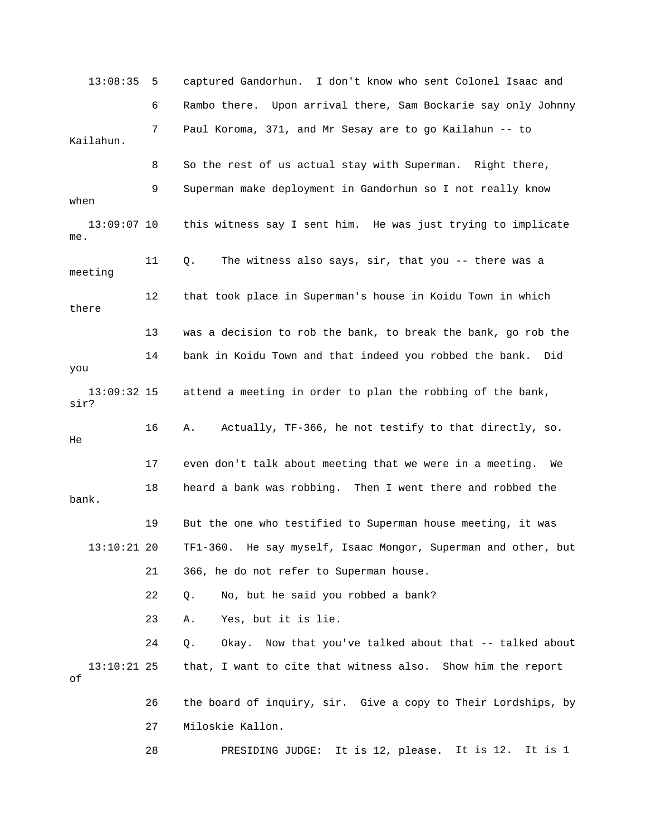13:08:35 5 captured Gandorhun. I don't know who sent Colonel Isaac and 6 Rambo there. Upon arrival there, Sam Bockarie say only Johnny Kailahun. 9 Superman make deployment in Gandorhun so I not really know 13:09:07 10 this witness say I sent him. He was just trying to implicate 12 that took place in Superman's house in Koidu Town in which 13 was a decision to rob the bank, to break the bank, go rob the 14 bank in Koidu Town and that indeed you robbed the bank. Did you attend a meeting in order to plan the robbing of the bank, sir? 16 A. Actually, TF-366, he not testify to that directly, so. 17 even don't talk about meeting that we were in a meeting. We bank. 13:10:21 20 TF1-360. He say myself, Isaac Mongor, Superman and other, but 21 366, he do not refer to Superman house. 24 Q. Okay. Now that you've talked about that -- talked about that, I want to cite that witness also. Show him the report 28 PRESIDING JUDGE: It is 12, please. It is 12. It is 1 7 Paul Koroma, 371, and Mr Sesay are to go Kailahun -- to 8 So the rest of us actual stay with Superman. Right there, when me. 11 Q. The witness also says, sir, that you -- there was a meeting there  $13:09:32$  15 He 18 heard a bank was robbing. Then I went there and robbed the 19 But the one who testified to Superman house meeting, it was 22 Q. No, but he said you robbed a bank? 23 A. Yes, but it is lie.  $13:10:21$  25 of 26 the board of inquiry, sir. Give a copy to Their Lordships, by 27 Miloskie Kallon.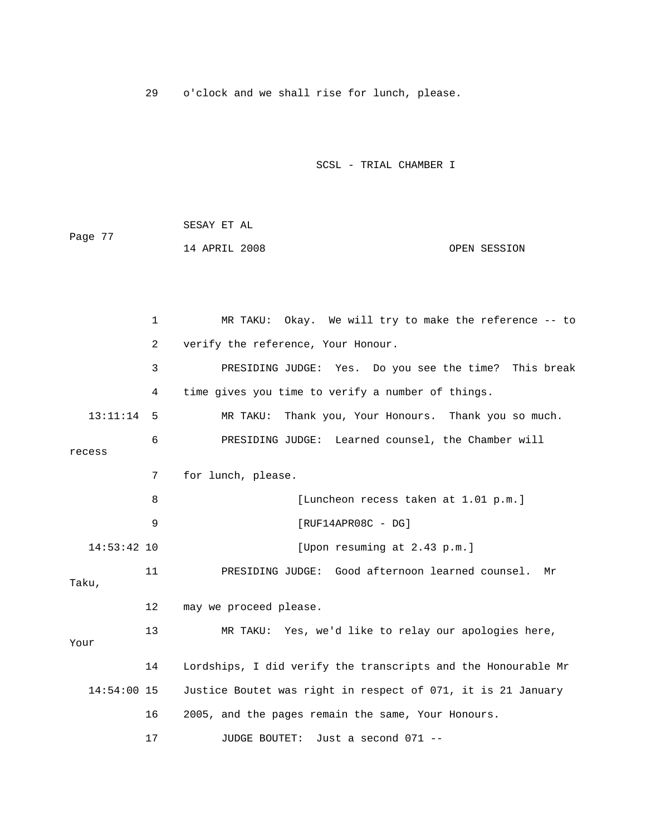29 o'clock and we shall rise for lunch, please.

| Page 77 | SESAY ET AL   |              |
|---------|---------------|--------------|
|         | 14 APRIL 2008 | OPEN SESSION |

|               | $\mathbf{1}$   | MR TAKU: Okay. We will try to make the reference -- to        |  |  |  |
|---------------|----------------|---------------------------------------------------------------|--|--|--|
|               | $\overline{a}$ | verify the reference, Your Honour.                            |  |  |  |
|               | 3              | PRESIDING JUDGE: Yes. Do you see the time? This break         |  |  |  |
|               | 4              | time gives you time to verify a number of things.             |  |  |  |
| 13:11:14      | 5              | MR TAKU:<br>Thank you, Your Honours. Thank you so much.       |  |  |  |
| recess        | 6              | PRESIDING JUDGE: Learned counsel, the Chamber will            |  |  |  |
|               | 7              | for lunch, please.                                            |  |  |  |
|               | 8              | [Luncheon recess taken at 1.01 p.m.]                          |  |  |  |
|               | 9              | $[RUF14APR08C - DG]$                                          |  |  |  |
| $14:53:42$ 10 |                | [Upon resuming at 2.43 p.m.]                                  |  |  |  |
| Taku,         | 11             | PRESIDING JUDGE: Good afternoon learned counsel. Mr           |  |  |  |
|               | 12             | may we proceed please.                                        |  |  |  |
| Your          | 13             | MR TAKU: Yes, we'd like to relay our apologies here,          |  |  |  |
|               | 14             | Lordships, I did verify the transcripts and the Honourable Mr |  |  |  |
| $14:54:00$ 15 |                | Justice Boutet was right in respect of 071, it is 21 January  |  |  |  |
|               | 16             | 2005, and the pages remain the same, Your Honours.            |  |  |  |
|               | 17             | Just a second 071 --<br>JUDGE BOUTET:                         |  |  |  |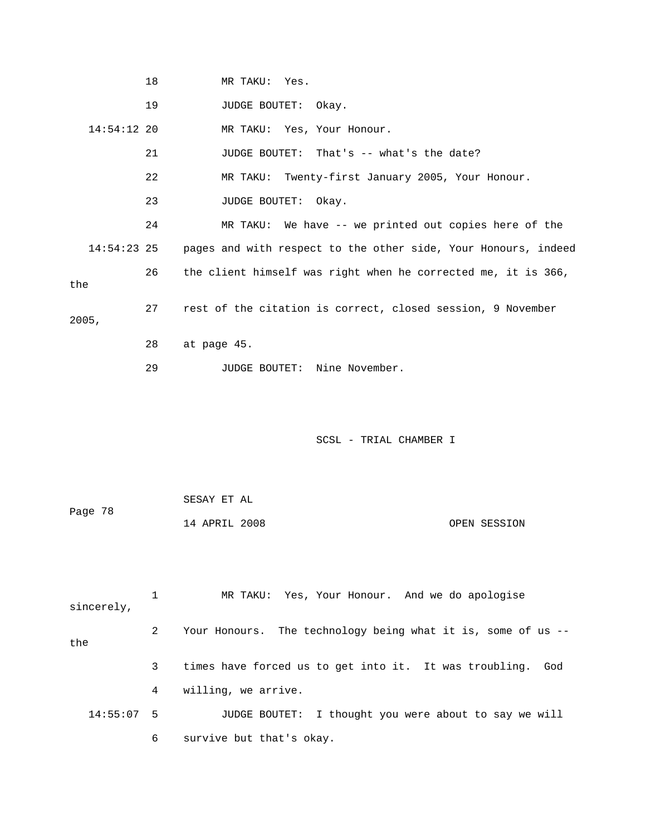|               | 18 | MR TAKU: Yes.                                                  |
|---------------|----|----------------------------------------------------------------|
|               | 19 | JUDGE BOUTET: Okay.                                            |
| $14:54:12$ 20 |    | MR TAKU: Yes, Your Honour.                                     |
|               | 21 | JUDGE BOUTET: That's -- what's the date?                       |
|               | 22 | MR TAKU: Twenty-first January 2005, Your Honour.               |
|               | 23 | JUDGE BOUTET: Okay.                                            |
|               | 24 | MR TAKU: We have -- we printed out copies here of the          |
| $14:54:23$ 25 |    | pages and with respect to the other side, Your Honours, indeed |
| the           | 26 | the client himself was right when he corrected me, it is 366,  |
| 2005,         | 27 | rest of the citation is correct, closed session, 9 November    |
|               | 28 | at page 45.                                                    |
|               | 29 | Nine November.<br>JUDGE BOUTET:                                |

|         | SESAY ET AL   |  |              |
|---------|---------------|--|--------------|
| Page 78 |               |  |              |
|         | 14 APRIL 2008 |  | OPEN SESSION |

| sincerely,   |   | MR TAKU: Yes, Your Honour. And we do apologise                  |
|--------------|---|-----------------------------------------------------------------|
| the          | 2 | Your Honours. The technology being what it is, some of us $-$   |
|              | 3 | times have forced us to get into it. It was troubling. God      |
|              | 4 | willing, we arrive.                                             |
| $14:55:07$ 5 |   | I thought you were about to say we will<br><b>JUDGE BOUTET:</b> |
|              | 6 | survive but that's okay.                                        |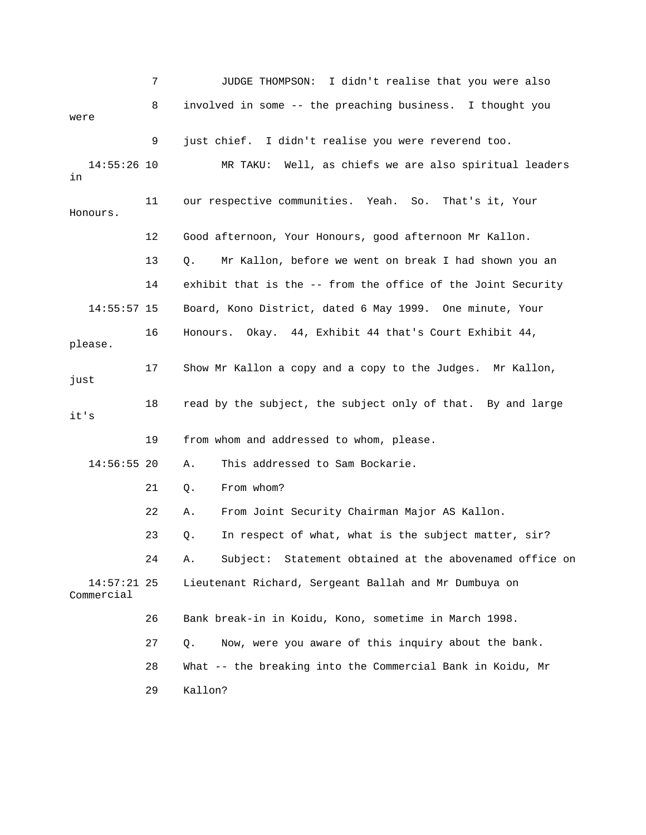7 JUDGE THOMPSON: I didn't realise that you were also 8 involved in some -- the preaching business. I thought you 9 just chief. I didn't realise you were reverend too. MR TAKU: Well, as chiefs we are also spiritual leaders 11 our respective communities. Yeah. So. That's it, Your 13 Q. Mr Kallon, before we went on break I had shown you an 16 Honours. Okay. 44, Exhibit 44 that's Court Exhibit 44, 18 read by the subject, the subject only of that. By and large 24 A. Subject: Statement obtained at the abovenamed office on Lieutenant Richard, Sergeant Ballah and Mr Dumbuya on Commercial 26 Bank break-in in Koidu, Kono, sometime in March 1998. 27 Q. Now, were you aware of this inquiry about the bank. 28 Mhat -- the breaking into the Commercial Bank in Koidu, Mr were  $14:55:26$  10 in Honours. 12 Good afternoon, Your Honours, good afternoon Mr Kallon. 14 exhibit that is the -- from the office of the Joint Security 14:55:57 15 Board, Kono District, dated 6 May 1999. One minute, Your please. 17 Show Mr Kallon a copy and a copy to the Judges. Mr Kallon, just it's 19 from whom and addressed to whom, please. 14:56:55 20 A. This addressed to Sam Bockarie. 21 Q. From whom? 22 A. From Joint Security Chairman Major AS Kallon. 23 Q. In respect of what, what is the subject matter, sir?  $14:57:21$  25 29 Kallon?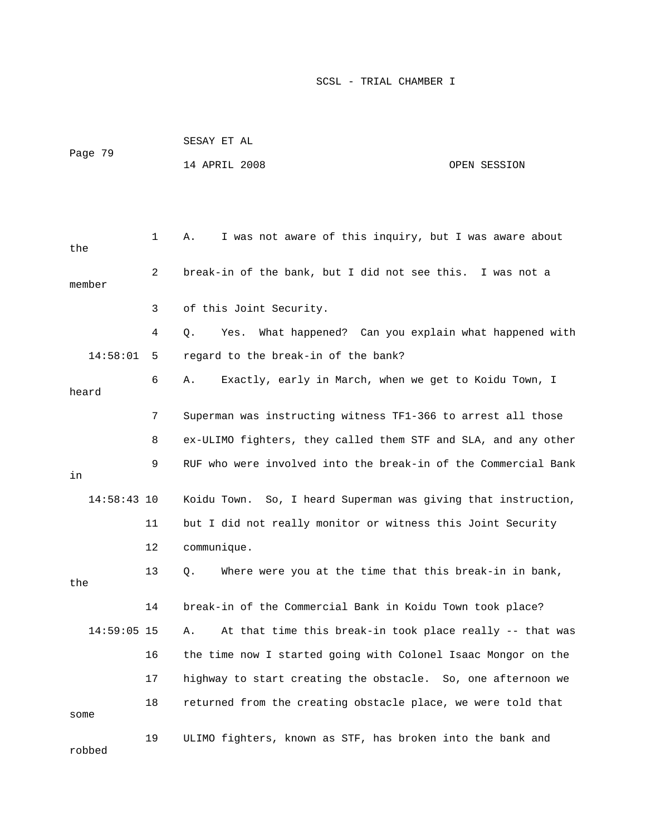|               |    | SESAY ET AL                                                     |              |
|---------------|----|-----------------------------------------------------------------|--------------|
| Page 79       |    | 14 APRIL 2008                                                   | OPEN SESSION |
|               |    |                                                                 |              |
|               |    |                                                                 |              |
| the           | 1  | I was not aware of this inquiry, but I was aware about<br>Α.    |              |
| member        | 2  | break-in of the bank, but I did not see this. I was not a       |              |
|               | 3  | of this Joint Security.                                         |              |
|               | 4  | What happened? Can you explain what happened with<br>Yes.<br>О. |              |
| 14:58:01      | 5  | regard to the break-in of the bank?                             |              |
| heard         | 6  | Exactly, early in March, when we get to Koidu Town, I<br>Α.     |              |
|               | 7  | Superman was instructing witness TF1-366 to arrest all those    |              |
|               | 8  | ex-ULIMO fighters, they called them STF and SLA, and any other  |              |
| in            | 9  | RUF who were involved into the break-in of the Commercial Bank  |              |
| $14:58:43$ 10 |    | Koidu Town. So, I heard Superman was giving that instruction,   |              |
|               | 11 | but I did not really monitor or witness this Joint Security     |              |
|               | 12 | communique.                                                     |              |
| the           | 13 | Where were you at the time that this break-in in bank,<br>Q.    |              |
|               | 14 | break-in of the Commercial Bank in Koidu Town took place?       |              |
| $14:59:05$ 15 |    | At that time this break-in took place really -- that was<br>Α.  |              |
|               | 16 | the time now I started going with Colonel Isaac Mongor on the   |              |
|               | 17 | highway to start creating the obstacle. So, one afternoon we    |              |
| some          | 18 | returned from the creating obstacle place, we were told that    |              |
| robbed        | 19 | ULIMO fighters, known as STF, has broken into the bank and      |              |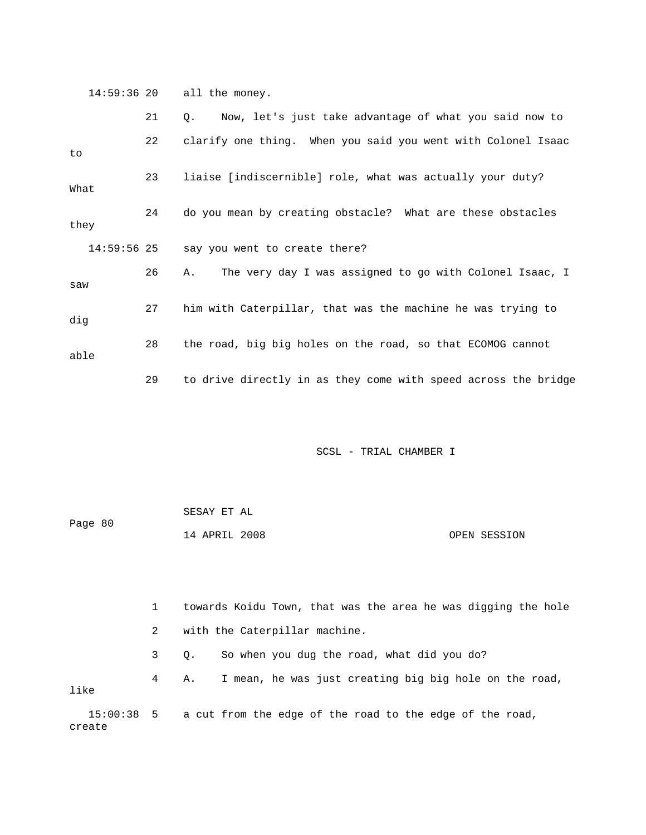14:59:36 20 all the money.

|               | 21 | Now, let's just take advantage of what you said now to<br>Q.   |
|---------------|----|----------------------------------------------------------------|
| to            | 22 | clarify one thing. When you said you went with Colonel Isaac   |
| What          | 23 | liaise [indiscernible] role, what was actually your duty?      |
| they          | 24 | do you mean by creating obstacle? What are these obstacles     |
| $14:59:56$ 25 |    | say you went to create there?                                  |
| saw           | 26 | The very day I was assigned to go with Colonel Isaac, I<br>Α.  |
| dig           | 27 | him with Caterpillar, that was the machine he was trying to    |
| able          | 28 | the road, big big holes on the road, so that ECOMOG cannot     |
|               | 29 | to drive directly in as they come with speed across the bridge |

SCSL - TRIAL CHAMBER I

|         | SESAY ET AL   |  |              |
|---------|---------------|--|--------------|
| Page 80 |               |  |              |
|         | 14 APRIL 2008 |  | OPEN SESSION |

 1 towards Koidu Town, that was the area he was digging the hole 2 with the Caterpillar machine. 3 Q. So when you dug the road, what did you do? 4 A. I mean, he was just creating big big hole on the road, like

 15:00:38 5 a cut from the edge of the road to the edge of the road, create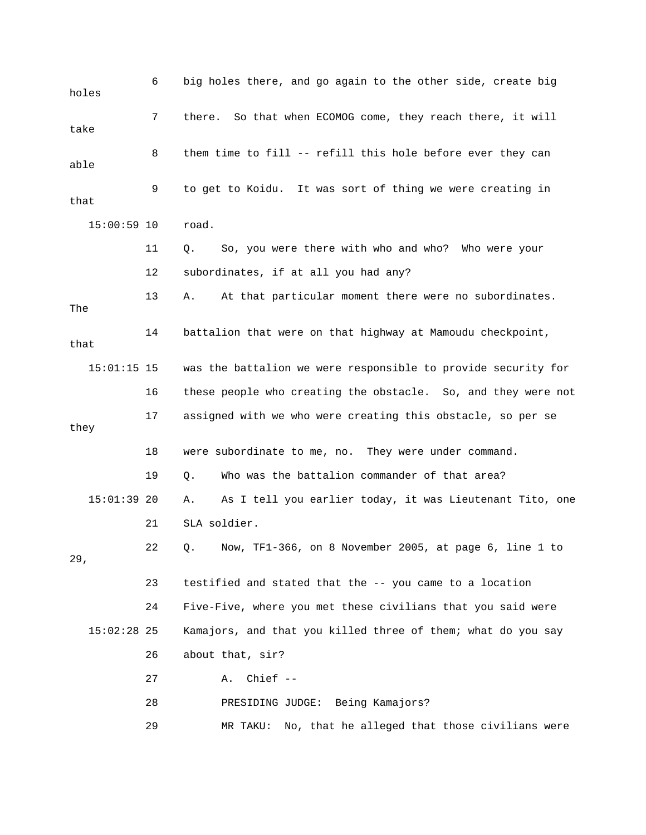6 big holes there, and go again to the other side, create big holes 7 there. So that when ECOMOG come, they reach there, it will 8 them time to fill -- refill this hole before ever they can 9 to get to Koidu. It was sort of thing we were creating in 15:00:59 10 road. 11 Q. So, you were there with who and who? Who were your 13 A. At that particular moment there were no subordinates. 14 battalion that were on that highway at Mamoudu checkpoint, 15:01:15 15 was the battalion we were responsible to provide security for 16 these people who creating the obstacle. So, and they were not 17 assigned with we who were creating this obstacle, so per se they 19 Q. Who was the battalion commander of that area? A. As I tell you earlier today, it was Lieutenant Tito, one 22 Q. Now, TF1-366, on 8 November 2005, at page 6, line 1 to Kamajors, and that you killed three of them; what do you say 26 about that, sir? 27 A. Chief -- 29 MR TAKU: No, that he alleged that those civilians were take able that 12 subordinates, if at all you had any? The that 18 were subordinate to me, no. They were under command.  $15:01:39$  20 21 SLA soldier. 29, 23 testified and stated that the -- you came to a location 24 Five-Five, where you met these civilians that you said were  $15:02:28$  25 28 PRESIDING JUDGE: Being Kamajors?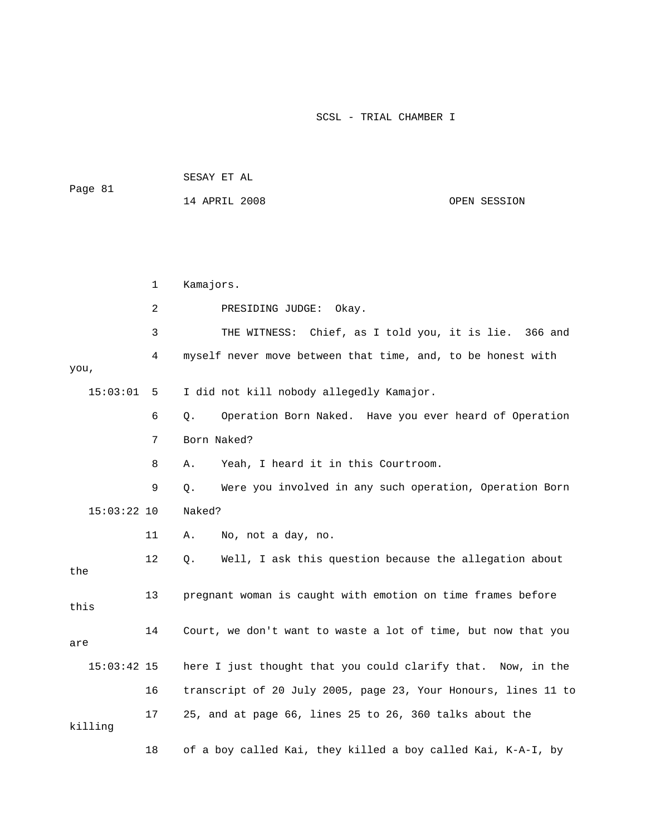| Page 81       |    |             | 14 APRIL 2008                                                  | OPEN SESSION |
|---------------|----|-------------|----------------------------------------------------------------|--------------|
|               |    |             |                                                                |              |
|               | 1  | Kamajors.   |                                                                |              |
|               | 2  |             | PRESIDING JUDGE:<br>Okay.                                      |              |
|               | 3  |             | THE WITNESS: Chief, as I told you, it is lie. 366 and          |              |
| you,          | 4  |             | myself never move between that time, and, to be honest with    |              |
| 15:03:01      | 5  |             | I did not kill nobody allegedly Kamajor.                       |              |
|               | 6  | Q.          | Operation Born Naked. Have you ever heard of Operation         |              |
|               | 7  | Born Naked? |                                                                |              |
|               | 8  | Α.          | Yeah, I heard it in this Courtroom.                            |              |
|               | 9  | $Q$ .       | Were you involved in any such operation, Operation Born        |              |
| $15:03:22$ 10 |    | Naked?      |                                                                |              |
|               | 11 | Α.          | No, not a day, no.                                             |              |
| the           | 12 | Q.          | Well, I ask this question because the allegation about         |              |
| this          | 13 |             | pregnant woman is caught with emotion on time frames before    |              |
| are           | 14 |             | Court, we don't want to waste a lot of time, but now that you  |              |
| $15:03:42$ 15 |    |             | here I just thought that you could clarify that. Now, in the   |              |
|               | 16 |             | transcript of 20 July 2005, page 23, Your Honours, lines 11 to |              |
| killing       | 17 |             | 25, and at page 66, lines 25 to 26, 360 talks about the        |              |
|               | 18 |             | of a boy called Kai, they killed a boy called Kai, K-A-I, by   |              |

SESAY ET AL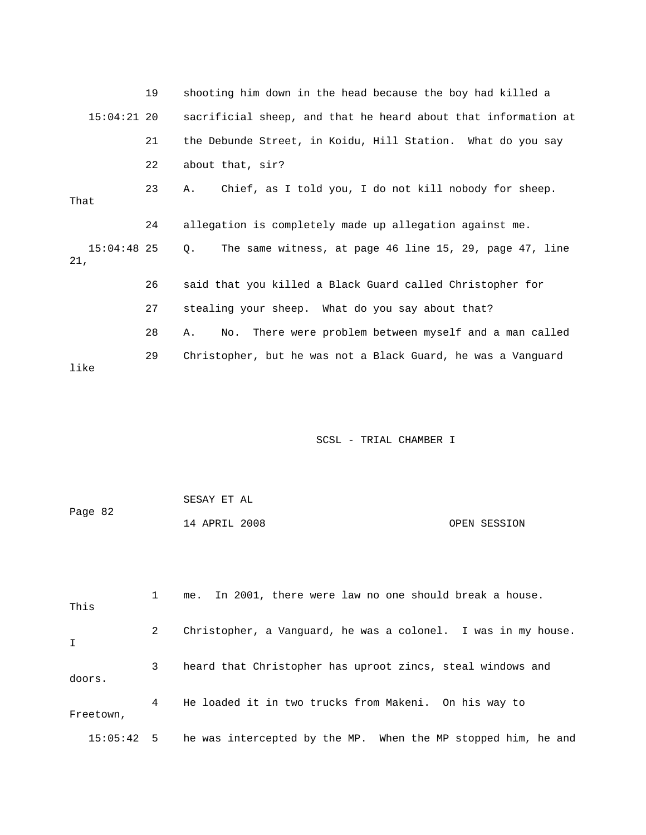|                      | 19 | shooting him down in the head because the boy had killed a      |
|----------------------|----|-----------------------------------------------------------------|
| $15:04:21$ 20        |    | sacrificial sheep, and that he heard about that information at  |
|                      | 21 | the Debunde Street, in Koidu, Hill Station. What do you say     |
|                      | 22 | about that, sir?                                                |
| That                 | 23 | Chief, as I told you, I do not kill nobody for sheep.<br>Α.     |
|                      | 24 | allegation is completely made up allegation against me.         |
| $15:04:48$ 25<br>21, |    | The same witness, at page 46 line 15, 29, page 47, line<br>Q.   |
|                      | 26 | said that you killed a Black Guard called Christopher for       |
|                      | 27 | stealing your sheep. What do you say about that?                |
|                      | 28 | There were problem between myself and a man called<br>No.<br>Α. |
| like                 | 29 | Christopher, but he was not a Black Guard, he was a Vanquard    |

| Page 82 | SESAY ET AL   |              |
|---------|---------------|--------------|
|         | 14 APRIL 2008 | OPEN SESSION |

| This         |   | me. In 2001, there were law no one should break a house.      |
|--------------|---|---------------------------------------------------------------|
| $\mathbf{I}$ | 2 | Christopher, a Vanquard, he was a colonel. I was in my house. |
| doors.       | 3 | heard that Christopher has uproot zincs, steal windows and    |
| Freetown,    | 4 | He loaded it in two trucks from Makeni. On his way to         |
| $15:05:42$ 5 |   | he was intercepted by the MP. When the MP stopped him, he and |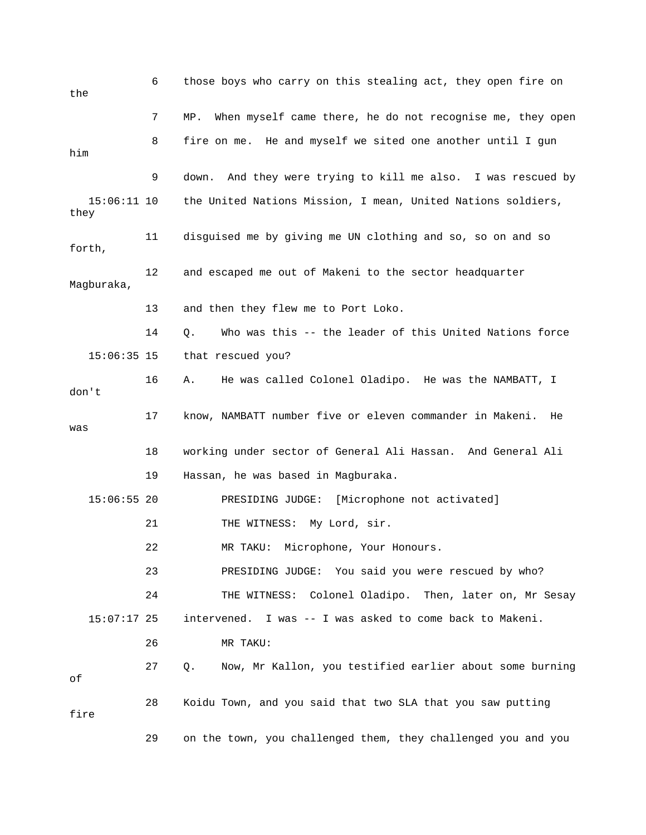| the                   | 6  | those boys who carry on this stealing act, they open fire on     |
|-----------------------|----|------------------------------------------------------------------|
|                       | 7  | When myself came there, he do not recognise me, they open<br>MP. |
| him                   | 8  | fire on me. He and myself we sited one another until I gun       |
|                       | 9  | down. And they were trying to kill me also. I was rescued by     |
| $15:06:11$ 10<br>they |    | the United Nations Mission, I mean, United Nations soldiers,     |
| forth,                | 11 | disguised me by giving me UN clothing and so, so on and so       |
| Magburaka,            | 12 | and escaped me out of Makeni to the sector headquarter           |
|                       | 13 | and then they flew me to Port Loko.                              |
|                       | 14 | Who was this -- the leader of this United Nations force<br>Q.    |
| $15:06:35$ 15         |    | that rescued you?                                                |
| don't                 | 16 | He was called Colonel Oladipo. He was the NAMBATT, I<br>Α.       |
| was                   | 17 | know, NAMBATT number five or eleven commander in Makeni.<br>He   |
|                       | 18 | working under sector of General Ali Hassan. And General Ali      |
|                       | 19 | Hassan, he was based in Magburaka.                               |
| $15:06:55$ 20         |    | [Microphone not activated]<br>PRESIDING JUDGE:                   |
|                       | 21 | THE WITNESS: My Lord, sir.                                       |
|                       | 22 | Microphone, Your Honours.<br>MR TAKU:                            |
|                       | 23 | PRESIDING JUDGE: You said you were rescued by who?               |
|                       | 24 | THE WITNESS: Colonel Oladipo. Then, later on, Mr Sesay           |
| $15:07:17$ 25         |    | intervened. I was -- I was asked to come back to Makeni.         |
|                       | 26 | MR TAKU:                                                         |
| оf                    | 27 | Now, Mr Kallon, you testified earlier about some burning<br>Q.   |
| fire                  | 28 | Koidu Town, and you said that two SLA that you saw putting       |
|                       | 29 | on the town, you challenged them, they challenged you and you    |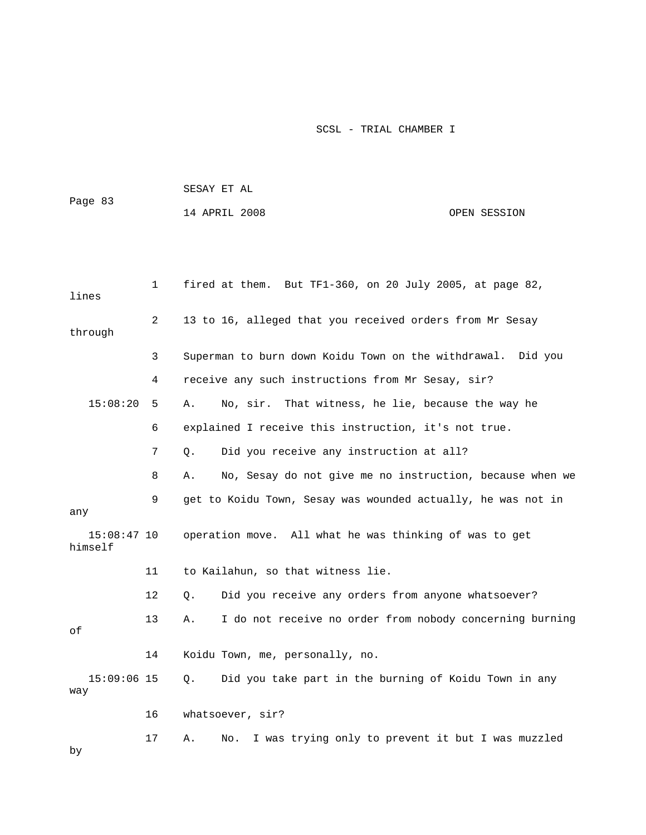|                          |    |       | SESAY ET AL                                                  |              |
|--------------------------|----|-------|--------------------------------------------------------------|--------------|
| Page 83                  |    |       | 14 APRIL 2008                                                | OPEN SESSION |
|                          |    |       |                                                              |              |
|                          |    |       |                                                              |              |
| lines                    | 1  |       | fired at them. But TF1-360, on 20 July 2005, at page 82,     |              |
| through                  | 2  |       | 13 to 16, alleged that you received orders from Mr Sesay     |              |
|                          | 3  |       | Superman to burn down Koidu Town on the withdrawal. Did you  |              |
|                          | 4  |       | receive any such instructions from Mr Sesay, sir?            |              |
| 15:08:20                 | 5  | Α.    | No, sir. That witness, he lie, because the way he            |              |
|                          | 6  |       | explained I receive this instruction, it's not true.         |              |
|                          | 7  | Q.    | Did you receive any instruction at all?                      |              |
|                          | 8  | Α.    | No, Sesay do not give me no instruction, because when we     |              |
| any                      | 9  |       | get to Koidu Town, Sesay was wounded actually, he was not in |              |
| $15:08:47$ 10<br>himself |    |       | operation move. All what he was thinking of was to get       |              |
|                          | 11 |       | to Kailahun, so that witness lie.                            |              |
|                          | 12 | Q.    | Did you receive any orders from anyone whatsoever?           |              |
| οf                       | 13 | Α.    | I do not receive no order from nobody concerning burning     |              |
|                          | 14 |       | Koidu Town, me, personally, no.                              |              |
| $15:09:06$ 15<br>way     |    | $Q$ . | Did you take part in the burning of Koidu Town in any        |              |
|                          | 16 |       | whatsoever, sir?                                             |              |
| by                       | 17 | Α.    | I was trying only to prevent it but I was muzzled<br>No.     |              |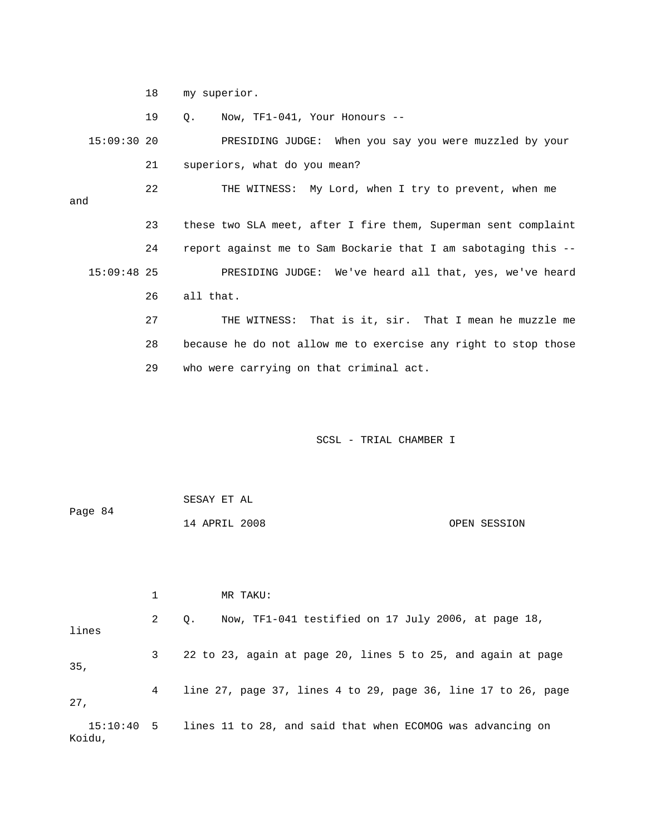18 my superior.

19 Q. Now, TF1-041, Your Honours --

 15:09:30 20 PRESIDING JUDGE: When you say you were muzzled by your 21 superiors, what do you mean?

 22 THE WITNESS: My Lord, when I try to prevent, when me and 23 these two SLA meet, after I fire them, Superman sent complaint 24 report against me to Sam Bockarie that I am sabotaging this --UDGE: We've heard all that, yes, we've heard 15:09:48 25 PRESIDING J

26 all that.

 27 THE WITNESS: That is it, sir. That I mean he muzzle me 28 because he do not allow me to exercise any right to stop those 29 who were carrying on that criminal act.

SCSL - TRIAL CHAMBER I

|         | SESAY ET AL   |  |              |
|---------|---------------|--|--------------|
| Page 84 |               |  |              |
|         | 14 APRIL 2008 |  | OPEN SESSION |

2 Q. Now, TF1-041 testified on 17 July 2006, at page 18, 3 22 to 23, again at page 20, lines 5 to 25, and again at page , 35 e 17 to 26, page 4 line 27, page 37, lines 4 to 29, page 36, lin 15:10:40 5 lines 11 to 28, and said that when ECOMOG was advancing on Koidu, 1 MR TAKU: lines 27,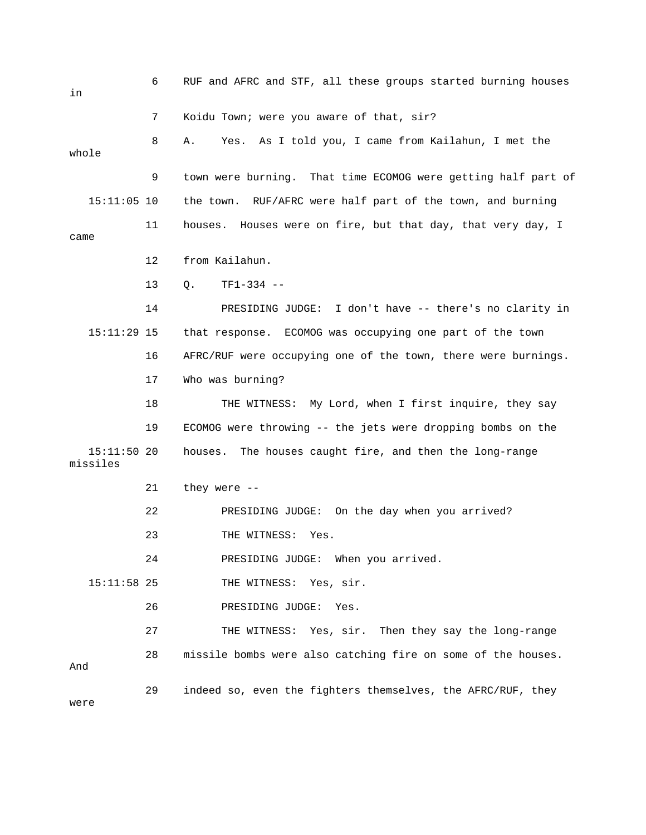6 RUF and AFRC and STF, all these groups started burning houses in 8 A. Yes. As I told you, I came from Kailahun, I met the whole 9 town were burning. That time ECOMOG were getting half part of 11 houses. Houses were on fire, but that day, that very day, I 12 from Kailahun. 13 Q. TF1-334 -- 14 PRESIDING JUDGE: I don't have -- there's no clarity in 15:11:29 15 that response. ECOMOG was occupying one part of the town 16 AFRC/RUF were occupying one of the town, there were burnings. 19 ECOMOG were throwing -- the jets were dropping bombs on the 22 PRESIDING JUDGE: On the day when you arrived? 23 THE WITNESS: Yes. 24 **PRESIDING JUDGE:** When you arrived. 15:11:58 25 THE WITNESS: Yes, sir. 26 PRESIDING JUDGE: Yes. 28 missile bombs were also catching fire on some of the houses. 7 Koidu Town; were you aware of that, sir? 15:11:05 10 the town. RUF/AFRC were half part of the town, and burning came 17 Who was burning? 18 THE WITNESS: My Lord, when I first inquire, they say 15:11:50 20 houses. The houses caught fire, and then the long-range missiles 21 they were -- 27 THE WITNESS: Yes, sir. Then they say the long-range And 29 indeed so, even the fighters themselves, the AFRC/RUF, they were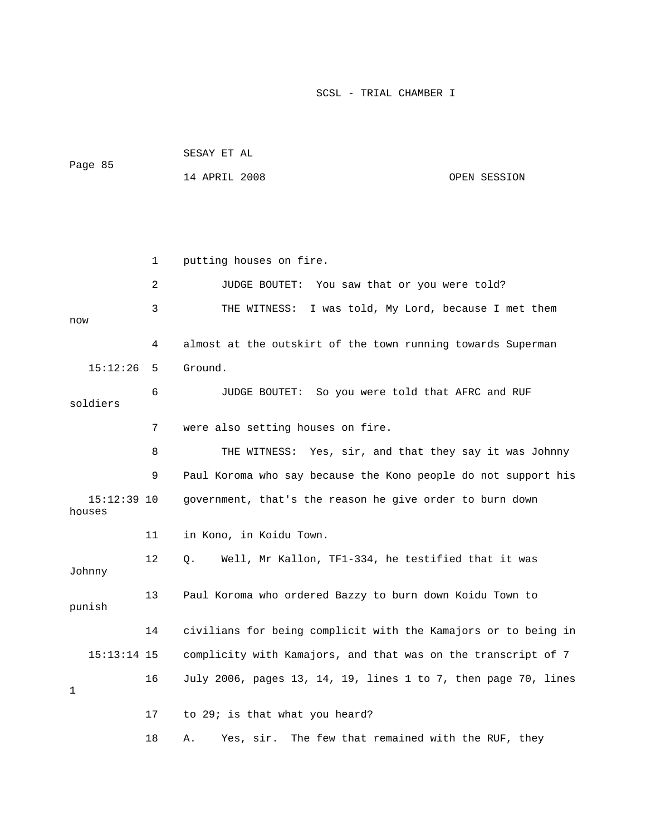|         | SESAY ET AL   |              |
|---------|---------------|--------------|
| Page 85 | 14 APRIL 2008 | OPEN SESSION |

 1 putting houses on fire. 2 JUDGE BOUTET: You saw that or you were told? 3 THE WITNESS: I was told, My Lord, because I met them w no 4 almost at the outskirt of the town running towards Superman 15:12:26 5 Ground. 6 JUDGE BOUTET: So you were told that AFRC and RUF ldiers so 7 were also setting houses on fire. 8 THE WITNESS: Yes, sir, and that they say it was Johnny 9 Paul Koroma who say because the Kono people do not support his 15:12:39 10 government, that's the reason he give order to burn down houses 11 in Kono, in Koidu Town. 12 Q. Well, Mr Kallon, TF1-334, he testified that it was 13 Paul Koroma who ordered Bazzy to burn down Koidu Town to 14 civilians for being complicit with the Kamajors or to being in 15:13:14 15 complicity with Kamajors, and that was on the transcript of 7 16 July 2006, pages 13, 14, 19, lines 1 to 7, then page 70, lines Johnny punish 1 17 to 29; is that what you heard? 18 A. Yes, sir. The few that remained with the RUF, they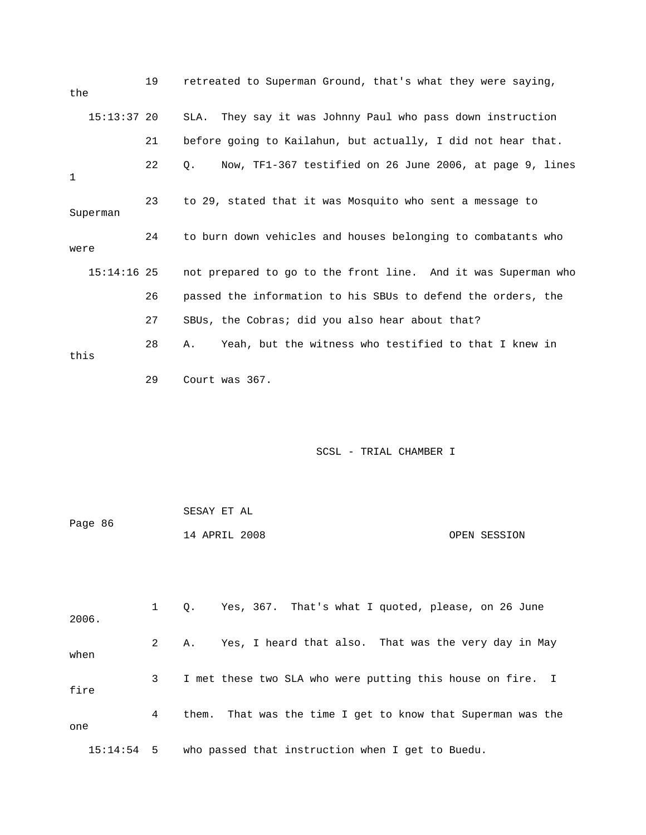| the         |               | 19 | retreated to Superman Ground, that's what they were saying,    |
|-------------|---------------|----|----------------------------------------------------------------|
|             | $15:13:37$ 20 |    | They say it was Johnny Paul who pass down instruction<br>SLA.  |
|             |               | 21 | before going to Kailahun, but actually, I did not hear that.   |
| $\mathbf 1$ |               | 22 | Now, TF1-367 testified on 26 June 2006, at page 9, lines<br>Q. |
|             | Superman      | 23 | to 29, stated that it was Mosquito who sent a message to       |
| were        |               | 24 | to burn down vehicles and houses belonging to combatants who   |
|             | $15:14:16$ 25 |    | not prepared to go to the front line. And it was Superman who  |
|             |               | 26 | passed the information to his SBUs to defend the orders, the   |
|             |               | 27 | SBUs, the Cobras; did you also hear about that?                |
| this        |               | 28 | Yeah, but the witness who testified to that I knew in<br>Α.    |
|             |               | 29 | Court was 367.                                                 |
|             |               |    |                                                                |
|             |               |    | SCSL - TRIAL CHAMBER I                                         |
|             |               |    |                                                                |

| Page 86 | SESAY ET AL   |  |              |
|---------|---------------|--|--------------|
|         | 14 APRIL 2008 |  | OPEN SESSION |

| 2006. |              |   | 0. | Yes, 367. That's what I quoted, please, on 26 June          |
|-------|--------------|---|----|-------------------------------------------------------------|
| when  |              | 2 | Α. | Yes, I heard that also. That was the very day in May        |
| fire  |              | 3 |    | I met these two SLA who were putting this house on fire. I  |
| one   |              | 4 |    | them. That was the time I get to know that Superman was the |
|       | $15:14:54$ 5 |   |    | who passed that instruction when I get to Buedu.            |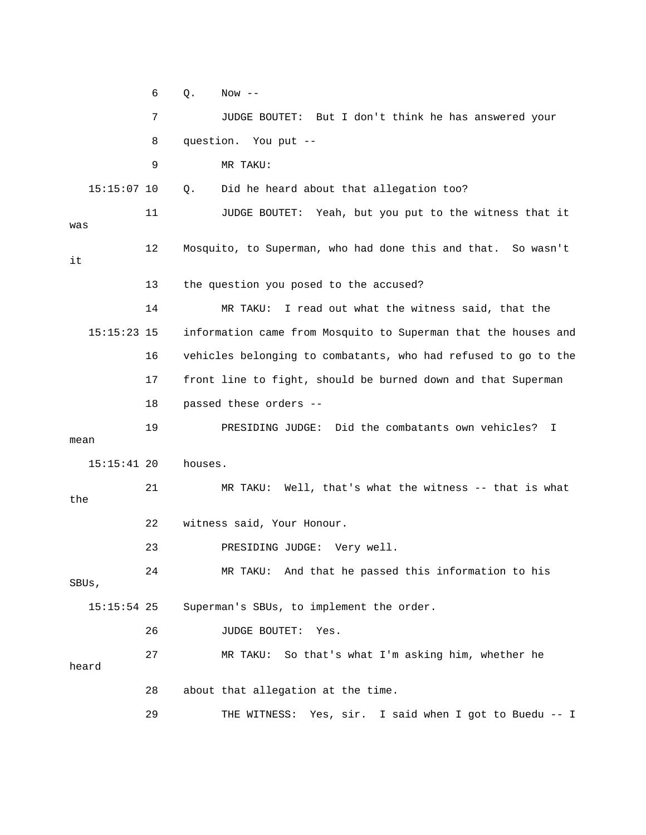6 Q. Now -- 7 JUDGE BOUTET: But I don't think he has answered your 8 question. You put -- 9 MR TAKU: 11 JUDGE BOUTET: Yeah, but you put to the witness that it 12 Mosquito, to Superman, who had done this and that. So wasn't 13 the question you posed to the accused? 14 MR TAKU: I read out what the witness said, that the 15:15:23 15 information came from Mosquito to Superman that the houses and 16 vehicles belonging to combatants, who had refused to go to the JUDGE: Did the combatants own vehicles? I 19 PRESIDING mean 23 PRESIDING JUDGE: Very well. 24 MR TAKU: And that he passed this information to his 28 about that allegation at the time. 29 THE WITNESS: Yes, sir. I said when I got to Buedu -- I 15:15:07 10 Q. Did he heard about that allegation too? was it 17 front line to fight, should be burned down and that Superman 18 passed these orders -- 15:15:41 20 houses. 21 MR TAKU: Well, that's what the witness -- that is what the 22 witness said, Your Honour. SBUs, 15:15:54 25 Superman's SBUs, to implement the order. 26 JUDGE BOUTET: Yes. 27 MR TAKU: So that's what I'm asking him, whether he heard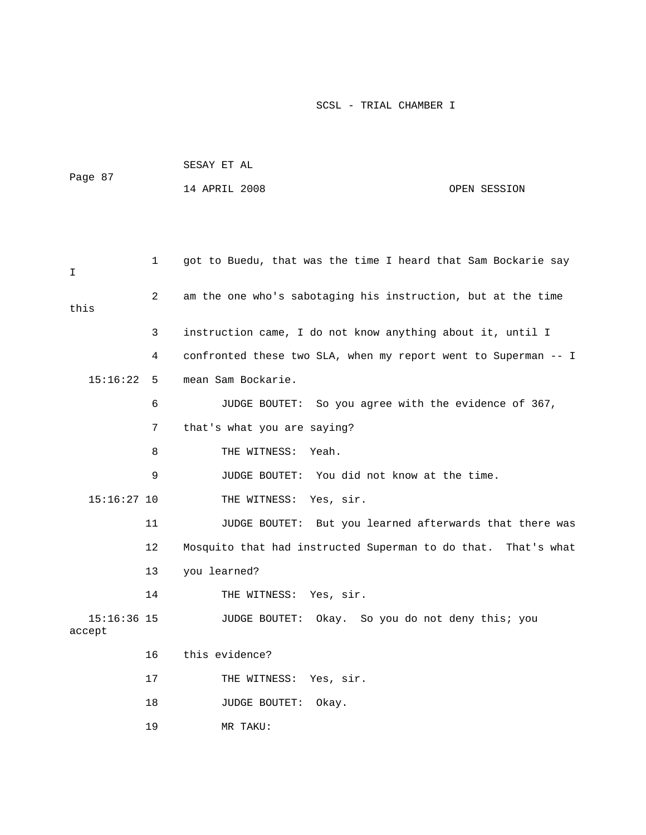| Page 87                 |              | SESAY ET AL                                                    |              |  |  |
|-------------------------|--------------|----------------------------------------------------------------|--------------|--|--|
|                         |              | 14 APRIL 2008                                                  | OPEN SESSION |  |  |
|                         |              |                                                                |              |  |  |
|                         |              |                                                                |              |  |  |
| I                       | $\mathbf{1}$ | got to Buedu, that was the time I heard that Sam Bockarie say  |              |  |  |
| this                    | 2            | am the one who's sabotaging his instruction, but at the time   |              |  |  |
|                         | 3            | instruction came, I do not know anything about it, until I     |              |  |  |
|                         | 4            | confronted these two SLA, when my report went to Superman -- I |              |  |  |
| 15:16:22                | 5            | mean Sam Bockarie.                                             |              |  |  |
|                         | 6            | JUDGE BOUTET: So you agree with the evidence of 367,           |              |  |  |
|                         | 7            | that's what you are saying?                                    |              |  |  |
|                         | 8            | THE WITNESS:<br>Yeah.                                          |              |  |  |
|                         | 9            | JUDGE BOUTET: You did not know at the time.                    |              |  |  |
| $15:16:27$ 10           |              | Yes, sir.<br>THE WITNESS:                                      |              |  |  |
|                         | 11           | JUDGE BOUTET: But you learned afterwards that there was        |              |  |  |
|                         | 12           | Mosquito that had instructed Superman to do that. That's what  |              |  |  |
|                         | 13           | you learned?                                                   |              |  |  |
|                         | 14           | THE WITNESS: Yes, sir.                                         |              |  |  |
| $15:16:36$ 15<br>accept |              | JUDGE BOUTET: Okay. So you do not deny this; you               |              |  |  |
|                         | 16           | this evidence?                                                 |              |  |  |
|                         | 17           | THE WITNESS:<br>Yes, sir.                                      |              |  |  |
|                         | 18           | JUDGE BOUTET:<br>Okay.                                         |              |  |  |
|                         | 19           | MR TAKU:                                                       |              |  |  |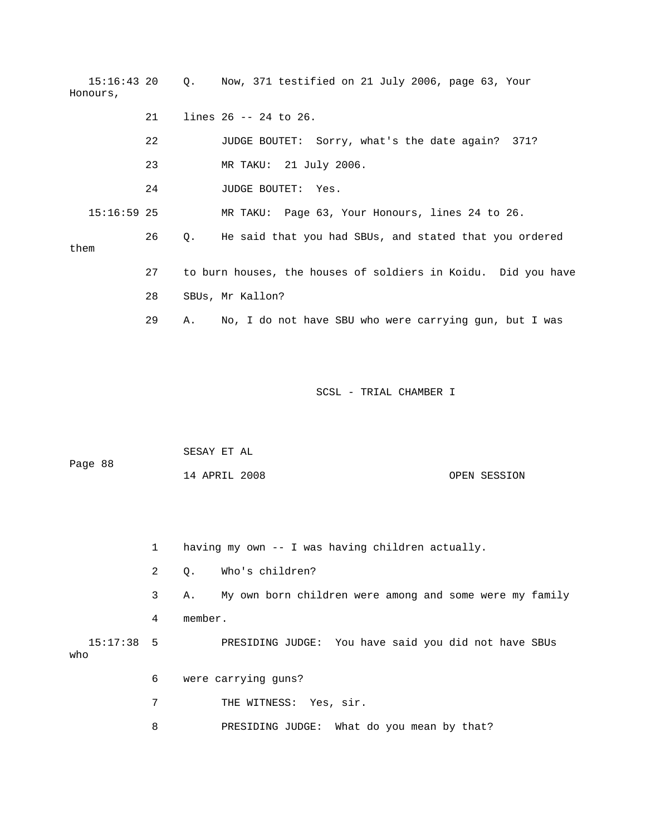15:16:43 20 Q. Now, 371 testified on 21 July 2006, page 63, Your 23 MR TAKU: 21 July 2006. 26 Q. He said that you had SBUs, and stated that you ordered 27 to burn houses, the houses of soldiers in Koidu. Did you have 29 A. No, I do not have SBU who were carrying gun, but I was Honours, 21 lines 26 -- 24 to 26. 22 JUDGE BOUTET: Sorry, what's the date again? 371? 24 JUDGE BOUTET: Yes. 15:16:59 25 MR TAKU: Page 63, Your Honours, lines 24 to 26. them 28 SBUs, Mr Kallon?

SCSL - TRIAL CHAMBER I

| Page 88 | SESAY ET AL   |  |              |
|---------|---------------|--|--------------|
|         | 14 APRIL 2008 |  | OPEN SESSION |

 1 having my own -- I was having children actually. 2 Q. Who's children? 4 member. 15:17:38 5 PRESIDING JUDGE: You have said you did not have SBUs 6 were carrying guns? 7 THE WITNESS: Yes, sir. 3 A. My own born children were among and some were my family who

8 PRESIDING JUDGE: What do you mean by that?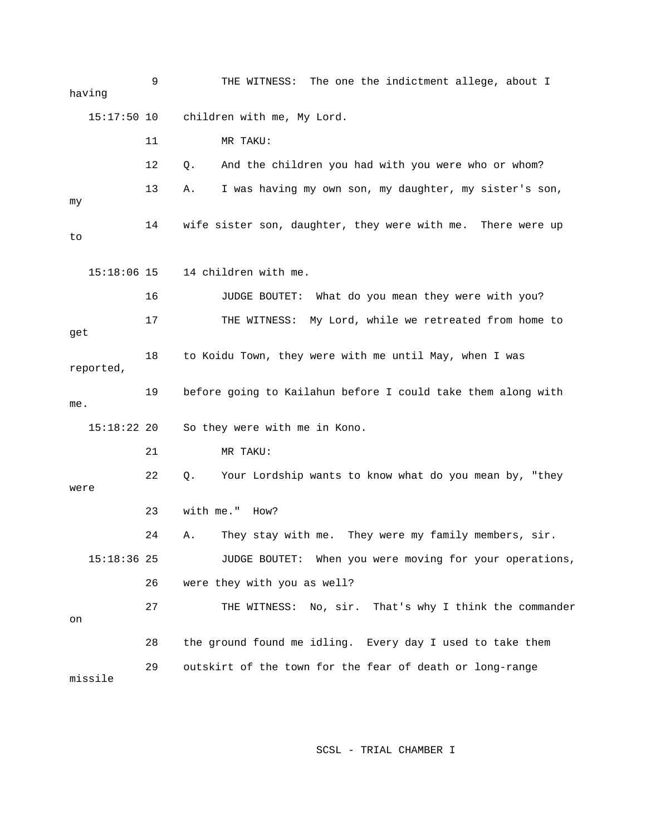9 THE WITNESS: The one the indictment allege, about I having 15:17:50 10 children with me, My Lord. 12 Q. And the children you had with you were who or whom? 14 wife sister son, daughter, they were with me. There were up 16 JUDGE BOUTET: What do you mean they were with you? 17 THE WITNESS: My Lord, while we retreated from home to get 18 to Koidu Town, they were with me until May, when I was reported, 19 before going to Kailahun before I could take them along with 22 Q. Your Lordship wants to know what do you mean by, "they 23 with me." How? 24 A. They stay with me. They were my family members, sir. 15:18:36 25 JUDGE BOUTET: When you were moving for your operations, 27 THE WITNESS: No, sir. That's why I think the commander 28 the ground found me idling. Every day I used to take them missile 11 MR TAKU: 13 A. I was having my own son, my daughter, my sister's son, my to 15:18:06 15 14 children with me. me. 15:18:22 20 So they were with me in Kono. 21 MR TAKU: were 26 were they with you as well? on 29 outskirt of the town for the fear of death or long-range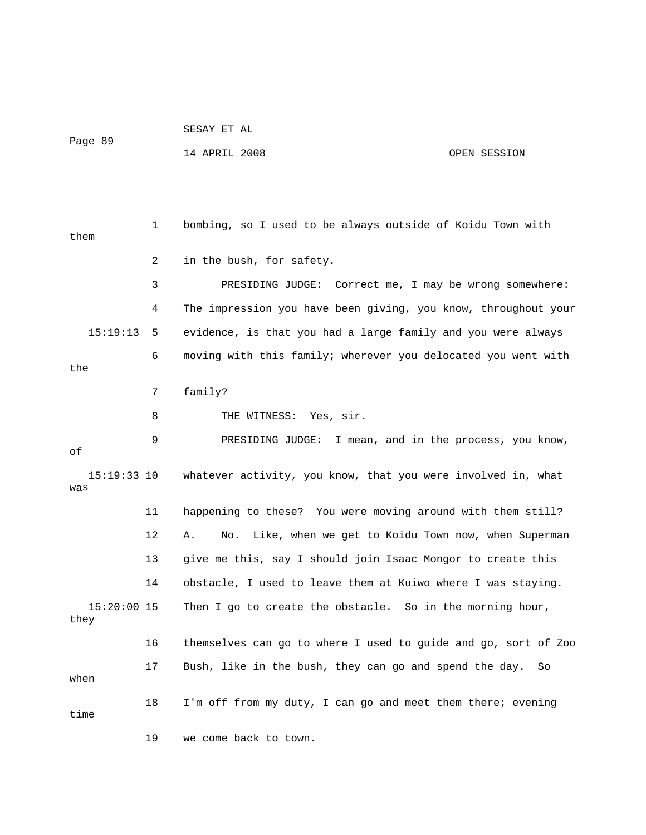```
Page 89
```
SESAY ET AL

14 APRIL 2008 OPEN SESSION

 1 bombing, so I used to be always outside of Koidu Town with 2 in the bush, for safety. 3 PRESIDING JUDGE: Correct me, I may be wrong somewhere: 4 The impression you have been giving, you know, throughout your 15:19:13 5 evidence, is that you had a large family and you were always 6 moving with this family; wherever you delocated you went with the 7 family? 9 PRESIDING JUDGE: I mean, and in the process, you know, 15:19:33 10 whatever activity, you know, that you were involved in, what was 12 A. No. Like, when we get to Koidu Town now, when Superman 13 give me this, say I should join Isaac Mongor to create this 14 obstacle, I used to leave them at Kuiwo where I was staying. 15:20:00 15 Then I go to create the obstacle. So in the morning hour, 17 Bush, like in the bush, they can go and spend the day. So 18 I'm off from my duty, I can go and meet them there; evening them 8 THE WITNESS: Yes, sir. of 11 happening to these? You were moving around with them still? they 16 themselves can go to where I used to guide and go, sort of Zoo when time 19 we come back to town.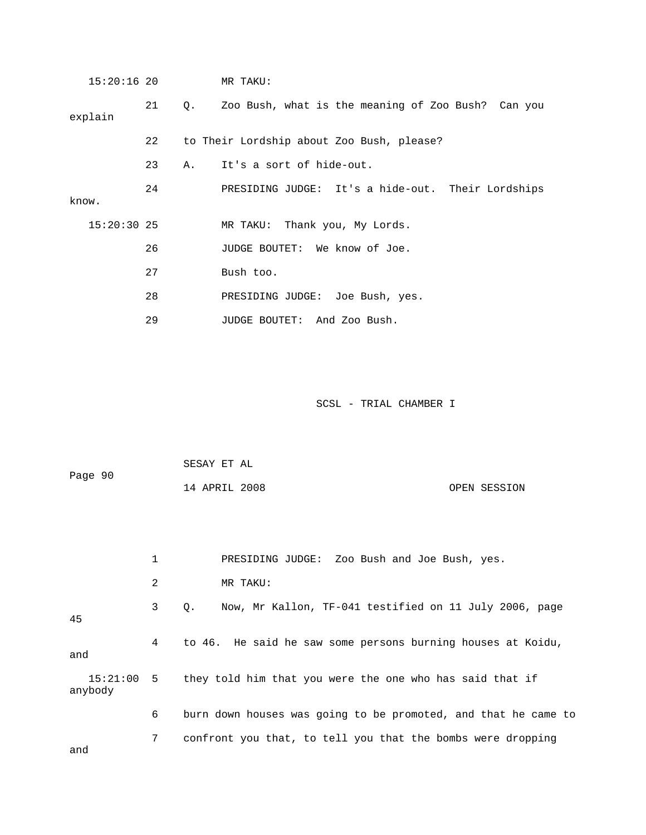| $15:20:16$ 20 |    |    | MR TAKU:                                              |
|---------------|----|----|-------------------------------------------------------|
| explain       | 21 |    | Q. Zoo Bush, what is the meaning of Zoo Bush? Can you |
|               | 22 |    | to Their Lordship about Zoo Bush, please?             |
|               | 23 | Α. | It's a sort of hide-out.                              |
| know.         | 24 |    | PRESIDING JUDGE: It's a hide-out. Their Lordships     |
| $15:20:30$ 25 |    |    | MR TAKU: Thank you, My Lords.                         |
|               | 26 |    | JUDGE BOUTET: We know of Joe.                         |
|               | 27 |    | Bush too.                                             |
|               | 28 |    | PRESIDING JUDGE: Joe Bush, yes.                       |
|               | 29 |    | JUDGE BOUTET: And Zoo Bush.                           |

| Page 90 | SESAY ET AL   |              |
|---------|---------------|--------------|
|         | 14 APRIL 2008 | OPEN SESSION |

|                     | 1 | PRESIDING JUDGE: Zoo Bush and Joe Bush, yes.                   |
|---------------------|---|----------------------------------------------------------------|
|                     | 2 | MR TAKU:                                                       |
| 45                  | 3 | Now, Mr Kallon, TF-041 testified on 11 July 2006, page<br>О.   |
| and                 | 4 | to 46. He said he saw some persons burning houses at Koidu,    |
| 15:21:00<br>anybody |   | 5 they told him that you were the one who has said that if     |
|                     | 6 | burn down houses was going to be promoted, and that he came to |
| and                 | 7 | confront you that, to tell you that the bombs were dropping    |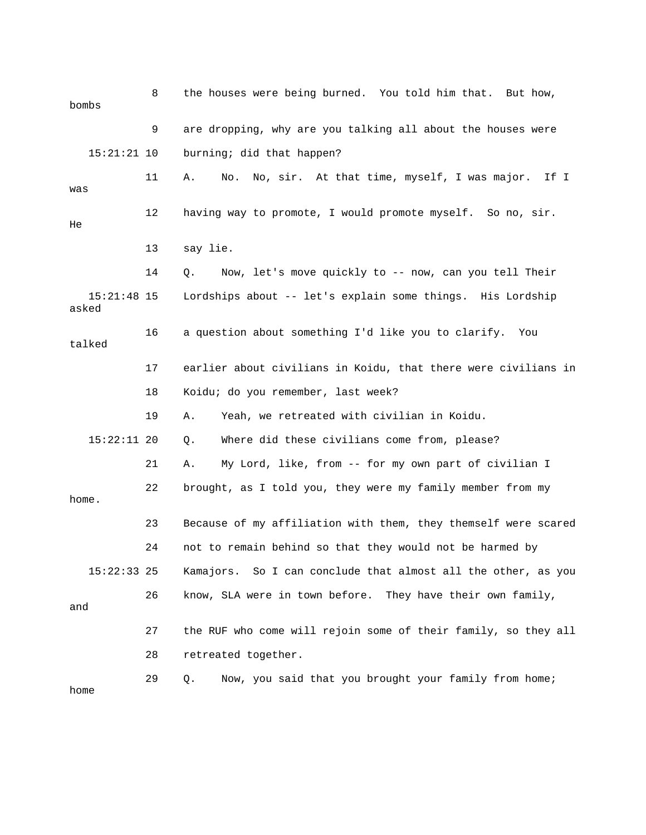8 the houses were being burned. You told him that. But how, bombs 9 are dropping, why are you talking all about the houses were 15:21:21 10 burning; did that happen? 11 A. No. No, sir. At that time, myself, I was major. If I was 12 having way to promote, I would promote myself. So no, sir. 13 say lie. 14 Q. Now, let's move quickly to -- now, can you tell Their p 15:21:48 15 Lordships about -- let's explain some things. His Lordshi 17 earlier about civilians in Koidu, that there were civilians in 19 A. Yeah, we retreated with civilian in Koidu. 15:22:11 20 Q. Where did these civilians come from, please? 21 A. My Lord, like, from -- for my own part of civilian I home. 23 Because of my affiliation with them, they themself were scared 24 not to remain behind so that they would not be harmed by 15:22:33 25 Kamajors. So I can conclude that almost all the other, as you 27 the RUF who come will rejoin some of their family, so they all 28 retreated together. 29 Q. Now, you said that you brought your family from home; He asked 16 a question about something I'd like you to clarify. You talked 18 Koidu; do you remember, last week? 22 brought, as I told you, they were my family member from my 26 know, SLA were in town before. They have their own family, and home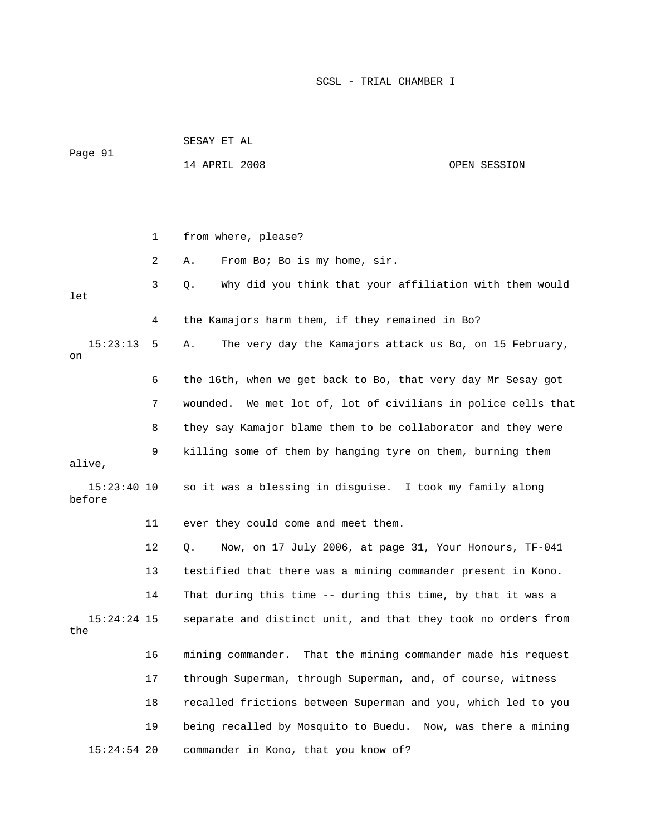| Page 91                 |    | SESAY ET AL                                                      |                         |
|-------------------------|----|------------------------------------------------------------------|-------------------------|
|                         |    | 14 APRIL 2008                                                    | OPEN SESSION            |
|                         |    |                                                                  |                         |
|                         |    |                                                                  |                         |
|                         | 1  | from where, please?                                              |                         |
|                         | 2  | From Bo; Bo is my home, sir.<br>Α.                               |                         |
| let                     | 3  | Why did you think that your affiliation with them would<br>Q.    |                         |
|                         | 4  | the Kamajors harm them, if they remained in Bo?                  |                         |
| 15:23:13<br>on          | 5  | The very day the Kamajors attack us Bo, on 15 February,<br>Α.    |                         |
|                         | 6  | the 16th, when we get back to Bo, that very day Mr Sesay got     |                         |
|                         | 7  | wounded.<br>We met lot of, lot of civilians in police cells that |                         |
|                         | 8  | they say Kamajor blame them to be collaborator and they were     |                         |
| alive,                  | 9  | killing some of them by hanging tyre on them, burning them       |                         |
| $15:23:40$ 10<br>before |    | so it was a blessing in disguise. I took my family along         |                         |
|                         | 11 | ever they could come and meet them.                              |                         |
|                         | 12 | Now, on 17 July 2006, at page 31, Your Honours, TF-041<br>Q.     |                         |
|                         | 13 | testified that there was a mining commander present in Kono.     |                         |
|                         | 14 | That during this time -- during this time, by that it was a      |                         |
| $15:24:24$ 15<br>the    |    | separate and distinct unit, and that they took no orders from    |                         |
|                         | 16 | That the mining commander made his request<br>mining commander.  |                         |
|                         | 17 | through Superman, through Superman, and, of course, witness      |                         |
|                         | 18 | recalled frictions between Superman and you, which led to you    |                         |
|                         | 19 | being recalled by Mosquito to Buedu.                             | Now, was there a mining |
| $15:24:54$ 20           |    | commander in Kono, that you know of?                             |                         |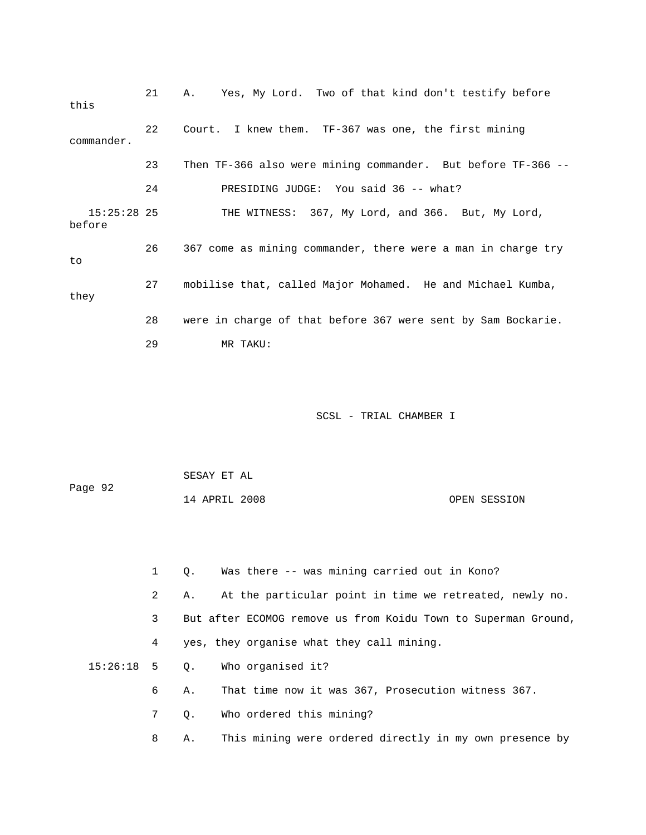21 A. Yes, My Lord. Two of that kind don't testify before this 22 Court. I knew them. TF-367 was one, the first mining commander. 24 PRESIDING JUDGE: You said 36 -- what? 15:25:28 25 THE WITNESS: 367, My Lord, and 366. But, My Lord, they 28 were in charge of that before 367 were sent by Sam Bockarie. 23 Then TF-366 also were mining commander. But before TF-366 - before 26 367 come as mining commander, there were a man in charge try to 27 mobilise that, called Major Mohamed. He and Michael Kumba, 29 MR TAKU:

| Page 92 | SESAY ET AL   |              |
|---------|---------------|--------------|
|         | 14 APRIL 2008 | OPEN SESSION |

| $\mathbf{1}$ | Was there -- was mining carried out in Kono?<br>О.             |
|--------------|----------------------------------------------------------------|
| 2            | At the particular point in time we retreated, newly no.<br>Α.  |
| 3            | But after ECOMOG remove us from Koidu Town to Superman Ground, |
| 4            | yes, they organise what they call mining.                      |
|              | $15:26:18$ 5 Q. Who organised it?                              |
| 6            | That time now it was 367, Prosecution witness 367.<br>Α.       |
| 7            | Who ordered this mining?<br>$\circ$ .                          |
| 8            | This mining were ordered directly in my own presence by<br>Α.  |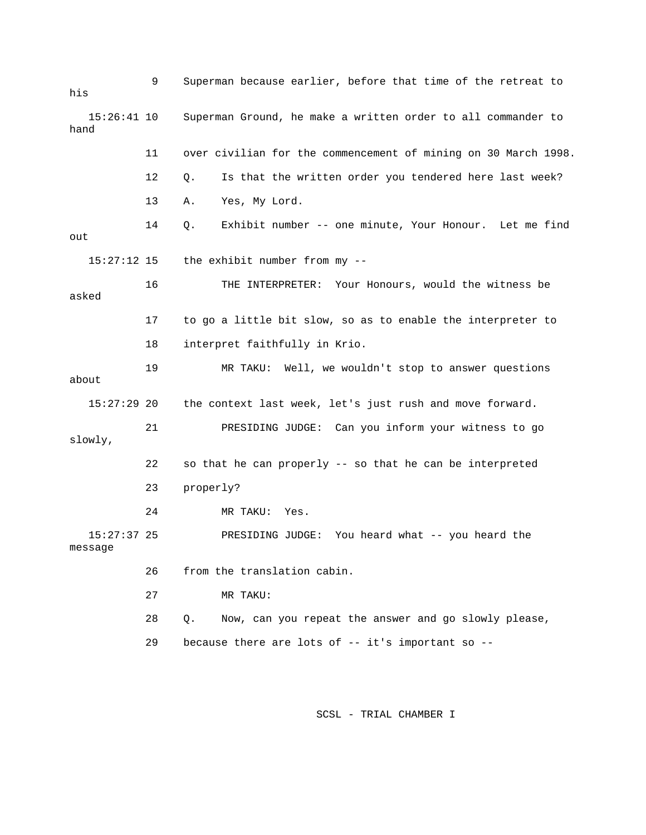| his                      | 9  | Superman because earlier, before that time of the retreat to   |
|--------------------------|----|----------------------------------------------------------------|
| $15:26:41$ 10<br>hand    |    | Superman Ground, he make a written order to all commander to   |
|                          | 11 | over civilian for the commencement of mining on 30 March 1998. |
|                          | 12 | Is that the written order you tendered here last week?<br>Q.   |
|                          | 13 | Yes, My Lord.<br>Α.                                            |
| out                      | 14 | Exhibit number -- one minute, Your Honour. Let me find<br>Q.   |
| $15:27:12$ 15            |    | the exhibit number from my --                                  |
| asked                    | 16 | THE INTERPRETER: Your Honours, would the witness be            |
|                          | 17 | to go a little bit slow, so as to enable the interpreter to    |
|                          | 18 | interpret faithfully in Krio.                                  |
| about                    | 19 | MR TAKU: Well, we wouldn't stop to answer questions            |
| $15:27:29$ 20            |    | the context last week, let's just rush and move forward.       |
| slowly,                  | 21 | PRESIDING JUDGE: Can you inform your witness to go             |
|                          | 22 | so that he can properly -- so that he can be interpreted       |
|                          | 23 | properly?                                                      |
|                          | 24 | MR TAKU:<br>Yes.                                               |
| $15:27:37$ 25<br>message |    | PRESIDING JUDGE: You heard what -- you heard the               |
|                          | 26 | from the translation cabin.                                    |
|                          | 27 | MR TAKU:                                                       |
|                          | 28 | Now, can you repeat the answer and go slowly please,<br>Q.     |
|                          | 29 | because there are lots of -- it's important so --              |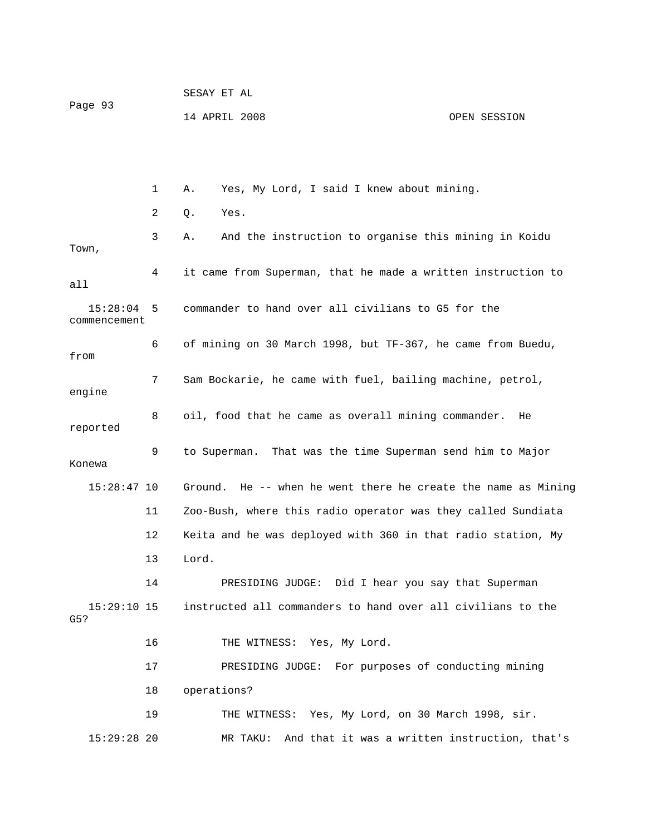| Page 93                  |    | SESAY ET AL                                                   |              |  |
|--------------------------|----|---------------------------------------------------------------|--------------|--|
|                          |    | 14 APRIL 2008                                                 | OPEN SESSION |  |
|                          |    |                                                               |              |  |
|                          |    |                                                               |              |  |
|                          | 1  | Yes, My Lord, I said I knew about mining.<br>Α.               |              |  |
|                          | 2  | Yes.<br>Q.                                                    |              |  |
| Town,                    | 3  | And the instruction to organise this mining in Koidu<br>Α.    |              |  |
| all                      | 4  | it came from Superman, that he made a written instruction to  |              |  |
| 15:28:04<br>commencement | 5  | commander to hand over all civilians to G5 for the            |              |  |
| from                     | 6  | of mining on 30 March 1998, but TF-367, he came from Buedu,   |              |  |
| engine                   | 7  | Sam Bockarie, he came with fuel, bailing machine, petrol,     |              |  |
| reported                 | 8  | oil, food that he came as overall mining commander.<br>He     |              |  |
| Konewa                   | 9  | to Superman. That was the time Superman send him to Major     |              |  |
| $15:28:47$ 10            |    | Ground. He -- when he went there he create the name as Mining |              |  |
|                          | 11 | Zoo-Bush, where this radio operator was they called Sundiata  |              |  |
|                          | 12 | Keita and he was deployed with 360 in that radio station, My  |              |  |
|                          | 13 | Lord.                                                         |              |  |
|                          | 14 | PRESIDING JUDGE: Did I hear you say that Superman             |              |  |
| $15:29:10$ 15<br>G5?     |    | instructed all commanders to hand over all civilians to the   |              |  |
|                          | 16 | THE WITNESS: Yes, My Lord.                                    |              |  |
|                          | 17 | PRESIDING JUDGE: For purposes of conducting mining            |              |  |
|                          | 18 | operations?                                                   |              |  |
|                          | 19 | THE WITNESS: Yes, My Lord, on 30 March 1998, sir.             |              |  |
| $15:29:28$ 20            |    | MR TAKU: And that it was a written instruction, that's        |              |  |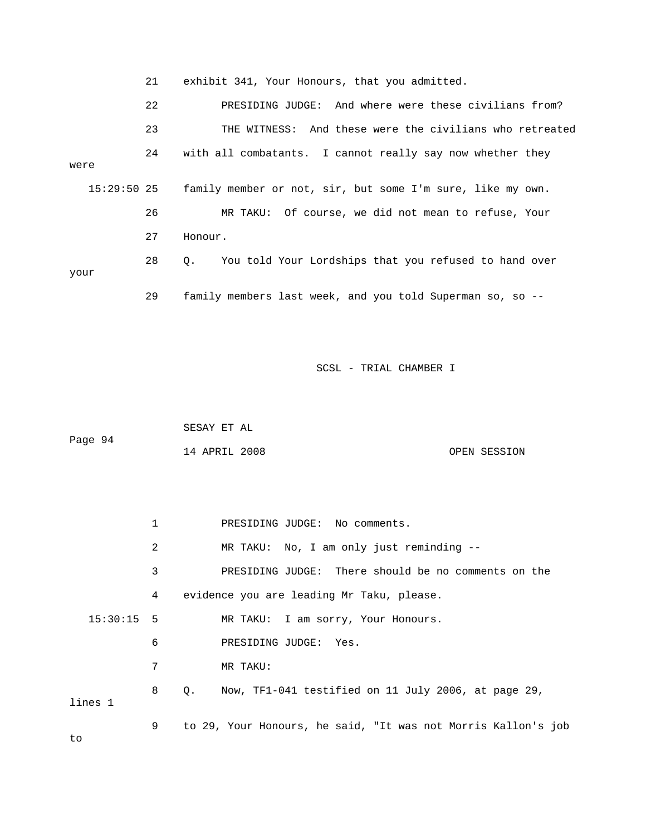21 exhibit 341, Your Honours, that you admitted.

 22 PRESIDING JUDGE: And where were these civilians from? 23 THE WITNESS: And these were the civilians who retreated 24 with all combatants. I cannot really say now whether they family member or not, sir, but some I'm sure, like my own. 28 Q. You told Your Lordships that you refused to hand over were  $15:29:50$  25 26 MR TAKU: Of course, we did not mean to refuse, Your 27 Honour. your 29 family members last week, and you told Superman so, so --

SCSL - TRIAL CHAMBER I

 SESAY ET AL Page 94 14 APRIL 2008 OPEN SESSION

2 MR TAKU: No, I am only just reminding -- 3 PRESIDING JUDGE: There should be no comments on the 6 PRESIDING JUDGE: Yes. 7 MR TAKU: 8 Q. Now, TF1-041 testified on 11 July 2006, at page 29, 9 to 29, Your Honours, he said, "It was not Morris Kallon's job 1 PRESIDING JUDGE: No comments. 4 evidence you are leading Mr Taku, please. 15:30:15 5 MR TAKU: I am sorry, Your Honours. lines 1 to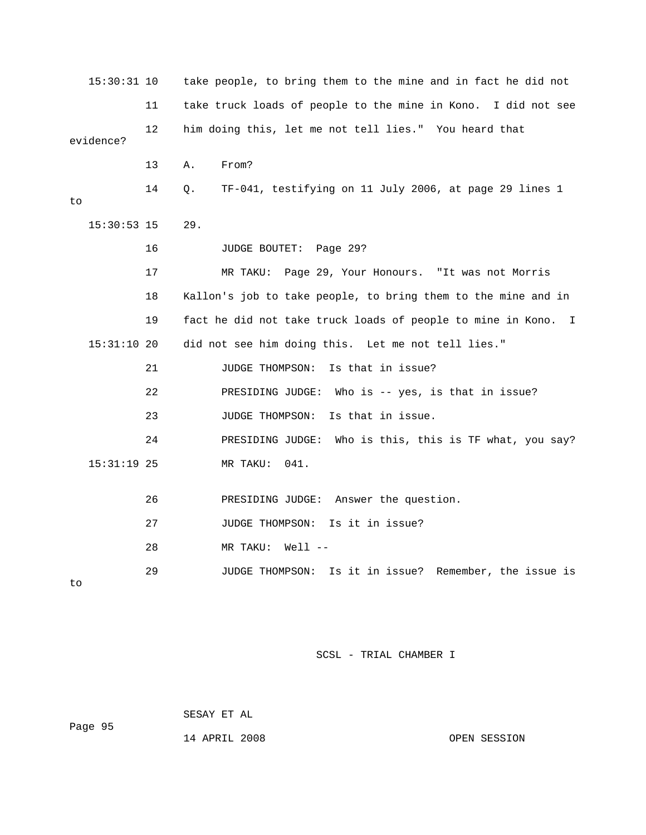15:30:31 10 take people, to bring them to the mine and in fact he did not 11 take truck loads of people to the mine in Kono. I did not see 12 him doing this, let me not tell lies." You heard that evidence? 14 Q. TF-041, testifying on 11 July 2006, at page 29 lines 1 17 MR TAKU: Page 29, Your Honours. "It was not Morris 18 Kallon's job to take people, to bring them to the mine and in 19 fact he did not take truck loads of people to mine in Kono. I 21 JUDGE THOMPSON: Is that in issue? 22 PRESIDING JUDGE: Who is -- yes, is that in issue? 26 PRESIDING JUDGE: Answer the question. 28 MR TAKU: Well -- 29 JUDGE THOMPSON: Is it in issue? Remember, the issue is 13 A. From? to 15:30:53 15 29. 16 JUDGE BOUTET: Page 29? 15:31:10 20 did not see him doing this. Let me not tell lies." 23 JUDGE THOMPSON: Is that in issue. 24 PRESIDING JUDGE: Who is this, this is TF what, you say? 15:31:19 25 MR TAKU: 041. 27 JUDGE THOMPSON: Is it in issue? to

SCSL - TRIAL CHAMBER I

 SESAY ET AL Page 95 14 APRIL 2008 OPEN SESSION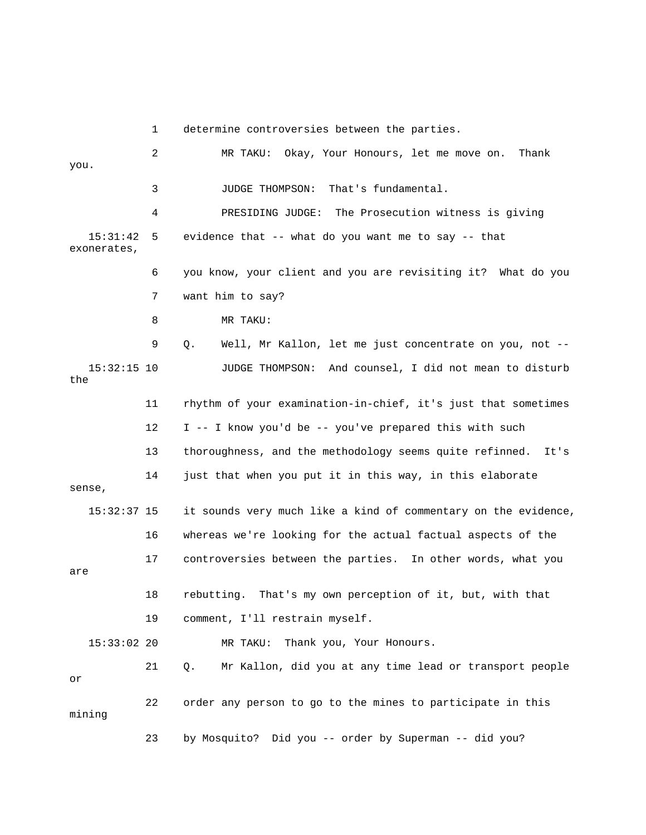1 determine controversies between the parties.

e on. Thank 2 MR TAKU: Okay, Your Honours, let me mov 3 JUDGE THOMPSON: That's fundamental. 4 PRESIDING JUDGE: The Prosecution witness is giving 5 evidence that -- what do you want me to say -- that exonerates, 6 you know, your client and you are revisiting it? What do you 7 want him to say? 8 MR TAKU: 9 Q. Well, Mr Kallon, let me just concentrate on you, not -- 11 rhythm of your examination-in-chief, it's just that sometimes 12 I -- I know you'd be -- you've prepared this with such 13 thoroughness, and the methodology seems quite refinned. It's 14 just that when you put it in this way, in this elaborate 15:32:37 15 it sounds very much like a kind of commentary on the evidence, 16 whereas we're looking for the actual factual aspects of the 17 controversies between the parties. In other words, what you 18 rebutting. That's my own perception of it, but, with that 19 comment, I'll restrain myself. 15:33:02 20 MR TAKU: Thank you, Your Honours. 21 Q. Mr Kallon, did you at any time lead or transport people 23 by Mosquito? Did you -- order by Superman -- did you? you.  $15:31:42$  15:32:15 10 JUDGE THOMPSON: And counsel, I did not mean to disturb the sense, are or 22 order any person to go to the mines to participate in this mining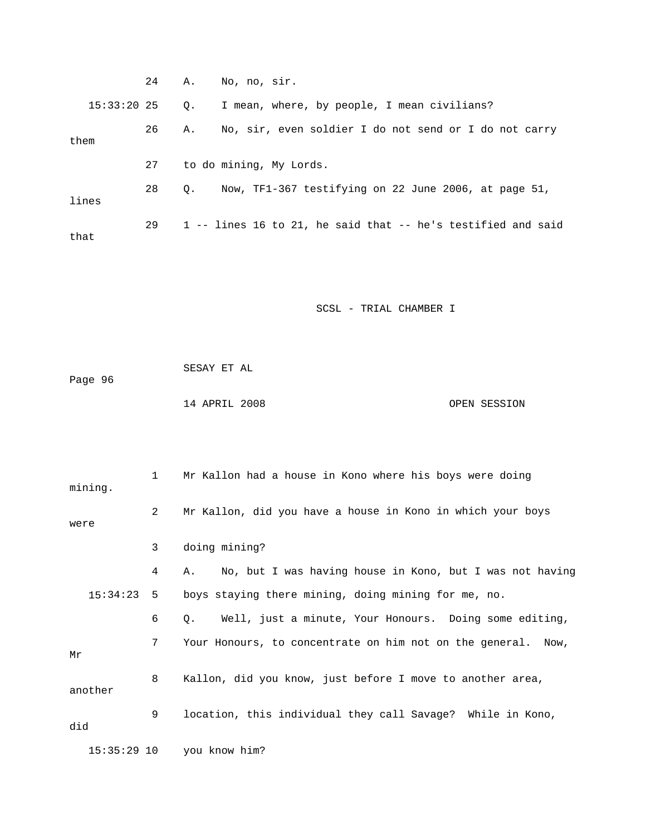|             |    |    | 24 A. No, no, sir.                                           |
|-------------|----|----|--------------------------------------------------------------|
| 15:33:20 25 |    | О. | I mean, where, by people, I mean civilians?                  |
| them        | 26 | Α. | No, sir, even soldier I do not send or I do not carry        |
|             | 27 |    | to do mining, My Lords.                                      |
| lines       | 28 | О. | Now, TF1-367 testifying on 22 June 2006, at page 51,         |
| that        | 29 |    | 1 -- lines 16 to 21, he said that -- he's testified and said |

 SESAY ET AL Page 96 14 APRIL 2008 OPEN SESSION

| mining.       | 1              | Mr Kallon had a house in Kono where his boys were doing        |
|---------------|----------------|----------------------------------------------------------------|
| were          | $\overline{2}$ | Mr Kallon, did you have a house in Kono in which your boys     |
|               | 3              | doing mining?                                                  |
|               | 4              | No, but I was having house in Kono, but I was not having<br>Α. |
| 15:34:23      | 5              | boys staying there mining, doing mining for me, no.            |
|               | 6              | Well, just a minute, Your Honours. Doing some editing,<br>О.   |
| Mr            | 7              | Your Honours, to concentrate on him not on the general. Now,   |
| another       | 8              | Kallon, did you know, just before I move to another area,      |
| did           | 9              | location, this individual they call Savage? While in Kono,     |
| $15:35:29$ 10 |                | you know him?                                                  |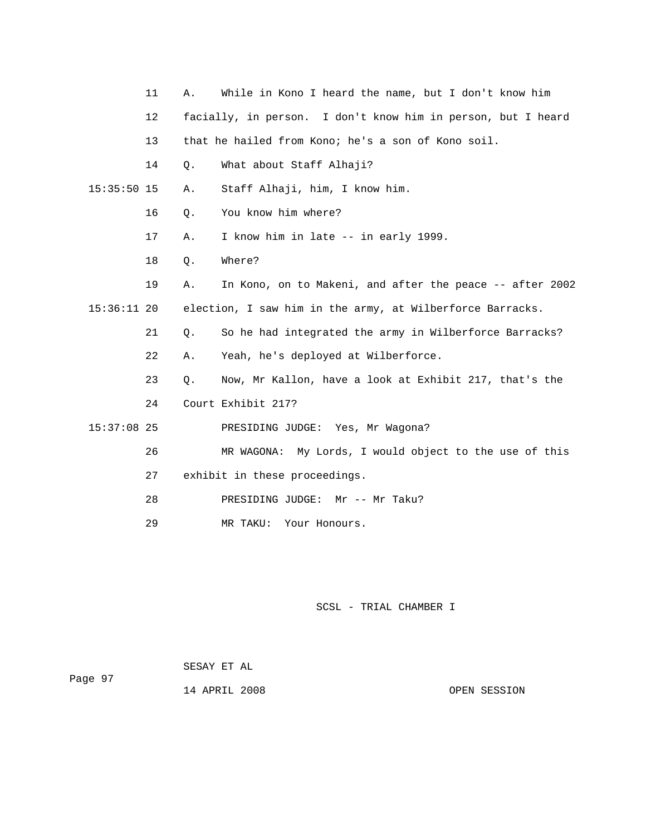|               | 11 | Α. | While in Kono I heard the name, but I don't know him         |
|---------------|----|----|--------------------------------------------------------------|
|               | 12 |    | facially, in person. I don't know him in person, but I heard |
|               | 13 |    | that he hailed from Kono; he's a son of Kono soil.           |
|               | 14 | Q. | What about Staff Alhaji?                                     |
| $15:35:50$ 15 |    | Α. | Staff Alhaji, him, I know him.                               |
|               | 16 | Q. | You know him where?                                          |
|               | 17 | Α. | I know him in late -- in early 1999.                         |
|               | 18 | Q. | Where?                                                       |
|               | 19 | Α. | In Kono, on to Makeni, and after the peace -- after 2002     |
| $15:36:11$ 20 |    |    | election, I saw him in the army, at Wilberforce Barracks.    |
|               | 21 | Q. | So he had integrated the army in Wilberforce Barracks?       |
|               | 22 | Α. | Yeah, he's deployed at Wilberforce.                          |
|               | 23 | Q. | Now, Mr Kallon, have a look at Exhibit 217, that's the       |
|               | 24 |    | Court Exhibit 217?                                           |
| $15:37:08$ 25 |    |    | PRESIDING JUDGE: Yes, Mr Wagona?                             |
|               | 26 |    | MR WAGONA: My Lords, I would object to the use of this       |
|               | 27 |    | exhibit in these proceedings.                                |
|               | 28 |    | PRESIDING JUDGE: Mr -- Mr Taku?                              |
|               | 29 |    | MR TAKU:<br>Your Honours.                                    |

 SESAY ET AL Page 97

14 APRIL 2008 OPEN SESSION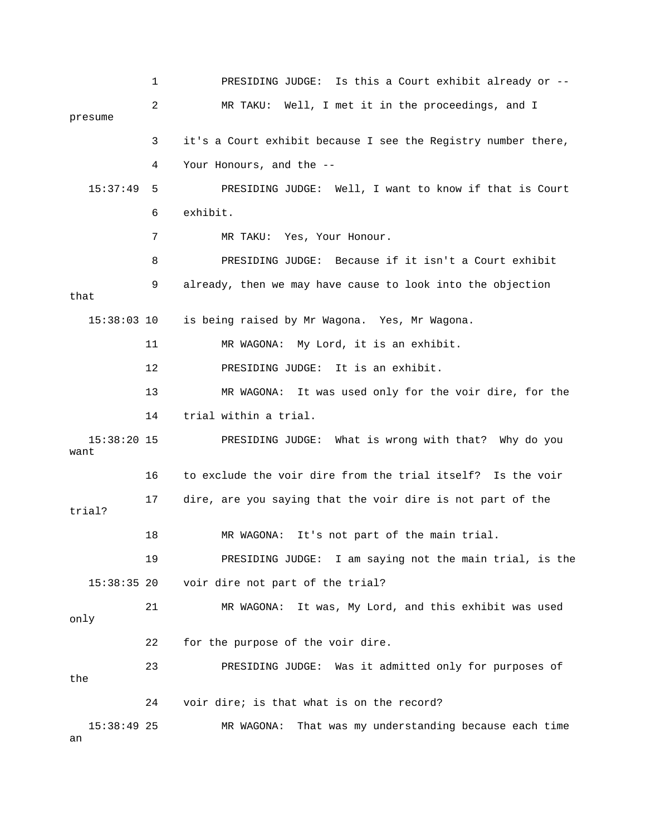1 PRESIDING JUDGE: Is this a Court exhibit already or -- 2 MR TAKU: Well, I met it in the proceedings, and I 3 it's a Court exhibit because I see the Registry number there, 15:37:49 5 PRESIDING JUDGE: Well, I want to know if that is Court 6 exhibit. 7 MR TAKU: Yes, Your Honour. 8 PRESIDING JUDGE: Because if it isn't a Court exhibit 9 already, then we may have cause to look into the objection that 15:38:03 10 is being raised by Mr Wagona. Yes, Mr Wagona. 12 PRESIDING JUDGE: It is an exhibit. 13 MR WAGONA: It was used only for the voir dire, for the 14 trial within a trial. 15:38:20 15 PRESIDING JUDGE: What is wrong with that? Why do you 16 to exclude the voir dire from the trial itself? Is the voir 17 dire, are you saying that the voir dire is not part of the 19 PRESIDING JUDGE: I am saying not the main trial, is the only 22 for the purpose of the voir dire. 23 PRESIDING JUDGE: Was it admitted only for purposes of the 15:38:49 25 MR WAGONA: That was my understanding because each time presume 4 Your Honours, and the -- 11 MR WAGONA: My Lord, it is an exhibit. want trial? 18 MR WAGONA: It's not part of the main trial. 15:38:35 20 voir dire not part of the trial? 21 MR WAGONA: It was, My Lord, and this exhibit was used 24 voir dire; is that what is on the record?

an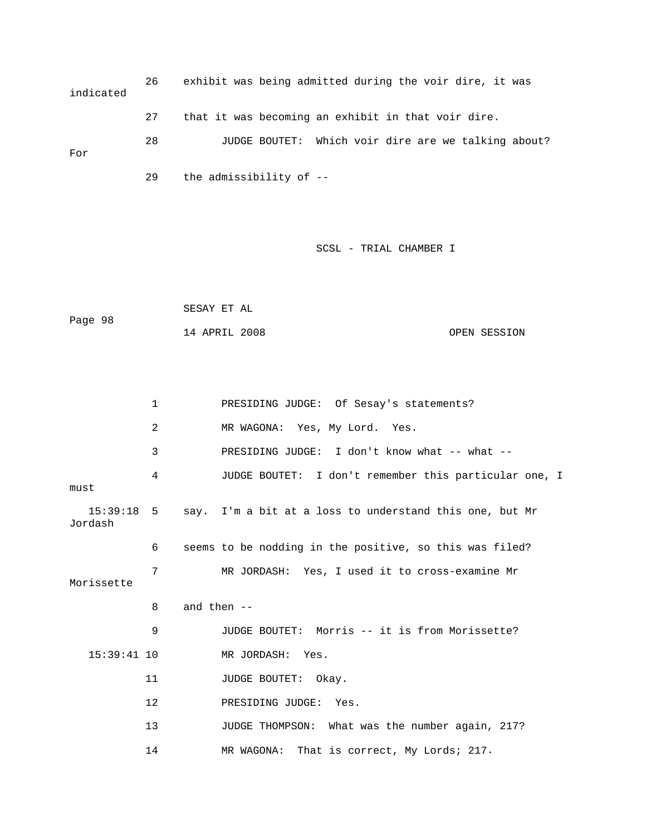26 exhibit was being admitted during the voir dire, it was For 29 the admissibility of - indicated 27 that it was becoming an exhibit in that voir dire. 28 JUDGE BOUTET: Which voir dire are we talking about?

|         | SESAY ET AL   |  |              |
|---------|---------------|--|--------------|
| Page 98 |               |  |              |
|         | 14 APRIL 2008 |  | OPEN SESSION |

|                         | $\mathbf 1$ |               | PRESIDING JUDGE: Of Sesay's statements?                 |
|-------------------------|-------------|---------------|---------------------------------------------------------|
|                         | 2           |               | MR WAGONA: Yes, My Lord. Yes.                           |
|                         | 3           |               | PRESIDING JUDGE: I don't know what -- what --           |
| must                    | 4           |               | JUDGE BOUTET: I don't remember this particular one, I   |
| $15:39:18$ 5<br>Jordash |             |               | say. I'm a bit at a loss to understand this one, but Mr |
|                         | 6           |               | seems to be nodding in the positive, so this was filed? |
| Morissette              | 7           |               | MR JORDASH: Yes, I used it to cross-examine Mr          |
|                         | 8           | and then $--$ |                                                         |
|                         | 9           |               | JUDGE BOUTET: Morris -- it is from Morissette?          |
| $15:39:41$ 10           |             |               | MR JORDASH: Yes.                                        |
|                         | 11          |               | JUDGE BOUTET: Okay.                                     |
|                         | 12          |               | PRESIDING JUDGE: Yes.                                   |
|                         | 13          |               | JUDGE THOMPSON: What was the number again, 217?         |
|                         | 14          |               | MR WAGONA: That is correct, My Lords; 217.              |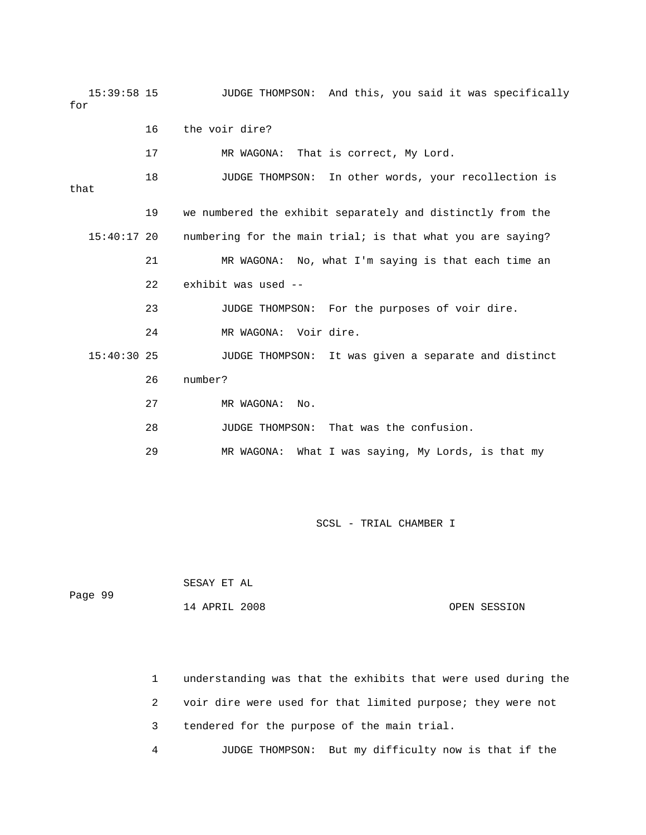15:39:58 15 JUDGE THOMPSON: And this, you said it was specifically for 17 MR WAGONA: That is correct, My Lord. 18 JUDGE THOMPSON: In other words, your recollection is 19 we numbered the exhibit separately and distinctly from the 15:40:17 20 numbering for the main trial; is that what you are saying? 21 MR WAGONA: No, what I'm saying is that each time an 22 exhibit was used -- 23 3 JUDGE THOMPSON: For the purposes of voir dire. 24 MR WAGONA: Voir dire. 15:40:30 25 JUDGE THOMPSON: It was given a separate and distinct 27 MR WAGONA: No. 28 JUDGE THOMPSON: That was the confusion. 16 the voir dire? that 26 number? 29 MR WAGONA: What I was saying, My Lords, is that my

SCSL - TRIAL CHAMBER I

|         | SESAY ET AL   |              |
|---------|---------------|--------------|
| Page 99 |               |              |
|         | 14 APRIL 2008 | OPEN SESSION |

 1 understanding was that the exhibits that were used during the 2 voir dire were used for that limited purpose; they were not 3 tendered for the purpose of the main trial. 4 JUDGE THOMPSON: But my difficulty now is that if the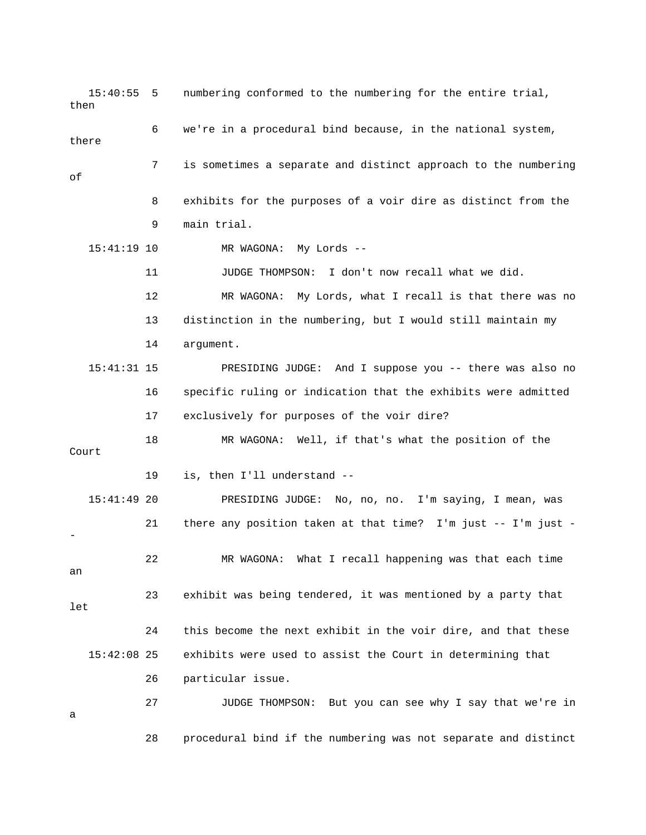15:40:55 5 numbering conformed to the numbering for the en tire trial, then there 7 is sometimes a separate and distinct approach to the numbering 8 exhibits for the purposes of a voir dire as distinct from the 9 main trial. 15:41:19 10 MR WAGONA: My Lords -- 12 MR WAGONA: My Lords, what I recall is that there was no 13 distinction in the numbering, but I would still maintain my 15:41:31 15 PRESIDING JUDGE: And I suppose you -- there was also no 16 specific ruling or indication that the exhibits were admitted 18 MR WAGONA: Well, if that's what the position of the Court 19 is, then I'll understand -- 21 there any position taken at that time? I'm just -- I'm just - 22 MR WAGONA: What I recall happening was that each time 23 exhibit was being tendered, it was mentioned by a party that let 24 this become the next exhibit in the voir dire, and that these 15:42:08 25 exhibits were used to assist the Court in determining that 26 particular issue. 27 JUDGE THOMPSON: But you can see why I say that we're in 6 we're in a procedural bind because, in the national system, of 11 JUDGE THOMPSON: I don't now recall what we did. 14 argument. 17 exclusively for purposes of the voir dire? 15:41:49 20 PRESIDING JUDGE: No, no, no. I'm saying, I mean, was an a 28 procedural bind if the numbering was not separate and distinct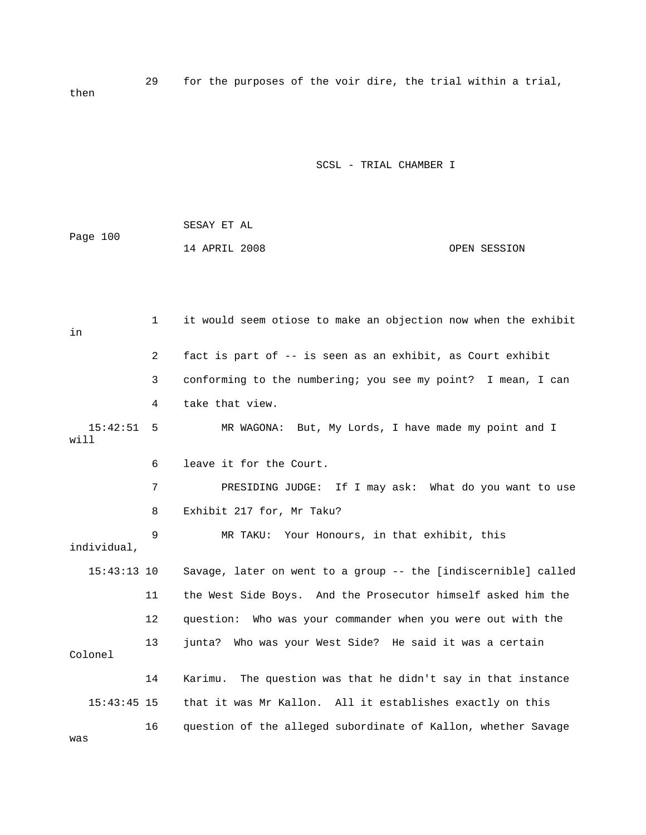29 for the purposes of the voir dire, the trial within a trial, then

#### SCSL - TRIAL CHAMBER I

|          | SESAY ET AL   |  |              |
|----------|---------------|--|--------------|
| Page 100 |               |  |              |
|          | 14 APRIL 2008 |  | OPEN SESSION |

 2 fact is part of -- is seen as an exhibit, as Court exhibit 4 take that view. will 6 leave it for the Court. 7 PRESIDING JUDGE: If I may ask: What do you want to use 8 Exhibit 217 for, Mr Taku? 9 MR TAKU: Your Honours, in that exhibit, this individual, 15:43:13 10 Savage, later on went to a group -- the [indiscernible] called e 11 the West Side Boys. And the Prosecutor himself asked him th 12 question: Who was your commander when you were out with the 13 junta? Who was your West Side? He said it was a certain Colonel 14 Karimu. The question was that he didn't say in that instance 16 question of the alleged subordinate of Kallon, whether Savage 1 it would seem otiose to make an objection now when the exhibit in 3 conforming to the numbering; you see my point? I mean, I can 15:42:51 5 MR WAGONA: But, My Lords, I have made my point and I 15:43:45 15 that it was Mr Kallon. All it establishes exactly on this

was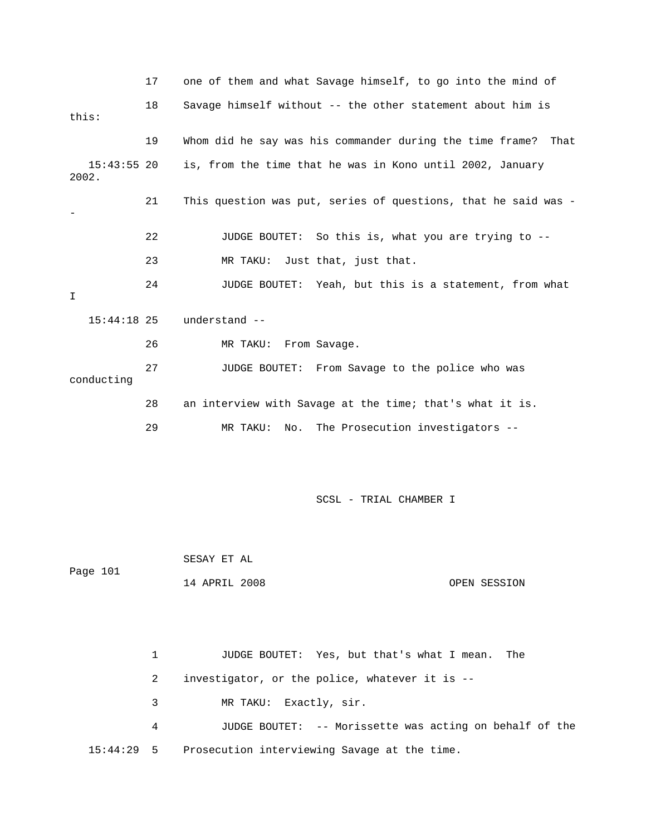|                        | 17           | one of them and what Savage himself, to go into the mind of      |
|------------------------|--------------|------------------------------------------------------------------|
| this:                  | 18           | Savage himself without -- the other statement about him is       |
|                        | 19           | Whom did he say was his commander during the time frame?<br>That |
| $15:43:55$ 20<br>2002. |              | is, from the time that he was in Kono until 2002, January        |
|                        | 21           | This question was put, series of questions, that he said was -   |
|                        | 22           | So this is, what you are trying to --<br>JUDGE BOUTET:           |
|                        | 23           | MR TAKU:<br>Just that, just that.                                |
| I                      | 24           | JUDGE BOUTET:<br>Yeah, but this is a statement, from what        |
| $15:44:18$ 25          |              | understand --                                                    |
|                        | 26           | From Savage.<br>MR TAKU:                                         |
| conducting             | 27           | JUDGE BOUTET: From Savage to the police who was                  |
|                        | 28           | an interview with Savage at the time; that's what it is.         |
|                        | 29           | The Prosecution investigators --<br>MR TAKU:<br>No.              |
|                        |              |                                                                  |
|                        |              | SCSL - TRIAL CHAMBER I                                           |
|                        |              | SESAY ET AL                                                      |
| Page 101               |              | 14 APRIL 2008<br>OPEN SESSION                                    |
|                        |              |                                                                  |
|                        | $\mathbf{1}$ | JUDGE BOUTET: Yes, but that's what I mean.<br>The                |
|                        | 2            | investigator, or the police, whatever it is --                   |
|                        | 3            | Exactly, sir.<br>MR TAKU:                                        |
|                        | 4            | JUDGE BOUTET: -- Morissette was acting on behalf of the          |

15:44:29 5 Prosecution interviewing Savage at the time.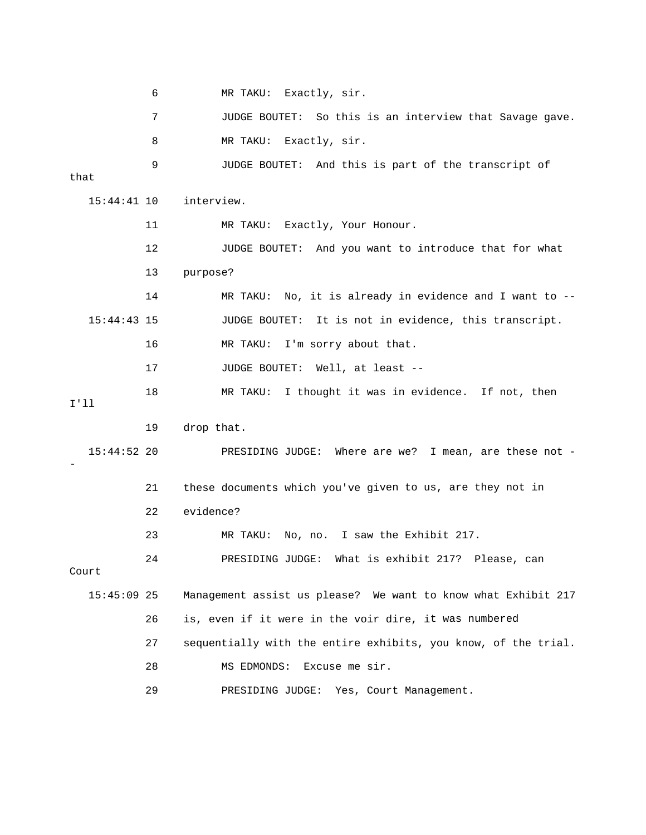|               | 6  | MR TAKU: Exactly, sir.                                         |
|---------------|----|----------------------------------------------------------------|
|               | 7  | JUDGE BOUTET: So this is an interview that Savage gave.        |
|               | 8  | MR TAKU: Exactly, sir.                                         |
| that          | 9  | JUDGE BOUTET: And this is part of the transcript of            |
| $15:44:41$ 10 |    | interview.                                                     |
|               | 11 | MR TAKU: Exactly, Your Honour.                                 |
|               | 12 | JUDGE BOUTET: And you want to introduce that for what          |
|               | 13 | purpose?                                                       |
|               | 14 | MR TAKU: No, it is already in evidence and I want to $-$       |
| $15:44:43$ 15 |    | It is not in evidence, this transcript.<br>JUDGE BOUTET:       |
|               | 16 | MR TAKU:<br>I'm sorry about that.                              |
|               | 17 | JUDGE BOUTET:<br>Well, at least --                             |
| I'11          | 18 | MR TAKU: I thought it was in evidence. If not, then            |
|               | 19 | drop that.                                                     |
| $15:44:52$ 20 |    | PRESIDING JUDGE: Where are we? I mean, are these not -         |
|               | 21 | these documents which you've given to us, are they not in      |
|               | 22 | evidence?                                                      |
|               | 23 | No, no. I saw the Exhibit 217.<br>MR TAKU:                     |
| Court         | 24 | PRESIDING JUDGE: What is exhibit 217? Please, can              |
| $15:45:09$ 25 |    | Management assist us please? We want to know what Exhibit 217  |
|               | 26 | is, even if it were in the voir dire, it was numbered          |
|               | 27 | sequentially with the entire exhibits, you know, of the trial. |
|               | 28 | Excuse me sir.<br>MS EDMONDS:                                  |
|               | 29 | PRESIDING JUDGE: Yes, Court Management.                        |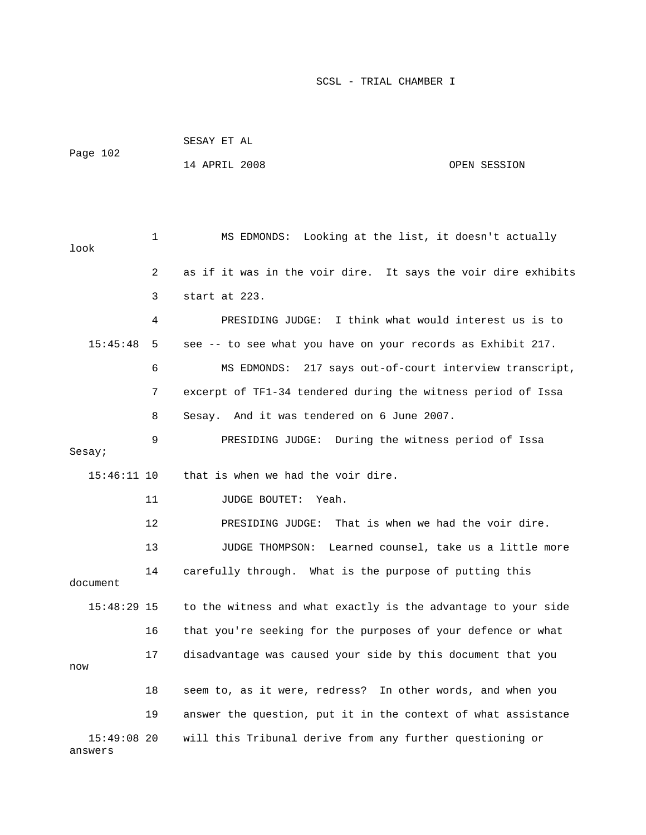| Page 102      |    | 14 APRIL 2008                                                 | OPEN SESSION                             |
|---------------|----|---------------------------------------------------------------|------------------------------------------|
| look          | 1  | MS EDMONDS:                                                   | Looking at the list, it doesn't actually |
|               | 2  | as if it was in the voir dire. It says the voir dire exhibits |                                          |
|               | 3  | start at 223.                                                 |                                          |
|               | 4  | PRESIDING JUDGE: I think what would interest us is to         |                                          |
| 15:45:48      | 5  | see -- to see what you have on your records as Exhibit 217.   |                                          |
|               | 6  | MS EDMONDS: 217 says out-of-court interview transcript,       |                                          |
|               | 7  | excerpt of TF1-34 tendered during the witness period of Issa  |                                          |
|               | 8  | Sesay. And it was tendered on 6 June 2007.                    |                                          |
| Sesay;        | 9  | PRESIDING JUDGE: During the witness period of Issa            |                                          |
| 15:46:11 10   |    | that is when we had the voir dire.                            |                                          |
|               | 11 | JUDGE BOUTET:<br>Yeah.                                        |                                          |
|               | 12 | PRESIDING JUDGE:                                              | That is when we had the voir dire.       |
|               | 13 | JUDGE THOMPSON:                                               | Learned counsel, take us a little more   |
| document      | 14 | carefully through. What is the purpose of putting this        |                                          |
| $15:48:29$ 15 |    | to the witness and what exactly is the advantage to your side |                                          |
|               | 16 | that you're seeking for the purposes of your defence or what  |                                          |
| now           | 17 | disadvantage was caused your side by this document that you   |                                          |
|               | 18 | seem to, as it were, redress? In other words, and when you    |                                          |
|               | 19 | answer the question, put it in the context of what assistance |                                          |
| $15:49:08$ 20 |    | will this Tribunal derive from any further questioning or     |                                          |

SESAY ET AL

answers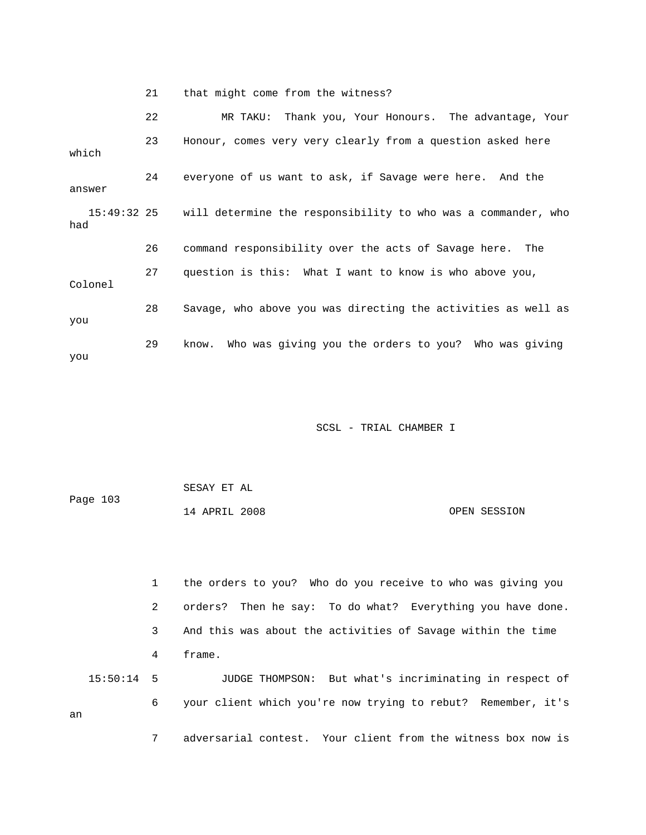21 that might come from the witness?

 22 MR TAKU: Thank you, Your Honours. The advantage, Your 23 Honour, comes very very clearly from a question asked here which 24 everyone of us want to ask, if Savage were here. And the answer 15:49:32 25 will determine the responsibility to who was a commander, who Colonel 28 Savage, who above you was directing the activities as well as you had 26 command responsibility over the acts of Savage here. The 27 question is this: What I want to know is who above you, 29 know. Who was giving you the orders to you? Who was giving you

SCSL - TRIAL CHAMBER I

| Page 103 | SESAY ET AL   |  |              |
|----------|---------------|--|--------------|
|          | 14 APRIL 2008 |  | OPEN SESSION |

 1 the orders to you? Who do you receive to who was giving you 2 orders? Then he say: To do what? Everything you have done. 4 frame. 15:50:14 5 JUDGE THOMPSON: But what's incriminating in respect of 6 your client which you're now trying to rebut? Remember, it's 3 And this was about the activities of Savage within the time an 7 adversarial contest. Your client from the witness box now is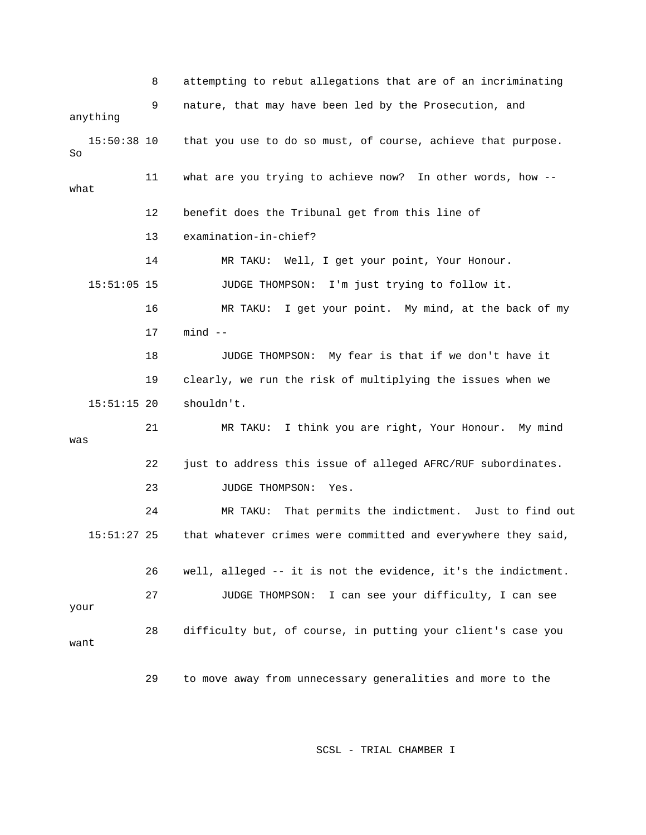8 attempting to rebut allegations that are of an incriminating 9 nature, that may have been led by the Prosecution, and anything 15:50:38 10 that you use to do so must, of course, achieve that purpose. 11 what are you trying to achieve now? In other words, how - what 12 benefit does the Tribunal get from this line of 14 MR TAKU: Well, I get your point, Your Honour. 15:51:05 15 JUDGE THOMPSON: I'm just trying to follow it. 17 mind -- 18 JUDGE THOMPSON: My fear is that if we don't have it 19 clearly, we run the risk of multiplying the issues when we 15:51:15 20 shouldn't. 21 MR TAKU: I think you are right, Your Honour. My mind 22 just to address this issue of alleged AFRC/RUF subordinates. 24 MR TAKU: That permits the indictment. Just to find out that whatever crimes were committed and everywhere they said, 26 well, alleged -- it is not the evidence, it's the indictment. 28 difficulty but, of course, in putting your client's case you want 29 to move away from unnecessary generalities and more to the So 13 examination-in-chief? 16 MR TAKU: I get your point. My mind, at the back of my was 23 JUDGE THOMPSON: Yes.  $15:51:27$  25 27 JUDGE THOMPSON: I can see your difficulty, I can see your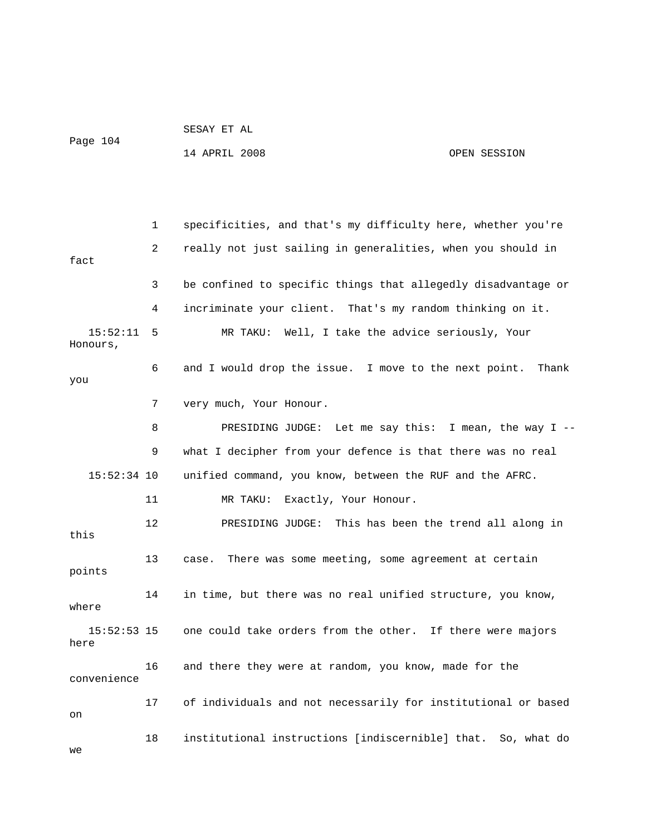14 APRIL 2008 OPEN SESSION

1 specificities, and that's my difficulty here, whether you're fact 3 be confined to specific things that allegedly disadvantage or Honours, 7 very much, Your Honour. 8 PRESIDING JUDGE: Let me say this: I mean, the way I -- 9 what I decipher from your defence is that there was no real 15:52:34 10 unified command, you know, between the RUF and the AFRC. 11 MR TAKU: Exactly, Your Honour. 12 PRESIDING JUDGE: This has been the trend all along in this 14 in time, but there was no real unified structure, you know, where 15:52:53 15 one could take orders from the other. If there were majors convenience 18 institutional instructions [indiscernible] that. So, what do we 2 really not just sailing in generalities, when you should in 4 incriminate your client. That's my random thinking on it. 15:52:11 5 MR TAKU: Well, I take the advice seriously, Your 6 and I would drop the issue. I move to the next point. Thank you 13 case. There was some meeting, some agreement at certain points here 16 and there they were at random, you know, made for the 17 of individuals and not necessarily for institutional or based on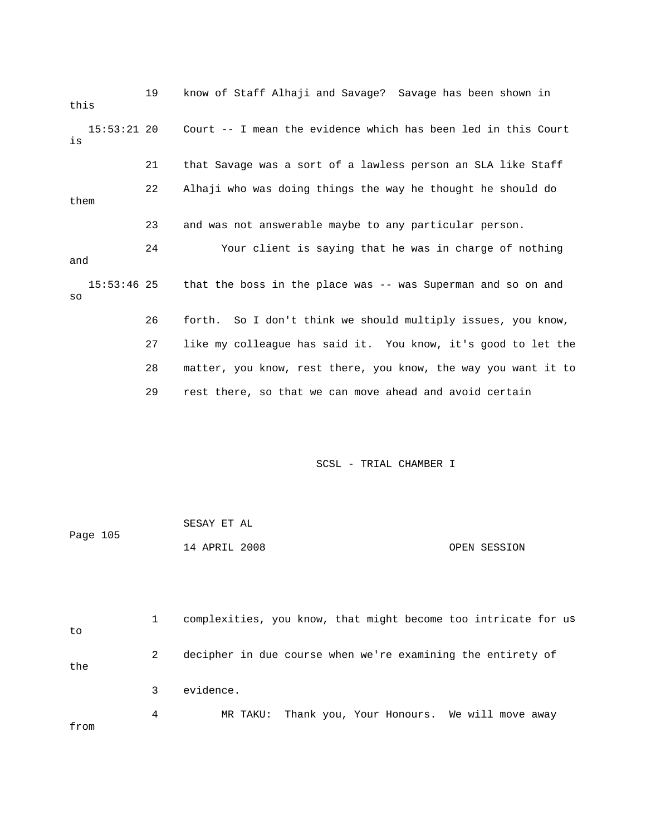19 know of Staff Alhaji and Savage? Savage has been shown in this Court -- I mean the evidence which has been led in this Court 22 Alhaji who was doing things the way he thought he should do 24 Your client is saying that he was in charge of nothing and that the boss in the place was -- was Superman and so on and 26 forth. So I don't think we should multiply issues, you know, e 27 like my colleague has said it. You know, it's good to let th 28 matter, you know, rest there, you know, the way you want it to 29 rest there, so that we can move ahead and avoid certain  $15:53:21$  20 is 21 that Savage was a sort of a lawless person an SLA like Staff them 23 and was not answerable maybe to any particular person.  $15:53:46$  25 so

|          | SESAY ET AL   |  |              |
|----------|---------------|--|--------------|
| Page 105 |               |  |              |
|          | 14 APRIL 2008 |  | OPEN SESSION |

| to   |   | complexities, you know, that might become too intricate for us |
|------|---|----------------------------------------------------------------|
| the  | 2 | decipher in due course when we're examining the entirety of    |
|      | 3 | evidence.                                                      |
| from | 4 | MR TAKU: Thank you, Your Honours. We will move away            |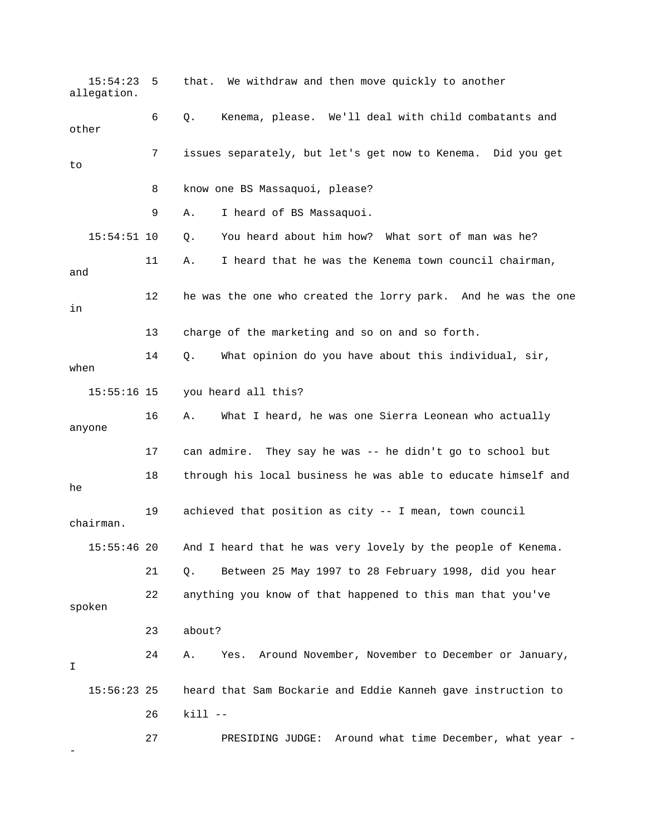15:54:23 5 that. We withdraw and then move quickly to another 7 issues separately, but let's get now to Kenema. Did you get 8 know one BS Massaquoi, please? 15:54:51 10 Q. You heard about him how? What sort of man was he? 11 A. I heard that he was the Kenema town council chairman, 12 he was the one who created the lorry park. And he was the one 13 charge of the marketing and so on and so forth. 14 Q. What opinion do you have about this individual, sir, 15:55:16 15 you heard all this? anyone 17 can admire. They say he was -- he didn't go to school but 18 through his local business he was able to educate himself and 9 achieved that position as city -- I mean, town council And I heard that he was very lovely by the people of Kenema. 22 anything you know of that happened to this man that you've 24 A. Yes. Around November, November to December or January, heard that Sam Bockarie and Eddie Kanneh gave instruction to 27 PRESIDING JUDGE: Around what time December, what year allegation. 6 Q. Kenema, please. We'll deal with child combatants and other to 9 A. I heard of BS Massaquoi. and in when 16 A. What I heard, he was one Sierra Leonean who actually he 1 chairman.  $15:55:46$  20 21 Q. Between 25 May 1997 to 28 February 1998, did you hear spoken 23 about? I  $15:56:23$  25 26 kill -- -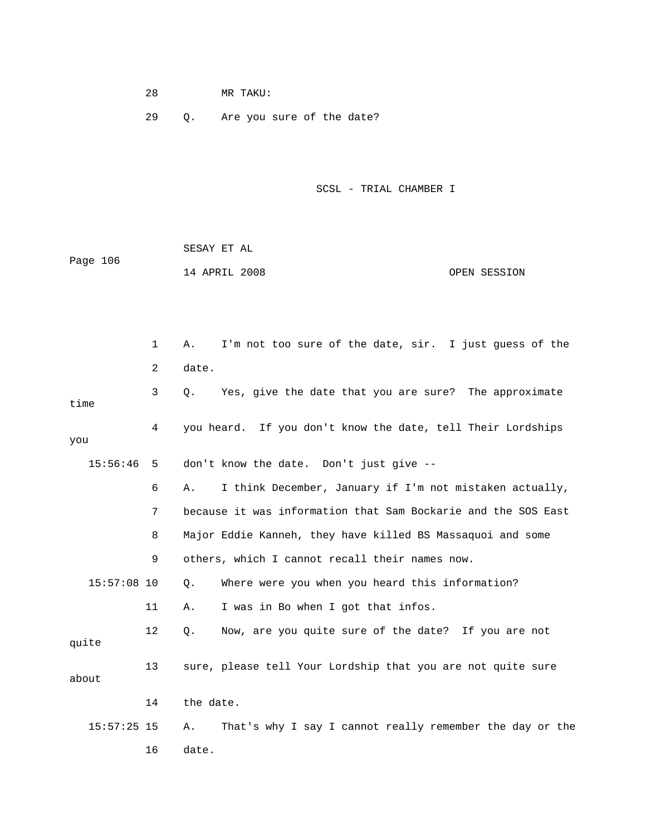28 MR TAKU:

29 Q. Are you sure of the date?

SCSL - TRIAL CHAMBER I

 SESAY ET AL Page 106 14 APRIL 2008 OPEN SESSION

 1 A. I'm not too sure of the date, sir. I just guess of the time you 15:56:46 5 don't know the date. Don't just give -- 7 because it was information that Sam Bockarie and the SOS East 8 Major Eddie Kanneh, they have killed BS Massaquoi and some 9 others, which I cannot recall their names now. 15:57:08 10 Q. Where were you when you heard this information? 12 Q. Now, are you quite sure of the date? If you are not quite 15:57:25 15 A. That's why I say I cannot really remember the day or the 16 date. 2 date. 3 Q. Yes, give the date that you are sure? The approximate 4 you heard. If you don't know the date, tell Their Lordships 6 A. I think December, January if I'm not mistaken actually, 11 A. I was in Bo when I got that infos. 13 sure, please tell Your Lordship that you are not quite sure about 14 the date.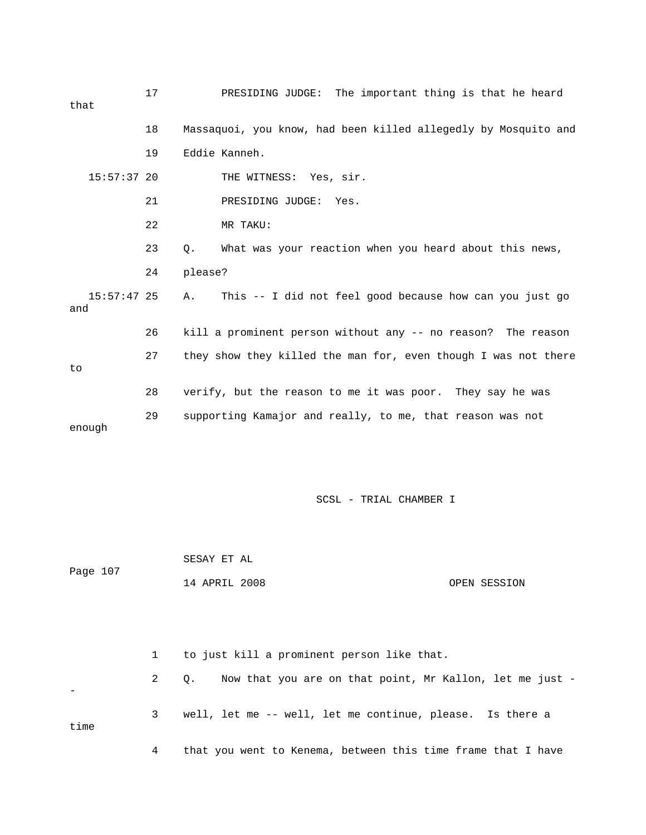| that                 | 17 |         | PRESIDING JUDGE: The important thing is that he heard          |  |  |  |
|----------------------|----|---------|----------------------------------------------------------------|--|--|--|
|                      | 18 |         | Massaquoi, you know, had been killed allegedly by Mosquito and |  |  |  |
|                      | 19 |         | Eddie Kanneh.                                                  |  |  |  |
| $15:57:37$ 20        |    |         | THE WITNESS: Yes, sir.                                         |  |  |  |
|                      | 21 |         | PRESIDING JUDGE:<br>Yes.                                       |  |  |  |
|                      | 22 |         | MR TAKU:                                                       |  |  |  |
|                      | 23 | Q.      | What was your reaction when you heard about this news,         |  |  |  |
|                      | 24 | please? |                                                                |  |  |  |
| $15:57:47$ 25<br>and |    | Α.      | This -- I did not feel good because how can you just go        |  |  |  |
|                      | 26 |         | kill a prominent person without any -- no reason? The reason   |  |  |  |
| to                   | 27 |         | they show they killed the man for, even though I was not there |  |  |  |
|                      | 28 |         | verify, but the reason to me it was poor. They say he was      |  |  |  |
| enough               | 29 |         | supporting Kamajor and really, to me, that reason was not      |  |  |  |

 14 APRIL 2008 OPEN SESSION 1 to just kill a prominent person like that. 2 Q. Now that you are on that point, Mr Kallon, let me just - - 3 well, let me -- well, let me continue, please. Is there a time

SESAY ET AL

Page 107

4 that you went to Kenema, between this time frame that I have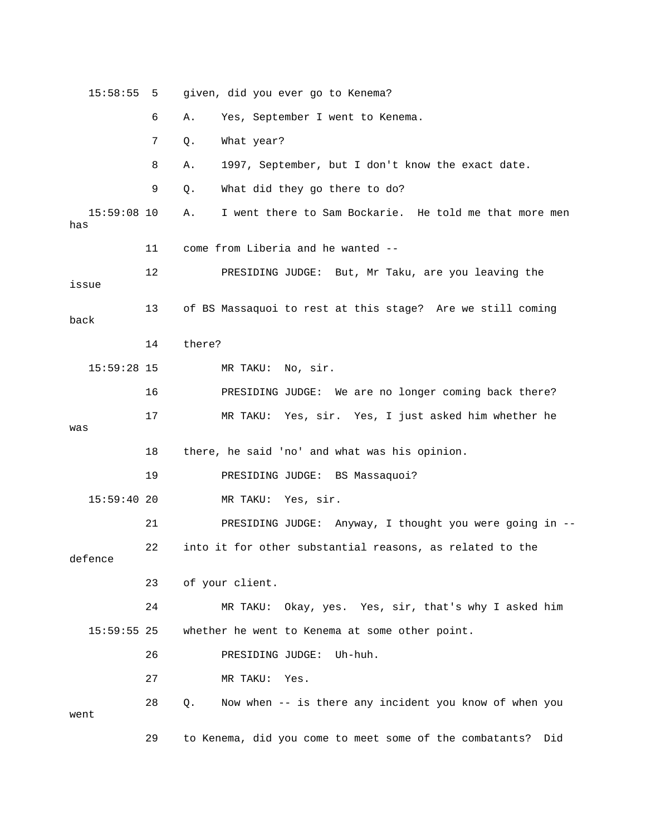15:58:55 5 given, did you ever go to Kenema? 6 A. Yes, September I went to Kenema. 7 Q. What year? 8 A. 1997, September, but I don't know the exact date. 9 Q. What did they go there to do? 15:59:08 10 A. I went there to Sam Bockarie. He told me that more men has 11 come from Liberia and he wanted -- 12 PRESIDING JUDGE: But, Mr Taku, are you leaving the issue 13 of BS Massaquoi to rest at this stage? Are we still coming 14 there? 15:59:28 15 MR TAKU: No, sir. ing back there? 16 PRESIDING JUDGE: We are no longer com 19 PRESIDING JUDGE: BS Massaquoi? 15:59:40 20 MR TAKU: Yes, sir. 21 PRESIDING JUDGE: Anyway, I thought you were going in -- 22 into it for other substantial reasons, as related to the that's why I asked him 24 MR TAKU: Okay, yes. Yes, sir, 26 PRESIDING JUDGE: Uh-huh. 27 MR TAKU: Yes. 28 Q. Now when -- is there any incident you know of when you back 17 MR TAKU: Yes, sir. Yes, I just asked him whether he was 18 there, he said 'no' and what was his opinion. defence 23 of your client. 15:59:55 25 whether he went to Kenema at some other point. went 29 to Kenema, did you come to meet some of the combatants? Did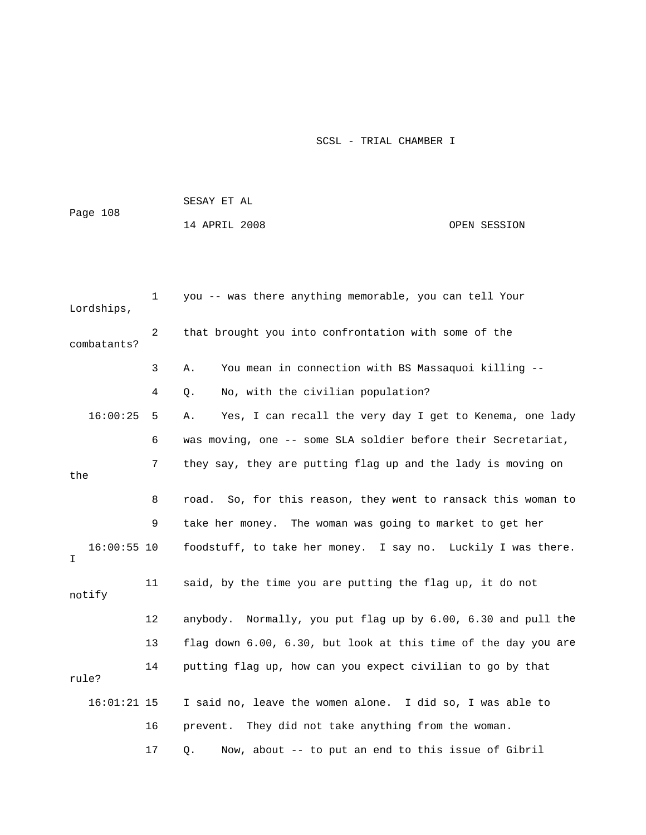|                     |    | SESAY ET AL                                                    |              |
|---------------------|----|----------------------------------------------------------------|--------------|
| Page 108            |    | 14 APRIL 2008                                                  | OPEN SESSION |
|                     |    |                                                                |              |
|                     |    |                                                                |              |
| Lordships,          | 1  | you -- was there anything memorable, you can tell Your         |              |
| combatants?         | 2  | that brought you into confrontation with some of the           |              |
|                     | 3  | You mean in connection with BS Massaquoi killing --<br>Α.      |              |
|                     | 4  | No, with the civilian population?<br>Q.                        |              |
| 16:00:25            | 5  | Yes, I can recall the very day I get to Kenema, one lady<br>Α. |              |
|                     | 6  | was moving, one -- some SLA soldier before their Secretariat,  |              |
|                     | 7  | they say, they are putting flag up and the lady is moving on   |              |
| the                 |    |                                                                |              |
|                     | 8  | road. So, for this reason, they went to ransack this woman to  |              |
|                     | 9  | take her money. The woman was going to market to get her       |              |
| $16:00:55$ 10<br>I. |    | foodstuff, to take her money. I say no. Luckily I was there.   |              |
| notify              | 11 | said, by the time you are putting the flag up, it do not       |              |
|                     | 12 | anybody. Normally, you put flag up by 6.00, 6.30 and pull the  |              |
|                     | 13 | flag down 6.00, 6.30, but look at this time of the day you are |              |
| rule?               | 14 | putting flag up, how can you expect civilian to go by that     |              |
| $16:01:21$ 15       |    | I said no, leave the women alone. I did so, I was able to      |              |
|                     | 16 | They did not take anything from the woman.<br>prevent.         |              |
|                     | 17 | Now, about -- to put an end to this issue of Gibril<br>Q.      |              |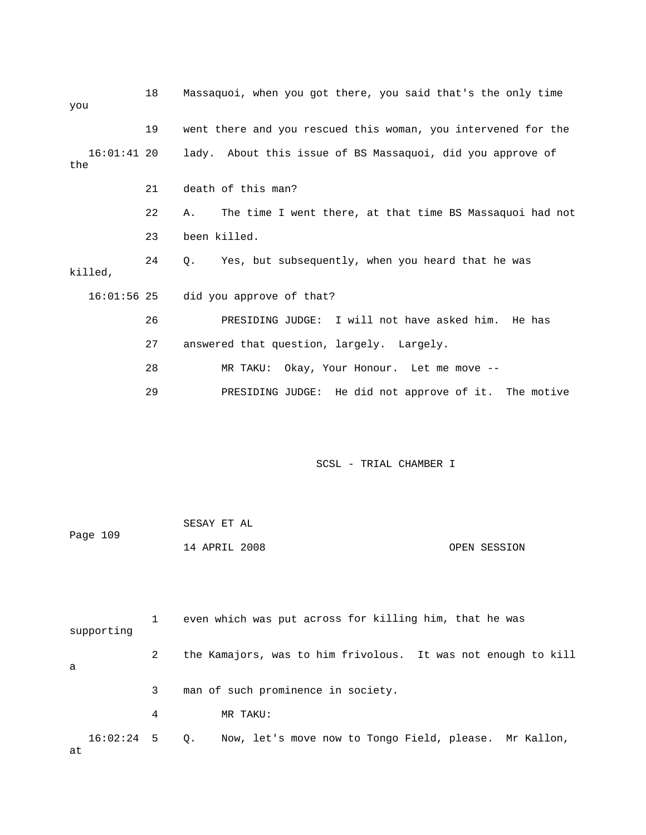| you           | 18 | Massaquoi, when you got there, you said that's the only time           |
|---------------|----|------------------------------------------------------------------------|
|               | 19 | went there and you rescued this woman, you intervened for the          |
| the           |    | 16:01:41 20 lady. About this issue of BS Massaquoi, did you approve of |
|               | 21 | death of this man?                                                     |
|               | 22 | The time I went there, at that time BS Massaquoi had not<br>Α.         |
|               | 23 | been killed.                                                           |
| killed,       | 24 | Q. Yes, but subsequently, when you heard that he was                   |
| $16:01:56$ 25 |    | did you approve of that?                                               |
|               | 26 | PRESIDING JUDGE: I will not have asked him. He has                     |
|               | 27 | answered that question, largely. Largely.                              |
|               | 28 | MR TAKU: Okay, Your Honour. Let me move --                             |
|               | 29 | PRESIDING JUDGE: He did not approve of it. The motive                  |
|               |    |                                                                        |

|          | SESAY ET AL   |  |              |
|----------|---------------|--|--------------|
| Page 109 |               |  |              |
|          | 14 APRIL 2008 |  | OPEN SESSION |

1 even which was put across for killing him, that he was 2 the Kamajors, was to him frivolous. It was not enough to kill 16:02:24 5 Q. Now, let's move now to Tongo Field, please. Mr Kallon, supporting a 3 man of such prominence in society. 4 MR TAKU: at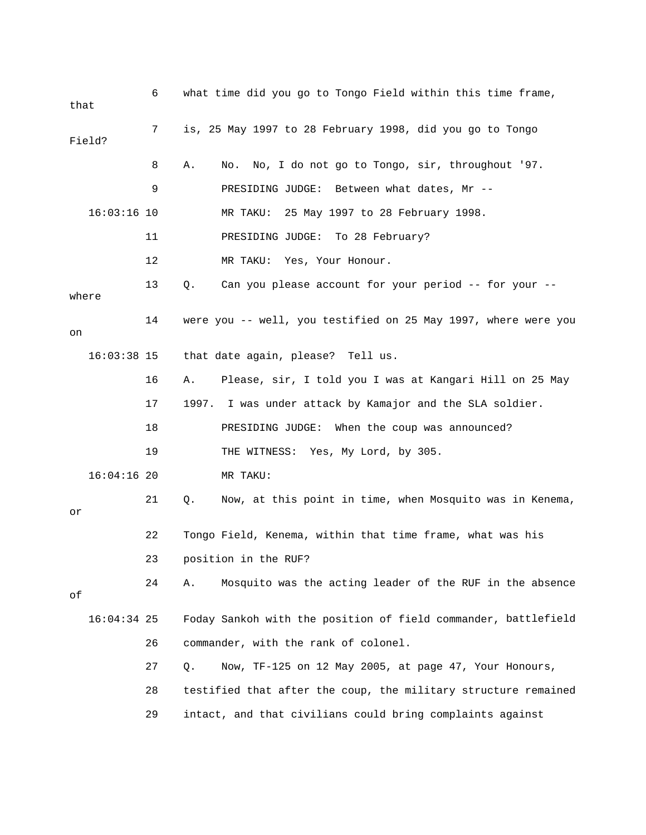| that  |               | 6  | what time did you go to Tongo Field within this time frame,    |
|-------|---------------|----|----------------------------------------------------------------|
|       | Field?        | 7  | is, 25 May 1997 to 28 February 1998, did you go to Tongo       |
|       |               | 8  | No. No, I do not go to Tongo, sir, throughout '97.<br>Α.       |
|       |               | 9  | PRESIDING JUDGE:<br>Between what dates, Mr --                  |
|       | $16:03:16$ 10 |    | 25 May 1997 to 28 February 1998.<br>MR TAKU:                   |
|       |               | 11 | To 28 February?<br>PRESIDING JUDGE:                            |
|       |               | 12 | MR TAKU:<br>Yes, Your Honour.                                  |
| where |               | 13 | Can you please account for your period -- for your --<br>$Q$ . |
| on    |               | 14 | were you -- well, you testified on 25 May 1997, where were you |
|       | $16:03:38$ 15 |    | that date again, please? Tell us.                              |
|       |               | 16 | Please, sir, I told you I was at Kangari Hill on 25 May<br>Α.  |
|       |               | 17 | 1997. I was under attack by Kamajor and the SLA soldier.       |
|       |               | 18 | PRESIDING JUDGE: When the coup was announced?                  |
|       |               | 19 | THE WITNESS: Yes, My Lord, by 305.                             |
|       | $16:04:16$ 20 |    | MR TAKU:                                                       |
| or    |               | 21 | Now, at this point in time, when Mosquito was in Kenema,<br>Q. |
|       |               | 22 | Tongo Field, Kenema, within that time frame, what was his      |
|       |               | 23 | position in the RUF?                                           |
| оf    |               | 24 | Α.<br>Mosquito was the acting leader of the RUF in the absence |
|       | $16:04:34$ 25 |    | Foday Sankoh with the position of field commander, battlefield |
|       |               | 26 | commander, with the rank of colonel.                           |
|       |               | 27 | Now, TF-125 on 12 May 2005, at page 47, Your Honours,<br>Q.    |
|       |               | 28 | testified that after the coup, the military structure remained |
|       |               | 29 | intact, and that civilians could bring complaints against      |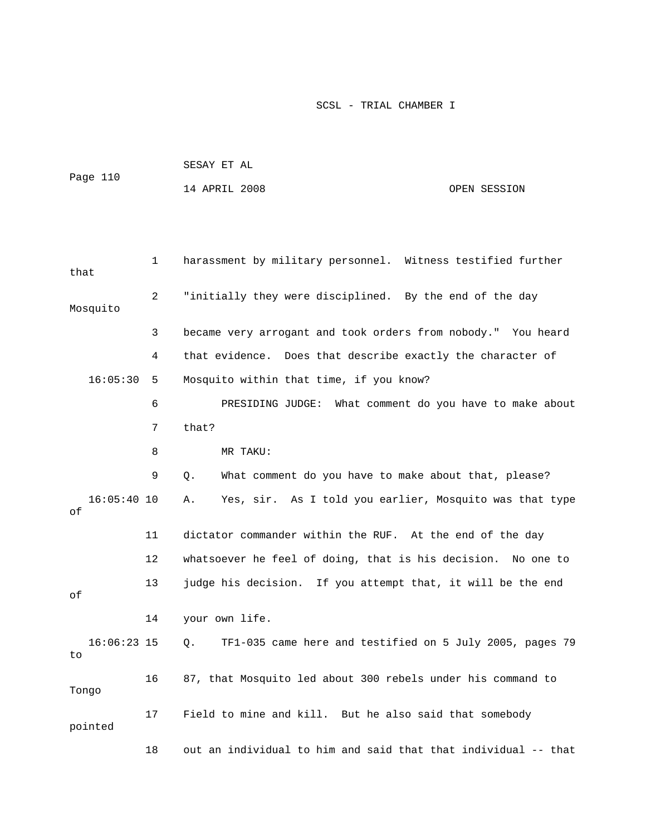|          | SESAY ET AL   |  |              |
|----------|---------------|--|--------------|
| Page 110 |               |  |              |
|          | 14 APRIL 2008 |  | OPEN SESSION |

| that                | $\mathbf 1$ | harassment by military personnel. Witness testified further    |
|---------------------|-------------|----------------------------------------------------------------|
| Mosquito            | 2           | "initially they were disciplined. By the end of the day        |
|                     | 3           | became very arrogant and took orders from nobody." You heard   |
|                     | 4           | that evidence. Does that describe exactly the character of     |
| 16:05:30            | 5           | Mosquito within that time, if you know?                        |
|                     | 6           | PRESIDING JUDGE: What comment do you have to make about        |
|                     | 7           | that?                                                          |
|                     | 8           | MR TAKU:                                                       |
|                     | 9           | What comment do you have to make about that, please?<br>О.     |
| $16:05:40$ 10<br>оf |             | Yes, sir. As I told you earlier, Mosquito was that type<br>Α.  |
|                     | 11          | dictator commander within the RUF. At the end of the day       |
|                     | $12 \,$     | whatsoever he feel of doing, that is his decision. No one to   |
| оf                  | 13          | judge his decision. If you attempt that, it will be the end    |
|                     | 14          | your own life.                                                 |
| $16:06:23$ 15<br>to |             | TF1-035 came here and testified on 5 July 2005, pages 79<br>Q. |
| Tongo               | 16          | 87, that Mosquito led about 300 rebels under his command to    |
| pointed             | 17          | Field to mine and kill. But he also said that somebody         |
|                     | 18          | out an individual to him and said that that individual -- that |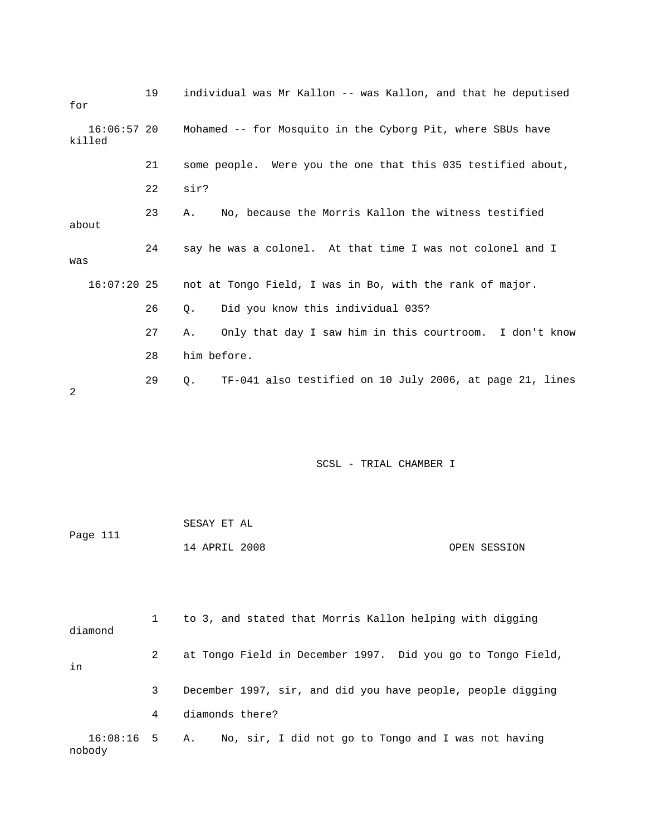| for                     | 19 | individual was Mr Kallon -- was Kallon, and that he deputised        |
|-------------------------|----|----------------------------------------------------------------------|
| $16:06:57$ 20<br>killed |    | Mohamed -- for Mosquito in the Cyborg Pit, where SBUs have           |
|                         | 21 | some people. Were you the one that this 035 testified about,         |
|                         | 22 | sir?                                                                 |
| about                   | 23 | No, because the Morris Kallon the witness testified<br>Α.            |
| was                     | 24 | say he was a colonel. At that time I was not colonel and I           |
|                         |    | 16:07:20 25 not at Tongo Field, I was in Bo, with the rank of major. |
|                         | 26 | Did you know this individual 035?<br>Ο.                              |
|                         | 27 | Only that day I saw him in this courtroom. I don't know<br>Α.        |
|                         | 28 | him before.                                                          |
| 2                       | 29 | TF-041 also testified on 10 July 2006, at page 21, lines<br>Q.       |

| Page 111 | SESAY ET AL   |              |
|----------|---------------|--------------|
|          | 14 APRIL 2008 | OPEN SESSION |

| diamond              |   | to 3, and stated that Morris Kallon helping with digging    |  |
|----------------------|---|-------------------------------------------------------------|--|
| in                   | 2 | at Tongo Field in December 1997. Did you go to Tongo Field, |  |
|                      | 3 | December 1997, sir, and did you have people, people digging |  |
|                      | 4 | diamonds there?                                             |  |
| 16:08:16 5<br>nobody |   | No, sir, I did not go to Tongo and I was not having<br>Α.   |  |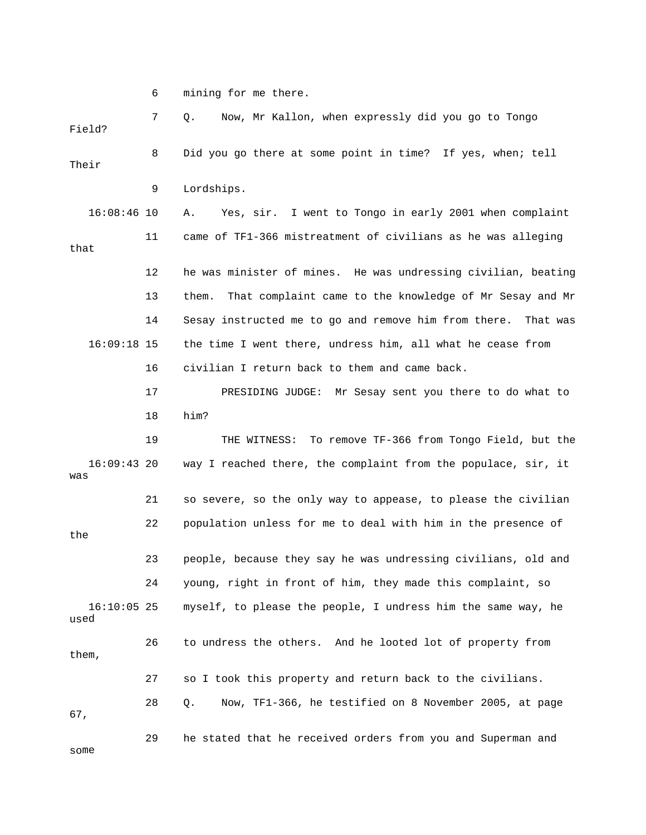6 mining for me there.

 7 Q. Now, Mr Kallon, when expressly did you go to Tongo 8 Did you go there at some point in time? If yes, when; tell Their 9 Lordships. 16:08:46 10 A. Yes, sir. I went to Tongo in early 2001 when complaint 11 came of TF1-366 mistreatment of civilians as he was alleging that 12 he was minister of mines. He was undressing civilian, beating 13 them. That complaint came to the knowledge of Mr Sesay and Mr 14 Sesay instructed me to go and remove him from there. That was 16:09:18 15 the time I went there, undress him, all what he cease from 16 civilian I return back to them and came back. 17 PRESIDING JUDGE: Mr Sesay sent you there to do what to 19 THE WITNESS: To remove TF-366 from Tongo Field, but the 16:09:43 20 way I reached there, the complaint from the populace, sir, it 21 so severe, so the only way to appease, to please the civilian 22 population unless for me to deal with him in the presence of 23 people, because they say he was undressing civilians, old and 24 young, right in front of him, they made this complaint, so myself, to please the people, I undress him the same way, he used 26 to undress the others. And he looted lot of property from 28 Q. Now, TF1-366, he testified on 8 November 2005, at page some Field? 18 him? was the  $16:10:05$  25 them, 27 so I took this property and return back to the civilians. 67, 29 he stated that he received orders from you and Superman and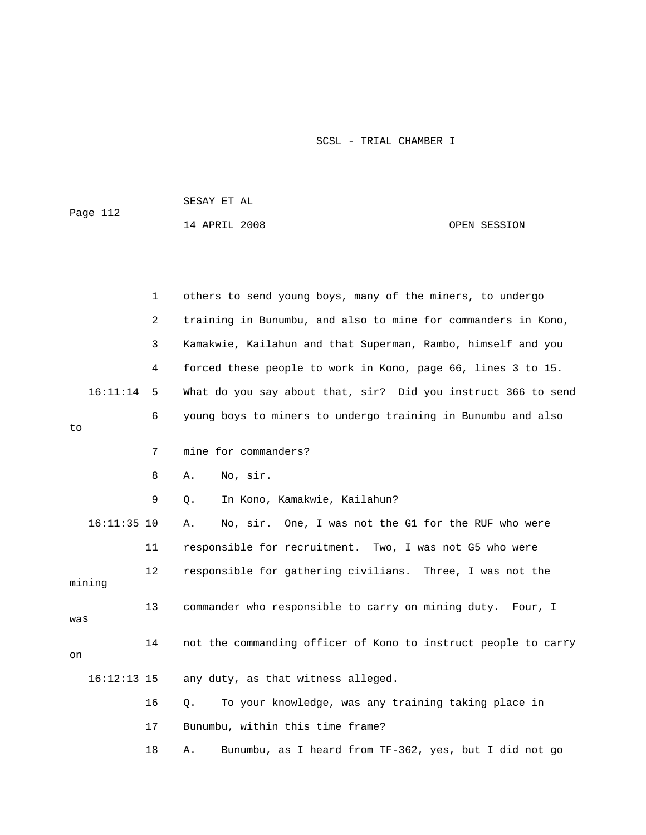SESAY ET AL

Page 112

14 APRIL 2008 OPEN SESSION

|     |               | 1  | others to send young boys, many of the miners, to undergo        |
|-----|---------------|----|------------------------------------------------------------------|
|     |               | 2  | training in Bunumbu, and also to mine for commanders in Kono,    |
|     |               | 3  | Kamakwie, Kailahun and that Superman, Rambo, himself and you     |
|     |               | 4  | forced these people to work in Kono, page 66, lines 3 to 15.     |
|     | 16:11:14      | 5  | What do you say about that, sir? Did you instruct 366 to send    |
| to  |               | 6  | young boys to miners to undergo training in Bunumbu and also     |
|     |               | 7  | mine for commanders?                                             |
|     |               | 8  | No, sir.<br>Α.                                                   |
|     |               | 9  | In Kono, Kamakwie, Kailahun?<br>$Q$ .                            |
|     | $16:11:35$ 10 |    | No, sir. One, I was not the G1 for the RUF who were<br>Α.        |
|     |               | 11 | responsible for recruitment. Two, I was not G5 who were          |
|     | mining        | 12 | responsible for gathering civilians. Three, I was not the        |
| was |               | 13 | commander who responsible to carry on mining duty. Four, I       |
| on  |               | 14 | not the commanding officer of Kono to instruct people to carry   |
|     | $16:12:13$ 15 |    | any duty, as that witness alleged.                               |
|     |               | 16 | $\circ$ .<br>To your knowledge, was any training taking place in |
|     |               | 17 | Bunumbu, within this time frame?                                 |
|     |               | 18 | Bunumbu, as I heard from TF-362, yes, but I did not go<br>Α.     |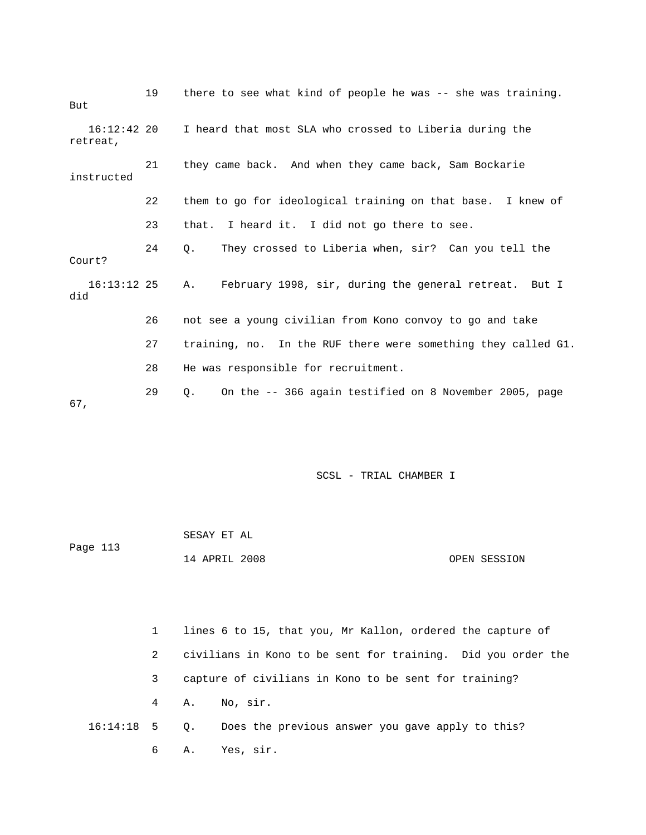| But                     | 19 | there to see what kind of people he was -- she was training.  |
|-------------------------|----|---------------------------------------------------------------|
| 16:12:42 20<br>retreat, |    | I heard that most SLA who crossed to Liberia during the       |
| instructed              | 21 | they came back. And when they came back, Sam Bockarie         |
|                         | 22 | them to go for ideological training on that base. I knew of   |
|                         | 23 | that. I heard it. I did not go there to see.                  |
| Court?                  | 24 | They crossed to Liberia when, sir? Can you tell the<br>О.     |
| $16:13:12$ 25<br>did    |    | February 1998, sir, during the general retreat. But I<br>A.,  |
|                         | 26 | not see a young civilian from Kono convoy to go and take      |
|                         | 27 | training, no. In the RUF there were something they called G1. |
|                         | 28 | He was responsible for recruitment.                           |
| 67,                     | 29 | On the -- 366 again testified on 8 November 2005, page<br>Ο.  |

|          | SESAY ET AL   |  |              |
|----------|---------------|--|--------------|
| Page 113 |               |  |              |
|          | 14 APRIL 2008 |  | OPEN SESSION |

|   | 1 lines 6 to 15, that you, Mr Kallon, ordered the capture of   |
|---|----------------------------------------------------------------|
|   | 2 civilians in Kono to be sent for training. Did you order the |
| 3 | capture of civilians in Kono to be sent for training?          |
|   | 4 A. No, sir.                                                  |
|   | 16:14:18 5 0. Does the previous answer you gave apply to this? |
|   | 6 A. Yes, sir.                                                 |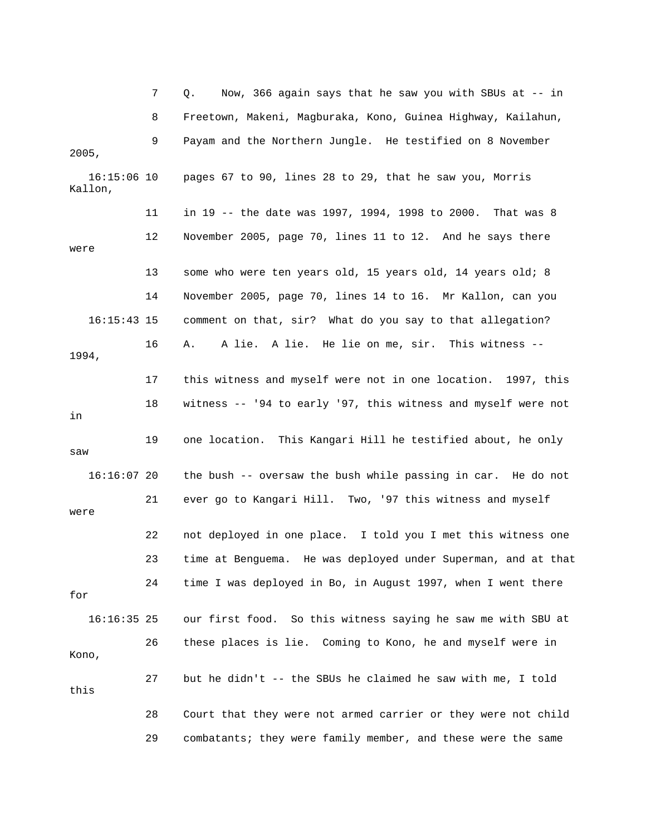7 Q. Now, 366 again says that he saw you with SBUs at -- in 8 Freetown, Makeni, Magburaka, Kono, Guinea Highway, Kailahun, 9 Payam and the Northern Jungle. He testified on 8 November 16:15:06 10 pages 67 to 90, lines 28 to 29, that he saw you, Morris Kallon, 11 in 19 -- the date was 1997, 1994, 1998 to 2000. That was 8 12 November 2005, page 70, lines 11 to 12. And he says there were 13 some who were ten years old, 15 years old, 14 years old; 8 16:15:43 15 comment on that, sir? What do you say to that allegation? 16 A. A lie. A lie. He lie on me, sir. This witness -- 94, 19 17 this witness and myself were not in one location. 1997, this 18 witness -- '94 to early '97, this witness and myself were not 19 one location. This Kangari Hill he testified about, he only 16:16:07 20 the bush -- oversaw the bush while passing in car. He do not 21 ever go to Kangari Hill. Two, '97 this witness and myself 16:16:35 25 our first food. So this witness saying he saw me with SBU at 26 these places is lie. Coming to Kono, he and myself were in 28 Court that they were not armed carrier or they were not child 2005, 14 November 2005, page 70, lines 14 to 16. Mr Kallon, can you in saw were 22 not deployed in one place. I told you I met this witness one 23 time at Benguema. He was deployed under Superman, and at that 24 time I was deployed in Bo, in August 1997, when I went there for Kono, 27 but he didn't -- the SBUs he claimed he saw with me, I told this 29 combatants; they were family member, and these were the same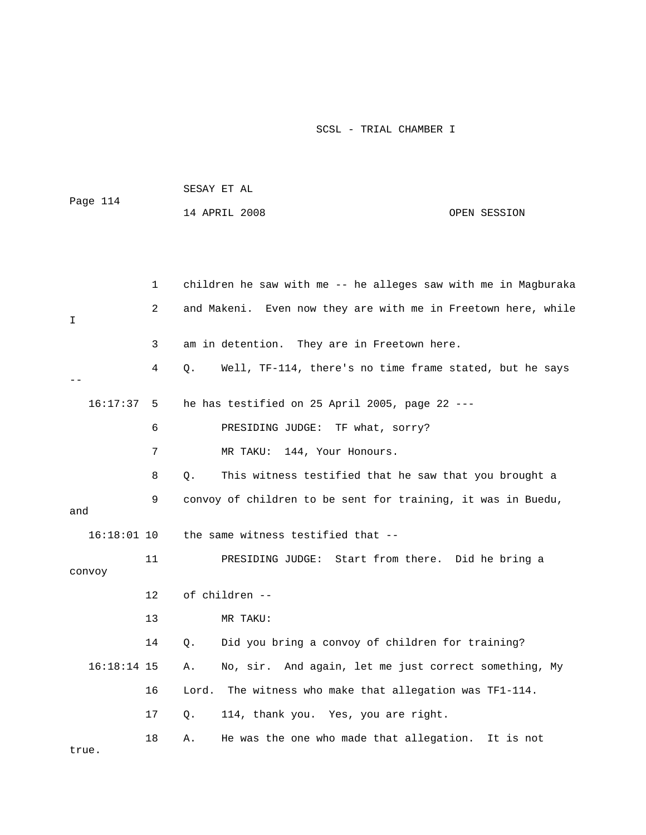| Page 114      |    | SESAY ET AL                                                    |              |
|---------------|----|----------------------------------------------------------------|--------------|
|               |    | 14 APRIL 2008                                                  | OPEN SESSION |
|               |    |                                                                |              |
|               |    |                                                                |              |
|               | 1  | children he saw with me -- he alleges saw with me in Magburaka |              |
| I             | 2  | and Makeni. Even now they are with me in Freetown here, while  |              |
|               | 3  | am in detention. They are in Freetown here.                    |              |
|               | 4  | Well, TF-114, there's no time frame stated, but he says<br>Q.  |              |
| 16:17:37      | 5  | he has testified on 25 April 2005, page 22 ---                 |              |
|               | 6  | PRESIDING JUDGE: TF what, sorry?                               |              |
|               | 7  | MR TAKU:<br>144, Your Honours.                                 |              |
|               | 8  | This witness testified that he saw that you brought a<br>$Q$ . |              |
| and           | 9  | convoy of children to be sent for training, it was in Buedu,   |              |
| $16:18:01$ 10 |    | the same witness testified that --                             |              |
| convoy        | 11 | PRESIDING JUDGE: Start from there. Did he bring a              |              |
|               | 12 | of children --                                                 |              |
|               | 13 | MR TAKU:                                                       |              |
|               | 14 | Did you bring a convoy of children for training?<br>Q.         |              |
| $16:18:14$ 15 |    | No, sir. And again, let me just correct something, My<br>Α.    |              |
|               | 16 | Lord. The witness who make that allegation was TF1-114.        |              |
|               | 17 | 114, thank you. Yes, you are right.<br>Q.                      |              |
| true.         | 18 | He was the one who made that allegation. It is not<br>Α.       |              |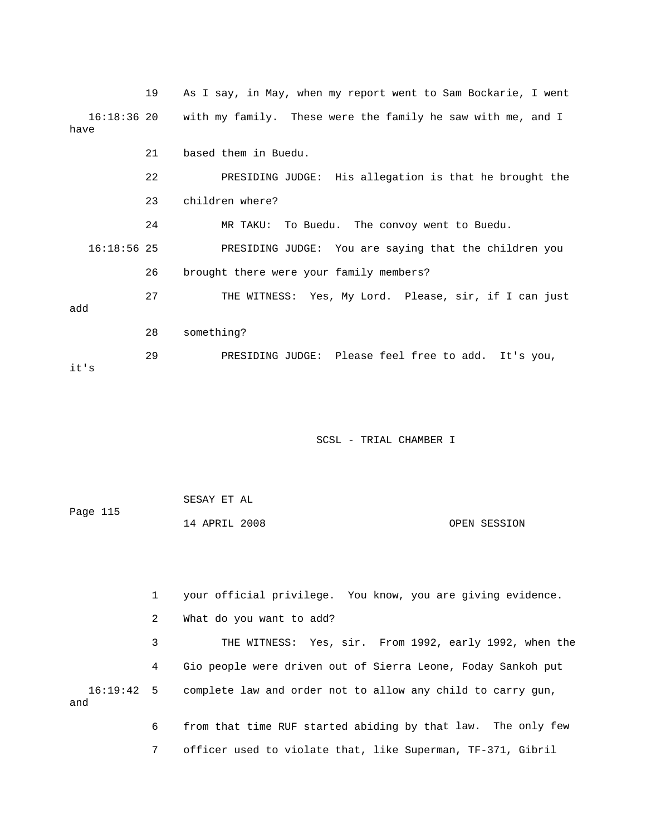|               | 19 | As I say, in May, when my report went to Sam Bockarie, I went           |
|---------------|----|-------------------------------------------------------------------------|
| have          |    | 16:18:36 20 with my family. These were the family he saw with me, and I |
|               | 21 | based them in Buedu.                                                    |
|               | 22 | PRESIDING JUDGE: His allegation is that he brought the                  |
|               | 23 | children where?                                                         |
|               | 24 | MR TAKU: To Buedu. The convoy went to Buedu.                            |
| $16:18:56$ 25 |    | PRESIDING JUDGE: You are saying that the children you                   |
|               | 26 | brought there were your family members?                                 |
| add           | 27 | THE WITNESS: Yes, My Lord. Please, sir, if I can just                   |
|               | 28 | something?                                                              |
| it's          | 29 | PRESIDING JUDGE: Please feel free to add. It's you,                     |

| Page 115 | SESAY ET AL   |  |              |
|----------|---------------|--|--------------|
|          | 14 APRIL 2008 |  | OPEN SESSION |

 1 your official privilege. You know, you are giving evidence. 2 What do you want to add? 3 THE WITNESS: Yes, sir. From 1992, early 1992, when the 4 Gio people were driven out of Sierra Leone, Foday Sankoh put 16:19:42 5 complete law and order not to allow any child to carry gun, 6 from that time RUF started abiding by that law. The only few and

7 officer used to violate that, like Superman, TF-371, Gibril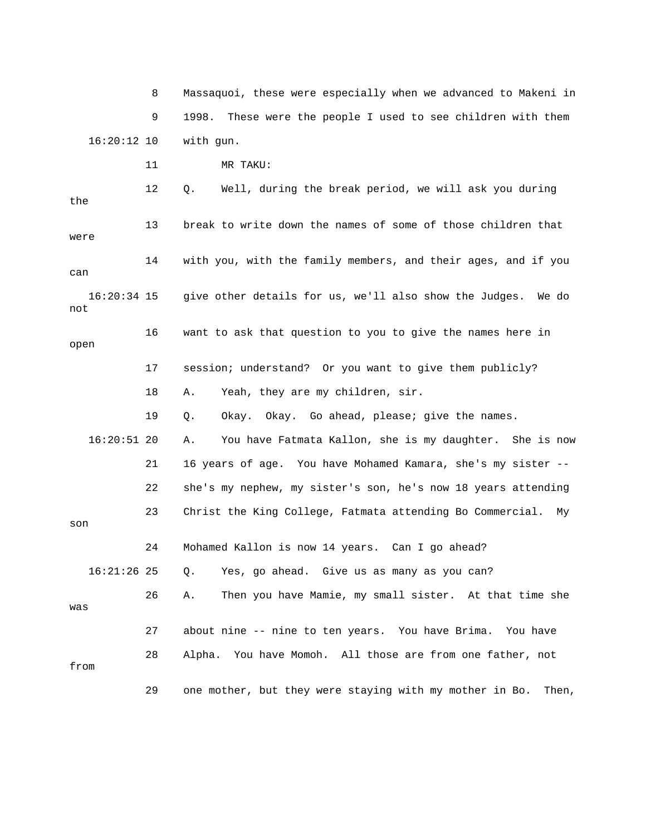8 Massaquoi, these were especially when we advanced to Makeni in 9 1998. These were the people I used to see children with them 16:20:12 10 with gun.

11 MR TAKU:

 12 Q. Well, during the break period, we will ask you during the 13 break to write down the names of some of those children that were 14 with you, with the family members, and their ages, and if you give other details for us, we'll also show the Judges. We do 16 want to ask that question to you to give the names here in open 17 session; understand? Or you want to give them publicly? 18 A. Yeah, they are my children, sir. 19 Q. Okay. Okay. Go ahead, please; give the names. 16:20:51 20 A. You have Fatmata Kallon, she is my daughter. She is now 21 16 years of age. You have Mohamed Kamara, she's my sister - g 22 she's my nephew, my sister's son, he's now 18 years attendin 24 Mohamed Kallon is now 14 years. Can I go ahead? 16:21:26 25 Q. Yes, go ahead. Give us as many as you can? 27 about nine -- nine to ten years. You have Brima. You have can 16:20:3 not 23 Christ the King College, Fatmata attending Bo Commercial. My son 26 A. Then you have Mamie, my small sister. At that time she was 28 Alpha. You have Momoh. All those are from one father, not from 29 one mother, but they were staying with my mother in Bo. Then,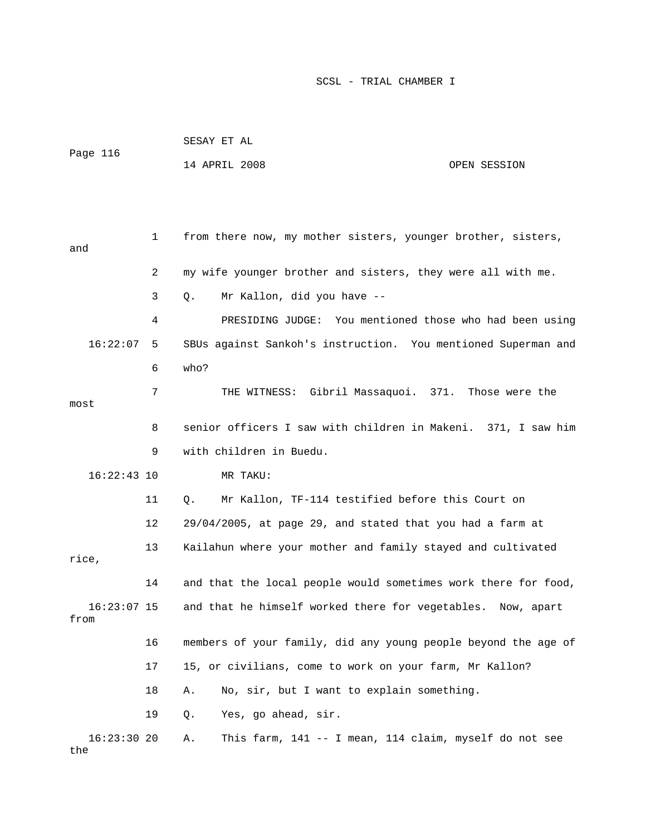| Page 116      |    | SESAY ET AL                                                   |              |
|---------------|----|---------------------------------------------------------------|--------------|
|               |    | 14 APRIL 2008                                                 | OPEN SESSION |
|               |    |                                                               |              |
|               |    |                                                               |              |
|               | 1  | from there now, my mother sisters, younger brother, sisters,  |              |
| and           |    |                                                               |              |
|               | 2  | my wife younger brother and sisters, they were all with me.   |              |
|               | 3  | Mr Kallon, did you have --<br>$Q$ .                           |              |
|               | 4  | PRESIDING JUDGE: You mentioned those who had been using       |              |
| 16:22:07      | 5  | SBUs against Sankoh's instruction. You mentioned Superman and |              |
|               | 6  | who?                                                          |              |
|               | 7  | THE WITNESS: Gibril Massaquoi. 371. Those were the            |              |
| most          |    |                                                               |              |
|               | 8  | senior officers I saw with children in Makeni. 371, I saw him |              |
|               | 9  | with children in Buedu.                                       |              |
| $16:22:43$ 10 |    | MR TAKU:                                                      |              |
|               | 11 | Mr Kallon, TF-114 testified before this Court on<br>0.        |              |
|               | 12 | 29/04/2005, at page 29, and stated that you had a farm at     |              |
| rice,         | 13 | Kailahun where your mother and family stayed and cultivated   |              |

 14 and that the local people would sometimes work there for food, 16 members of your family, did any young people beyond the age of 17 15, or civilians, come to work on your farm, Mr Kallon? 18 A. No, sir, but I want to explain something. 19 Q. Yes, go ahead, sir. 16:23:07 15 and that he himself worked there for vegetables. Now, apart from

the 16:23:30 20 A. This farm, 141 -- I mean, 114 claim, myself do not see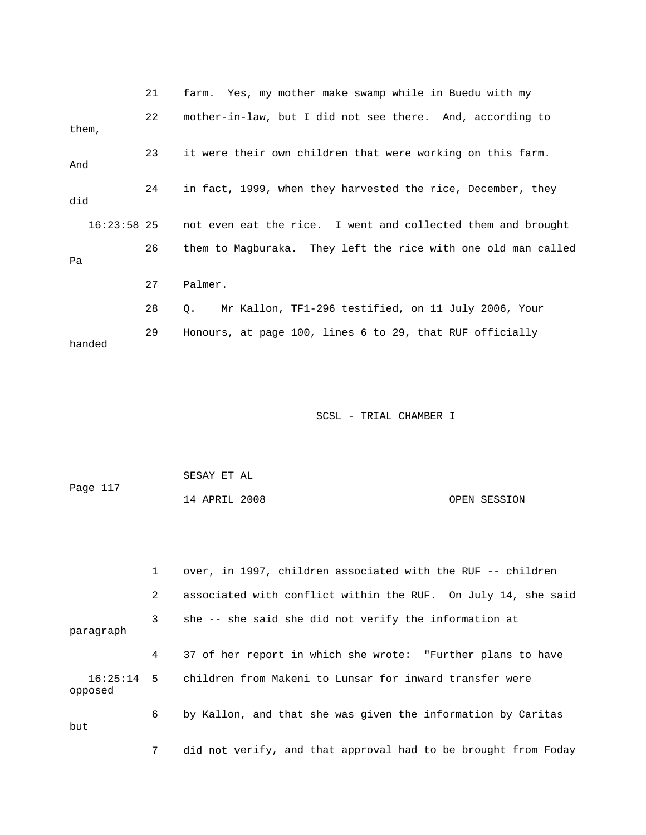|        |               | 21 | farm. Yes, my mother make swamp while in Buedu with my        |
|--------|---------------|----|---------------------------------------------------------------|
| them,  |               | 22 | mother-in-law, but I did not see there. And, according to     |
| And    |               | 23 | it were their own children that were working on this farm.    |
| did    |               | 24 | in fact, 1999, when they harvested the rice, December, they   |
|        | $16:23:58$ 25 |    | not even eat the rice. I went and collected them and brought  |
| Pa     |               | 26 | them to Magburaka. They left the rice with one old man called |
|        |               | 27 | Palmer.                                                       |
|        |               | 28 | Mr Kallon, TF1-296 testified, on 11 July 2006, Your<br>О.     |
| handed |               | 29 | Honours, at page 100, lines 6 to 29, that RUF officially      |

| Page 117 | SESAY ET AL   |              |
|----------|---------------|--------------|
|          | 14 APRIL 2008 | OPEN SESSION |

 1 over, in 1997, children associated with the RUF -- children 2 associated with conflict within the RUF. On July 14, she said 16:25:14 5 children from Makeni to Lunsar for inward transfer were erify, and that approval had to be brought from Foday 7 did not v 3 she -- she said she did not verify the information at paragraph 4 37 of her report in which she wrote: "Further plans to have opposed 6 by Kallon, and that she was given the information by Caritas but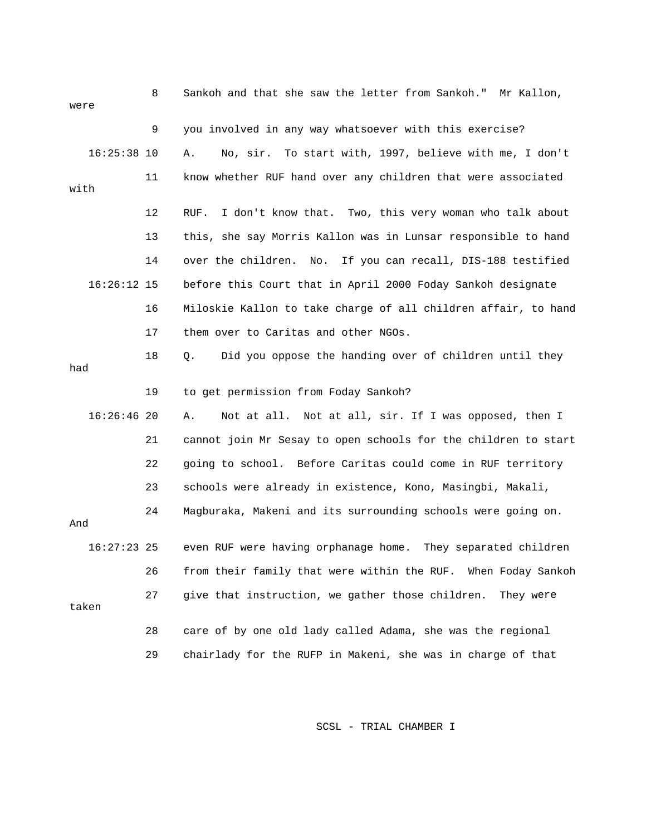| were          | 8  | Sankoh and that she saw the letter from Sankoh." Mr Kallon,     |
|---------------|----|-----------------------------------------------------------------|
|               | 9  | you involved in any way whatsoever with this exercise?          |
| $16:25:38$ 10 |    | No, sir. To start with, 1997, believe with me, I don't<br>Α.    |
| with          | 11 | know whether RUF hand over any children that were associated    |
|               | 12 | I don't know that. Two, this very woman who talk about<br>RUF.  |
|               | 13 | this, she say Morris Kallon was in Lunsar responsible to hand   |
|               | 14 | over the children. No.<br>If you can recall, DIS-188 testified  |
| $16:26:12$ 15 |    | before this Court that in April 2000 Foday Sankoh designate     |
|               | 16 | Miloskie Kallon to take charge of all children affair, to hand  |
|               | 17 | them over to Caritas and other NGOs.                            |
| had           | 18 | Did you oppose the handing over of children until they<br>$Q$ . |
|               |    |                                                                 |
|               | 19 | to get permission from Foday Sankoh?                            |
| $16:26:46$ 20 |    | Not at all. Not at all, sir. If I was opposed, then I<br>Α.     |
|               | 21 | cannot join Mr Sesay to open schools for the children to start  |
|               | 22 | going to school. Before Caritas could come in RUF territory     |
|               | 23 | schools were already in existence, Kono, Masingbi, Makali,      |
| And           | 24 | Magburaka, Makeni and its surrounding schools were going on.    |
| $16:27:23$ 25 |    | even RUF were having orphanage home. They separated children    |
|               | 26 | from their family that were within the RUF. When Foday Sankoh   |
| taken         | 27 | give that instruction, we gather those children.<br>They were   |
|               | 28 | care of by one old lady called Adama, she was the regional      |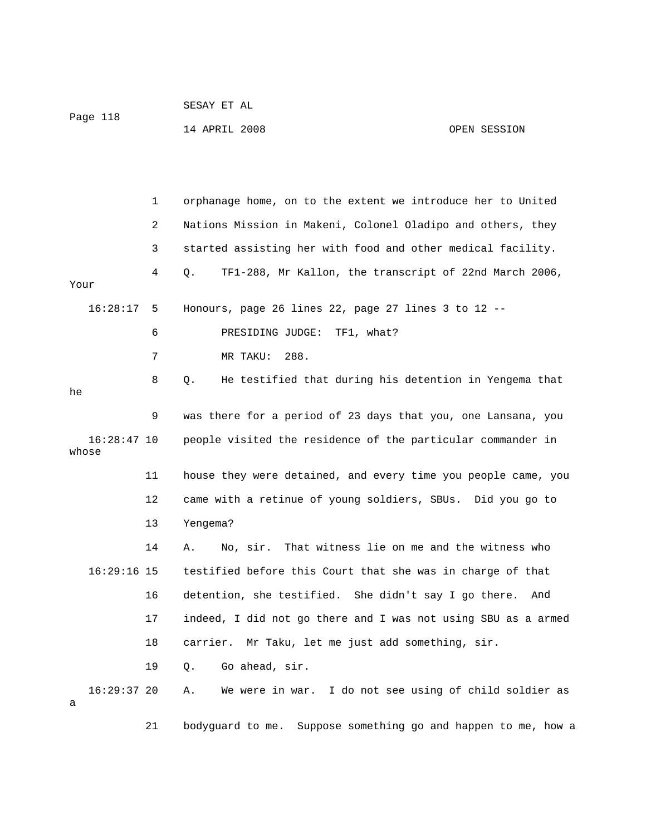| Page 118 | SESAY ET AL   |  |              |
|----------|---------------|--|--------------|
|          | 14 APRIL 2008 |  | OPEN SESSION |

|                        | 1  | orphanage home, on to the extent we introduce her to United      |
|------------------------|----|------------------------------------------------------------------|
|                        | 2  | Nations Mission in Makeni, Colonel Oladipo and others, they      |
|                        | 3  | started assisting her with food and other medical facility.      |
| Your                   | 4  | TF1-288, Mr Kallon, the transcript of 22nd March 2006,<br>Q.     |
| 16:28:17               | -5 | Honours, page 26 lines 22, page 27 lines 3 to 12 $-$             |
|                        | 6  | PRESIDING JUDGE:<br>TF1, what?                                   |
|                        | 7  | 288.<br>MR TAKU:                                                 |
| he                     | 8  | He testified that during his detention in Yengema that<br>Q.     |
|                        | 9  | was there for a period of 23 days that you, one Lansana, you     |
| $16:28:47$ 10<br>whose |    | people visited the residence of the particular commander in      |
|                        | 11 | house they were detained, and every time you people came, you    |
|                        | 12 | came with a retinue of young soldiers, SBUs. Did you go to       |
|                        | 13 | Yengema?                                                         |
|                        | 14 | That witness lie on me and the witness who<br>No, sir.<br>Α.     |
| $16:29:16$ 15          |    | testified before this Court that she was in charge of that       |
|                        | 16 | detention, she testified. She didn't say I go there.<br>And      |
|                        | 17 | indeed, I did not go there and I was not using SBU as a armed    |
|                        | 18 | carrier.<br>Mr Taku, let me just add something, sir.             |
|                        | 19 | Go ahead, sir.<br>Q.                                             |
| $16:29:37$ 20<br>а     |    | I do not see using of child soldier as<br>Α.<br>We were in war.  |
|                        | 21 | Suppose something go and happen to me, how a<br>bodyguard to me. |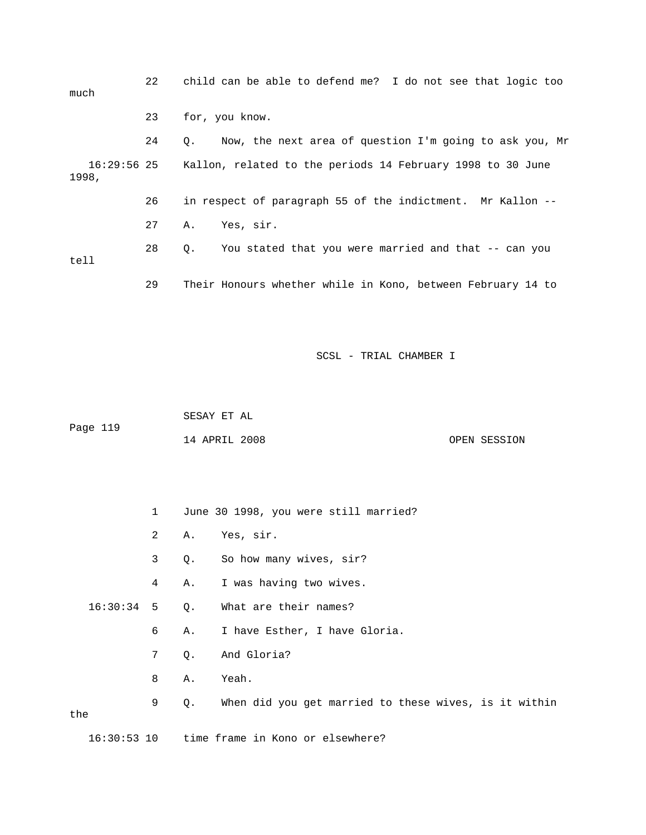| much  | 22 | child can be able to defend me? I do not see that logic too            |
|-------|----|------------------------------------------------------------------------|
|       | 23 | for, you know.                                                         |
|       | 24 | Q. Now, the next area of question I'm going to ask you, Mr             |
| 1998, |    | 16:29:56 25 Kallon, related to the periods 14 February 1998 to 30 June |
|       | 26 | in respect of paragraph 55 of the indictment. Mr Kallon --             |
|       | 27 | Yes, sir.<br>Α.                                                        |
| tell  | 28 | You stated that you were married and that -- can you<br>0.             |
|       | 29 | Their Honours whether while in Kono, between February 14 to            |

 14 APRIL 2008 OPEN SESSION SESAY ET AL Page 119

1 June 30 1998, you were still married?

2 A. Yes, sir.

3 Q. So how many wives, sir?

4 A. I was having two wives.

16:30:34 5 Q. What are their names?

6 A. I have Esther, I have Gloria.

7 Q. And Gloria?

8 A. Yeah.

 9 Q. When did you get married to these wives, is it within the

16:30:53 10 time frame in Kono or elsewhere?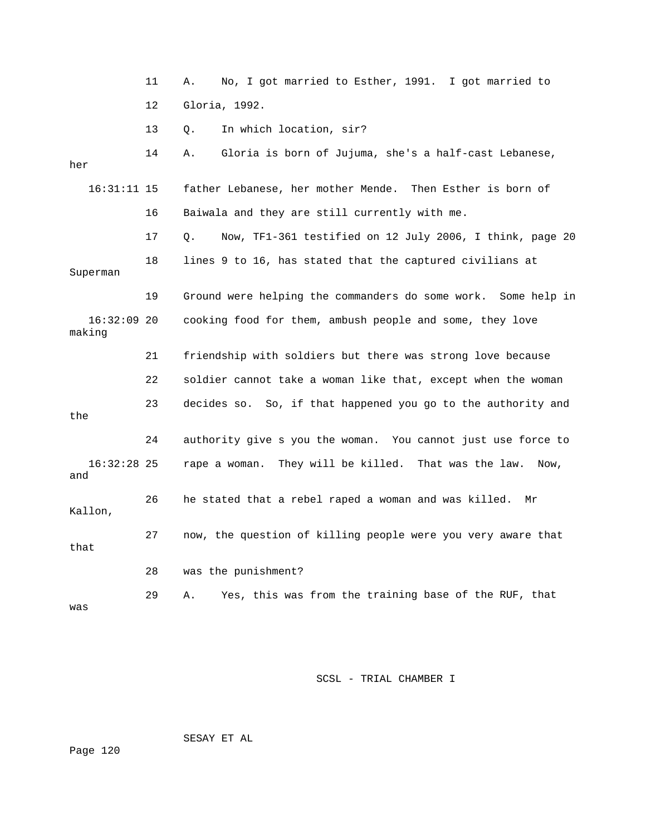|                         | 11 | No, I got married to Esther, 1991. I got married to<br>Α.      |
|-------------------------|----|----------------------------------------------------------------|
|                         | 12 | Gloria, 1992.                                                  |
|                         | 13 | In which location, sir?<br>Q.                                  |
| her                     | 14 | Gloria is born of Jujuma, she's a half-cast Lebanese,<br>Α.    |
| $16:31:11$ 15           |    | father Lebanese, her mother Mende. Then Esther is born of      |
|                         | 16 | Baiwala and they are still currently with me.                  |
|                         | 17 | Now, TF1-361 testified on 12 July 2006, I think, page 20<br>Q. |
| Superman                | 18 | lines 9 to 16, has stated that the captured civilians at       |
|                         | 19 | Ground were helping the commanders do some work. Some help in  |
| $16:32:09$ 20<br>making |    | cooking food for them, ambush people and some, they love       |
|                         | 21 | friendship with soldiers but there was strong love because     |
|                         |    |                                                                |
|                         | 22 | soldier cannot take a woman like that, except when the woman   |
| the                     | 23 | decides so. So, if that happened you go to the authority and   |
|                         | 24 | authority give s you the woman. You cannot just use force to   |
| $16:32:28$ 25<br>and    |    | rape a woman. They will be killed. That was the law.<br>Now,   |
| Kallon,                 | 26 | he stated that a rebel raped a woman and was killed.<br>Mr     |
| that                    | 27 | now, the question of killing people were you very aware that   |
|                         | 28 | was the punishment?                                            |

SESAY ET AL

Page 120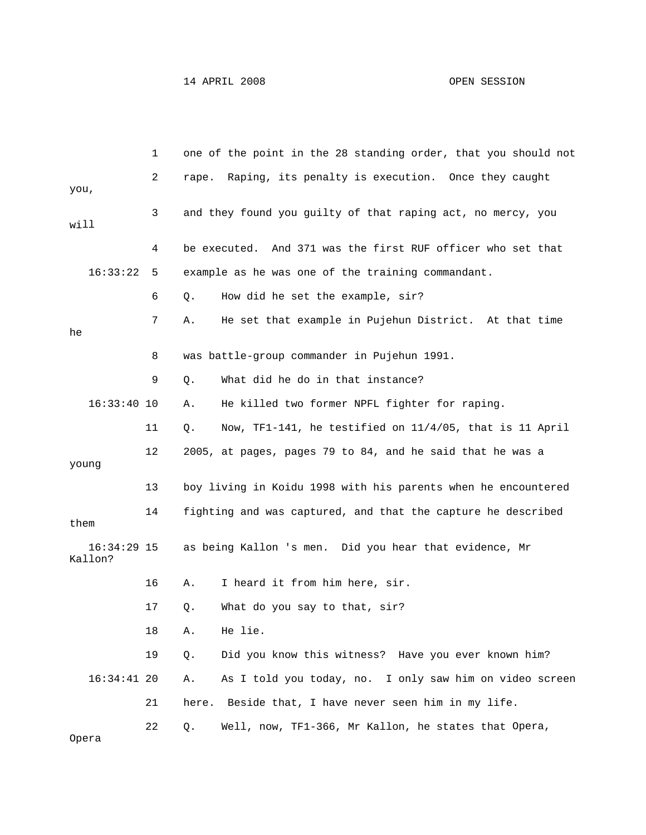|                          | 1  | one of the point in the 28 standing order, that you should not |
|--------------------------|----|----------------------------------------------------------------|
| you,                     | 2  | rape. Raping, its penalty is execution. Once they caught       |
| will                     | 3  | and they found you guilty of that raping act, no mercy, you    |
|                          | 4  | be executed. And 371 was the first RUF officer who set that    |
| 16:33:22                 | 5  | example as he was one of the training commandant.              |
|                          | 6  | How did he set the example, sir?<br>Q.                         |
| he                       | 7  | He set that example in Pujehun District. At that time<br>Α.    |
|                          | 8  | was battle-group commander in Pujehun 1991.                    |
|                          | 9  | What did he do in that instance?<br>Q.                         |
| $16:33:40$ 10            |    | He killed two former NPFL fighter for raping.<br>Α.            |
|                          | 11 | Now, TF1-141, he testified on 11/4/05, that is 11 April<br>Q.  |
| young                    | 12 | 2005, at pages, pages 79 to 84, and he said that he was a      |
|                          | 13 | boy living in Koidu 1998 with his parents when he encountered  |
| them                     | 14 | fighting and was captured, and that the capture he described   |
| $16:34:29$ 15<br>Kallon? |    | as being Kallon 's men. Did you hear that evidence, Mr         |
|                          | 16 | I heard it from him here, sir.<br>Α.                           |
|                          | 17 | What do you say to that, sir?<br>Q.                            |
|                          | 18 | He lie.<br>Α.                                                  |
|                          | 19 | Did you know this witness? Have you ever known him?<br>$Q$ .   |
| $16:34:41$ 20            |    | As I told you today, no. I only saw him on video screen<br>Α.  |
|                          | 21 | here. Beside that, I have never seen him in my life.           |
|                          | 22 | Well, now, TF1-366, Mr Kallon, he states that Opera,<br>Q.     |

Opera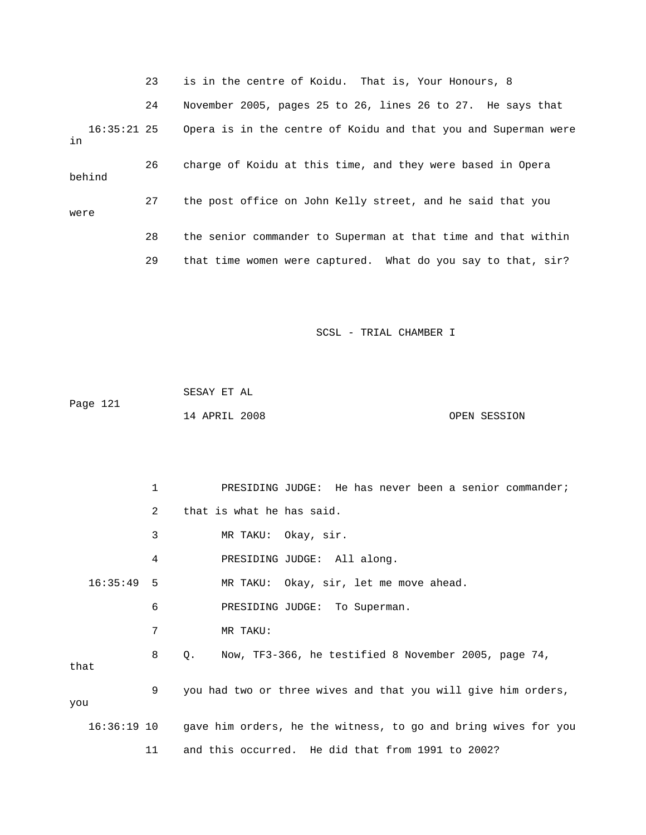23 is in the centre of Koidu. That is, Your Honours, 8

 24 November 2005, pages 25 to 26, lines 26 to 27. He says that 16:35:21 25 Opera is in the centre of Koidu and that you and Superman were 26 charge of Koidu at this time, and they were based in Opera were 28 the senior commander to Superman at that time and that within in behind 27 the post office on John Kelly street, and he said that you 29 that time women were captured. What do you say to that, sir?

SCSL - TRIAL CHAMBER I

 SESAY ET AL OPEN SESSION Page 121 14 APRIL 2008

1 PRESIDING JUDGE: He has never been a senior commander; 2 that is what he has said. 6 PRESIDING JUDGE: To Superman. 16:36:19 10 gave him orders, he the witness, to go and bring wives for you 11 and this occurred. He did that from 1991 to 2002? 3 MR TAKU: Okay, sir. 4 PRESIDING JUDGE: All along. 16:35:49 5 MR TAKU: Okay, sir, let me move ahead. 7 MR TAKU: 8 Q. Now, TF3-366, he testified 8 November 2005, page 74, that 9 you had two or three wives and that you will give him orders, you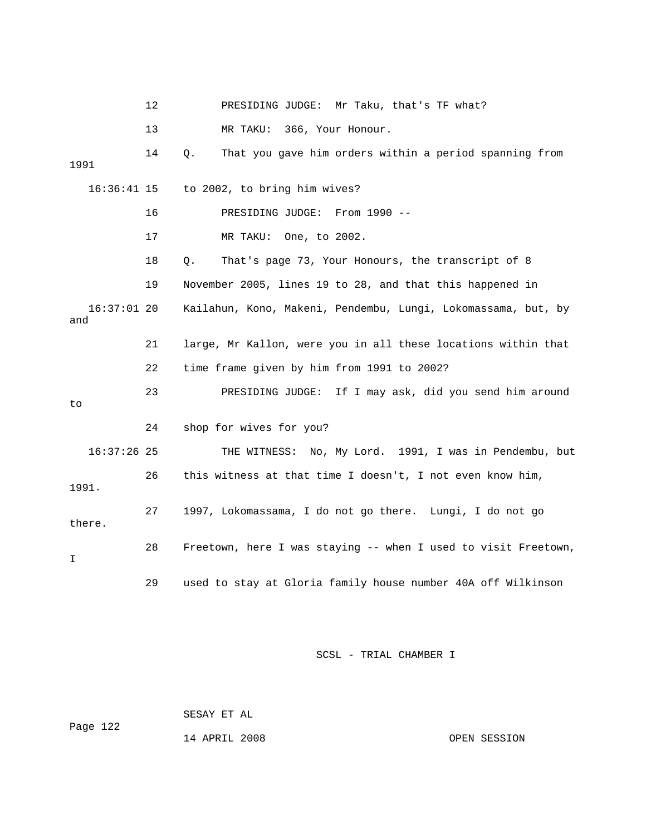12 PRESIDING JUDGE: Mr Taku, that's TF what? 13 MR TAKU: 366, Your Honour. 14 Q. That you gave him orders within a period spanning from 16 PRESIDING JUDGE: From 1990 -- 17 MR TAKU: One, to 2002. 19 November 2005, lines 19 to 28, and that this happened in 16:37:01 20 Kailahun, Kono, Makeni, Pendembu, Lungi, Lokomassama, but, by and 21 large, Mr Kallon, were you in all these locations within that 22 time frame given by him from 1991 to 2002? 23 PRESIDING JUDGE: If I may ask, did you send him around THE WITNESS: No, My Lord. 1991, I was in Pendembu, but 26 this witness at that time I doesn't, I not even know him, . 1991 27 1997, Lokomassama, I do not go there. Lungi, I do not go 28 Freetown, here I was staying -- when I used to visit Freetown, 29 used to stay at Gloria family house number 40A off Wilkinson 1991 16:36:41 15 to 2002, to bring him wives? 18 Q. That's page 73, Your Honours, the transcript of 8 to 24 shop for wives for you?  $16:37:26$  25 there. I

SCSL - TRIAL CHAMBER I

Page 122 SESAY ET AL

14 APRIL 2008 OPEN SESSION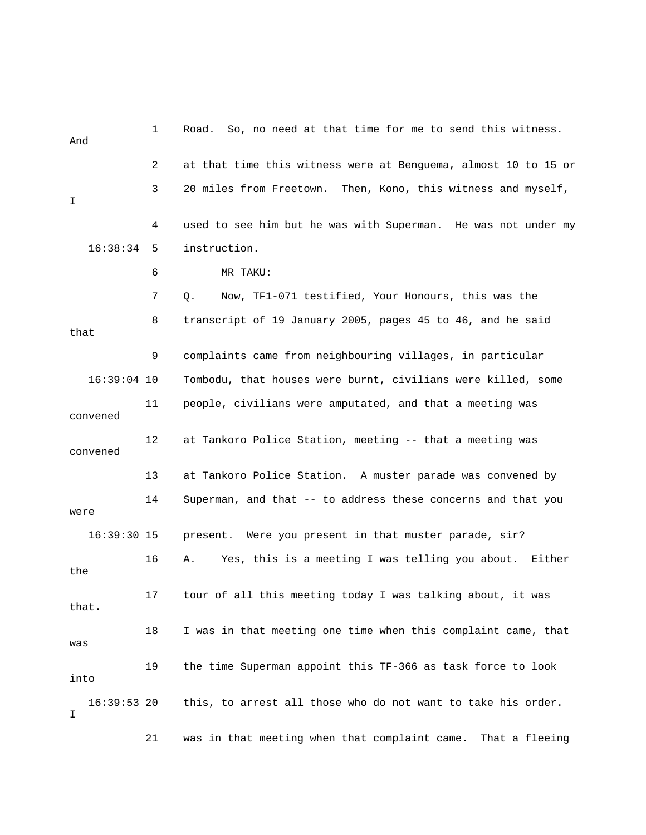1 Road. So, no need at that time for me to s end this witness. And 3 20 miles from Freetown. Then, Kono, this witness and myself, 7 Q. Now, TF1-071 testified, Your Honours, this was the that 16:39:04 10 Tombodu, that houses were burnt, civilians were killed, some 11 people, civilians were amputated, and that a meeting was convened 12 at Tankoro Police Station, meeting -- that a meeting was convened 13 at Tankoro Police Station. A muster parade was convened by 14 Superman, and that -- to address these concerns and that you 16:39:30 15 present. Were you present in that muster parade, sir? 16 A. Yes, this is a meeting I was telling you about. Either the that. 19 the time Superman appoint this TF-366 as task force to look  $16:39:53$  20 this, to arrest all those who do not want to take his order. 21 was in that meeting when that complaint came. That a fleeing 2 at that time this witness were at Benguema, almost 10 to 15 or I 4 used to see him but he was with Superman. He was not under my 16:38:34 5 instruction. 6 MR TAKU: 8 transcript of 19 January 2005, pages 45 to 46, and he said 9 complaints came from neighbouring villages, in particular were 17 tour of all this meeting today I was talking about, it was 18 I was in that meeting one time when this complaint came, that was into I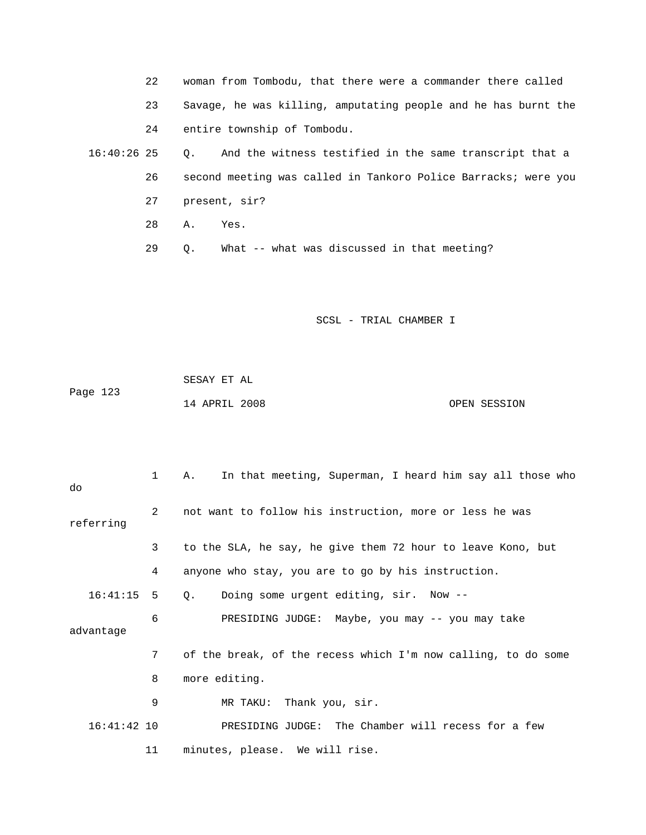22 woman from Tombodu, that there were a commander there called 23 Savage, he was killing, amputating people and he has burnt the 26 second meeting was called in Tankoro Police Barracks; were you 28 A. Yes. 24 entire township of Tombodu. 16:40:26 25 Q. And the witness testified in the same transcript that a 27 present, sir? 29 Q. What -- what was discussed in that meeting?

SCSL - TRIAL CHAMBER I

 SESAY ET AL Page 123 14 APRIL 2008 OPEN SESSION

 3 to the SLA, he say, he give them 72 hour to leave Kono, but 4 anyone who stay, you are to go by his instruction. 16:41:15 5 Q. Doing some urgent editing, sir. Now -- 6 PRESIDING JUDGE: Maybe, you may -- you may take 7 of the break, of the recess which I'm now calling, to do some 8 more editing. 16:41:42 10 PRESIDING JUDGE: The Chamber will recess for a few 11 minutes, please. We will rise. 1 A. In that meeting, Superman, I heard him say all those who do 2 not want to follow his instruction, more or less he was referring advantage 9 MR TAKU: Thank you, sir.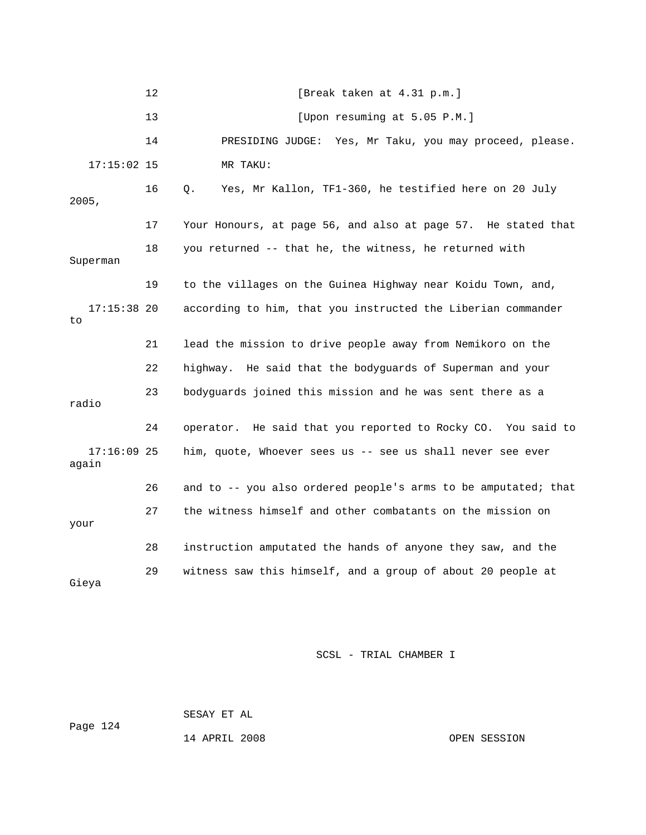|                        | 12 | [Break taken at 4.31 p.m.]                                     |
|------------------------|----|----------------------------------------------------------------|
|                        | 13 | [Upon resuming at 5.05 P.M.]                                   |
|                        | 14 | PRESIDING JUDGE: Yes, Mr Taku, you may proceed, please.        |
| $17:15:02$ 15          |    | MR TAKU:                                                       |
| 2005,                  | 16 | Yes, Mr Kallon, TF1-360, he testified here on 20 July<br>О.    |
|                        | 17 | Your Honours, at page 56, and also at page 57. He stated that  |
| Superman               | 18 | you returned -- that he, the witness, he returned with         |
|                        | 19 | to the villages on the Guinea Highway near Koidu Town, and,    |
| $17:15:38$ 20<br>to    |    | according to him, that you instructed the Liberian commander   |
|                        | 21 | lead the mission to drive people away from Nemikoro on the     |
|                        | 22 | highway. He said that the bodyguards of Superman and your      |
| radio                  | 23 | bodyguards joined this mission and he was sent there as a      |
|                        | 24 | operator. He said that you reported to Rocky CO. You said to   |
| $17:16:09$ 25<br>again |    | him, quote, Whoever sees us -- see us shall never see ever     |
|                        | 26 | and to -- you also ordered people's arms to be amputated; that |
| your                   | 27 | the witness himself and other combatants on the mission on     |
|                        | 28 | instruction amputated the hands of anyone they saw, and the    |
| Gieya                  | 29 | witness saw this himself, and a group of about 20 people at    |

 SESAY ET AL ge 124 Pa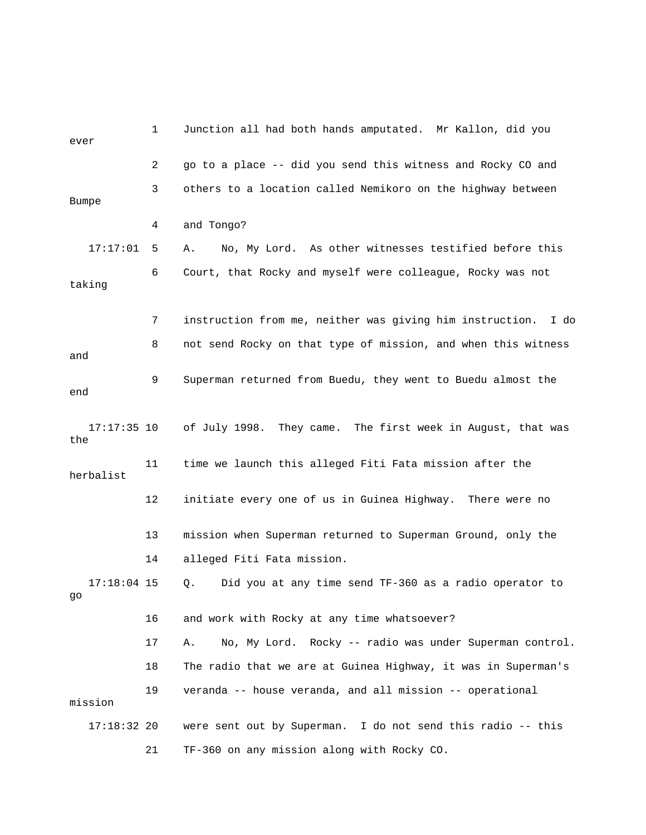| ever                 | 1  | Junction all had both hands amputated. Mr Kallon, did you        |
|----------------------|----|------------------------------------------------------------------|
|                      | 2  | go to a place -- did you send this witness and Rocky CO and      |
| <b>Bumpe</b>         | 3  | others to a location called Nemikoro on the highway between      |
|                      | 4  | and Tongo?                                                       |
| 17:17:01             | 5  | No, My Lord. As other witnesses testified before this<br>Α.      |
| taking               | 6  | Court, that Rocky and myself were colleague, Rocky was not       |
|                      | 7  | instruction from me, neither was giving him instruction.<br>I do |
| and                  | 8  | not send Rocky on that type of mission, and when this witness    |
| end                  | 9  | Superman returned from Buedu, they went to Buedu almost the      |
| $17:17:35$ 10<br>the |    | of July 1998. They came. The first week in August, that was      |
| herbalist            | 11 | time we launch this alleged Fiti Fata mission after the          |
|                      | 12 | initiate every one of us in Guinea Highway. There were no        |
|                      | 13 | mission when Superman returned to Superman Ground, only the      |
|                      | 14 | alleged Fiti Fata mission.                                       |
| $17:18:04$ 15<br>go  |    | Did you at any time send TF-360 as a radio operator to<br>Q.     |
|                      | 16 | and work with Rocky at any time whatsoever?                      |
|                      | 17 | No, My Lord. Rocky -- radio was under Superman control.<br>Α.    |
|                      | 18 | The radio that we are at Guinea Highway, it was in Superman's    |
| mission              | 19 | veranda -- house veranda, and all mission -- operational         |
| $17:18:32$ 20        |    | were sent out by Superman. I do not send this radio -- this      |
|                      | 21 | TF-360 on any mission along with Rocky CO.                       |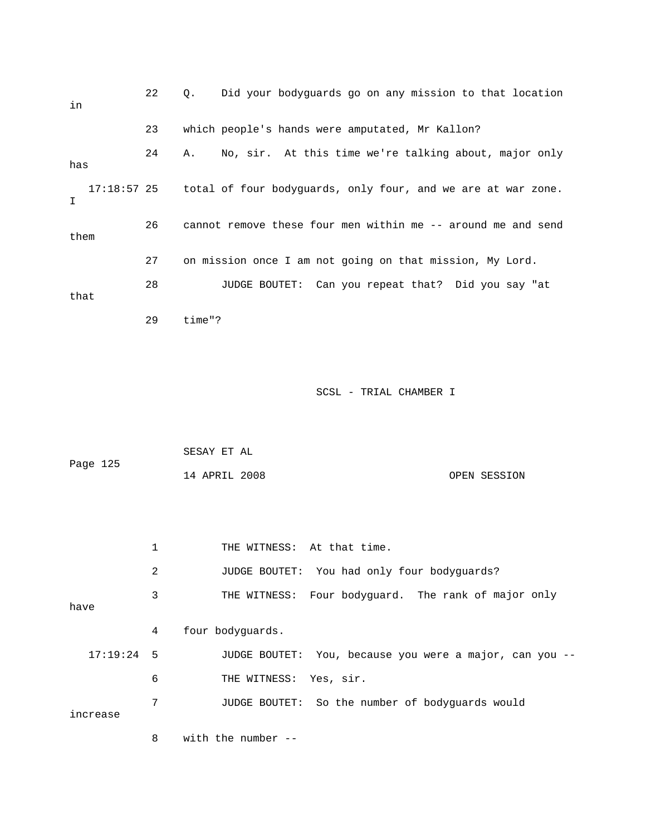22 Q. Did your bodyguards go on any mission to that location in 23 which people's hands were amputated, Mr Kallon? 24 A. No, sir. At this time we're talking about, major only 17:18:57 25 total of four bodyguards, only four, and we are at war zone. 26 cannot remove these four men within me -- around me and send 27 on mission once I am not going on that mission, My Lord. that has  $I$ them 28 JUDGE BOUTET: Can you repeat that? Did you say "at 29 time"?

SCSL - TRIAL CHAMBER I

| Page 125 | SESAY ET AL   |  |              |
|----------|---------------|--|--------------|
|          | 14 APRIL 2008 |  | OPEN SESSION |

|              | 1 | THE WITNESS: At that time.                              |
|--------------|---|---------------------------------------------------------|
|              | 2 | JUDGE BOUTET: You had only four bodyquards?             |
| have         | 3 | THE WITNESS: Four bodyquard. The rank of major only     |
|              | 4 | four bodyquards.                                        |
| $17:19:24$ 5 |   | JUDGE BOUTET: You, because you were a major, can you -- |
|              | 6 | THE WITNESS: Yes, sir.                                  |
| increase     | 7 | JUDGE BOUTET: So the number of bodyquards would         |
|              | 8 | with the number $-$                                     |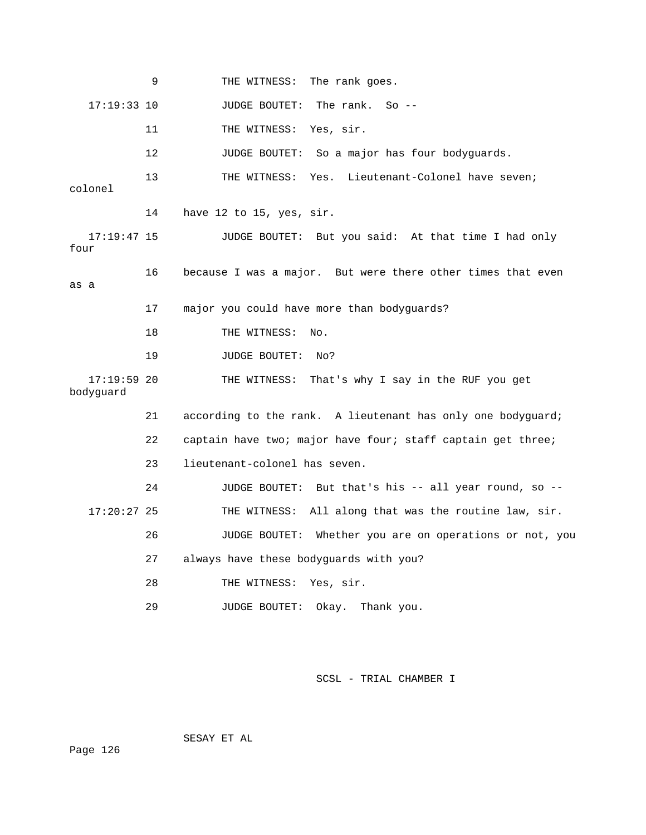9 THE WITNESS: The rank goes. 17:19:33 10 JUDGE BOUTET: The rank. So -- 11 THE WITNESS: Yes, sir. 12 JUDGE BOUTET: So a major has four bodyguards. 13 THE WITNESS: Yes. Lieutenant-Colonel have seven; 14 have 12 to 15, yes, sir. 16 because I was a major. But were there other times that even as a 17 major you could have more than bodyguards? 18 THE WITNESS: No. 19 JUDGE BOUTET: No? 21 according to the rank. A lieutenant has only one bodyguard; 22 captain have two; major have four; staff captain get three; 23 lieutenant-colonel has seven. 24 JUDGE BOUTET: But that's his -- all year round, so --THE WITNESS: All along that was the routine law, sir. 26 JUDGE BOUTET: Whether you are on operations or not, you 27 always have these bodyguards with you? 29 JUDGE BOUTET: Okay. Thank you. colonel 17:19:47 15 JUDGE BOUTET: But you said: At that time I had only four 17:19:59 20 THE WITNESS: That's why I say in the RUF you get bodyguard 17:20:2 28 THE WITNESS: Yes, sir.

SCSL - TRIAL CHAMBER I

SESAY ET AL

Page 126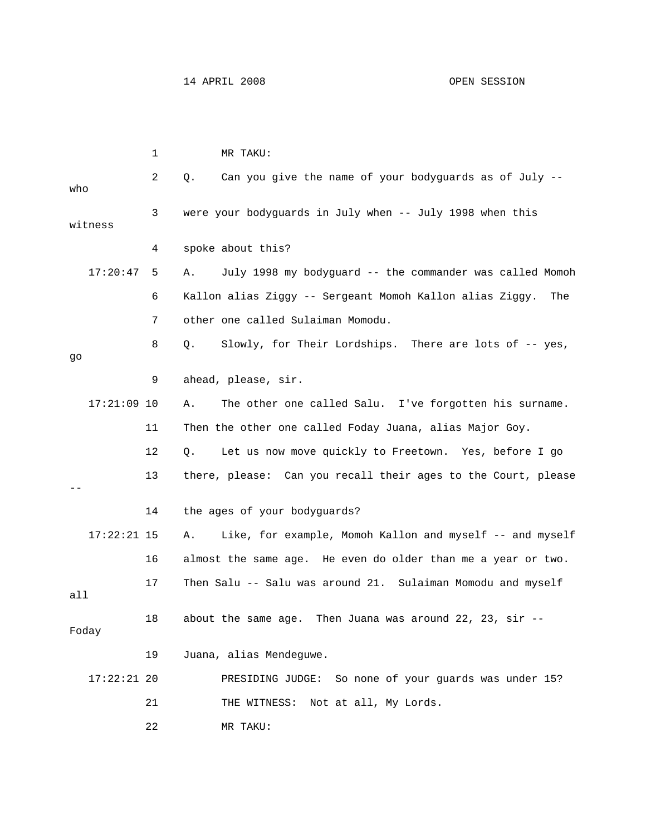|     |               | 1  | MR TAKU:                                                        |
|-----|---------------|----|-----------------------------------------------------------------|
| who |               | 2  | Can you give the name of your bodyguards as of July --<br>Q.    |
|     | witness       | 3  | were your bodyguards in July when -- July 1998 when this        |
|     |               | 4  | spoke about this?                                               |
|     | 17:20:47      | 5  | July 1998 my bodyguard -- the commander was called Momoh<br>Α.  |
|     |               | 6  | Kallon alias Ziggy -- Sergeant Momoh Kallon alias Ziggy.<br>The |
|     |               | 7  | other one called Sulaiman Momodu.                               |
| go  |               | 8  | Slowly, for Their Lordships. There are lots of -- yes,<br>Q.    |
|     |               | 9  | ahead, please, sir.                                             |
|     | $17:21:09$ 10 |    | The other one called Salu. I've forgotten his surname.<br>Α.    |
|     |               | 11 | Then the other one called Foday Juana, alias Major Goy.         |
|     |               | 12 | Let us now move quickly to Freetown. Yes, before I go<br>Q.     |
|     |               | 13 | there, please: Can you recall their ages to the Court, please   |
|     |               | 14 | the ages of your bodyguards?                                    |
|     | $17:22:21$ 15 |    | Like, for example, Momoh Kallon and myself -- and myself<br>Α.  |
|     |               | 16 | almost the same age. He even do older than me a year or two.    |
| all |               | 17 | Then Salu -- Salu was around 21. Sulaiman Momodu and myself     |
|     | Foday         | 18 | about the same age. Then Juana was around 22, 23, $\sin$ --     |
|     |               | 19 | Juana, alias Mendeguwe.                                         |
|     | $17:22:21$ 20 |    | PRESIDING JUDGE: So none of your guards was under 15?           |
|     |               | 21 | THE WITNESS: Not at all, My Lords.                              |
|     |               | 22 | MR TAKU:                                                        |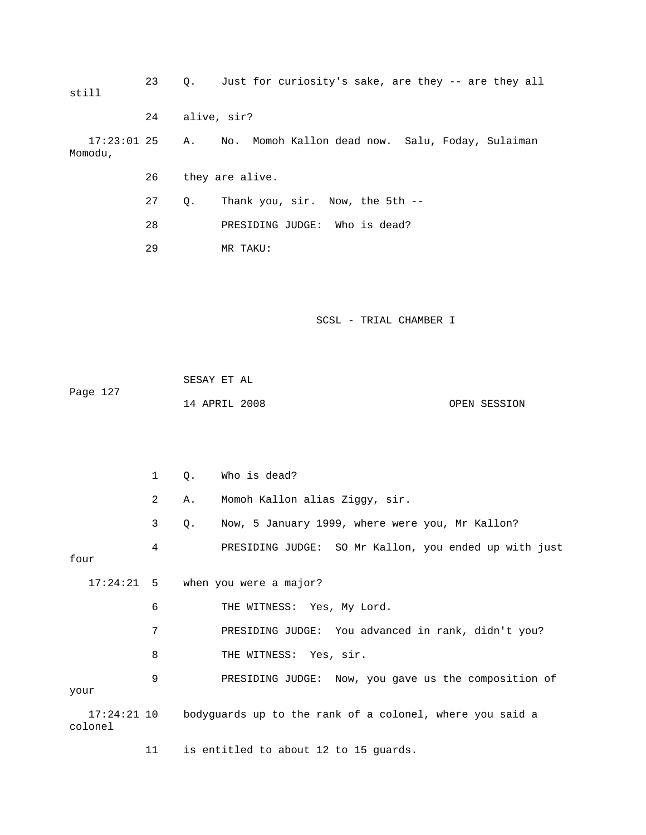| still                    | 23 | Q. |                                       | Just for curiosity's sake, are they -- are they all      |                                                       |
|--------------------------|----|----|---------------------------------------|----------------------------------------------------------|-------------------------------------------------------|
|                          | 24 |    | alive, sir?                           |                                                          |                                                       |
| $17:23:01$ 25<br>Momodu, |    | Α. |                                       | No. Momoh Kallon dead now. Salu, Foday, Sulaiman         |                                                       |
|                          | 26 |    | they are alive.                       |                                                          |                                                       |
|                          | 27 | Q. | Thank you, sir. Now, the 5th --       |                                                          |                                                       |
|                          | 28 |    | PRESIDING JUDGE: Who is dead?         |                                                          |                                                       |
|                          | 29 |    | MR TAKU:                              |                                                          |                                                       |
|                          |    |    |                                       |                                                          |                                                       |
|                          |    |    |                                       |                                                          |                                                       |
|                          |    |    |                                       | SCSL - TRIAL CHAMBER I                                   |                                                       |
|                          |    |    |                                       |                                                          |                                                       |
| Page 127                 |    |    | SESAY ET AL                           |                                                          |                                                       |
|                          |    |    | 14 APRIL 2008                         |                                                          | OPEN SESSION                                          |
|                          |    |    |                                       |                                                          |                                                       |
|                          |    |    |                                       |                                                          |                                                       |
|                          | 1  | Q. | Who is dead?                          |                                                          |                                                       |
|                          | 2  | Α. | Momoh Kallon alias Ziggy, sir.        |                                                          |                                                       |
|                          | 3  | Q. |                                       | Now, 5 January 1999, where were you, Mr Kallon?          |                                                       |
| four                     | 4  |    |                                       |                                                          | PRESIDING JUDGE: SO Mr Kallon, you ended up with just |
| $17:24:21$ 5             |    |    | when you were a major?                |                                                          |                                                       |
|                          | 6  |    | THE WITNESS: Yes, My Lord.            |                                                          |                                                       |
|                          | 7  |    |                                       | PRESIDING JUDGE: You advanced in rank, didn't you?       |                                                       |
|                          | 8  |    | THE WITNESS: Yes, sir.                |                                                          |                                                       |
| your                     | 9  |    |                                       |                                                          | PRESIDING JUDGE: Now, you gave us the composition of  |
| $17:24:21$ 10<br>colonel |    |    |                                       | bodyguards up to the rank of a colonel, where you said a |                                                       |
|                          | 11 |    | is entitled to about 12 to 15 guards. |                                                          |                                                       |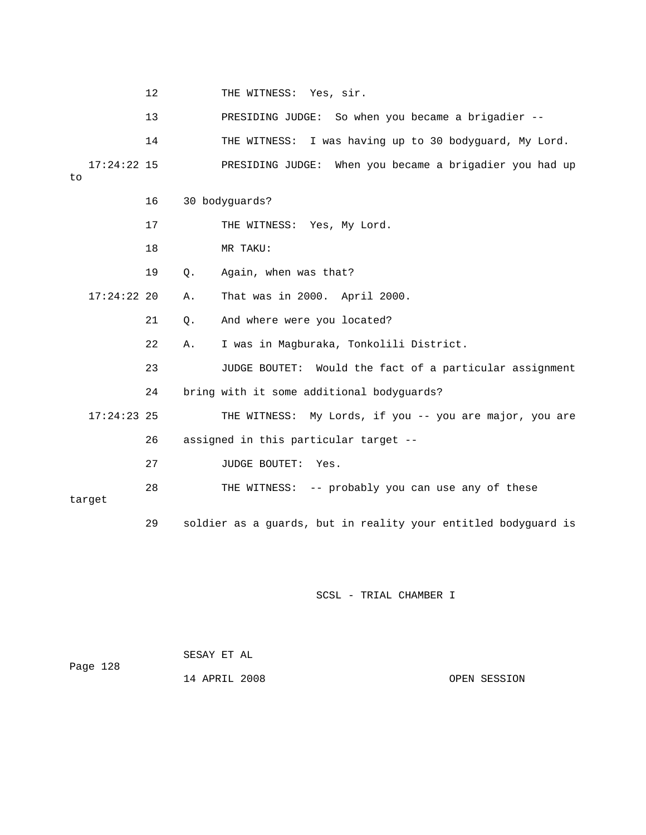|    |               | 12 |    | THE WITNESS: Yes, sir.                                         |
|----|---------------|----|----|----------------------------------------------------------------|
|    |               | 13 |    | PRESIDING JUDGE: So when you became a brigadier --             |
|    |               | 14 |    | THE WITNESS: I was having up to 30 bodyguard, My Lord.         |
| to | $17:24:22$ 15 |    |    | PRESIDING JUDGE: When you became a brigadier you had up        |
|    |               | 16 |    | 30 bodyguards?                                                 |
|    |               | 17 |    | THE WITNESS: Yes, My Lord.                                     |
|    |               | 18 |    | MR TAKU:                                                       |
|    |               | 19 | Q. | Again, when was that?                                          |
|    | $17:24:22$ 20 |    | Α. | That was in 2000. April 2000.                                  |
|    |               | 21 | Q. | And where were you located?                                    |
|    |               | 22 | Α. | I was in Magburaka, Tonkolili District.                        |
|    |               | 23 |    | JUDGE BOUTET: Would the fact of a particular assignment        |
|    |               | 24 |    | bring with it some additional bodyguards?                      |
|    | $17:24:23$ 25 |    |    | THE WITNESS: My Lords, if you -- you are major, you are        |
|    |               | 26 |    | assigned in this particular target --                          |
|    |               | 27 |    | JUDGE BOUTET: Yes.                                             |
|    | target        | 28 |    | THE WITNESS: -- probably you can use any of these              |
|    |               | 29 |    | soldier as a guards, but in reality your entitled bodyguard is |

| Page 128 | SESAY ET AL   |              |
|----------|---------------|--------------|
|          | 14 APRIL 2008 | OPEN SESSION |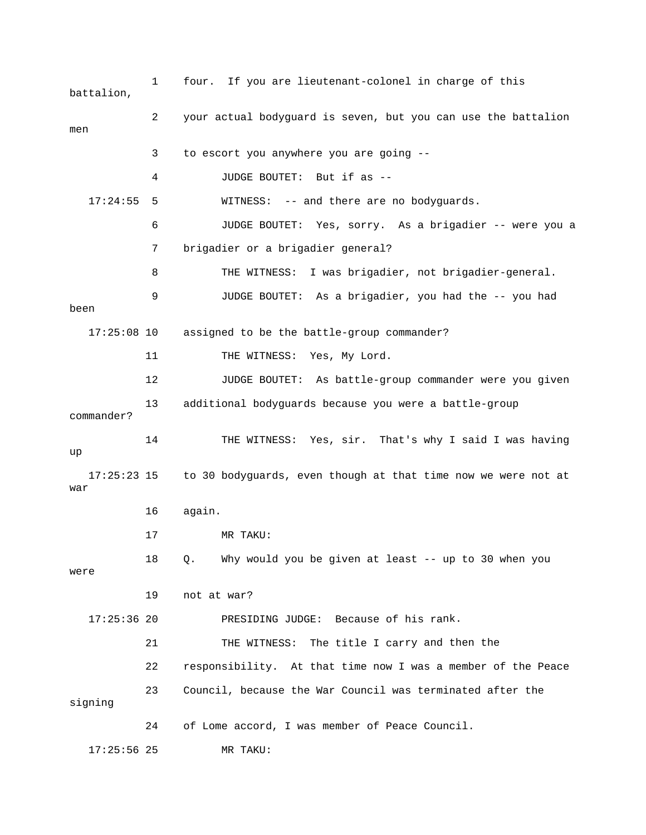1 four. If you are lieutenant-colonel in charge of this 2 your actual bodyguard is seven, but you can use the battalion 3 to escort you anywhere you are going -- 4 JUDGE BOUTET: But if as -- 6 JUDGE BOUTET: Yes, sorry. As a brigadier -- were you a 7 brigadier or a brigadier general? 8 THE WITNESS: I was brigadier, not brigadier-general. 9 JUDGE BOUTET: As a brigadier, you had the -- you had 17:25:08 10 assigned to be the battle-group commander? 11 THE WITNESS: Yes, My Lord. 12 JUDGE BOUTET: As battle-group commander were you given 13 additional bodyguards because you were a battle-group commander? 14 THE WITNESS: Yes, sir. That's why I said I was having 17:25:23 15 to 30 bodyguards, even though at that time now we were not at 16 again. 17 MR TAKU: 18 Q. Why would you be given at least -- up to 30 when you were 17:25:36 20 PRESIDING JUDGE: Because of his rank. 21 THE WITNESS: The title I carry and then the 22 responsibility. At that time now I was a member of the Peace 24 of Lome accord, I was member of Peace Council. 17:25:56 25 MR TAKU: battalion, men 17:24:55 5 WITNESS: -- and there are no bodyguards. been up war 19 not at war? 23 Council, because the War Council was terminated after the signing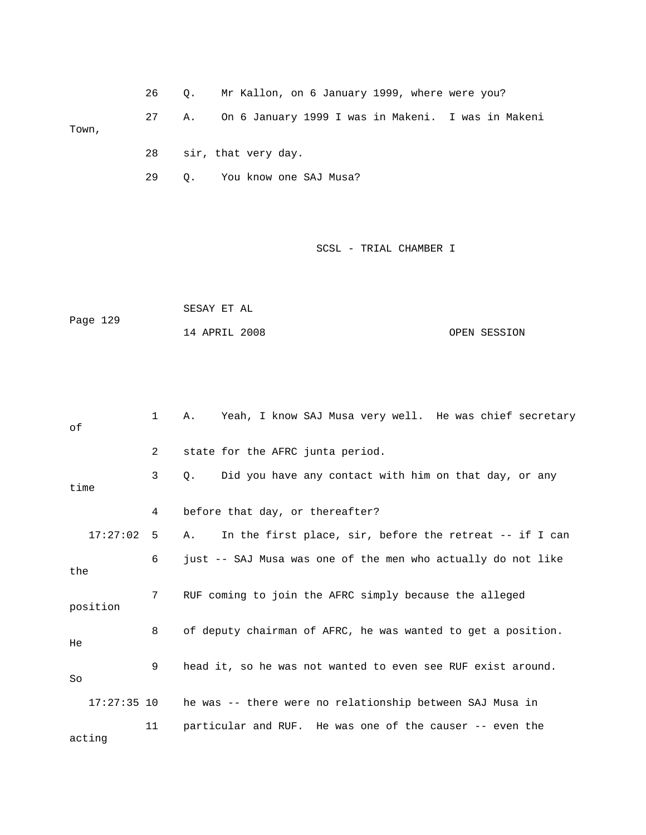|       | 26 0. |    | Mr Kallon, on 6 January 1999, where were you?      |
|-------|-------|----|----------------------------------------------------|
| Town, | 27    | А. | On 6 January 1999 I was in Makeni. I was in Makeni |
|       | 28    |    | sir, that very day.                                |

29 Q. You know one SAJ Musa?

SCSL - TRIAL CHAMBER I

|          | SESAY ET AL   |  |              |
|----------|---------------|--|--------------|
| Page 129 |               |  |              |
|          | 14 APRIL 2008 |  | OPEN SESSION |

| оf       |              | $\mathbf{1}$    | Yeah, I know SAJ Musa very well. He was chief secretary<br>Α.        |
|----------|--------------|-----------------|----------------------------------------------------------------------|
|          |              | $\overline{2}$  | state for the AFRC junta period.                                     |
| time     |              | 3               | Did you have any contact with him on that day, or any<br>$Q_{\star}$ |
|          |              | 4               | before that day, or thereafter?                                      |
|          | $17:27:02$ 5 |                 | In the first place, sir, before the retreat -- if I can<br>Α.        |
| the      |              | 6               | just -- SAJ Musa was one of the men who actually do not like         |
| position |              | $7\overline{ }$ | RUF coming to join the AFRC simply because the alleged               |
| He       |              | 8               | of deputy chairman of AFRC, he was wanted to get a position.         |
| So       |              | 9               | head it, so he was not wanted to even see RUF exist around.          |
|          |              |                 | 17:27:35 10 he was -- there were no relationship between SAJ Musa in |
| acting   |              | 11              | particular and RUF. He was one of the causer -- even the             |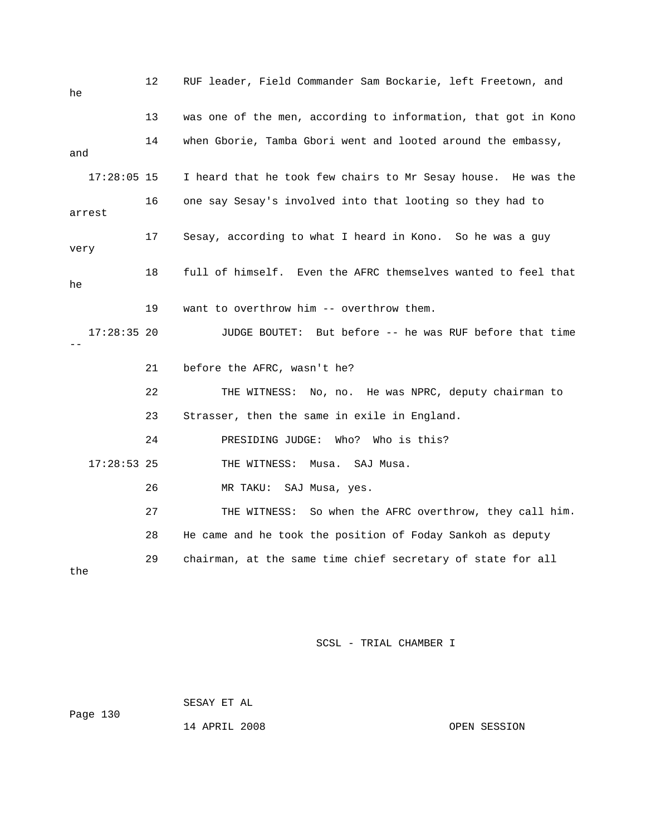| he            | 12 | RUF leader, Field Commander Sam Bockarie, left Freetown, and   |
|---------------|----|----------------------------------------------------------------|
|               | 13 | was one of the men, according to information, that got in Kono |
| and           | 14 | when Gborie, Tamba Gbori went and looted around the embassy,   |
| $17:28:05$ 15 |    | I heard that he took few chairs to Mr Sesay house. He was the  |
| arrest        | 16 | one say Sesay's involved into that looting so they had to      |
| very          | 17 | Sesay, according to what I heard in Kono. So he was a guy      |
| he            | 18 | full of himself. Even the AFRC themselves wanted to feel that  |
|               | 19 | want to overthrow him -- overthrow them.                       |
| $17:28:35$ 20 |    | JUDGE BOUTET: But before -- he was RUF before that time        |
|               | 21 | before the AFRC, wasn't he?                                    |
|               | 22 | THE WITNESS: No, no. He was NPRC, deputy chairman to           |
|               | 23 | Strasser, then the same in exile in England.                   |
|               | 24 | PRESIDING JUDGE:<br>Who?<br>Who is this?                       |
| $17:28:53$ 25 |    | THE WITNESS:<br>Musa.<br>SAJ Musa.                             |
|               | 26 | MR TAKU:<br>SAJ Musa, yes.                                     |
|               | 27 | THE WITNESS: So when the AFRC overthrow, they call him.        |
|               | 28 | He came and he took the position of Foday Sankoh as deputy     |
| the           | 29 | chairman, at the same time chief secretary of state for all    |

Page 130 SESAY ET AL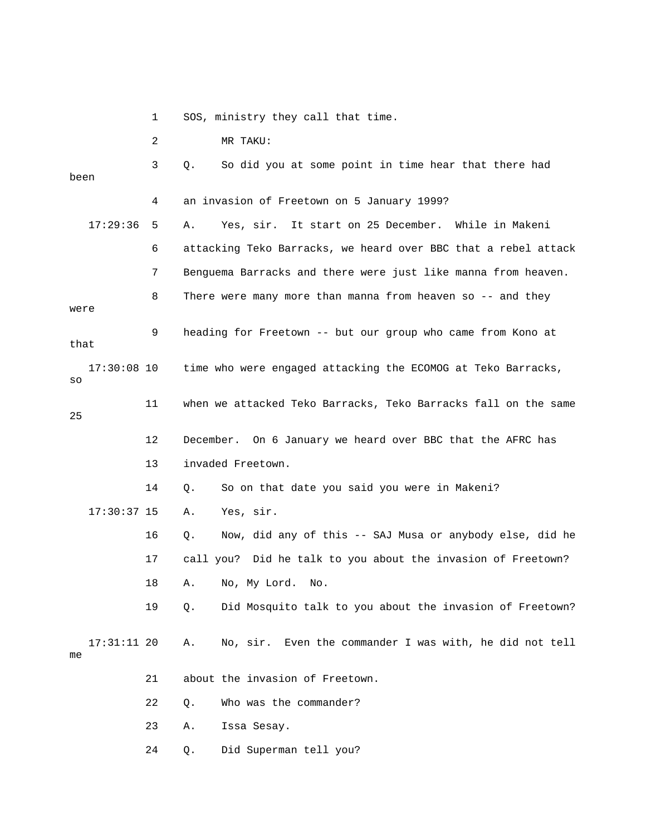1 SOS, ministry they call that time.

2 MR TAKU:

17:29:36 5 A. Yes, sir. It start on 25 December. While in Makeni 6 attacking Teko Barracks, we heard over BBC that a rebel attack 7 Benguema Barracks and there were just like manna from heaven. 9 heading for Freetown -- but our group who came from Kono at 17:30:08 10 time who were engaged attacking the ECOMOG at Teko Barracks, 11 when we attacked Teko Barracks, Teko Barracks fall on the same 12 December. On 6 January we heard over BBC that the AFRC has 13 invaded Freetown. 16 Q. Now, did any of this -- SAJ Musa or anybody else, did he 17 call you? Did he talk to you about the invasion of Freetown? 19 Q. Did Mosquito talk to you about the invasion of Freetown? A. No, sir. Even the commander I was with, he did not tell 21 about the invasion of Freetown. 23 A. Issa Sesay. 24 Q. Did Superman tell you? 3 Q. So did you at some point in time hear that there had been 4 an invasion of Freetown on 5 January 1999? 8 There were many more than manna from heaven so -- and they were that so 25 14 Q. So on that date you said you were in Makeni? 17:30:37 15 A. Yes, sir. 18 A. No, My Lord. No. 17:31:11 20 me 22 Q. Who was the commander?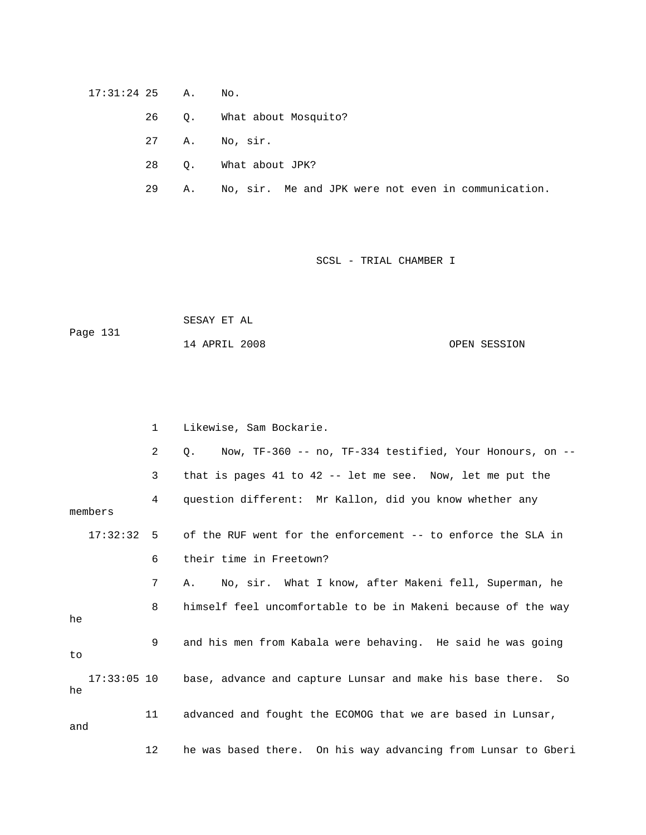## 17:31:24 25 A. No.

- 26 Q. What about Mosquito?
- 27 A. No, sir.
- 28 Q. What about JPK?
- 29 A. No, sir. Me and JPK were not even in communication.

## SCSL - TRIAL CHAMBER I

Page 131 SESAY ET AL 14 APRIL 2008 OPEN SESSION

|         |         | $\mathbf 1$    | Likewise, Sam Bockarie.                                                  |  |  |  |  |
|---------|---------|----------------|--------------------------------------------------------------------------|--|--|--|--|
|         |         | $\overline{2}$ | Now, TF-360 -- no, TF-334 testified, Your Honours, on --<br>$\circ$ .    |  |  |  |  |
|         |         | 3              | that is pages 41 to 42 -- let me see. Now, let me put the                |  |  |  |  |
|         | members | 4              | question different: Mr Kallon, did you know whether any                  |  |  |  |  |
|         |         |                | 17:32:32 5 of the RUF went for the enforcement -- to enforce the SLA in  |  |  |  |  |
|         |         | 6              | their time in Freetown?                                                  |  |  |  |  |
|         |         | 7              | No, sir. What I know, after Makeni fell, Superman, he<br>Α.              |  |  |  |  |
| he      |         | 8              | himself feel uncomfortable to be in Makeni because of the way            |  |  |  |  |
| 9<br>to |         |                | and his men from Kabala were behaving. He said he was going              |  |  |  |  |
| he      |         |                | 17:33:05 10 base, advance and capture Lunsar and make his base there. So |  |  |  |  |
| and     |         | 11             | advanced and fought the ECOMOG that we are based in Lunsar,              |  |  |  |  |
|         |         | 12             | he was based there. On his way advancing from Lunsar to Gberi            |  |  |  |  |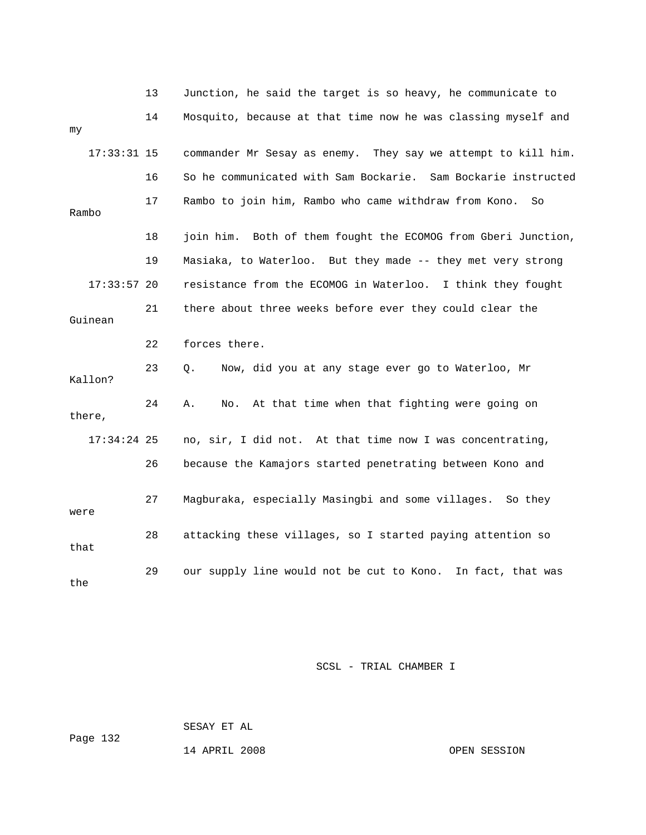|               | 13 | Junction, he said the target is so heavy, he communicate to   |
|---------------|----|---------------------------------------------------------------|
| my            | 14 | Mosquito, because at that time now he was classing myself and |
| $17:33:31$ 15 |    | commander Mr Sesay as enemy. They say we attempt to kill him. |
|               | 16 | So he communicated with Sam Bockarie. Sam Bockarie instructed |
| Rambo         | 17 | Rambo to join him, Rambo who came withdraw from Kono.<br>So   |
|               | 18 | join him. Both of them fought the ECOMOG from Gberi Junction, |
|               | 19 | Masiaka, to Waterloo. But they made -- they met very strong   |
| $17:33:57$ 20 |    | resistance from the ECOMOG in Waterloo. I think they fought   |
| Guinean       | 21 | there about three weeks before ever they could clear the      |
|               | 22 | forces there.                                                 |
| Kallon?       | 23 | Now, did you at any stage ever go to Waterloo, Mr<br>Q.       |
| there,        | 24 | At that time when that fighting were going on<br>Α.<br>No.    |
| $17:34:24$ 25 |    | no, sir, I did not. At that time now I was concentrating,     |
|               | 26 | because the Kamajors started penetrating between Kono and     |
| were          | 27 | Magburaka, especially Masingbi and some villages.<br>So they  |
| that          | 28 | attacking these villages, so I started paying attention so    |
| the           | 29 | our supply line would not be cut to Kono. In fact, that was   |

SESAY ET AL

Page 132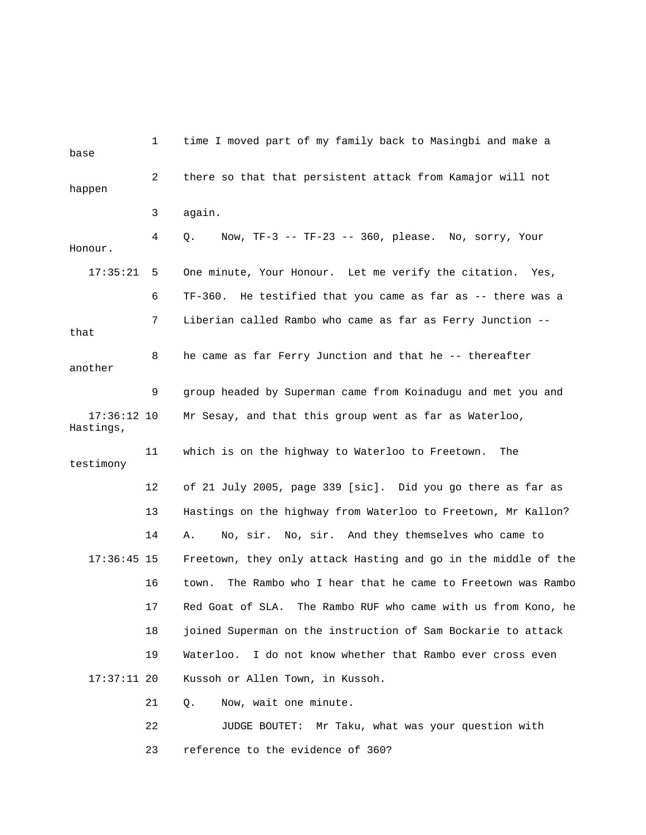| base                       | $\mathbf 1$ | time I moved part of my family back to Masingbi and make a       |
|----------------------------|-------------|------------------------------------------------------------------|
| happen                     | 2           | there so that that persistent attack from Kamajor will not       |
|                            | 3           | again.                                                           |
| Honour.                    | 4           | Now, TF-3 -- TF-23 -- 360, please. No, sorry, Your<br>Q.         |
| 17:35:21                   | 5           | One minute, Your Honour. Let me verify the citation. Yes,        |
|                            | 6           | He testified that you came as far as -- there was a<br>TF-360.   |
| that                       | 7           | Liberian called Rambo who came as far as Ferry Junction --       |
| another                    | 8           | he came as far Ferry Junction and that he -- thereafter          |
|                            | 9           | group headed by Superman came from Koinadugu and met you and     |
| $17:36:12$ 10<br>Hastings, |             | Mr Sesay, and that this group went as far as Waterloo,           |
| testimony                  | 11          | which is on the highway to Waterloo to Freetown.<br>The          |
|                            | 12          | of 21 July 2005, page 339 [sic]. Did you go there as far as      |
|                            | 13          | Hastings on the highway from Waterloo to Freetown, Mr Kallon?    |
|                            | 14          | No, sir. No, sir. And they themselves who came to<br>Α.          |
| $17:36:45$ 15              |             | Freetown, they only attack Hasting and go in the middle of the   |
|                            | 16          | The Rambo who I hear that he came to Freetown was Rambo<br>town. |
|                            | 17          | Red Goat of SLA. The Rambo RUF who came with us from Kono, he    |
|                            | 18          | joined Superman on the instruction of Sam Bockarie to attack     |
|                            | 19          | Waterloo. I do not know whether that Rambo ever cross even       |
| $17:37:11$ 20              |             | Kussoh or Allen Town, in Kussoh.                                 |
|                            | 21          | Now, wait one minute.<br>Q.                                      |
|                            | 22          | Mr Taku, what was your question with<br>JUDGE BOUTET:            |

23 reference to the evidence of 360?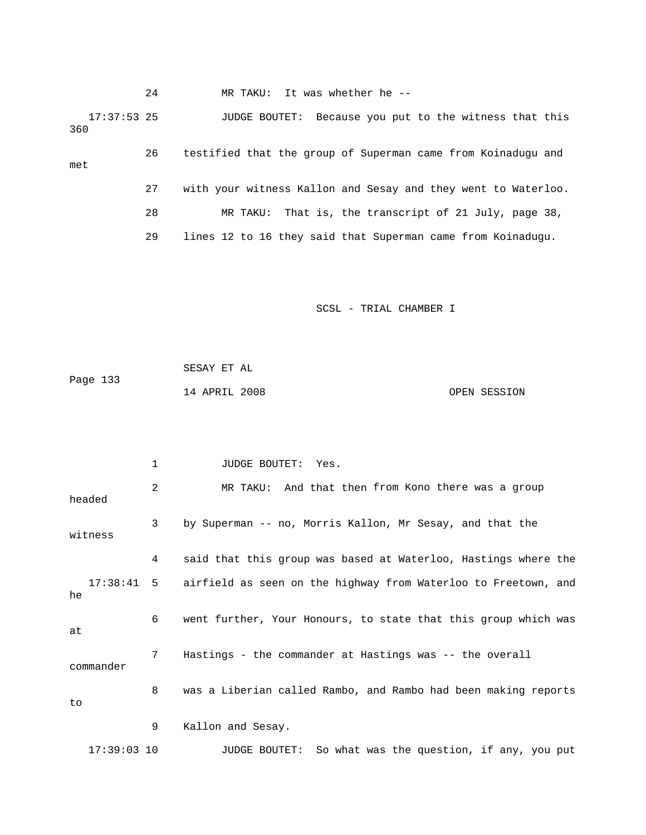24 MR TAKU: It was whether he --

 17:37:53 25 JUDGE BOUTET: Because you put to the witness that this 360

 26 testified that the group of Superman came from Koinadugu and 27 with your witness Kallon and Sesay and they went to Waterloo. 28 MR TAKU: That is, the transcript of 21 July, page 38, 29 lines 12 to 16 they said that Superman came from Koinadugu. met

SCSL - TRIAL CHAMBER I

|          | SESAY ET AL   |  |              |
|----------|---------------|--|--------------|
| Page 133 |               |  |              |
|          | 14 APRIL 2008 |  | OPEN SESSION |

2 MR TAKU: And that then from Kono there was a group headed 4 said that this group was based at Waterloo, Hastings where the 8 was a Liberian called Rambo, and Rambo had been making reports 9 Kallon and Sesay. 17:39:03 10 JUDGE BOUTET: So what was the question, if any, you put 1 JUDGE BOUTET: Yes. 3 by Superman -- no, Morris Kallon, Mr Sesay, and that the witness 17:38:41 5 airfield as seen on the highway from Waterloo to Freetown, and he 6 went further, Your Honours, to state that this group which was at 7 Hastings - the commander at Hastings was -- the overall commander to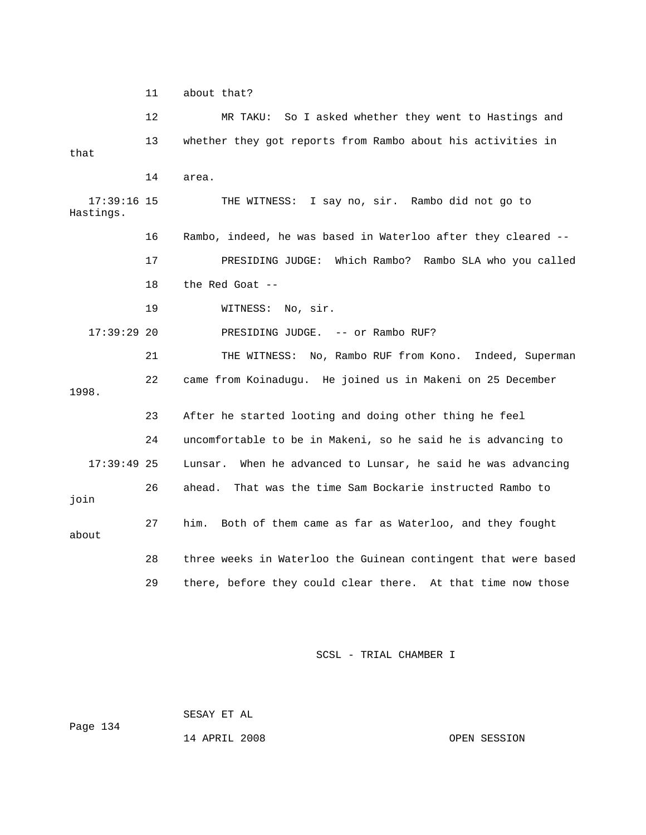11 about that?

 12 MR TAKU: So I asked whether they went to Hastings and 13 whether they got reports from Rambo about his activities in 17:39:16 15 THE WITNESS: I say no, sir. Rambo did not go to Hastings. 16 Rambo, indeed, he was based in Waterloo after they cleared -- 17 PRESIDING JUDGE: Which Rambo? Rambo SLA who you called 18 the Red Goat -- 17:39:29 20 PRESIDING JUDGE. -- or Rambo RUF? 21 THE WITNESS: No, Rambo RUF from Kono. Indeed, Superman 22 came from Koinadugu. He joined us in Makeni on 25 December 1998. 24 uncomfortable to be in Makeni, so he said he is advancing to 17:39:49 25 Lunsar. When he advanced to Lunsar, he said he was advancing join 27 him. Both of them came as far as Waterloo, and they fought 28 three weeks in Waterloo the Guinean contingent that were based that 14 area. 19 WITNESS: No, sir. 23 After he started looting and doing other thing he feel 26 ahead. That was the time Sam Bockarie instructed Rambo to about 29 there, before they could clear there. At that time now those

SCSL - TRIAL CHAMBER I

Page 134 SESAY ET AL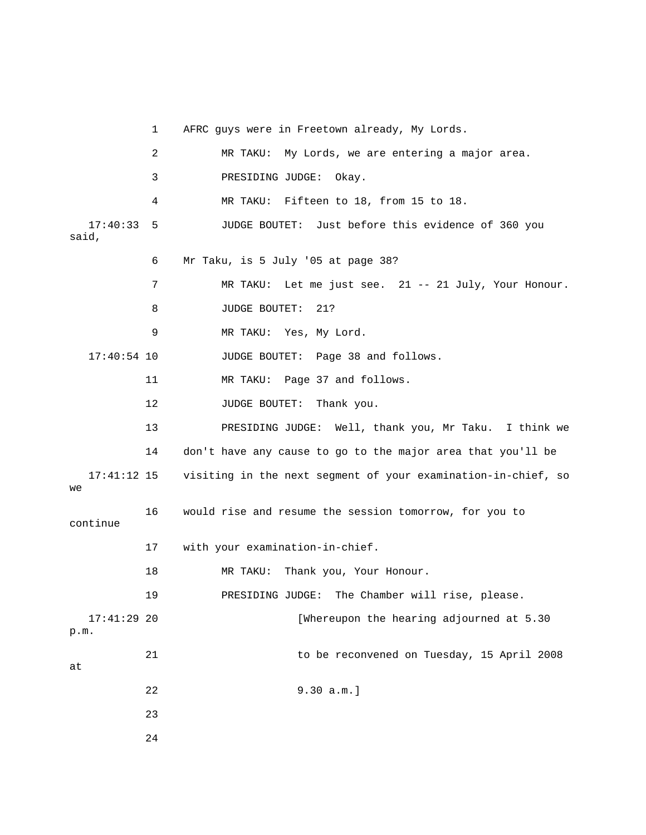1 AFRC guys were in Freetown already, My Lords. 17:40:33 5 JUDGE BOUTET: Just before this evidence of 360 you . 7 MR TAKU: Let me just see. 21 -- 21 July, Your Honour 9 MR TAKU: Yes, My Lord. 12 JUDGE BOUTET: Thank you. 13 PRESIDING JUDGE: Well, thank you, Mr Taku. I think we 14 don't have any cause to go to the major area that you'll be 17:41:12 15 visiting in the next segment of your examination-in-chief, so 17 with your examination-in-chief. 18 MR TAKU: Thank you, Your Honour. 19 PRESIDING JUDGE: The Chamber will rise, please. 17:41:29 20 [Whereupon the hearing adjourned at 5.30 21 and to be reconvened on Tuesday, 15 April 2008 22 9.30 a.m.] 23 2 MR TAKU: My Lords, we are entering a major area. 3 PRESIDING JUDGE: Okay. 4 MR TAKU: Fifteen to 18, from 15 to 18. said, 6 Mr Taku, is 5 July '05 at page 38? 8 JUDGE BOUTET: 21? 17:40:54 10 JUDGE BOUTET: Page 38 and follows. 11 MR TAKU: Page 37 and follows. we 16 would rise and resume the session tomorrow, for you to continue p.m. at 24